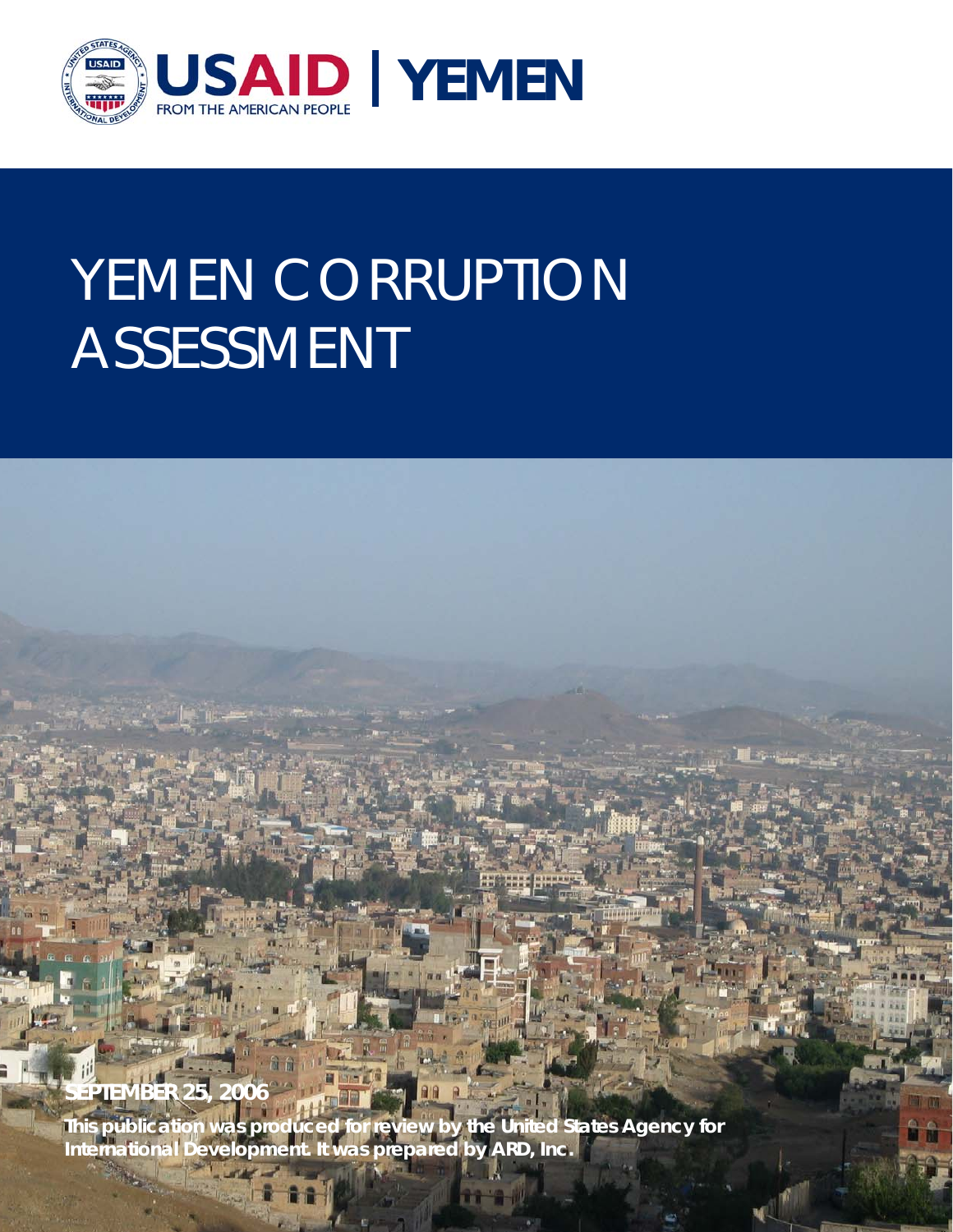

# YEMEN CORRUPTION ASSESSMENT



**This publication was produced for review by the United States Agency for International Development. It was prepared by ARD, Inc.**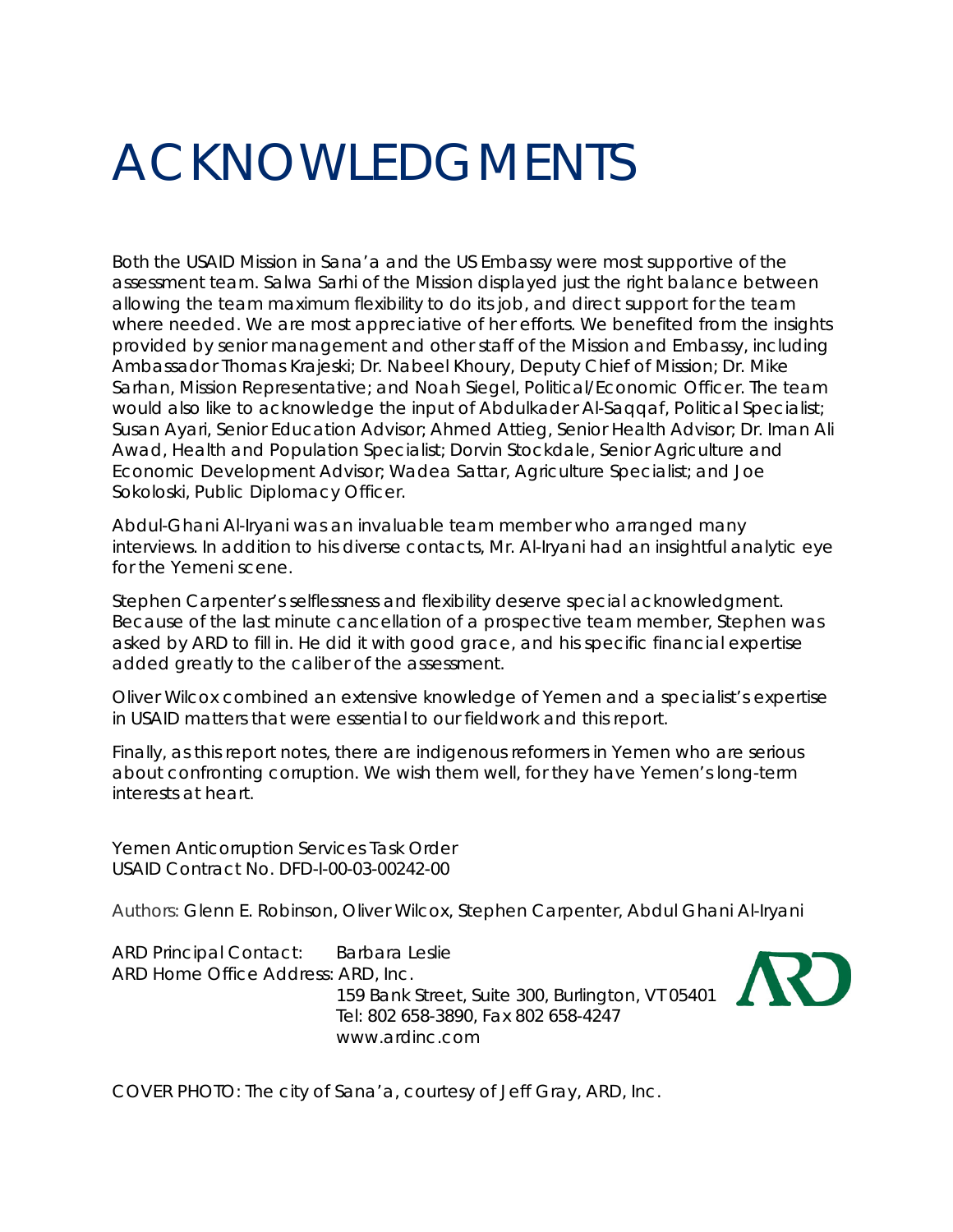## ACKNOWLEDGMENTS

Both the USAID Mission in Sana'a and the US Embassy were most supportive of the assessment team. Salwa Sarhi of the Mission displayed just the right balance between allowing the team maximum flexibility to do its job, and direct support for the team where needed. We are most appreciative of her efforts. We benefited from the insights provided by senior management and other staff of the Mission and Embassy, including Ambassador Thomas Krajeski; Dr. Nabeel Khoury, Deputy Chief of Mission; Dr. Mike Sarhan, Mission Representative; and Noah Siegel, Political/Economic Officer. The team would also like to acknowledge the input of Abdulkader Al-Saqqaf, Political Specialist; Susan Ayari, Senior Education Advisor; Ahmed Attieg, Senior Health Advisor; Dr. Iman Ali Awad, Health and Population Specialist; Dorvin Stockdale, Senior Agriculture and Economic Development Advisor; Wadea Sattar, Agriculture Specialist; and Joe Sokoloski, Public Diplomacy Officer.

Abdul-Ghani Al-Iryani was an invaluable team member who arranged many interviews. In addition to his diverse contacts, Mr. Al-Iryani had an insightful analytic eye for the Yemeni scene.

Stephen Carpenter's selflessness and flexibility deserve special acknowledgment. Because of the last minute cancellation of a prospective team member, Stephen was asked by ARD to fill in. He did it with good grace, and his specific financial expertise added greatly to the caliber of the assessment.

Oliver Wilcox combined an extensive knowledge of Yemen and a specialist's expertise in USAID matters that were essential to our fieldwork and this report.

Finally, as this report notes, there are indigenous reformers in Yemen who are serious about confronting corruption. We wish them well, for they have Yemen's long-term interests at heart.

Yemen Anticorruption Services Task Order USAID Contract No. DFD-I-00-03-00242-00

Authors: Glenn E. Robinson, Oliver Wilcox, Stephen Carpenter, Abdul Ghani Al-Iryani

ARD Principal Contact: Barbara Leslie ARD Home Office Address: ARD, Inc. 159 Bank Street, Suite 300, Burlington, VT 05401 Tel: 802 658-3890, Fax 802 658-4247 www.ardinc.com



COVER PHOTO: The city of Sana'a, courtesy of Jeff Gray, ARD, Inc.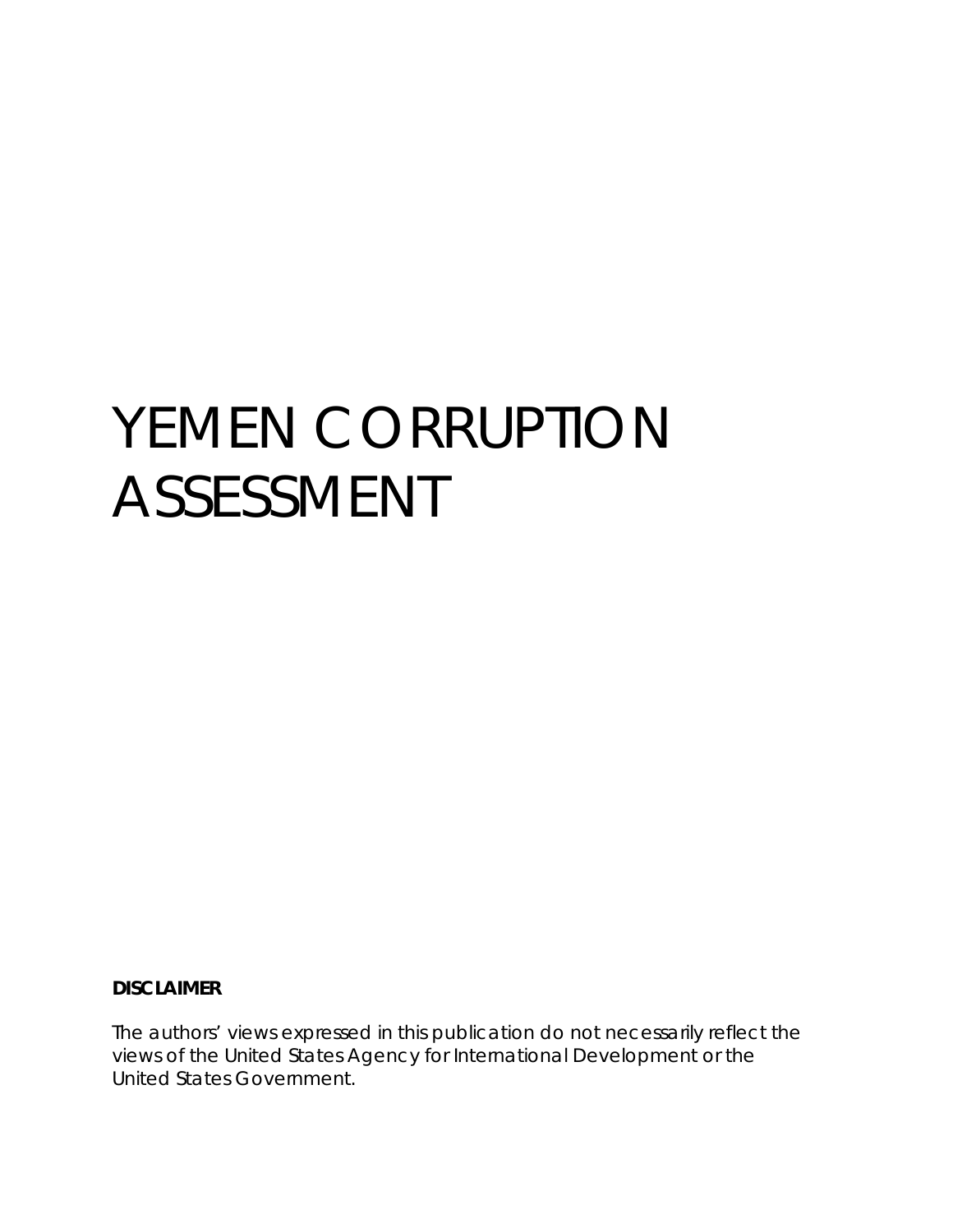# YEMEN CORRUPTION ASSESSMENT

#### **DISCLAIMER**

The authors' views expressed in this publication do not necessarily reflect the views of the United States Agency for International Development or the United States Government.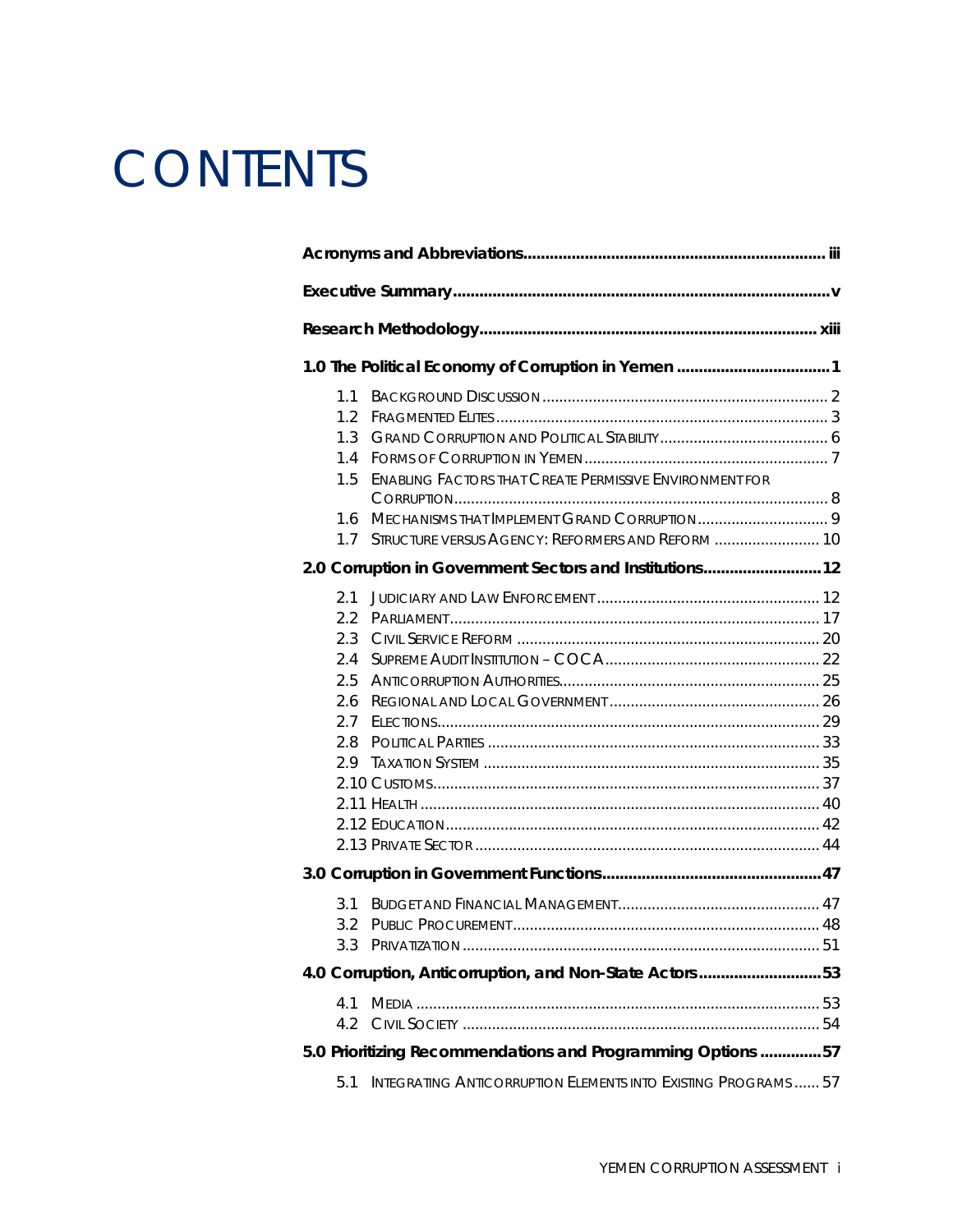## **CONTENTS**

|  |               | 1.0 The Political Economy of Corruption in Yemen  1                   |  |  |  |
|--|---------------|-----------------------------------------------------------------------|--|--|--|
|  | 1.1           |                                                                       |  |  |  |
|  | 1.2           |                                                                       |  |  |  |
|  | 1.3           |                                                                       |  |  |  |
|  | 1.4           |                                                                       |  |  |  |
|  | 1.5           | <b>ENABLING FACTORS THAT CREATE PERMISSIVE ENVIRONMENT FOR</b>        |  |  |  |
|  |               |                                                                       |  |  |  |
|  | 1.6           |                                                                       |  |  |  |
|  | 1.7           | STRUCTURE VERSUS AGENCY: REFORMERS AND REFORM  10                     |  |  |  |
|  |               | 2.0 Corruption in Government Sectors and Institutions 12              |  |  |  |
|  | 2.1           |                                                                       |  |  |  |
|  | $2.2^{\circ}$ |                                                                       |  |  |  |
|  | 2.3           |                                                                       |  |  |  |
|  | 2.4           |                                                                       |  |  |  |
|  | 2.5           |                                                                       |  |  |  |
|  | 2.6           |                                                                       |  |  |  |
|  | 2.7           |                                                                       |  |  |  |
|  | 2.8           |                                                                       |  |  |  |
|  |               |                                                                       |  |  |  |
|  |               |                                                                       |  |  |  |
|  |               |                                                                       |  |  |  |
|  |               |                                                                       |  |  |  |
|  |               |                                                                       |  |  |  |
|  |               |                                                                       |  |  |  |
|  | 3.1           |                                                                       |  |  |  |
|  |               |                                                                       |  |  |  |
|  |               |                                                                       |  |  |  |
|  |               | 4.0 Corruption, Anticorruption, and Non-State Actors53                |  |  |  |
|  | 4.1           |                                                                       |  |  |  |
|  |               |                                                                       |  |  |  |
|  |               | 5.0 Prioritizing Recommendations and Programming Options 57           |  |  |  |
|  | 5.1           | <b>INTEGRATING ANTICORRUPTION ELEMENTS INTO EXISTING PROGRAMS  57</b> |  |  |  |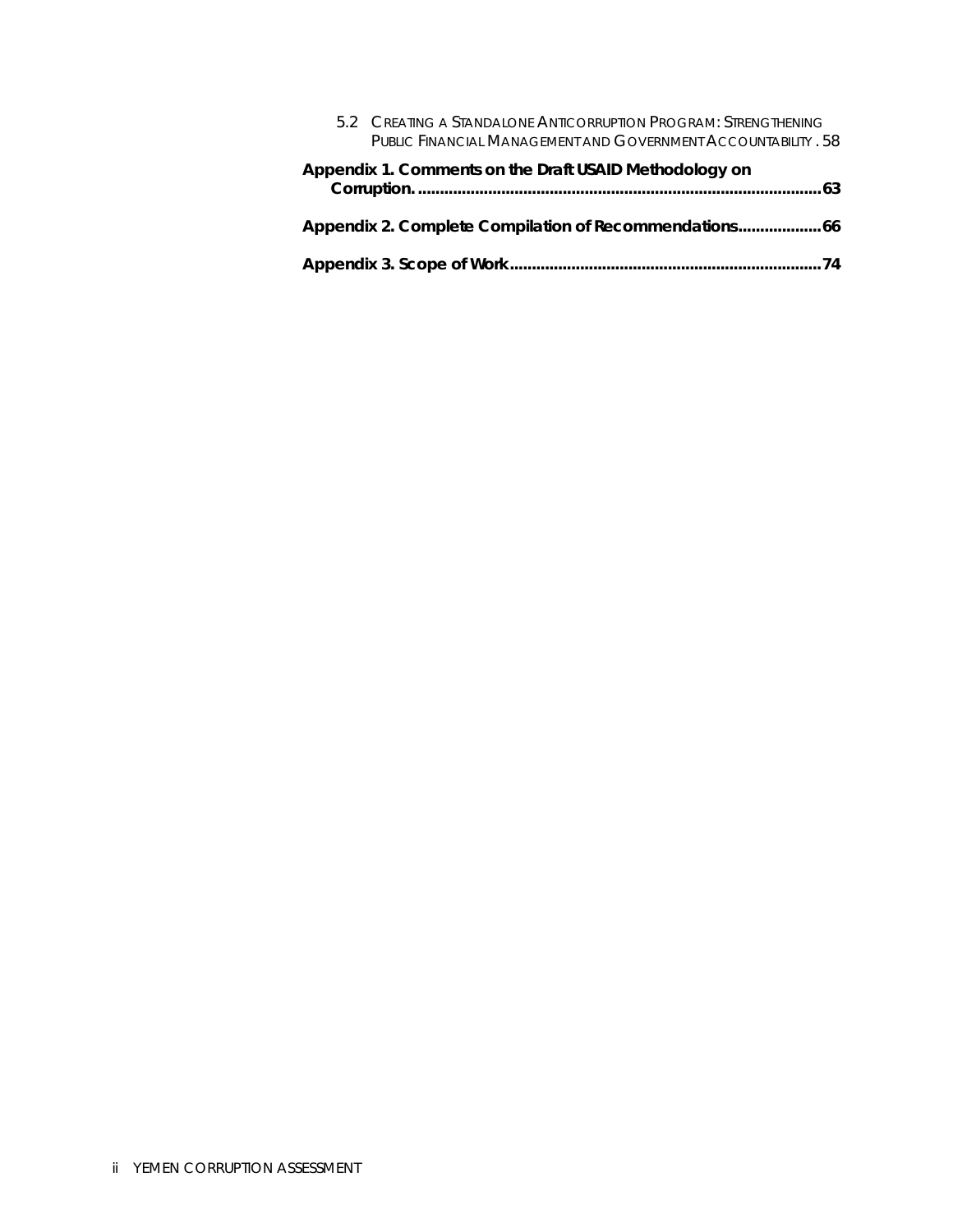|                                                        |  | 5.2 CREATING A STANDALONE ANTICORRUPTION PROGRAM: STRENGTHENING<br>PUBLIC FINANCIAL MANAGEMENT AND GOVERNMENT ACCOUNTABILITY . 58 |  |  |
|--------------------------------------------------------|--|-----------------------------------------------------------------------------------------------------------------------------------|--|--|
| Appendix 1. Comments on the Draft USAID Methodology on |  |                                                                                                                                   |  |  |
|                                                        |  | Appendix 2. Complete Compilation of Recommendations 66                                                                            |  |  |
|                                                        |  |                                                                                                                                   |  |  |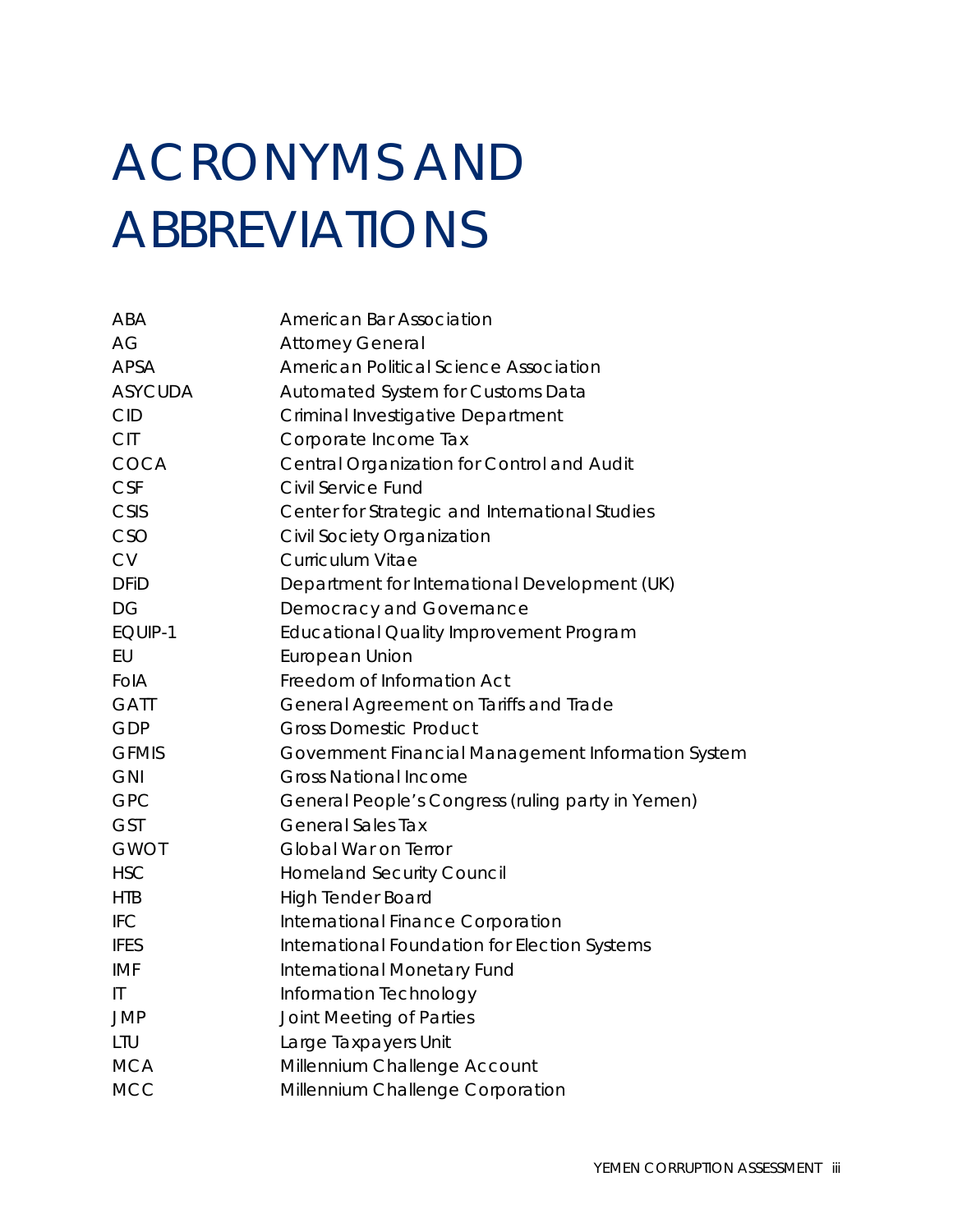## <span id="page-6-0"></span>ACRONYMS AND ABBREVIATIONS

| <b>American Bar Association</b>                    |
|----------------------------------------------------|
| <b>Attorney General</b>                            |
| American Political Science Association             |
| Automated System for Customs Data                  |
| Criminal Investigative Department                  |
| Corporate Income Tax                               |
| Central Organization for Control and Audit         |
| Civil Service Fund                                 |
| Center for Strategic and International Studies     |
| Civil Society Organization                         |
| Curriculum Vitae                                   |
| Department for International Development (UK)      |
| Democracy and Governance                           |
| Educational Quality Improvement Program            |
| European Union                                     |
| Freedom of Information Act                         |
| General Agreement on Tariffs and Trade             |
| <b>Gross Domestic Product</b>                      |
| Government Financial Management Information System |
| <b>Gross National Income</b>                       |
| General People's Congress (ruling party in Yemen)  |
| <b>General Sales Tax</b>                           |
| Global War on Terror                               |
| <b>Homeland Security Council</b>                   |
| <b>High Tender Board</b>                           |
| International Finance Corporation                  |
| International Foundation for Election Systems      |
| International Monetary Fund                        |
| Information Technology                             |
| Joint Meeting of Parties                           |
| Large Taxpayers Unit                               |
| Millennium Challenge Account                       |
| Millennium Challenge Corporation                   |
|                                                    |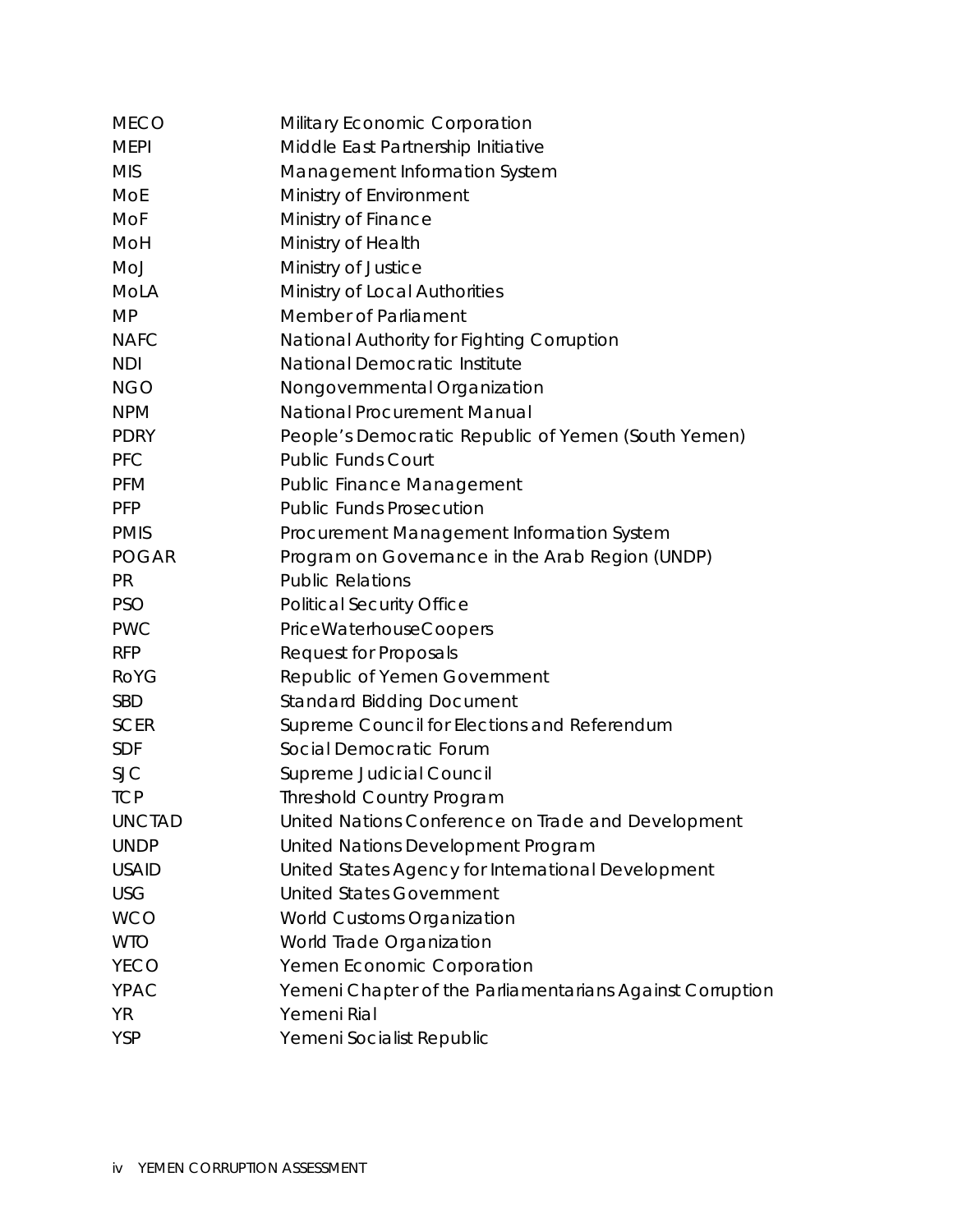| <b>MECO</b>   | Military Economic Corporation                             |
|---------------|-----------------------------------------------------------|
| <b>MEPI</b>   | Middle East Partnership Initiative                        |
| <b>MIS</b>    | Management Information System                             |
| <b>MoE</b>    | Ministry of Environment                                   |
| <b>MoF</b>    | Ministry of Finance                                       |
| MoH           | Ministry of Health                                        |
| MoJ           | Ministry of Justice                                       |
| MoLA          | Ministry of Local Authorities                             |
| <b>MP</b>     | Member of Parliament                                      |
| <b>NAFC</b>   | National Authority for Fighting Corruption                |
| <b>NDI</b>    | National Democratic Institute                             |
| <b>NGO</b>    | Nongovernmental Organization                              |
| <b>NPM</b>    | <b>National Procurement Manual</b>                        |
| <b>PDRY</b>   | People's Democratic Republic of Yemen (South Yemen)       |
| <b>PFC</b>    | <b>Public Funds Court</b>                                 |
| <b>PFM</b>    | <b>Public Finance Management</b>                          |
| <b>PFP</b>    | <b>Public Funds Prosecution</b>                           |
| <b>PMIS</b>   | Procurement Management Information System                 |
| <b>POGAR</b>  | Program on Governance in the Arab Region (UNDP)           |
| <b>PR</b>     | <b>Public Relations</b>                                   |
| <b>PSO</b>    | <b>Political Security Office</b>                          |
| <b>PWC</b>    | PriceWaterhouseCoopers                                    |
| <b>RFP</b>    | <b>Request for Proposals</b>                              |
| <b>RoYG</b>   | Republic of Yemen Government                              |
| <b>SBD</b>    | <b>Standard Bidding Document</b>                          |
| <b>SCER</b>   | Supreme Council for Elections and Referendum              |
| <b>SDF</b>    | Social Democratic Forum                                   |
| <b>SJC</b>    | <b>Supreme Judicial Council</b>                           |
| <b>TCP</b>    | <b>Threshold Country Program</b>                          |
| <b>UNCTAD</b> | United Nations Conference on Trade and Development        |
| <b>UNDP</b>   | United Nations Development Program                        |
| <b>USAID</b>  | United States Agency for International Development        |
| <b>USG</b>    | <b>United States Government</b>                           |
| <b>WCO</b>    | <b>World Customs Organization</b>                         |
| <b>WTO</b>    | World Trade Organization                                  |
| <b>YECO</b>   | Yemen Economic Corporation                                |
| YPAC          | Yemeni Chapter of the Parliamentarians Against Corruption |
| <b>YR</b>     | Yemeni Rial                                               |
| <b>YSP</b>    | Yemeni Socialist Republic                                 |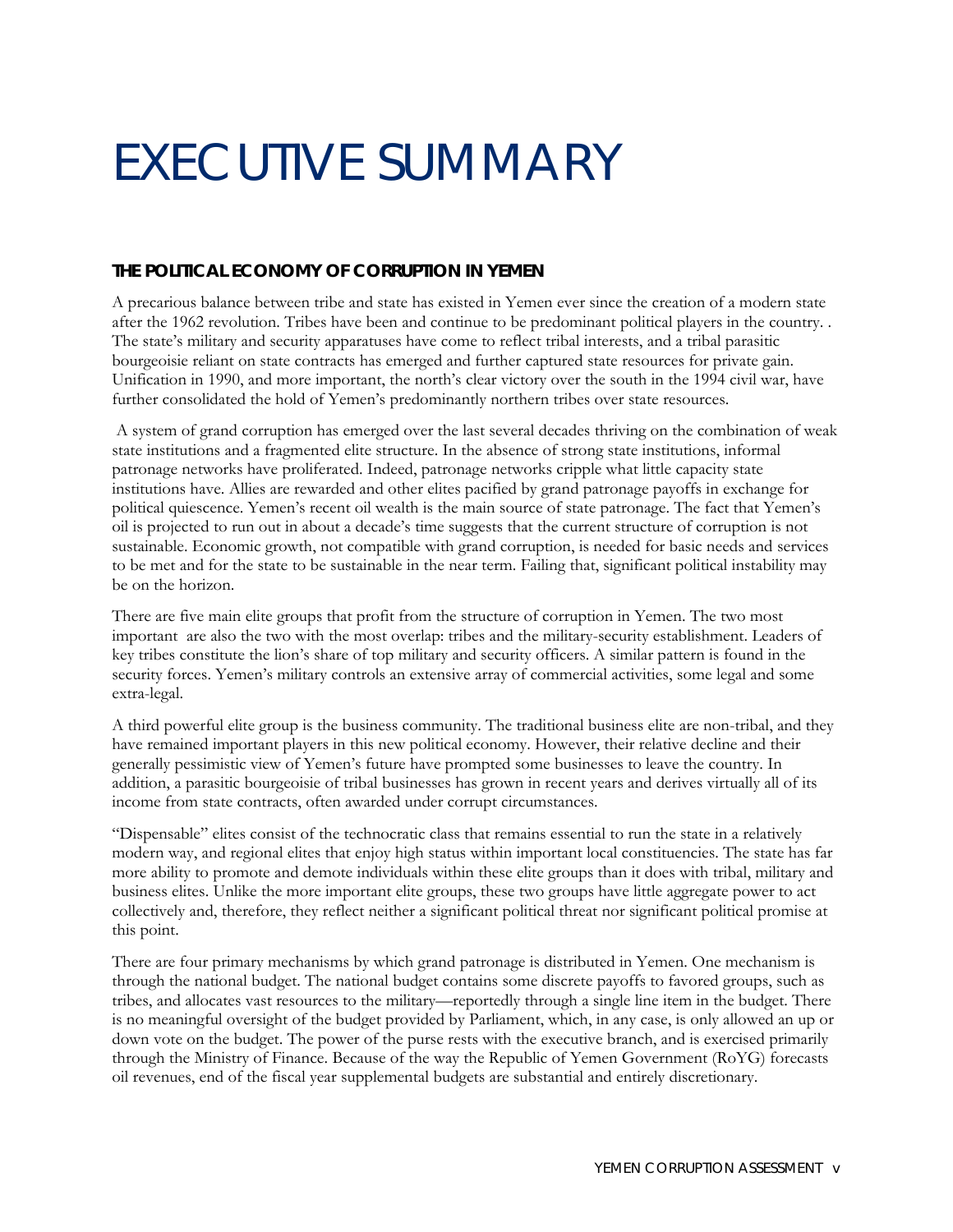## <span id="page-8-0"></span>EXECUTIVE SUMMARY

#### **THE POLITICAL ECONOMY OF CORRUPTION IN YEMEN**

A precarious balance between tribe and state has existed in Yemen ever since the creation of a modern state after the 1962 revolution. Tribes have been and continue to be predominant political players in the country. . The state's military and security apparatuses have come to reflect tribal interests, and a tribal parasitic bourgeoisie reliant on state contracts has emerged and further captured state resources for private gain. Unification in 1990, and more important, the north's clear victory over the south in the 1994 civil war, have further consolidated the hold of Yemen's predominantly northern tribes over state resources.

 A system of grand corruption has emerged over the last several decades thriving on the combination of weak state institutions and a fragmented elite structure. In the absence of strong state institutions, informal patronage networks have proliferated. Indeed, patronage networks cripple what little capacity state institutions have. Allies are rewarded and other elites pacified by grand patronage payoffs in exchange for political quiescence. Yemen's recent oil wealth is the main source of state patronage. The fact that Yemen's oil is projected to run out in about a decade's time suggests that the current structure of corruption is not sustainable. Economic growth, not compatible with grand corruption, is needed for basic needs and services to be met and for the state to be sustainable in the near term. Failing that, significant political instability may be on the horizon.

There are five main elite groups that profit from the structure of corruption in Yemen. The two most important are also the two with the most overlap: tribes and the military-security establishment. Leaders of key tribes constitute the lion's share of top military and security officers. A similar pattern is found in the security forces. Yemen's military controls an extensive array of commercial activities, some legal and some extra-legal.

A third powerful elite group is the business community. The traditional business elite are non-tribal, and they have remained important players in this new political economy. However, their relative decline and their generally pessimistic view of Yemen's future have prompted some businesses to leave the country. In addition, a parasitic bourgeoisie of tribal businesses has grown in recent years and derives virtually all of its income from state contracts, often awarded under corrupt circumstances.

"Dispensable" elites consist of the technocratic class that remains essential to run the state in a relatively modern way, and regional elites that enjoy high status within important local constituencies. The state has far more ability to promote and demote individuals within these elite groups than it does with tribal, military and business elites. Unlike the more important elite groups, these two groups have little aggregate power to act collectively and, therefore, they reflect neither a significant political threat nor significant political promise at this point.

There are four primary mechanisms by which grand patronage is distributed in Yemen. One mechanism is through the national budget. The national budget contains some discrete payoffs to favored groups, such as tribes, and allocates vast resources to the military—reportedly through a single line item in the budget. There is no meaningful oversight of the budget provided by Parliament, which, in any case, is only allowed an up or down vote on the budget. The power of the purse rests with the executive branch, and is exercised primarily through the Ministry of Finance. Because of the way the Republic of Yemen Government (RoYG) forecasts oil revenues, end of the fiscal year supplemental budgets are substantial and entirely discretionary.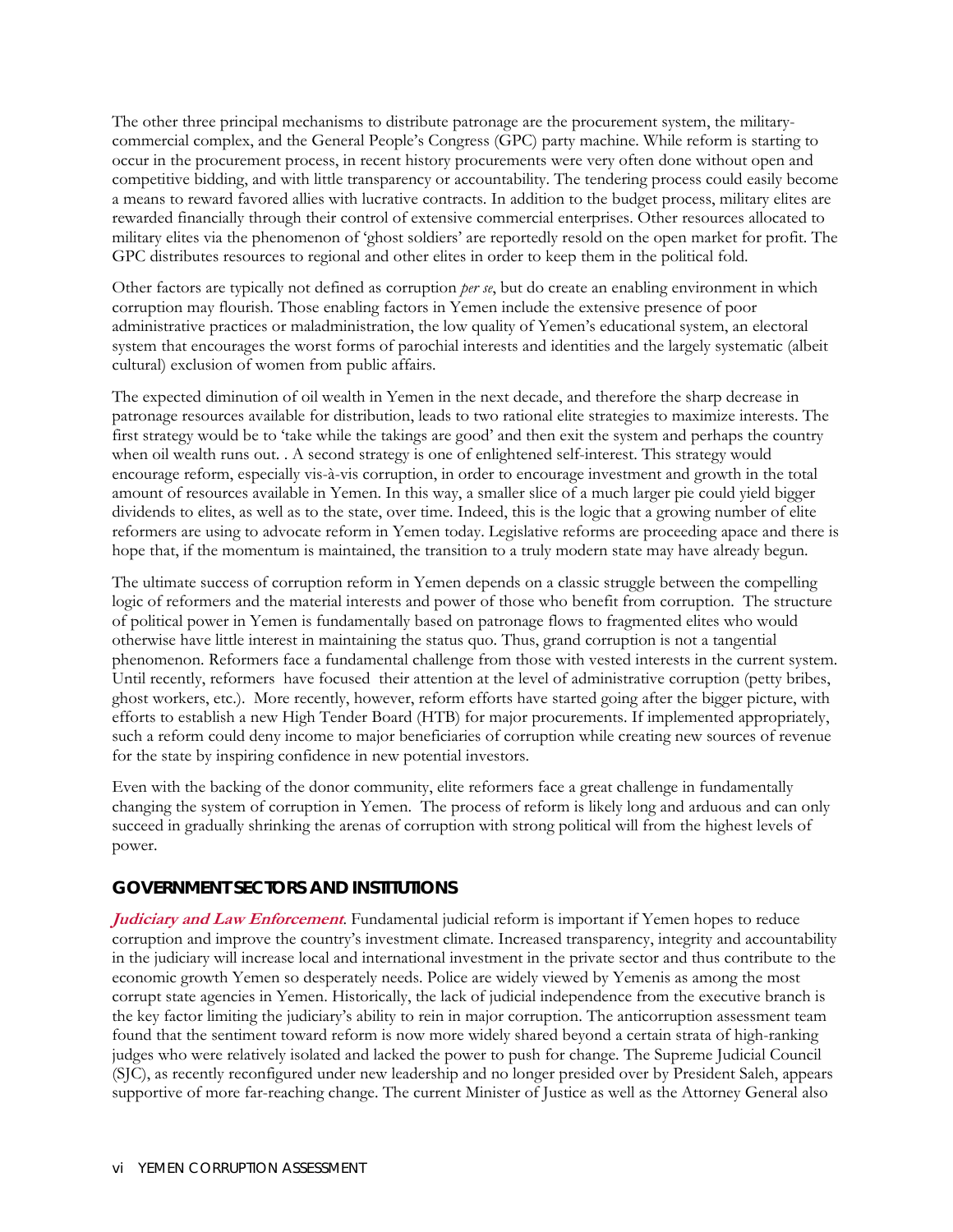The other three principal mechanisms to distribute patronage are the procurement system, the militarycommercial complex, and the General People's Congress (GPC) party machine. While reform is starting to occur in the procurement process, in recent history procurements were very often done without open and competitive bidding, and with little transparency or accountability. The tendering process could easily become a means to reward favored allies with lucrative contracts. In addition to the budget process, military elites are rewarded financially through their control of extensive commercial enterprises. Other resources allocated to military elites via the phenomenon of 'ghost soldiers' are reportedly resold on the open market for profit. The GPC distributes resources to regional and other elites in order to keep them in the political fold.

Other factors are typically not defined as corruption *per se*, but do create an enabling environment in which corruption may flourish. Those enabling factors in Yemen include the extensive presence of poor administrative practices or maladministration, the low quality of Yemen's educational system, an electoral system that encourages the worst forms of parochial interests and identities and the largely systematic (albeit cultural) exclusion of women from public affairs.

The expected diminution of oil wealth in Yemen in the next decade, and therefore the sharp decrease in patronage resources available for distribution, leads to two rational elite strategies to maximize interests. The first strategy would be to 'take while the takings are good' and then exit the system and perhaps the country when oil wealth runs out. . A second strategy is one of enlightened self-interest. This strategy would encourage reform, especially vis-à-vis corruption, in order to encourage investment and growth in the total amount of resources available in Yemen. In this way, a smaller slice of a much larger pie could yield bigger dividends to elites, as well as to the state, over time. Indeed, this is the logic that a growing number of elite reformers are using to advocate reform in Yemen today. Legislative reforms are proceeding apace and there is hope that, if the momentum is maintained, the transition to a truly modern state may have already begun.

The ultimate success of corruption reform in Yemen depends on a classic struggle between the compelling logic of reformers and the material interests and power of those who benefit from corruption. The structure of political power in Yemen is fundamentally based on patronage flows to fragmented elites who would otherwise have little interest in maintaining the status quo. Thus, grand corruption is not a tangential phenomenon. Reformers face a fundamental challenge from those with vested interests in the current system. Until recently, reformers have focused their attention at the level of administrative corruption (petty bribes, ghost workers, etc.). More recently, however, reform efforts have started going after the bigger picture, with efforts to establish a new High Tender Board (HTB) for major procurements. If implemented appropriately, such a reform could deny income to major beneficiaries of corruption while creating new sources of revenue for the state by inspiring confidence in new potential investors.

Even with the backing of the donor community, elite reformers face a great challenge in fundamentally changing the system of corruption in Yemen. The process of reform is likely long and arduous and can only succeed in gradually shrinking the arenas of corruption with strong political will from the highest levels of power.

#### **GOVERNMENT SECTORS AND INSTITUTIONS**

**Judiciary and Law Enforcement**. Fundamental judicial reform is important if Yemen hopes to reduce corruption and improve the country's investment climate. Increased transparency, integrity and accountability in the judiciary will increase local and international investment in the private sector and thus contribute to the economic growth Yemen so desperately needs. Police are widely viewed by Yemenis as among the most corrupt state agencies in Yemen. Historically, the lack of judicial independence from the executive branch is the key factor limiting the judiciary's ability to rein in major corruption. The anticorruption assessment team found that the sentiment toward reform is now more widely shared beyond a certain strata of high-ranking judges who were relatively isolated and lacked the power to push for change. The Supreme Judicial Council (SJC), as recently reconfigured under new leadership and no longer presided over by President Saleh, appears supportive of more far-reaching change. The current Minister of Justice as well as the Attorney General also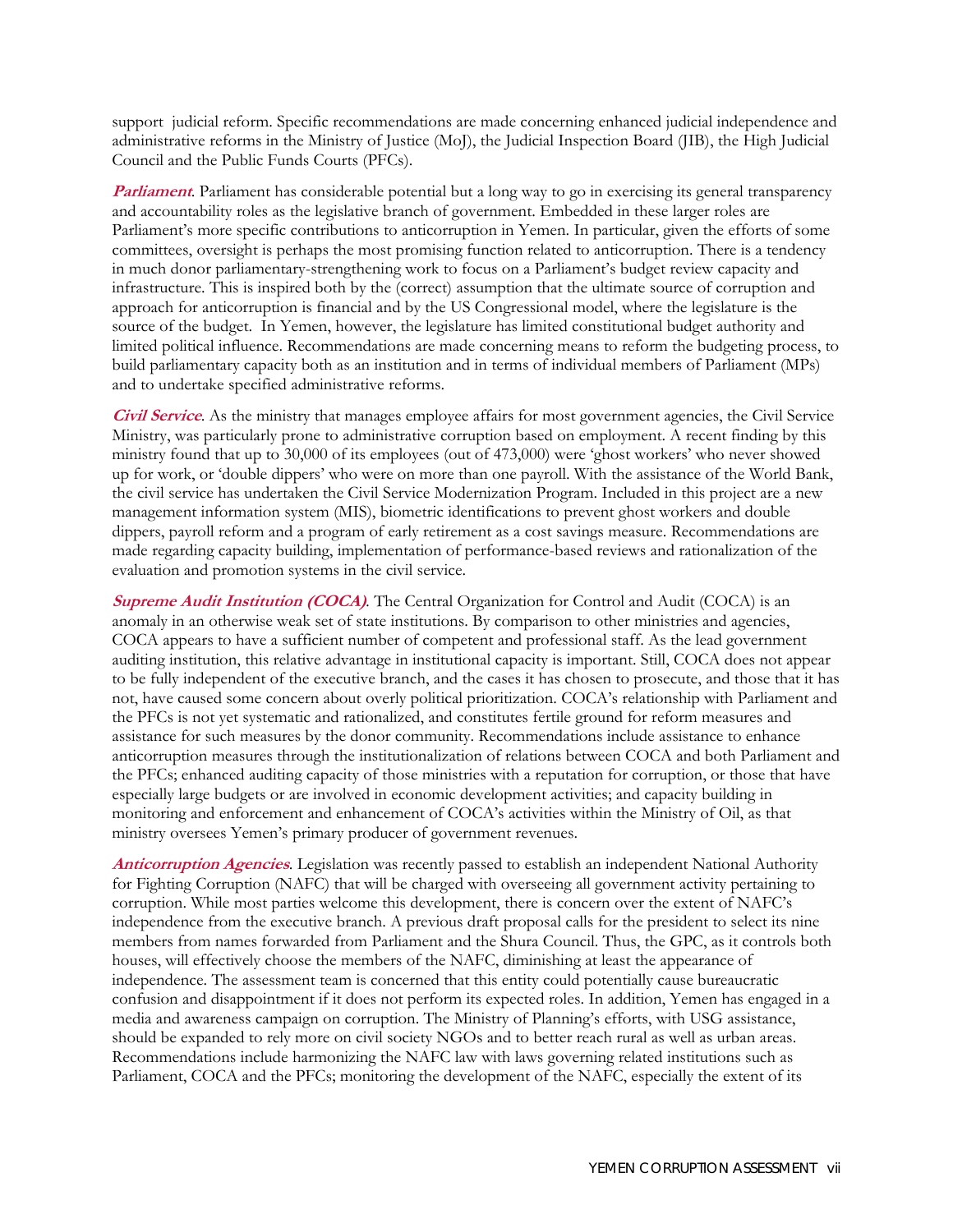support judicial reform. Specific recommendations are made concerning enhanced judicial independence and administrative reforms in the Ministry of Justice (MoJ), the Judicial Inspection Board (JIB), the High Judicial Council and the Public Funds Courts (PFCs).

**Parliament**. Parliament has considerable potential but a long way to go in exercising its general transparency and accountability roles as the legislative branch of government. Embedded in these larger roles are Parliament's more specific contributions to anticorruption in Yemen. In particular, given the efforts of some committees, oversight is perhaps the most promising function related to anticorruption. There is a tendency in much donor parliamentary-strengthening work to focus on a Parliament's budget review capacity and infrastructure. This is inspired both by the (correct) assumption that the ultimate source of corruption and approach for anticorruption is financial and by the US Congressional model, where the legislature is the source of the budget. In Yemen, however, the legislature has limited constitutional budget authority and limited political influence. Recommendations are made concerning means to reform the budgeting process, to build parliamentary capacity both as an institution and in terms of individual members of Parliament (MPs) and to undertake specified administrative reforms.

**Civil Service**. As the ministry that manages employee affairs for most government agencies, the Civil Service Ministry, was particularly prone to administrative corruption based on employment. A recent finding by this ministry found that up to 30,000 of its employees (out of 473,000) were 'ghost workers' who never showed up for work, or 'double dippers' who were on more than one payroll. With the assistance of the World Bank, the civil service has undertaken the Civil Service Modernization Program. Included in this project are a new management information system (MIS), biometric identifications to prevent ghost workers and double dippers, payroll reform and a program of early retirement as a cost savings measure. Recommendations are made regarding capacity building, implementation of performance-based reviews and rationalization of the evaluation and promotion systems in the civil service.

**Supreme Audit Institution (COCA)***.* The Central Organization for Control and Audit (COCA) is an anomaly in an otherwise weak set of state institutions. By comparison to other ministries and agencies, COCA appears to have a sufficient number of competent and professional staff. As the lead government auditing institution, this relative advantage in institutional capacity is important. Still, COCA does not appear to be fully independent of the executive branch, and the cases it has chosen to prosecute, and those that it has not, have caused some concern about overly political prioritization. COCA's relationship with Parliament and the PFCs is not yet systematic and rationalized, and constitutes fertile ground for reform measures and assistance for such measures by the donor community. Recommendations include assistance to enhance anticorruption measures through the institutionalization of relations between COCA and both Parliament and the PFCs; enhanced auditing capacity of those ministries with a reputation for corruption, or those that have especially large budgets or are involved in economic development activities; and capacity building in monitoring and enforcement and enhancement of COCA's activities within the Ministry of Oil, as that ministry oversees Yemen's primary producer of government revenues.

**Anticorruption Agencies**. Legislation was recently passed to establish an independent National Authority for Fighting Corruption (NAFC) that will be charged with overseeing all government activity pertaining to corruption. While most parties welcome this development, there is concern over the extent of NAFC's independence from the executive branch. A previous draft proposal calls for the president to select its nine members from names forwarded from Parliament and the Shura Council. Thus, the GPC, as it controls both houses, will effectively choose the members of the NAFC, diminishing at least the appearance of independence. The assessment team is concerned that this entity could potentially cause bureaucratic confusion and disappointment if it does not perform its expected roles. In addition, Yemen has engaged in a media and awareness campaign on corruption. The Ministry of Planning's efforts, with USG assistance, should be expanded to rely more on civil society NGOs and to better reach rural as well as urban areas. Recommendations include harmonizing the NAFC law with laws governing related institutions such as Parliament, COCA and the PFCs; monitoring the development of the NAFC, especially the extent of its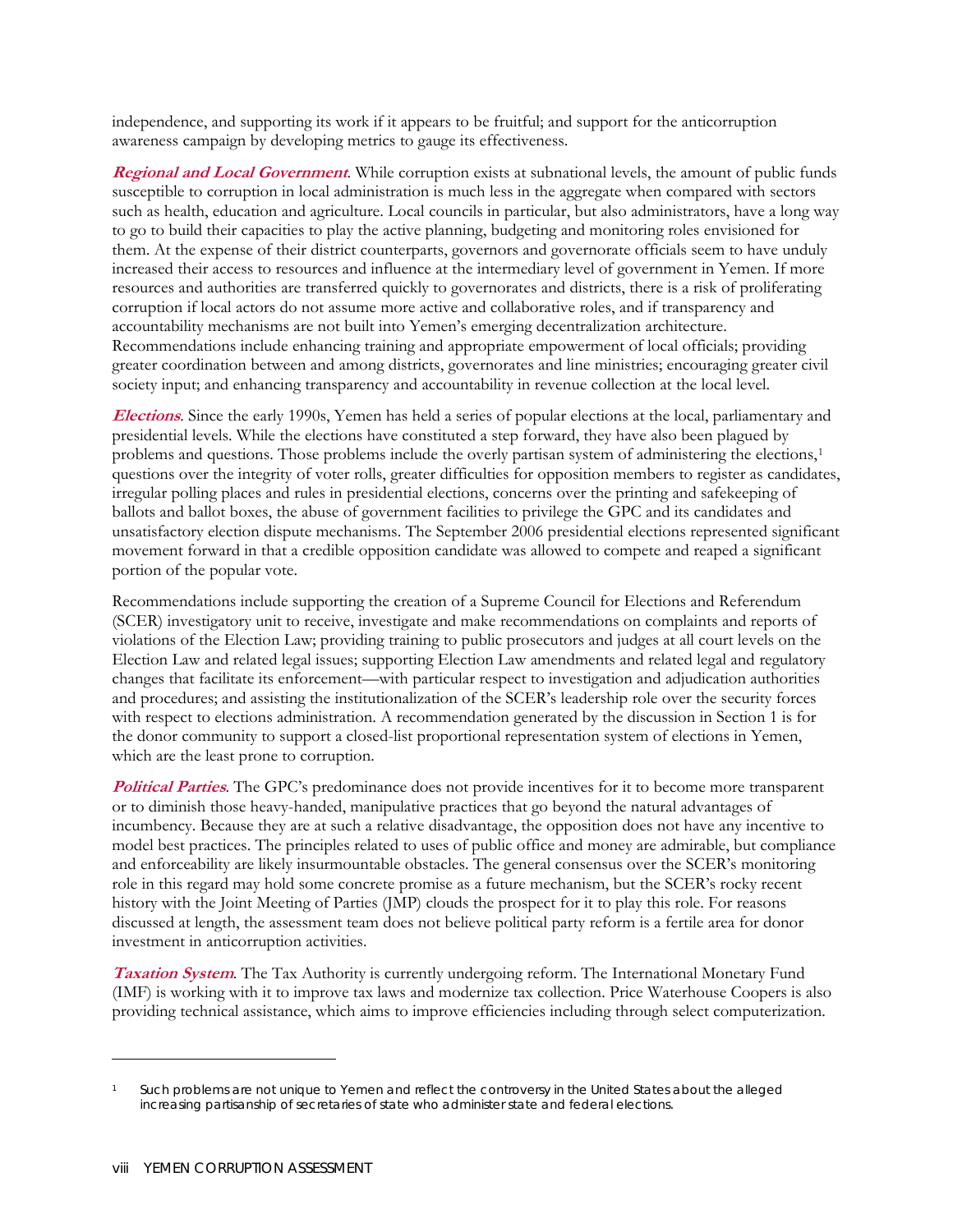independence, and supporting its work if it appears to be fruitful; and support for the anticorruption awareness campaign by developing metrics to gauge its effectiveness.

**Regional and Local Government**. While corruption exists at subnational levels, the amount of public funds susceptible to corruption in local administration is much less in the aggregate when compared with sectors such as health, education and agriculture. Local councils in particular, but also administrators, have a long way to go to build their capacities to play the active planning, budgeting and monitoring roles envisioned for them. At the expense of their district counterparts, governors and governorate officials seem to have unduly increased their access to resources and influence at the intermediary level of government in Yemen. If more resources and authorities are transferred quickly to governorates and districts, there is a risk of proliferating corruption if local actors do not assume more active and collaborative roles, and if transparency and accountability mechanisms are not built into Yemen's emerging decentralization architecture. Recommendations include enhancing training and appropriate empowerment of local officials; providing greater coordination between and among districts, governorates and line ministries; encouraging greater civil society input; and enhancing transparency and accountability in revenue collection at the local level.

**Elections**. Since the early 1990s, Yemen has held a series of popular elections at the local, parliamentary and presidential levels. While the elections have constituted a step forward, they have also been plagued by problems and questions. Those problems include the overly partisan system of administering the elections,<sup>[1](#page-11-0)</sup> questions over the integrity of voter rolls, greater difficulties for opposition members to register as candidates, irregular polling places and rules in presidential elections, concerns over the printing and safekeeping of ballots and ballot boxes, the abuse of government facilities to privilege the GPC and its candidates and unsatisfactory election dispute mechanisms. The September 2006 presidential elections represented significant movement forward in that a credible opposition candidate was allowed to compete and reaped a significant portion of the popular vote.

Recommendations include supporting the creation of a Supreme Council for Elections and Referendum (SCER) investigatory unit to receive, investigate and make recommendations on complaints and reports of violations of the Election Law; providing training to public prosecutors and judges at all court levels on the Election Law and related legal issues; supporting Election Law amendments and related legal and regulatory changes that facilitate its enforcement—with particular respect to investigation and adjudication authorities and procedures; and assisting the institutionalization of the SCER's leadership role over the security forces with respect to elections administration. A recommendation generated by the discussion in Section 1 is for the donor community to support a closed-list proportional representation system of elections in Yemen, which are the least prone to corruption.

**Political Parties**. The GPC's predominance does not provide incentives for it to become more transparent or to diminish those heavy-handed, manipulative practices that go beyond the natural advantages of incumbency. Because they are at such a relative disadvantage, the opposition does not have any incentive to model best practices. The principles related to uses of public office and money are admirable, but compliance and enforceability are likely insurmountable obstacles. The general consensus over the SCER's monitoring role in this regard may hold some concrete promise as a future mechanism, but the SCER's rocky recent history with the Joint Meeting of Parties (JMP) clouds the prospect for it to play this role. For reasons discussed at length, the assessment team does not believe political party reform is a fertile area for donor investment in anticorruption activities.

**Taxation System**. The Tax Authority is currently undergoing reform. The International Monetary Fund (IMF) is working with it to improve tax laws and modernize tax collection. Price Waterhouse Coopers is also providing technical assistance, which aims to improve efficiencies including through select computerization.

 $\overline{a}$ 

<span id="page-11-0"></span>Such problems are not unique to Yemen and reflect the controversy in the United States about the alleged increasing partisanship of secretaries of state who administer state and federal elections.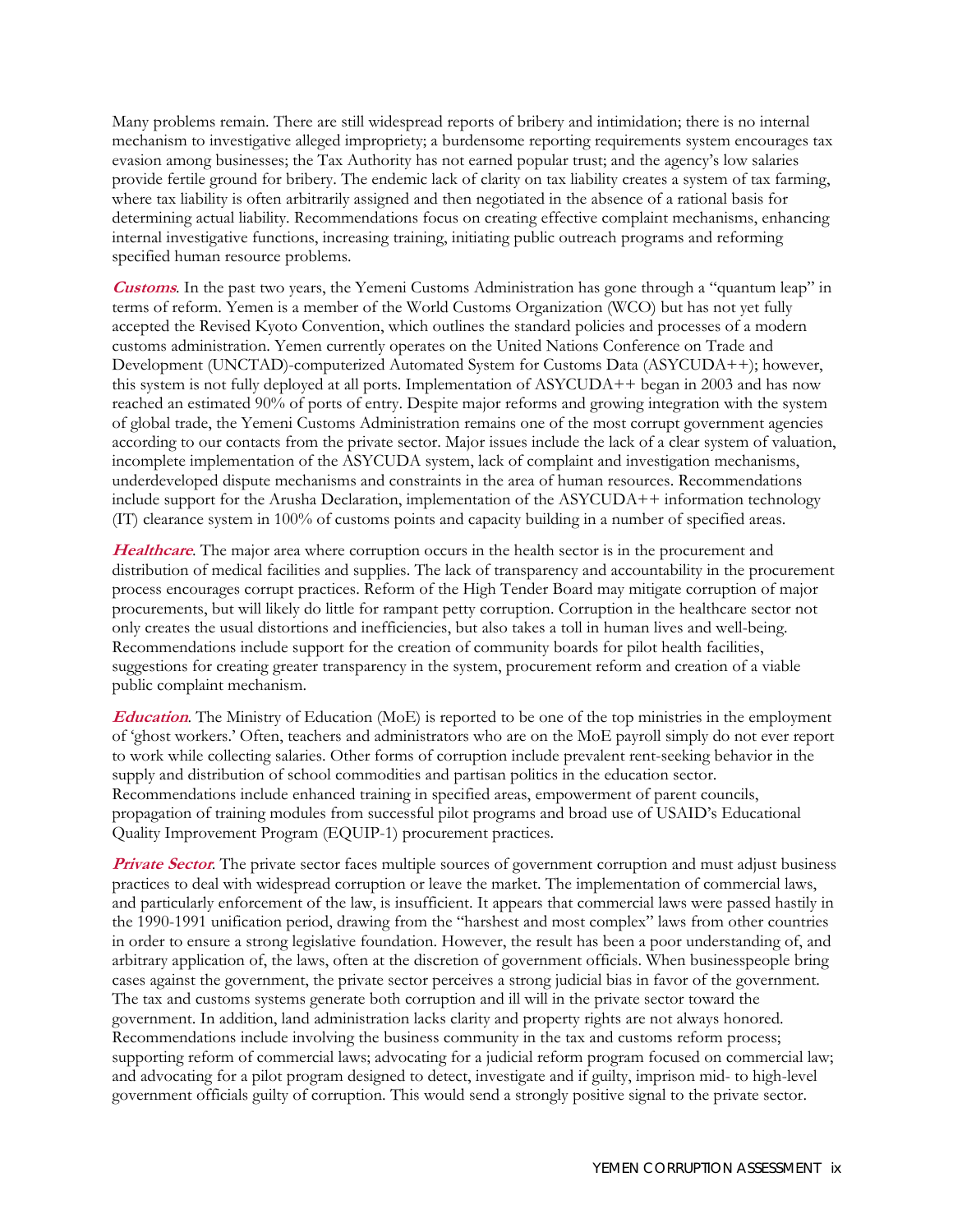Many problems remain. There are still widespread reports of bribery and intimidation; there is no internal mechanism to investigative alleged impropriety; a burdensome reporting requirements system encourages tax evasion among businesses; the Tax Authority has not earned popular trust; and the agency's low salaries provide fertile ground for bribery. The endemic lack of clarity on tax liability creates a system of tax farming, where tax liability is often arbitrarily assigned and then negotiated in the absence of a rational basis for determining actual liability. Recommendations focus on creating effective complaint mechanisms, enhancing internal investigative functions, increasing training, initiating public outreach programs and reforming specified human resource problems.

**Customs**. In the past two years, the Yemeni Customs Administration has gone through a "quantum leap" in terms of reform. Yemen is a member of the World Customs Organization (WCO) but has not yet fully accepted the Revised Kyoto Convention, which outlines the standard policies and processes of a modern customs administration. Yemen currently operates on the United Nations Conference on Trade and Development (UNCTAD)-computerized Automated System for Customs Data (ASYCUDA++); however, this system is not fully deployed at all ports. Implementation of ASYCUDA++ began in 2003 and has now reached an estimated 90% of ports of entry. Despite major reforms and growing integration with the system of global trade, the Yemeni Customs Administration remains one of the most corrupt government agencies according to our contacts from the private sector. Major issues include the lack of a clear system of valuation, incomplete implementation of the ASYCUDA system, lack of complaint and investigation mechanisms, underdeveloped dispute mechanisms and constraints in the area of human resources. Recommendations include support for the Arusha Declaration, implementation of the ASYCUDA++ information technology (IT) clearance system in 100% of customs points and capacity building in a number of specified areas.

**Healthcare**. The major area where corruption occurs in the health sector is in the procurement and distribution of medical facilities and supplies. The lack of transparency and accountability in the procurement process encourages corrupt practices. Reform of the High Tender Board may mitigate corruption of major procurements, but will likely do little for rampant petty corruption. Corruption in the healthcare sector not only creates the usual distortions and inefficiencies, but also takes a toll in human lives and well-being. Recommendations include support for the creation of community boards for pilot health facilities, suggestions for creating greater transparency in the system, procurement reform and creation of a viable public complaint mechanism.

**Education**. The Ministry of Education (MoE) is reported to be one of the top ministries in the employment of 'ghost workers.' Often, teachers and administrators who are on the MoE payroll simply do not ever report to work while collecting salaries. Other forms of corruption include prevalent rent-seeking behavior in the supply and distribution of school commodities and partisan politics in the education sector. Recommendations include enhanced training in specified areas, empowerment of parent councils, propagation of training modules from successful pilot programs and broad use of USAID's Educational Quality Improvement Program (EQUIP-1) procurement practices.

**Private Sector**. The private sector faces multiple sources of government corruption and must adjust business practices to deal with widespread corruption or leave the market. The implementation of commercial laws, and particularly enforcement of the law, is insufficient. It appears that commercial laws were passed hastily in the 1990-1991 unification period, drawing from the "harshest and most complex" laws from other countries in order to ensure a strong legislative foundation. However, the result has been a poor understanding of, and arbitrary application of, the laws, often at the discretion of government officials. When businesspeople bring cases against the government, the private sector perceives a strong judicial bias in favor of the government. The tax and customs systems generate both corruption and ill will in the private sector toward the government. In addition, land administration lacks clarity and property rights are not always honored. Recommendations include involving the business community in the tax and customs reform process; supporting reform of commercial laws; advocating for a judicial reform program focused on commercial law; and advocating for a pilot program designed to detect, investigate and if guilty, imprison mid- to high-level government officials guilty of corruption. This would send a strongly positive signal to the private sector.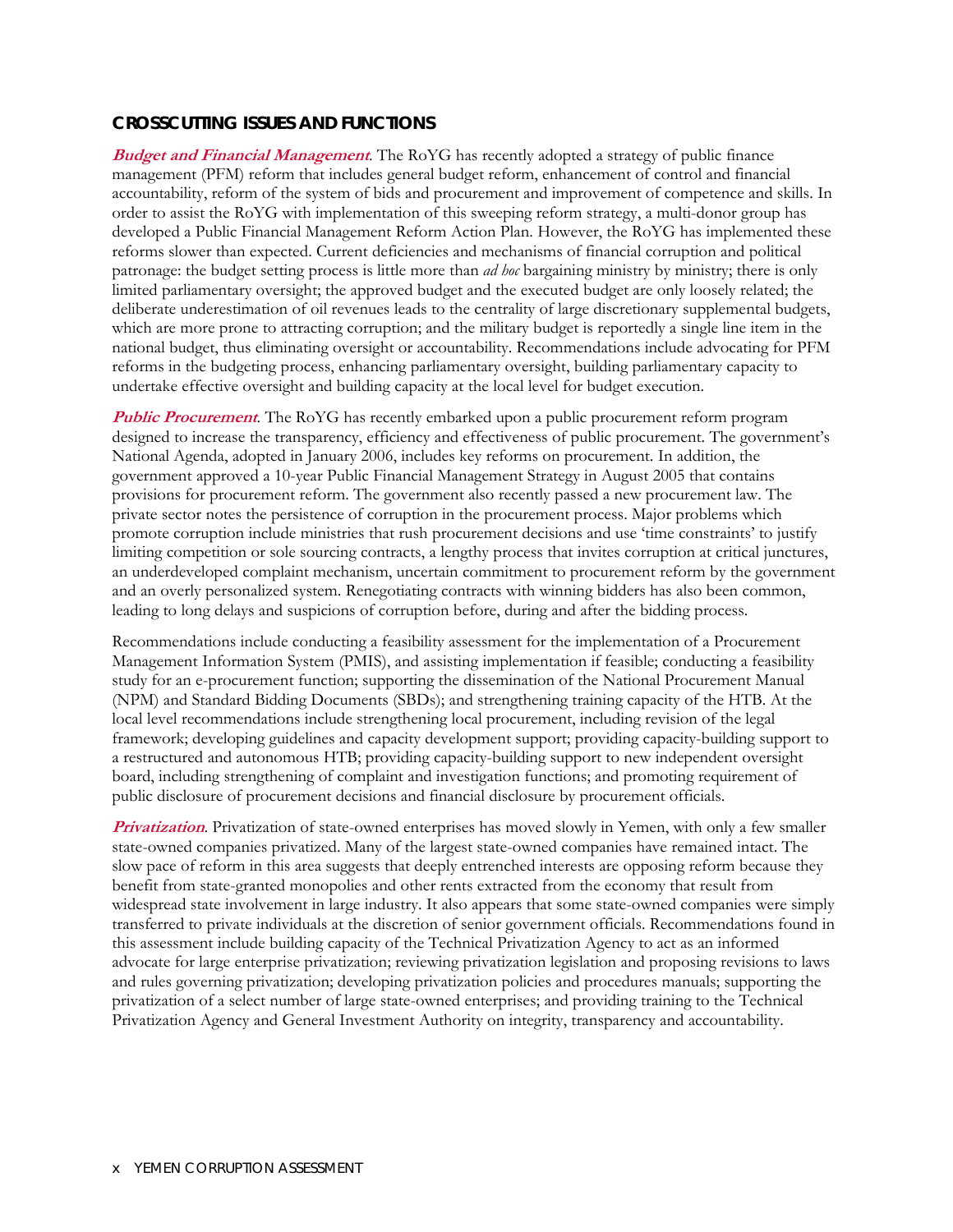#### **CROSSCUTTING ISSUES AND FUNCTIONS**

**Budget and Financial Management**. The RoYG has recently adopted a strategy of public finance management (PFM) reform that includes general budget reform, enhancement of control and financial accountability, reform of the system of bids and procurement and improvement of competence and skills. In order to assist the RoYG with implementation of this sweeping reform strategy, a multi-donor group has developed a Public Financial Management Reform Action Plan. However, the RoYG has implemented these reforms slower than expected. Current deficiencies and mechanisms of financial corruption and political patronage: the budget setting process is little more than *ad hoc* bargaining ministry by ministry; there is only limited parliamentary oversight; the approved budget and the executed budget are only loosely related; the deliberate underestimation of oil revenues leads to the centrality of large discretionary supplemental budgets, which are more prone to attracting corruption; and the military budget is reportedly a single line item in the national budget, thus eliminating oversight or accountability. Recommendations include advocating for PFM reforms in the budgeting process, enhancing parliamentary oversight, building parliamentary capacity to undertake effective oversight and building capacity at the local level for budget execution.

**Public Procurement**. The RoYG has recently embarked upon a public procurement reform program designed to increase the transparency, efficiency and effectiveness of public procurement. The government's National Agenda, adopted in January 2006, includes key reforms on procurement. In addition, the government approved a 10-year Public Financial Management Strategy in August 2005 that contains provisions for procurement reform. The government also recently passed a new procurement law. The private sector notes the persistence of corruption in the procurement process. Major problems which promote corruption include ministries that rush procurement decisions and use 'time constraints' to justify limiting competition or sole sourcing contracts, a lengthy process that invites corruption at critical junctures, an underdeveloped complaint mechanism, uncertain commitment to procurement reform by the government and an overly personalized system. Renegotiating contracts with winning bidders has also been common, leading to long delays and suspicions of corruption before, during and after the bidding process.

Recommendations include conducting a feasibility assessment for the implementation of a Procurement Management Information System (PMIS), and assisting implementation if feasible; conducting a feasibility study for an e-procurement function; supporting the dissemination of the National Procurement Manual (NPM) and Standard Bidding Documents (SBDs); and strengthening training capacity of the HTB. At the local level recommendations include strengthening local procurement, including revision of the legal framework; developing guidelines and capacity development support; providing capacity-building support to a restructured and autonomous HTB; providing capacity-building support to new independent oversight board, including strengthening of complaint and investigation functions; and promoting requirement of public disclosure of procurement decisions and financial disclosure by procurement officials.

**Privatization**. Privatization of state-owned enterprises has moved slowly in Yemen, with only a few smaller state-owned companies privatized. Many of the largest state-owned companies have remained intact. The slow pace of reform in this area suggests that deeply entrenched interests are opposing reform because they benefit from state-granted monopolies and other rents extracted from the economy that result from widespread state involvement in large industry. It also appears that some state-owned companies were simply transferred to private individuals at the discretion of senior government officials. Recommendations found in this assessment include building capacity of the Technical Privatization Agency to act as an informed advocate for large enterprise privatization; reviewing privatization legislation and proposing revisions to laws and rules governing privatization; developing privatization policies and procedures manuals; supporting the privatization of a select number of large state-owned enterprises; and providing training to the Technical Privatization Agency and General Investment Authority on integrity, transparency and accountability.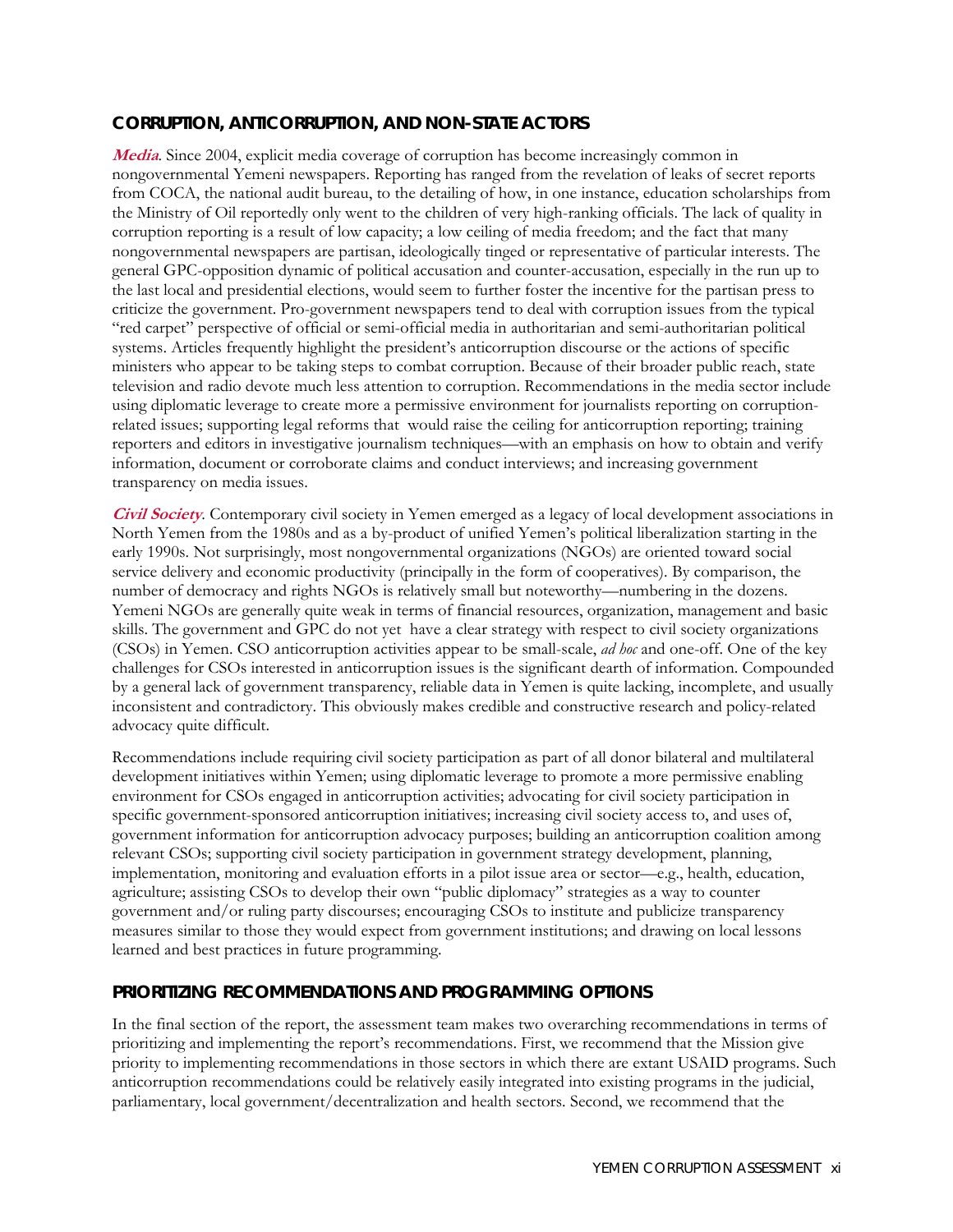#### **CORRUPTION, ANTICORRUPTION, AND NON-STATE ACTORS**

**Media**. Since 2004, explicit media coverage of corruption has become increasingly common in nongovernmental Yemeni newspapers. Reporting has ranged from the revelation of leaks of secret reports from COCA, the national audit bureau, to the detailing of how, in one instance, education scholarships from the Ministry of Oil reportedly only went to the children of very high-ranking officials. The lack of quality in corruption reporting is a result of low capacity; a low ceiling of media freedom; and the fact that many nongovernmental newspapers are partisan, ideologically tinged or representative of particular interests. The general GPC-opposition dynamic of political accusation and counter-accusation, especially in the run up to the last local and presidential elections, would seem to further foster the incentive for the partisan press to criticize the government. Pro-government newspapers tend to deal with corruption issues from the typical "red carpet" perspective of official or semi-official media in authoritarian and semi-authoritarian political systems. Articles frequently highlight the president's anticorruption discourse or the actions of specific ministers who appear to be taking steps to combat corruption. Because of their broader public reach, state television and radio devote much less attention to corruption. Recommendations in the media sector include using diplomatic leverage to create more a permissive environment for journalists reporting on corruptionrelated issues; supporting legal reforms that would raise the ceiling for anticorruption reporting; training reporters and editors in investigative journalism techniques—with an emphasis on how to obtain and verify information, document or corroborate claims and conduct interviews; and increasing government transparency on media issues.

**Civil Society**. Contemporary civil society in Yemen emerged as a legacy of local development associations in North Yemen from the 1980s and as a by-product of unified Yemen's political liberalization starting in the early 1990s. Not surprisingly, most nongovernmental organizations (NGOs) are oriented toward social service delivery and economic productivity (principally in the form of cooperatives). By comparison, the number of democracy and rights NGOs is relatively small but noteworthy—numbering in the dozens. Yemeni NGOs are generally quite weak in terms of financial resources, organization, management and basic skills. The government and GPC do not yet have a clear strategy with respect to civil society organizations (CSOs) in Yemen. CSO anticorruption activities appear to be small-scale, *ad hoc* and one-off. One of the key challenges for CSOs interested in anticorruption issues is the significant dearth of information. Compounded by a general lack of government transparency, reliable data in Yemen is quite lacking, incomplete, and usually inconsistent and contradictory. This obviously makes credible and constructive research and policy-related advocacy quite difficult.

Recommendations include requiring civil society participation as part of all donor bilateral and multilateral development initiatives within Yemen; using diplomatic leverage to promote a more permissive enabling environment for CSOs engaged in anticorruption activities; advocating for civil society participation in specific government-sponsored anticorruption initiatives; increasing civil society access to, and uses of, government information for anticorruption advocacy purposes; building an anticorruption coalition among relevant CSOs; supporting civil society participation in government strategy development, planning, implementation, monitoring and evaluation efforts in a pilot issue area or sector—e.g., health, education, agriculture; assisting CSOs to develop their own "public diplomacy" strategies as a way to counter government and/or ruling party discourses; encouraging CSOs to institute and publicize transparency measures similar to those they would expect from government institutions; and drawing on local lessons learned and best practices in future programming.

#### **PRIORITIZING RECOMMENDATIONS AND PROGRAMMING OPTIONS**

In the final section of the report, the assessment team makes two overarching recommendations in terms of prioritizing and implementing the report's recommendations. First, we recommend that the Mission give priority to implementing recommendations in those sectors in which there are extant USAID programs. Such anticorruption recommendations could be relatively easily integrated into existing programs in the judicial, parliamentary, local government/decentralization and health sectors. Second, we recommend that the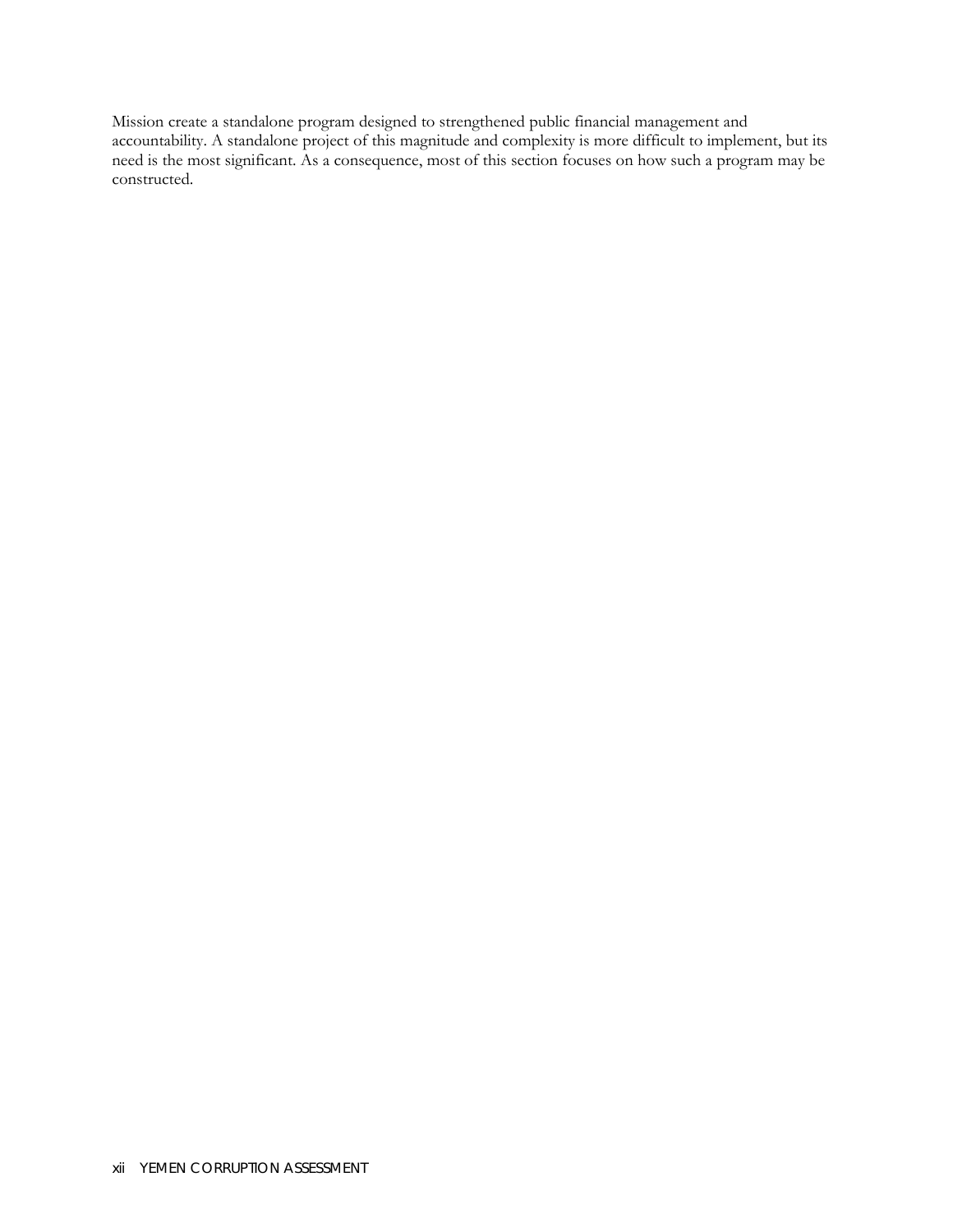Mission create a standalone program designed to strengthened public financial management and accountability. A standalone project of this magnitude and complexity is more difficult to implement, but its need is the most significant. As a consequence, most of this section focuses on how such a program may be constructed.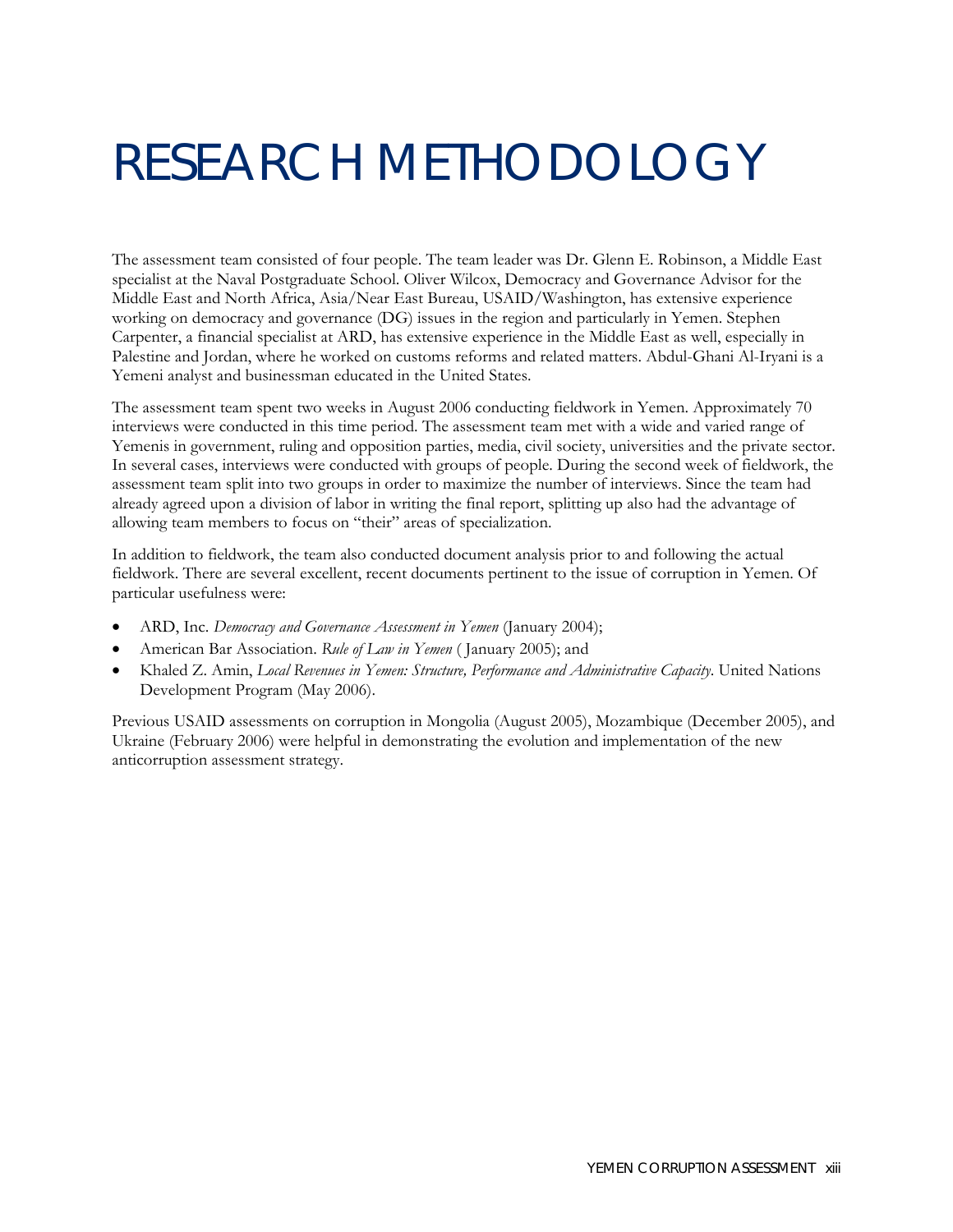## <span id="page-16-0"></span>RESEARCH METHODOLOGY

The assessment team consisted of four people. The team leader was Dr. Glenn E. Robinson, a Middle East specialist at the Naval Postgraduate School. Oliver Wilcox, Democracy and Governance Advisor for the Middle East and North Africa, Asia/Near East Bureau, USAID/Washington, has extensive experience working on democracy and governance (DG) issues in the region and particularly in Yemen. Stephen Carpenter, a financial specialist at ARD, has extensive experience in the Middle East as well, especially in Palestine and Jordan, where he worked on customs reforms and related matters. Abdul-Ghani Al-Iryani is a Yemeni analyst and businessman educated in the United States.

The assessment team spent two weeks in August 2006 conducting fieldwork in Yemen. Approximately 70 interviews were conducted in this time period. The assessment team met with a wide and varied range of Yemenis in government, ruling and opposition parties, media, civil society, universities and the private sector. In several cases, interviews were conducted with groups of people. During the second week of fieldwork, the assessment team split into two groups in order to maximize the number of interviews. Since the team had already agreed upon a division of labor in writing the final report, splitting up also had the advantage of allowing team members to focus on "their" areas of specialization.

In addition to fieldwork, the team also conducted document analysis prior to and following the actual fieldwork. There are several excellent, recent documents pertinent to the issue of corruption in Yemen. Of particular usefulness were:

- ARD, Inc. *Democracy and Governance Assessment in Yemen* (January 2004);
- American Bar Association. *Rule of Law in Yemen* ( January 2005); and
- Khaled Z. Amin, *Local Revenues in Yemen: Structure, Performance and Administrative Capacity*. United Nations Development Program (May 2006).

Previous USAID assessments on corruption in Mongolia (August 2005), Mozambique (December 2005), and Ukraine (February 2006) were helpful in demonstrating the evolution and implementation of the new anticorruption assessment strategy.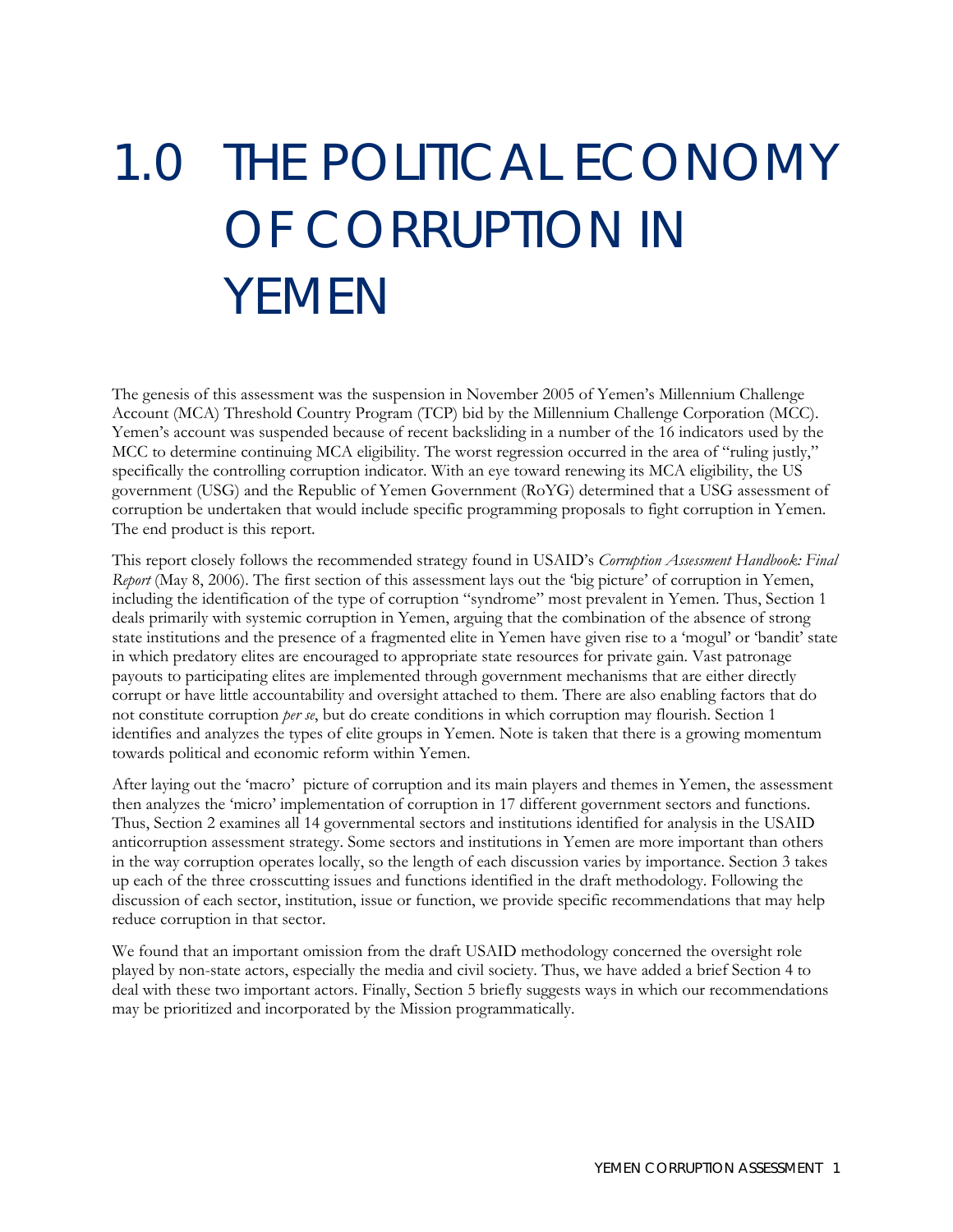# <span id="page-18-0"></span>1.0 THE POLITICAL ECONOMY OF CORRUPTION IN YEMEN

The genesis of this assessment was the suspension in November 2005 of Yemen's Millennium Challenge Account (MCA) Threshold Country Program (TCP) bid by the Millennium Challenge Corporation (MCC). Yemen's account was suspended because of recent backsliding in a number of the 16 indicators used by the MCC to determine continuing MCA eligibility. The worst regression occurred in the area of "ruling justly," specifically the controlling corruption indicator. With an eye toward renewing its MCA eligibility, the US government (USG) and the Republic of Yemen Government (RoYG) determined that a USG assessment of corruption be undertaken that would include specific programming proposals to fight corruption in Yemen. The end product is this report.

This report closely follows the recommended strategy found in USAID's *Corruption Assessment Handbook: Final Report* (May 8, 2006). The first section of this assessment lays out the 'big picture' of corruption in Yemen, including the identification of the type of corruption "syndrome" most prevalent in Yemen. Thus, Section 1 deals primarily with systemic corruption in Yemen, arguing that the combination of the absence of strong state institutions and the presence of a fragmented elite in Yemen have given rise to a 'mogul' or 'bandit' state in which predatory elites are encouraged to appropriate state resources for private gain. Vast patronage payouts to participating elites are implemented through government mechanisms that are either directly corrupt or have little accountability and oversight attached to them. There are also enabling factors that do not constitute corruption *per se*, but do create conditions in which corruption may flourish. Section 1 identifies and analyzes the types of elite groups in Yemen. Note is taken that there is a growing momentum towards political and economic reform within Yemen.

After laying out the 'macro' picture of corruption and its main players and themes in Yemen, the assessment then analyzes the 'micro' implementation of corruption in 17 different government sectors and functions. Thus, Section 2 examines all 14 governmental sectors and institutions identified for analysis in the USAID anticorruption assessment strategy. Some sectors and institutions in Yemen are more important than others in the way corruption operates locally, so the length of each discussion varies by importance. Section 3 takes up each of the three crosscutting issues and functions identified in the draft methodology. Following the discussion of each sector, institution, issue or function, we provide specific recommendations that may help reduce corruption in that sector.

We found that an important omission from the draft USAID methodology concerned the oversight role played by non-state actors, especially the media and civil society. Thus, we have added a brief Section 4 to deal with these two important actors. Finally, Section 5 briefly suggests ways in which our recommendations may be prioritized and incorporated by the Mission programmatically.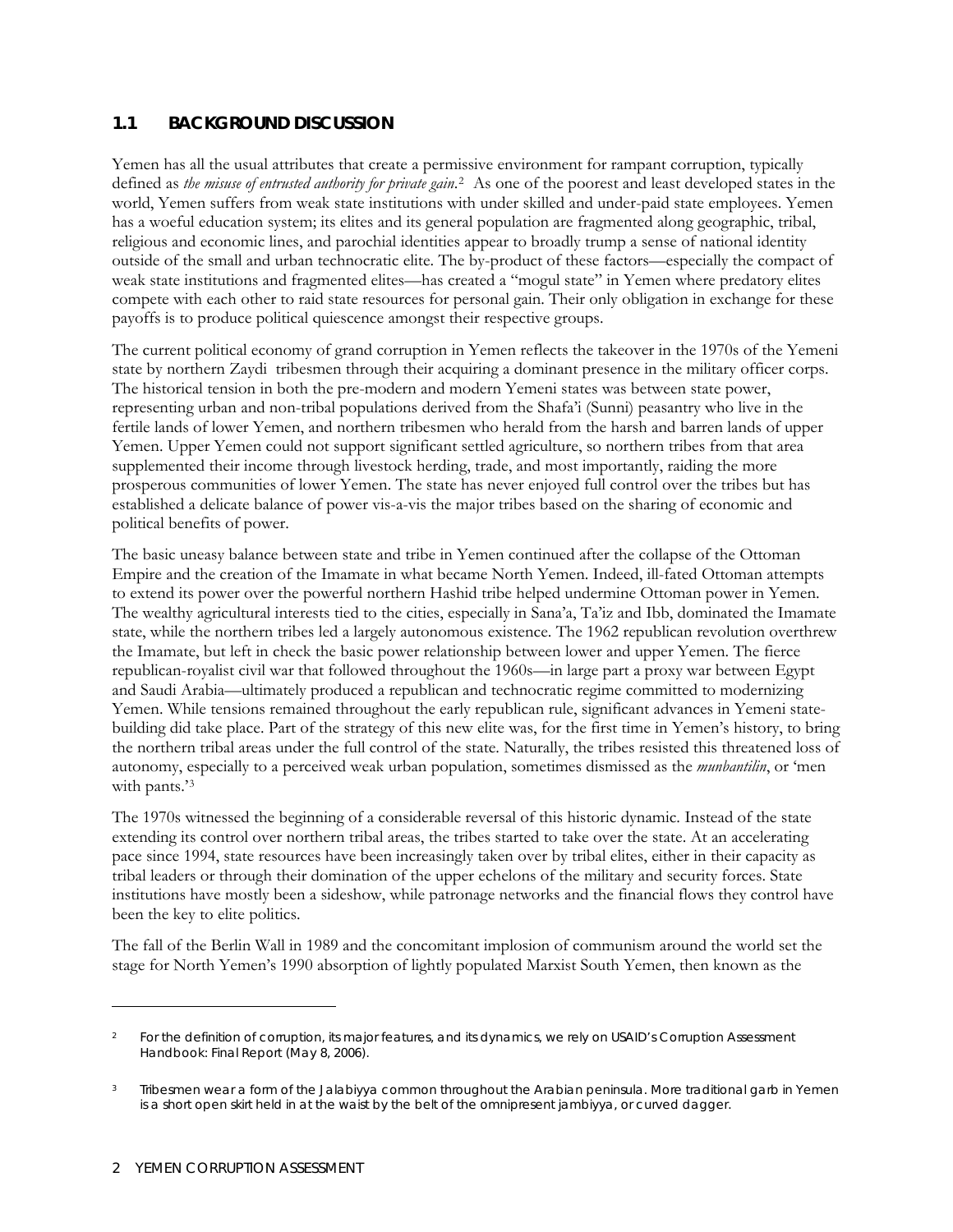#### <span id="page-19-0"></span>**1.1 BACKGROUND DISCUSSION**

Yemen has all the usual attributes that create a permissive environment for rampant corruption, typically defined as *the misuse of entrusted authority for private gain*.[2](#page-19-1) As one of the poorest and least developed states in the world, Yemen suffers from weak state institutions with under skilled and under-paid state employees. Yemen has a woeful education system; its elites and its general population are fragmented along geographic, tribal, religious and economic lines, and parochial identities appear to broadly trump a sense of national identity outside of the small and urban technocratic elite. The by-product of these factors—especially the compact of weak state institutions and fragmented elites—has created a "mogul state" in Yemen where predatory elites compete with each other to raid state resources for personal gain. Their only obligation in exchange for these payoffs is to produce political quiescence amongst their respective groups.

The current political economy of grand corruption in Yemen reflects the takeover in the 1970s of the Yemeni state by northern Zaydi tribesmen through their acquiring a dominant presence in the military officer corps. The historical tension in both the pre-modern and modern Yemeni states was between state power, representing urban and non-tribal populations derived from the Shafa'i (Sunni) peasantry who live in the fertile lands of lower Yemen, and northern tribesmen who herald from the harsh and barren lands of upper Yemen. Upper Yemen could not support significant settled agriculture, so northern tribes from that area supplemented their income through livestock herding, trade, and most importantly, raiding the more prosperous communities of lower Yemen. The state has never enjoyed full control over the tribes but has established a delicate balance of power vis-a-vis the major tribes based on the sharing of economic and political benefits of power.

The basic uneasy balance between state and tribe in Yemen continued after the collapse of the Ottoman Empire and the creation of the Imamate in what became North Yemen. Indeed, ill-fated Ottoman attempts to extend its power over the powerful northern Hashid tribe helped undermine Ottoman power in Yemen. The wealthy agricultural interests tied to the cities, especially in Sana'a, Ta'iz and Ibb, dominated the Imamate state, while the northern tribes led a largely autonomous existence. The 1962 republican revolution overthrew the Imamate, but left in check the basic power relationship between lower and upper Yemen. The fierce republican-royalist civil war that followed throughout the 1960s—in large part a proxy war between Egypt and Saudi Arabia—ultimately produced a republican and technocratic regime committed to modernizing Yemen. While tensions remained throughout the early republican rule, significant advances in Yemeni statebuilding did take place. Part of the strategy of this new elite was, for the first time in Yemen's history, to bring the northern tribal areas under the full control of the state. Naturally, the tribes resisted this threatened loss of autonomy, especially to a perceived weak urban population, sometimes dismissed as the *munbantilin*, or 'men with pants.'[3](#page-19-2)

The 1970s witnessed the beginning of a considerable reversal of this historic dynamic. Instead of the state extending its control over northern tribal areas, the tribes started to take over the state. At an accelerating pace since 1994, state resources have been increasingly taken over by tribal elites, either in their capacity as tribal leaders or through their domination of the upper echelons of the military and security forces. State institutions have mostly been a sideshow, while patronage networks and the financial flows they control have been the key to elite politics.

The fall of the Berlin Wall in 1989 and the concomitant implosion of communism around the world set the stage for North Yemen's 1990 absorption of lightly populated Marxist South Yemen, then known as the

 $\overline{a}$ 

<span id="page-19-1"></span><sup>2</sup> For the definition of corruption, its major features, and its dynamics, we rely on USAID's *Corruption Assessment Handbook: Final Report* (May 8, 2006).

<span id="page-19-2"></span><sup>&</sup>lt;sup>3</sup> Tribesmen wear a form of the Jalabiyya common throughout the Arabian peninsula. More traditional garb in Yemen is a short open skirt held in at the waist by the belt of the omnipresent jambiyya, or curved dagger.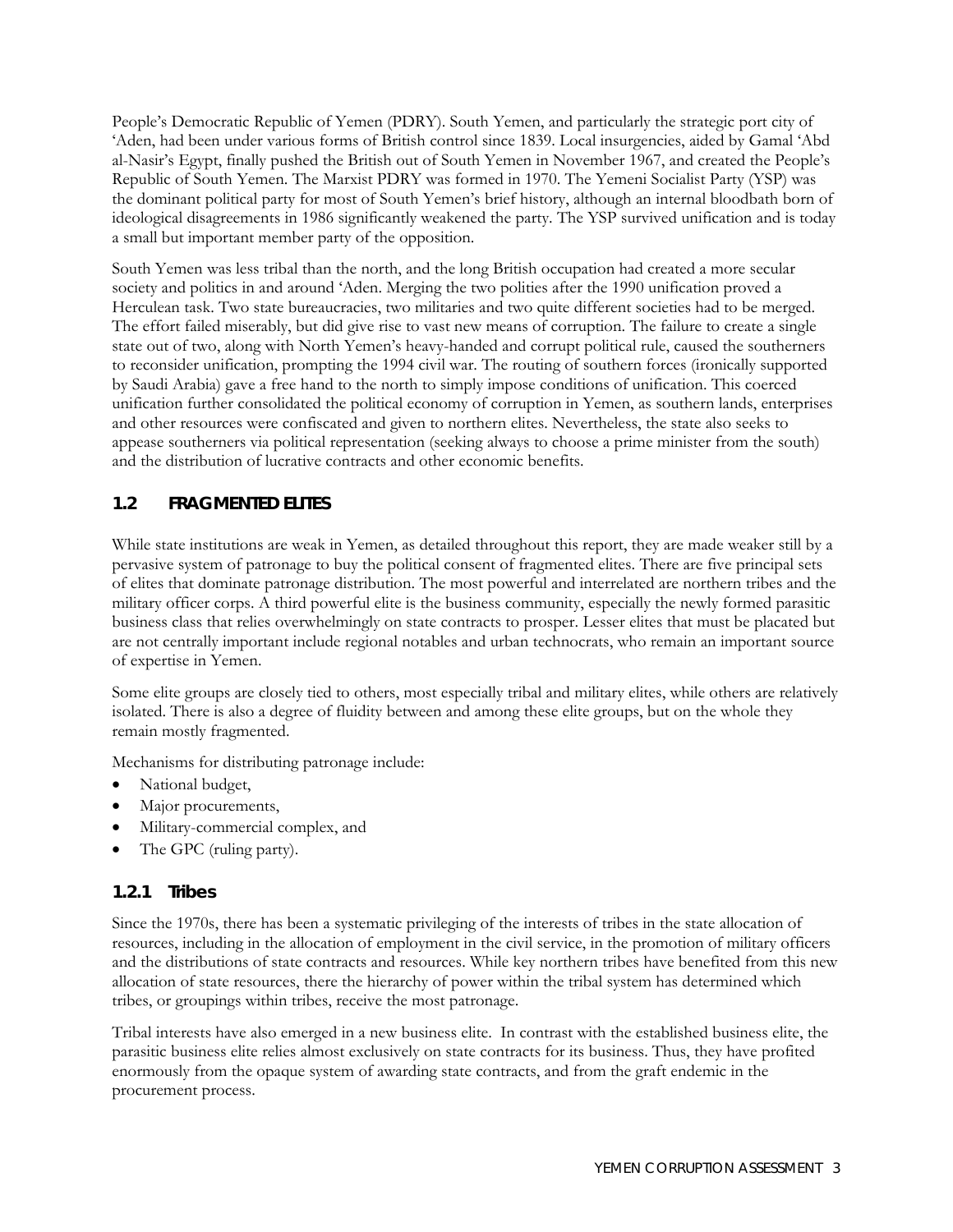<span id="page-20-0"></span>People's Democratic Republic of Yemen (PDRY). South Yemen, and particularly the strategic port city of 'Aden, had been under various forms of British control since 1839. Local insurgencies, aided by Gamal 'Abd al-Nasir's Egypt, finally pushed the British out of South Yemen in November 1967, and created the People's Republic of South Yemen. The Marxist PDRY was formed in 1970. The Yemeni Socialist Party (YSP) was the dominant political party for most of South Yemen's brief history, although an internal bloodbath born of ideological disagreements in 1986 significantly weakened the party. The YSP survived unification and is today a small but important member party of the opposition.

South Yemen was less tribal than the north, and the long British occupation had created a more secular society and politics in and around 'Aden. Merging the two polities after the 1990 unification proved a Herculean task. Two state bureaucracies, two militaries and two quite different societies had to be merged. The effort failed miserably, but did give rise to vast new means of corruption. The failure to create a single state out of two, along with North Yemen's heavy-handed and corrupt political rule, caused the southerners to reconsider unification, prompting the 1994 civil war. The routing of southern forces (ironically supported by Saudi Arabia) gave a free hand to the north to simply impose conditions of unification. This coerced unification further consolidated the political economy of corruption in Yemen, as southern lands, enterprises and other resources were confiscated and given to northern elites. Nevertheless, the state also seeks to appease southerners via political representation (seeking always to choose a prime minister from the south) and the distribution of lucrative contracts and other economic benefits.

#### **1.2 FRAGMENTED ELITES**

While state institutions are weak in Yemen, as detailed throughout this report, they are made weaker still by a pervasive system of patronage to buy the political consent of fragmented elites. There are five principal sets of elites that dominate patronage distribution. The most powerful and interrelated are northern tribes and the military officer corps. A third powerful elite is the business community, especially the newly formed parasitic business class that relies overwhelmingly on state contracts to prosper. Lesser elites that must be placated but are not centrally important include regional notables and urban technocrats, who remain an important source of expertise in Yemen.

Some elite groups are closely tied to others, most especially tribal and military elites, while others are relatively isolated. There is also a degree of fluidity between and among these elite groups, but on the whole they remain mostly fragmented.

Mechanisms for distributing patronage include:

- National budget,
- Major procurements,
- Military-commercial complex, and
- The GPC (ruling party).

#### **1.2.1 Tribes**

Since the 1970s, there has been a systematic privileging of the interests of tribes in the state allocation of resources, including in the allocation of employment in the civil service, in the promotion of military officers and the distributions of state contracts and resources. While key northern tribes have benefited from this new allocation of state resources, there the hierarchy of power within the tribal system has determined which tribes, or groupings within tribes, receive the most patronage.

Tribal interests have also emerged in a new business elite. In contrast with the established business elite, the parasitic business elite relies almost exclusively on state contracts for its business. Thus, they have profited enormously from the opaque system of awarding state contracts, and from the graft endemic in the procurement process.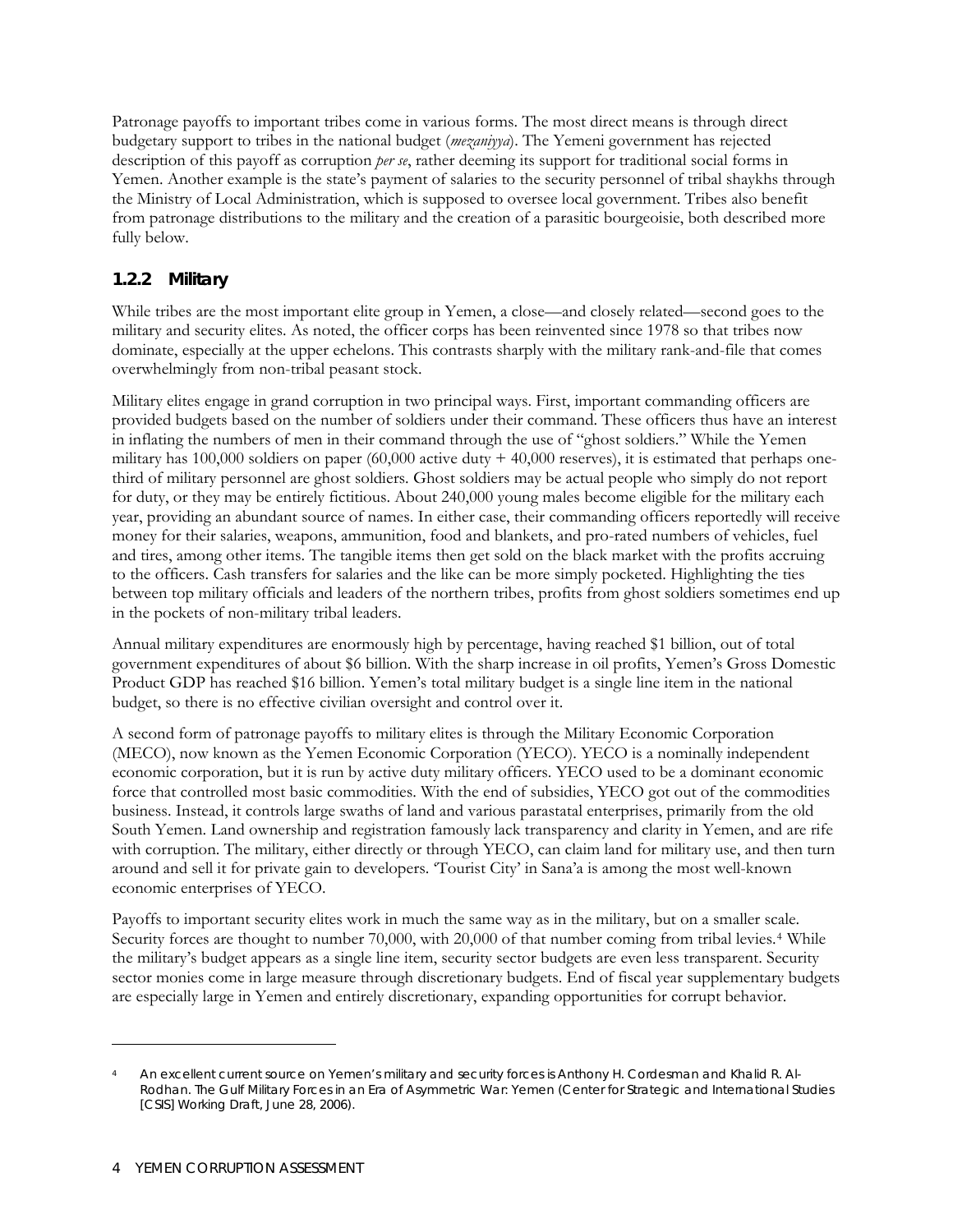Patronage payoffs to important tribes come in various forms. The most direct means is through direct budgetary support to tribes in the national budget (*mezaniyya*). The Yemeni government has rejected description of this payoff as corruption *per se*, rather deeming its support for traditional social forms in Yemen. Another example is the state's payment of salaries to the security personnel of tribal shaykhs through the Ministry of Local Administration, which is supposed to oversee local government. Tribes also benefit from patronage distributions to the military and the creation of a parasitic bourgeoisie, both described more fully below.

#### **1.2.2 Military**

While tribes are the most important elite group in Yemen, a close—and closely related—second goes to the military and security elites. As noted, the officer corps has been reinvented since 1978 so that tribes now dominate, especially at the upper echelons. This contrasts sharply with the military rank-and-file that comes overwhelmingly from non-tribal peasant stock.

Military elites engage in grand corruption in two principal ways. First, important commanding officers are provided budgets based on the number of soldiers under their command. These officers thus have an interest in inflating the numbers of men in their command through the use of "ghost soldiers." While the Yemen military has  $100,000$  soldiers on paper  $(60,000$  active duty  $+40,000$  reserves), it is estimated that perhaps onethird of military personnel are ghost soldiers. Ghost soldiers may be actual people who simply do not report for duty, or they may be entirely fictitious. About 240,000 young males become eligible for the military each year, providing an abundant source of names. In either case, their commanding officers reportedly will receive money for their salaries, weapons, ammunition, food and blankets, and pro-rated numbers of vehicles, fuel and tires, among other items. The tangible items then get sold on the black market with the profits accruing to the officers. Cash transfers for salaries and the like can be more simply pocketed. Highlighting the ties between top military officials and leaders of the northern tribes, profits from ghost soldiers sometimes end up in the pockets of non-military tribal leaders.

Annual military expenditures are enormously high by percentage, having reached \$1 billion, out of total government expenditures of about \$6 billion. With the sharp increase in oil profits, Yemen's Gross Domestic Product GDP has reached \$16 billion. Yemen's total military budget is a single line item in the national budget, so there is no effective civilian oversight and control over it.

A second form of patronage payoffs to military elites is through the Military Economic Corporation (MECO), now known as the Yemen Economic Corporation (YECO). YECO is a nominally independent economic corporation, but it is run by active duty military officers. YECO used to be a dominant economic force that controlled most basic commodities. With the end of subsidies, YECO got out of the commodities business. Instead, it controls large swaths of land and various parastatal enterprises, primarily from the old South Yemen. Land ownership and registration famously lack transparency and clarity in Yemen, and are rife with corruption. The military, either directly or through YECO, can claim land for military use, and then turn around and sell it for private gain to developers. 'Tourist City' in Sana'a is among the most well-known economic enterprises of YECO.

Payoffs to important security elites work in much the same way as in the military, but on a smaller scale. Security forces are thought to number 70,000, with 20,000 of that number coming from tribal levies.<sup>[4](#page-21-0)</sup> While the military's budget appears as a single line item, security sector budgets are even less transparent. Security sector monies come in large measure through discretionary budgets. End of fiscal year supplementary budgets are especially large in Yemen and entirely discretionary, expanding opportunities for corrupt behavior.

<u>.</u>

<span id="page-21-0"></span>An excellent current source on Yemen's military and security forces is Anthony H. Cordesman and Khalid R. Al-Rodhan. *The Gulf Military Forces in an Era of Asymmetric War: Yemen* (Center for Strategic and International Studies [CSIS] Working Draft, June 28, 2006).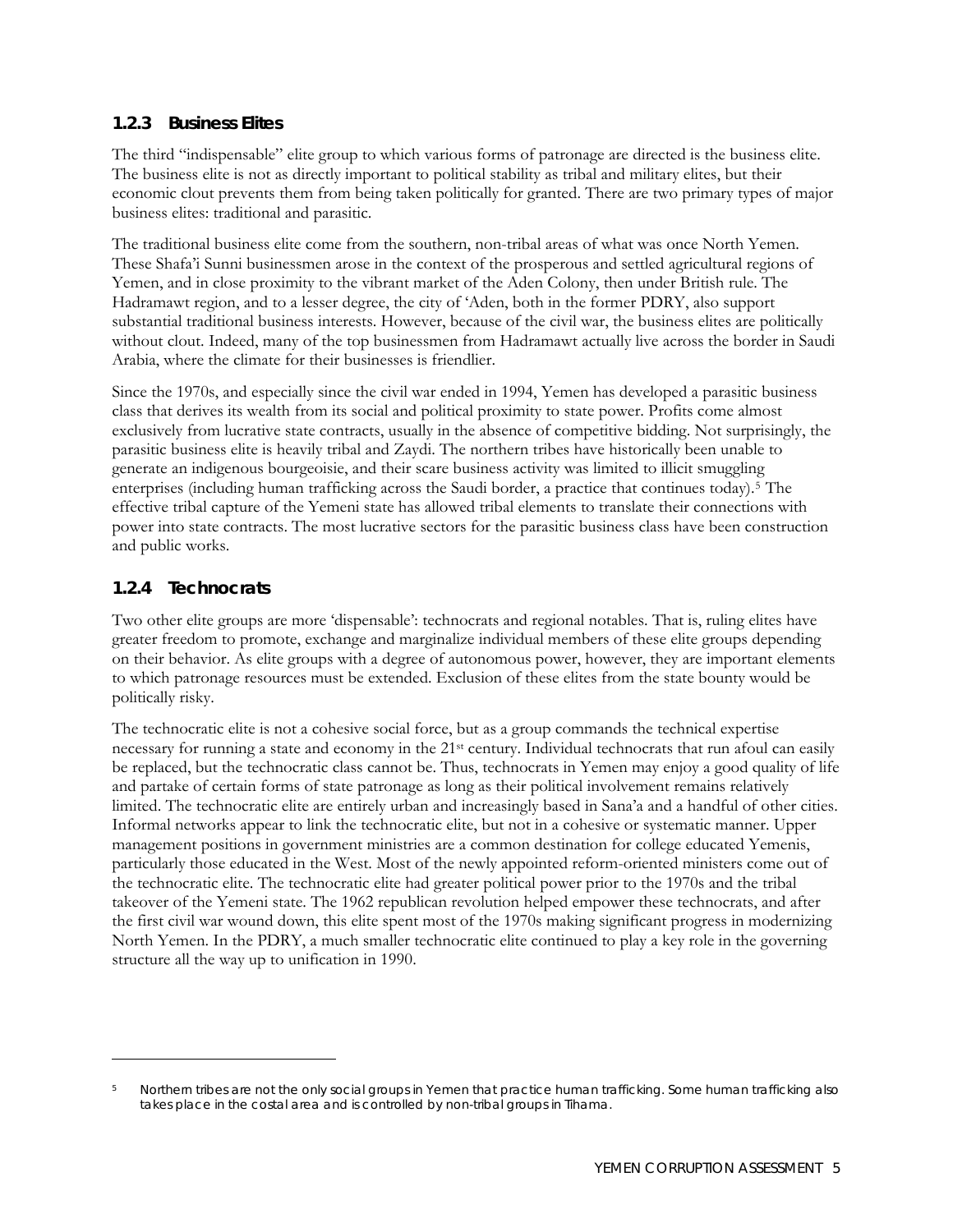#### **1.2.3 Business Elites**

The third "indispensable" elite group to which various forms of patronage are directed is the business elite. The business elite is not as directly important to political stability as tribal and military elites, but their economic clout prevents them from being taken politically for granted. There are two primary types of major business elites: traditional and parasitic.

The traditional business elite come from the southern, non-tribal areas of what was once North Yemen. These Shafa'i Sunni businessmen arose in the context of the prosperous and settled agricultural regions of Yemen, and in close proximity to the vibrant market of the Aden Colony, then under British rule. The Hadramawt region, and to a lesser degree, the city of 'Aden, both in the former PDRY, also support substantial traditional business interests. However, because of the civil war, the business elites are politically without clout. Indeed, many of the top businessmen from Hadramawt actually live across the border in Saudi Arabia, where the climate for their businesses is friendlier.

Since the 1970s, and especially since the civil war ended in 1994, Yemen has developed a parasitic business class that derives its wealth from its social and political proximity to state power. Profits come almost exclusively from lucrative state contracts, usually in the absence of competitive bidding. Not surprisingly, the parasitic business elite is heavily tribal and Zaydi. The northern tribes have historically been unable to generate an indigenous bourgeoisie, and their scare business activity was limited to illicit smuggling enterprises (including human trafficking across the Saudi border, a practice that continues today)[.5](#page-22-0) The effective tribal capture of the Yemeni state has allowed tribal elements to translate their connections with power into state contracts. The most lucrative sectors for the parasitic business class have been construction and public works.

#### **1.2.4 Technocrats**

 $\overline{a}$ 

Two other elite groups are more 'dispensable': technocrats and regional notables. That is, ruling elites have greater freedom to promote, exchange and marginalize individual members of these elite groups depending on their behavior. As elite groups with a degree of autonomous power, however, they are important elements to which patronage resources must be extended. Exclusion of these elites from the state bounty would be politically risky.

The technocratic elite is not a cohesive social force, but as a group commands the technical expertise necessary for running a state and economy in the 21st century. Individual technocrats that run afoul can easily be replaced, but the technocratic class cannot be. Thus, technocrats in Yemen may enjoy a good quality of life and partake of certain forms of state patronage as long as their political involvement remains relatively limited. The technocratic elite are entirely urban and increasingly based in Sana'a and a handful of other cities. Informal networks appear to link the technocratic elite, but not in a cohesive or systematic manner. Upper management positions in government ministries are a common destination for college educated Yemenis, particularly those educated in the West. Most of the newly appointed reform-oriented ministers come out of the technocratic elite. The technocratic elite had greater political power prior to the 1970s and the tribal takeover of the Yemeni state. The 1962 republican revolution helped empower these technocrats, and after the first civil war wound down, this elite spent most of the 1970s making significant progress in modernizing North Yemen. In the PDRY, a much smaller technocratic elite continued to play a key role in the governing structure all the way up to unification in 1990.

<span id="page-22-0"></span><sup>5</sup> Northern tribes are not the only social groups in Yemen that practice human trafficking. Some human trafficking also takes place in the costal area and is controlled by non-tribal groups in Tihama.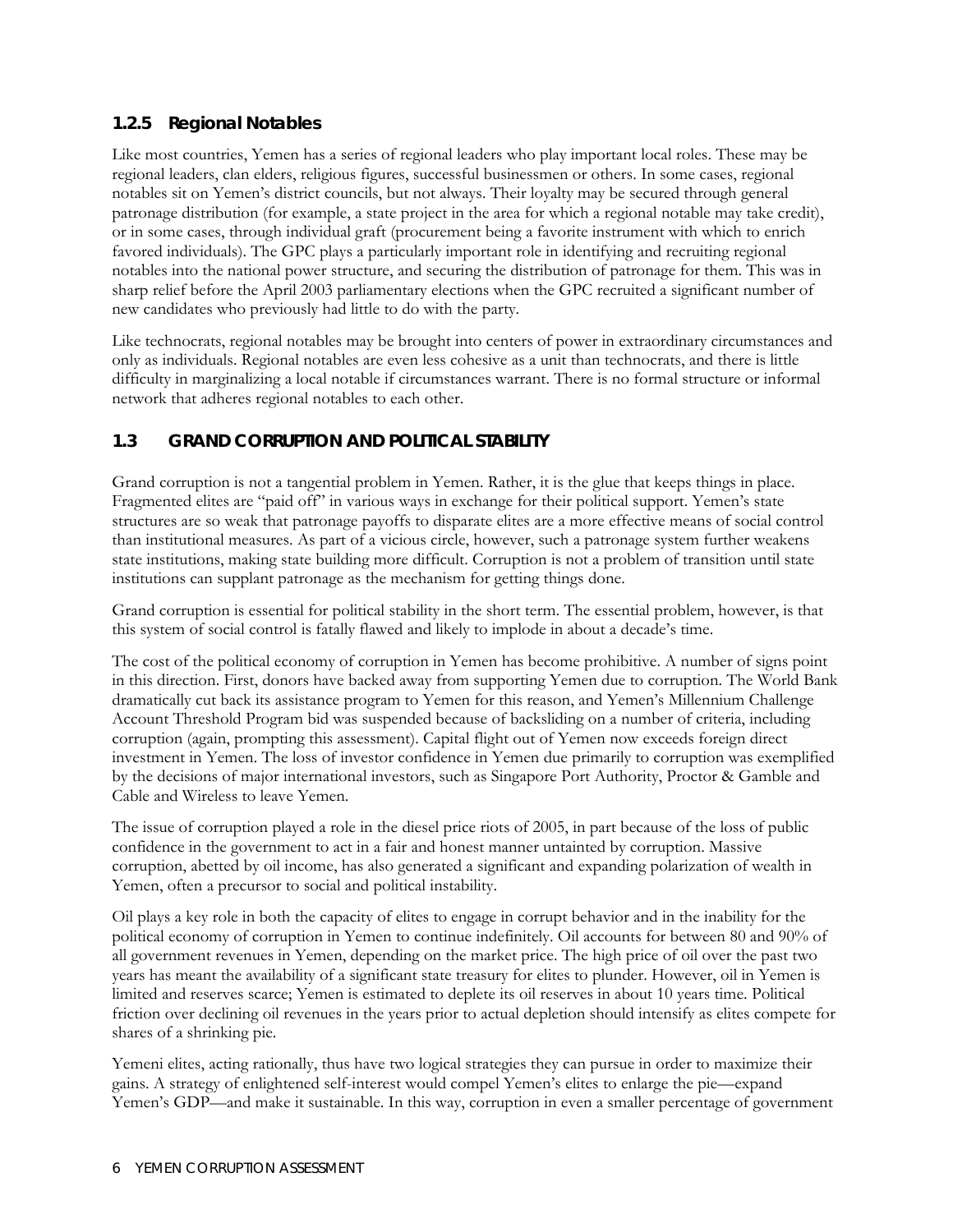#### <span id="page-23-0"></span>**1.2.5 Regional Notables**

Like most countries, Yemen has a series of regional leaders who play important local roles. These may be regional leaders, clan elders, religious figures, successful businessmen or others. In some cases, regional notables sit on Yemen's district councils, but not always. Their loyalty may be secured through general patronage distribution (for example, a state project in the area for which a regional notable may take credit), or in some cases, through individual graft (procurement being a favorite instrument with which to enrich favored individuals). The GPC plays a particularly important role in identifying and recruiting regional notables into the national power structure, and securing the distribution of patronage for them. This was in sharp relief before the April 2003 parliamentary elections when the GPC recruited a significant number of new candidates who previously had little to do with the party.

Like technocrats, regional notables may be brought into centers of power in extraordinary circumstances and only as individuals. Regional notables are even less cohesive as a unit than technocrats, and there is little difficulty in marginalizing a local notable if circumstances warrant. There is no formal structure or informal network that adheres regional notables to each other.

#### **1.3 GRAND CORRUPTION AND POLITICAL STABILITY**

Grand corruption is not a tangential problem in Yemen. Rather, it is the glue that keeps things in place. Fragmented elites are "paid off" in various ways in exchange for their political support. Yemen's state structures are so weak that patronage payoffs to disparate elites are a more effective means of social control than institutional measures. As part of a vicious circle, however, such a patronage system further weakens state institutions, making state building more difficult. Corruption is not a problem of transition until state institutions can supplant patronage as the mechanism for getting things done.

Grand corruption is essential for political stability in the short term. The essential problem, however, is that this system of social control is fatally flawed and likely to implode in about a decade's time.

The cost of the political economy of corruption in Yemen has become prohibitive. A number of signs point in this direction. First, donors have backed away from supporting Yemen due to corruption. The World Bank dramatically cut back its assistance program to Yemen for this reason, and Yemen's Millennium Challenge Account Threshold Program bid was suspended because of backsliding on a number of criteria, including corruption (again, prompting this assessment). Capital flight out of Yemen now exceeds foreign direct investment in Yemen. The loss of investor confidence in Yemen due primarily to corruption was exemplified by the decisions of major international investors, such as Singapore Port Authority, Proctor & Gamble and Cable and Wireless to leave Yemen.

The issue of corruption played a role in the diesel price riots of 2005, in part because of the loss of public confidence in the government to act in a fair and honest manner untainted by corruption. Massive corruption, abetted by oil income, has also generated a significant and expanding polarization of wealth in Yemen, often a precursor to social and political instability.

Oil plays a key role in both the capacity of elites to engage in corrupt behavior and in the inability for the political economy of corruption in Yemen to continue indefinitely. Oil accounts for between 80 and 90% of all government revenues in Yemen, depending on the market price. The high price of oil over the past two years has meant the availability of a significant state treasury for elites to plunder. However, oil in Yemen is limited and reserves scarce; Yemen is estimated to deplete its oil reserves in about 10 years time. Political friction over declining oil revenues in the years prior to actual depletion should intensify as elites compete for shares of a shrinking pie.

Yemeni elites, acting rationally, thus have two logical strategies they can pursue in order to maximize their gains. A strategy of enlightened self-interest would compel Yemen's elites to enlarge the pie—expand Yemen's GDP—and make it sustainable. In this way, corruption in even a smaller percentage of government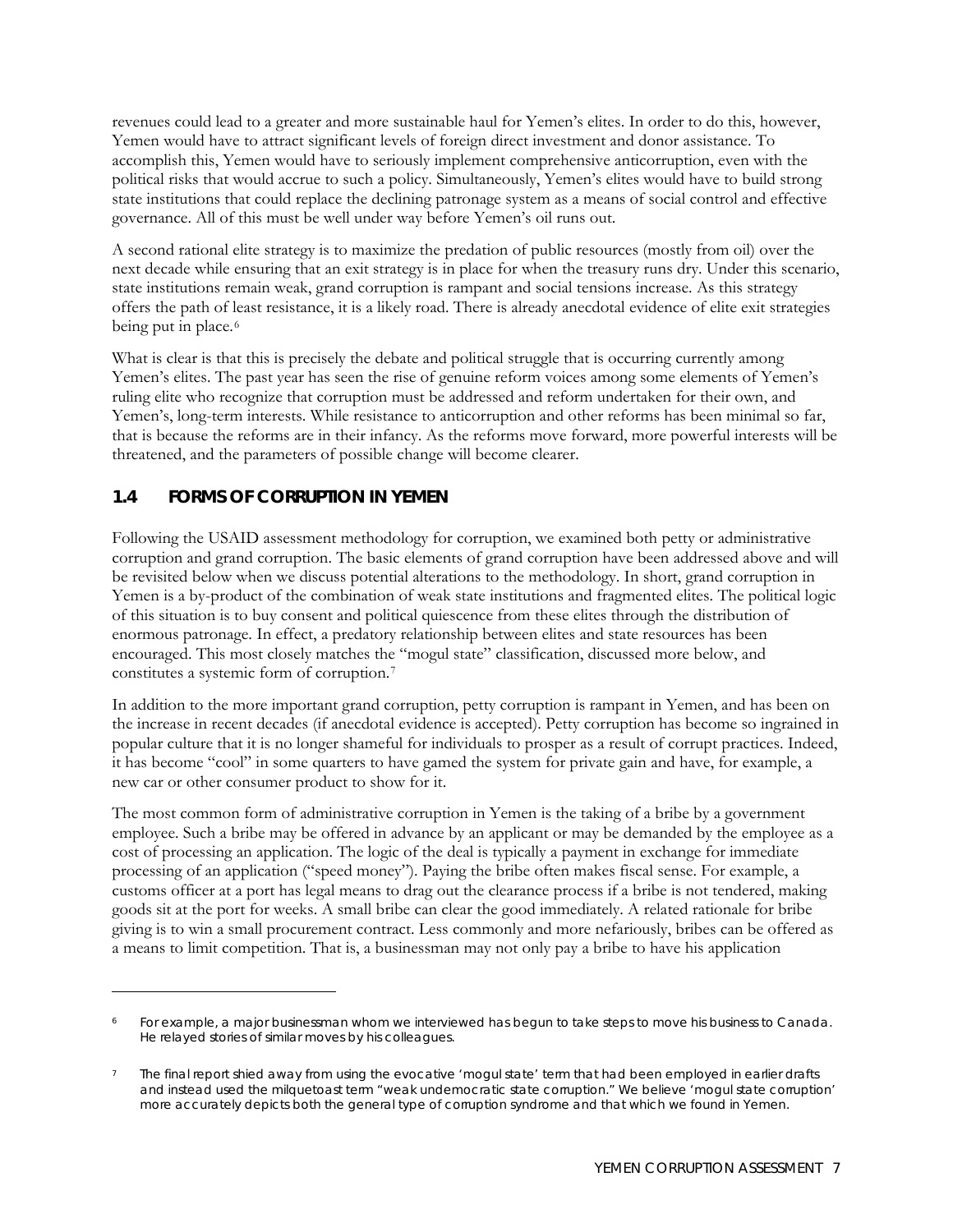<span id="page-24-0"></span>revenues could lead to a greater and more sustainable haul for Yemen's elites. In order to do this, however, Yemen would have to attract significant levels of foreign direct investment and donor assistance. To accomplish this, Yemen would have to seriously implement comprehensive anticorruption, even with the political risks that would accrue to such a policy. Simultaneously, Yemen's elites would have to build strong state institutions that could replace the declining patronage system as a means of social control and effective governance. All of this must be well under way before Yemen's oil runs out.

A second rational elite strategy is to maximize the predation of public resources (mostly from oil) over the next decade while ensuring that an exit strategy is in place for when the treasury runs dry. Under this scenario, state institutions remain weak, grand corruption is rampant and social tensions increase. As this strategy offers the path of least resistance, it is a likely road. There is already anecdotal evidence of elite exit strategies being put in place.<sup>[6](#page-24-1)</sup>

What is clear is that this is precisely the debate and political struggle that is occurring currently among Yemen's elites. The past year has seen the rise of genuine reform voices among some elements of Yemen's ruling elite who recognize that corruption must be addressed and reform undertaken for their own, and Yemen's, long-term interests. While resistance to anticorruption and other reforms has been minimal so far, that is because the reforms are in their infancy. As the reforms move forward, more powerful interests will be threatened, and the parameters of possible change will become clearer.

#### **1.4 FORMS OF CORRUPTION IN YEMEN**

 $\overline{a}$ 

Following the USAID assessment methodology for corruption, we examined both petty or administrative corruption and grand corruption. The basic elements of grand corruption have been addressed above and will be revisited below when we discuss potential alterations to the methodology. In short, grand corruption in Yemen is a by-product of the combination of weak state institutions and fragmented elites. The political logic of this situation is to buy consent and political quiescence from these elites through the distribution of enormous patronage. In effect, a predatory relationship between elites and state resources has been encouraged. This most closely matches the "mogul state" classification, discussed more below, and constitutes a systemic form of corruption.[7](#page-24-2)

In addition to the more important grand corruption, petty corruption is rampant in Yemen, and has been on the increase in recent decades (if anecdotal evidence is accepted). Petty corruption has become so ingrained in popular culture that it is no longer shameful for individuals to prosper as a result of corrupt practices. Indeed, it has become "cool" in some quarters to have gamed the system for private gain and have, for example, a new car or other consumer product to show for it.

The most common form of administrative corruption in Yemen is the taking of a bribe by a government employee. Such a bribe may be offered in advance by an applicant or may be demanded by the employee as a cost of processing an application. The logic of the deal is typically a payment in exchange for immediate processing of an application ("speed money"). Paying the bribe often makes fiscal sense. For example, a customs officer at a port has legal means to drag out the clearance process if a bribe is not tendered, making goods sit at the port for weeks. A small bribe can clear the good immediately. A related rationale for bribe giving is to win a small procurement contract. Less commonly and more nefariously, bribes can be offered as a means to limit competition. That is, a businessman may not only pay a bribe to have his application

<span id="page-24-1"></span><sup>6</sup> For example, a major businessman whom we interviewed has begun to take steps to move his business to Canada. He relayed stories of similar moves by his colleagues.

<span id="page-24-2"></span>The final report shied away from using the evocative 'mogul state' term that had been employed in earlier drafts and instead used the milquetoast term "weak undemocratic state corruption." We believe 'mogul state corruption' more accurately depicts both the general type of corruption syndrome and that which we found in Yemen.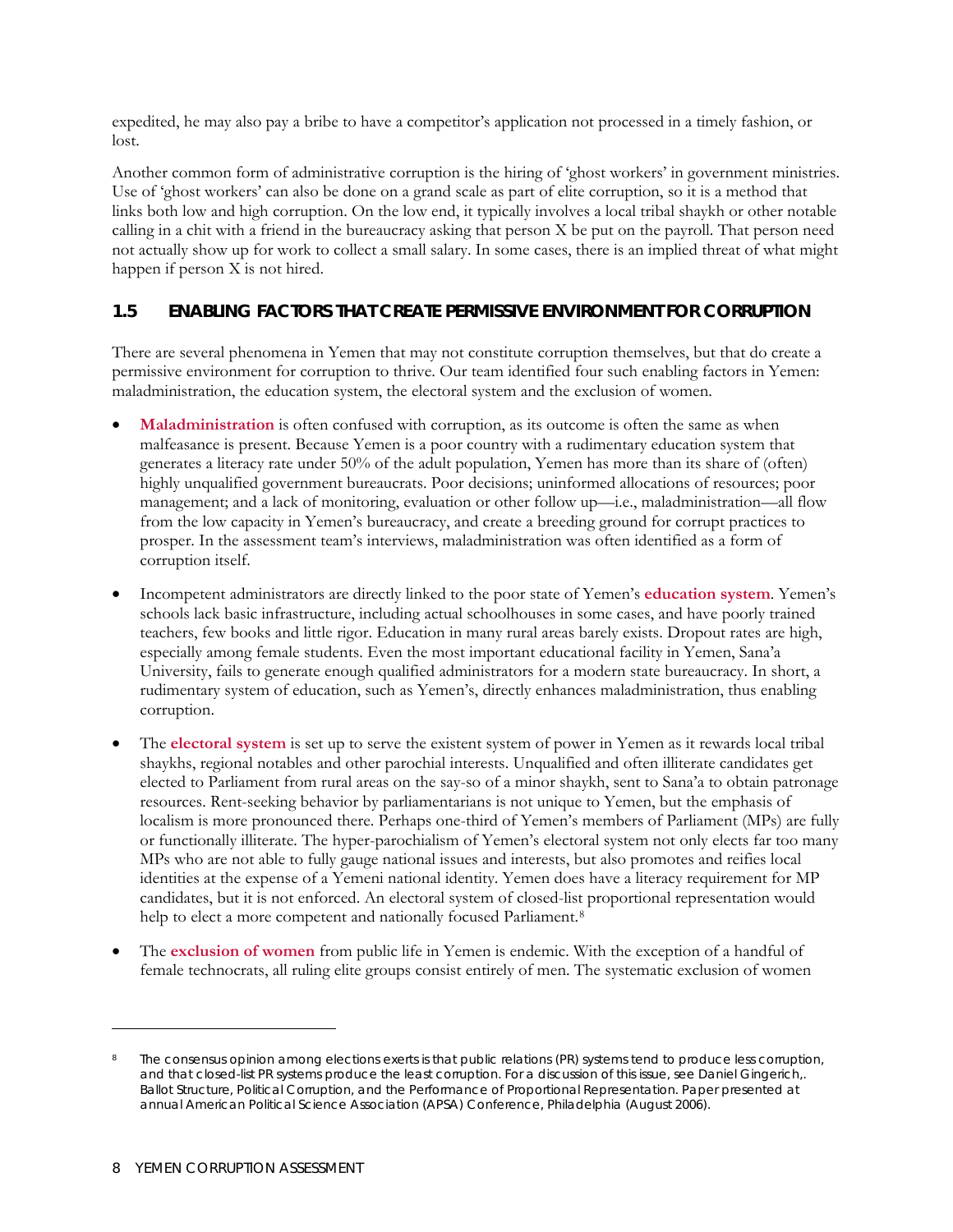<span id="page-25-0"></span>expedited, he may also pay a bribe to have a competitor's application not processed in a timely fashion, or lost.

Another common form of administrative corruption is the hiring of 'ghost workers' in government ministries. Use of 'ghost workers' can also be done on a grand scale as part of elite corruption, so it is a method that links both low and high corruption. On the low end, it typically involves a local tribal shaykh or other notable calling in a chit with a friend in the bureaucracy asking that person X be put on the payroll. That person need not actually show up for work to collect a small salary. In some cases, there is an implied threat of what might happen if person X is not hired.

#### **1.5 ENABLING FACTORS THAT CREATE PERMISSIVE ENVIRONMENT FOR CORRUPTION**

There are several phenomena in Yemen that may not constitute corruption themselves, but that do create a permissive environment for corruption to thrive. Our team identified four such enabling factors in Yemen: maladministration, the education system, the electoral system and the exclusion of women.

- **Maladministration** is often confused with corruption, as its outcome is often the same as when malfeasance is present. Because Yemen is a poor country with a rudimentary education system that generates a literacy rate under 50% of the adult population, Yemen has more than its share of (often) highly unqualified government bureaucrats. Poor decisions; uninformed allocations of resources; poor management; and a lack of monitoring, evaluation or other follow up—i.e., maladministration—all flow from the low capacity in Yemen's bureaucracy, and create a breeding ground for corrupt practices to prosper. In the assessment team's interviews, maladministration was often identified as a form of corruption itself.
- Incompetent administrators are directly linked to the poor state of Yemen's **education system**. Yemen's schools lack basic infrastructure, including actual schoolhouses in some cases, and have poorly trained teachers, few books and little rigor. Education in many rural areas barely exists. Dropout rates are high, especially among female students. Even the most important educational facility in Yemen, Sana'a University, fails to generate enough qualified administrators for a modern state bureaucracy. In short, a rudimentary system of education, such as Yemen's, directly enhances maladministration, thus enabling corruption.
- The **electoral system** is set up to serve the existent system of power in Yemen as it rewards local tribal shaykhs, regional notables and other parochial interests. Unqualified and often illiterate candidates get elected to Parliament from rural areas on the say-so of a minor shaykh, sent to Sana'a to obtain patronage resources. Rent-seeking behavior by parliamentarians is not unique to Yemen, but the emphasis of localism is more pronounced there. Perhaps one-third of Yemen's members of Parliament (MPs) are fully or functionally illiterate. The hyper-parochialism of Yemen's electoral system not only elects far too many MPs who are not able to fully gauge national issues and interests, but also promotes and reifies local identities at the expense of a Yemeni national identity. Yemen does have a literacy requirement for MP candidates, but it is not enforced. An electoral system of closed-list proportional representation would help to elect a more competent and nationally focused Parliament.<sup>[8](#page-25-1)</sup>
- The **exclusion of women** from public life in Yemen is endemic. With the exception of a handful of female technocrats, all ruling elite groups consist entirely of men. The systematic exclusion of women

 $\ddot{\phantom{a}}$ 

<span id="page-25-1"></span>The consensus opinion among elections exerts is that public relations (PR) systems tend to produce less corruption, and that closed-list PR systems produce the least corruption. For a discussion of this issue, see Daniel Gingerich,. *Ballot Structure, Political Corruption, and the Performance of Proportional Representation*. Paper presented at annual American Political Science Association (APSA) Conference, Philadelphia (August 2006).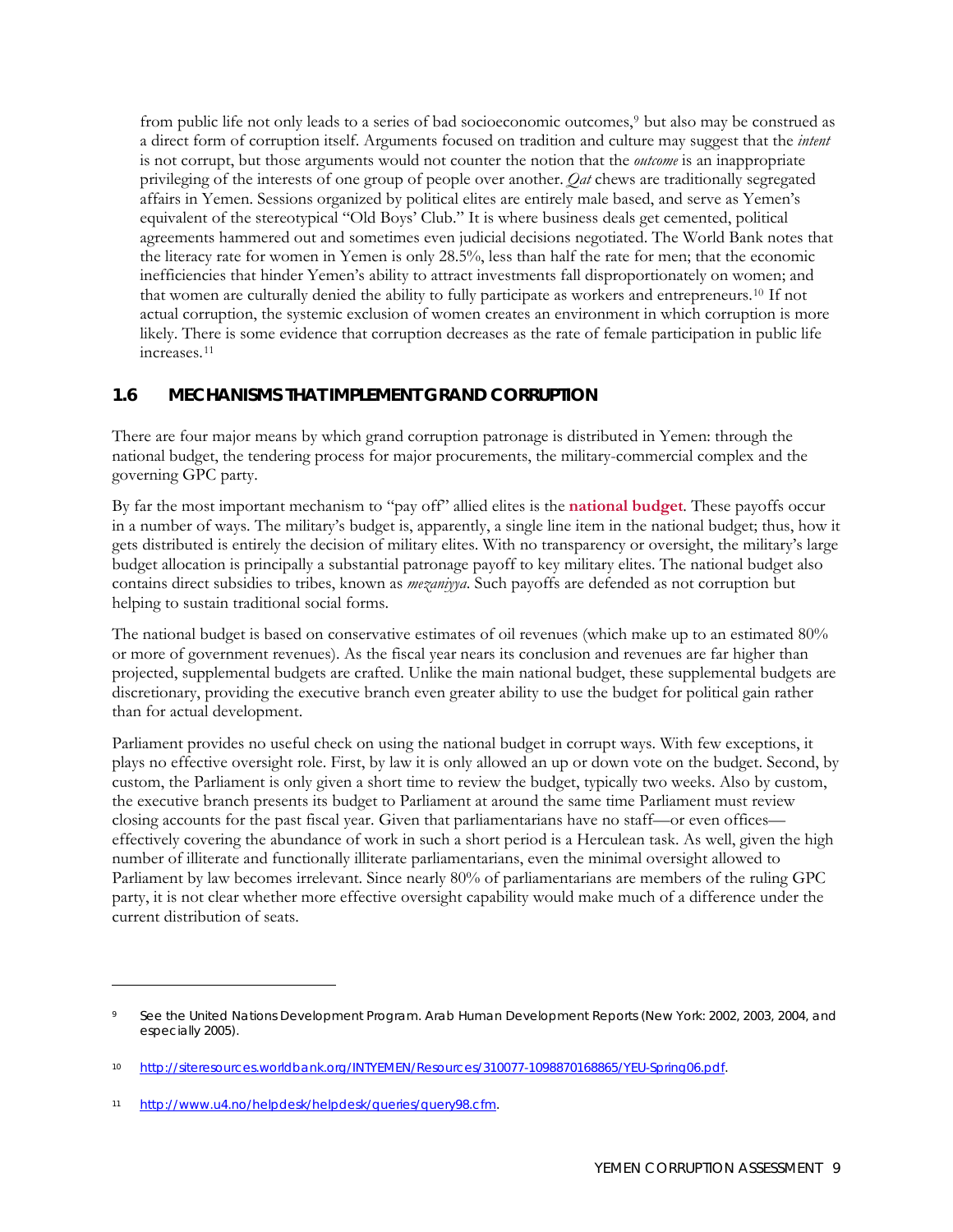<span id="page-26-0"></span>from public life not only leads to a series of bad socioeconomic outcomes,[9](#page-26-1) but also may be construed as a direct form of corruption itself. Arguments focused on tradition and culture may suggest that the *intent* is not corrupt, but those arguments would not counter the notion that the *outcome* is an inappropriate privileging of the interests of one group of people over another. *Qat* chews are traditionally segregated affairs in Yemen. Sessions organized by political elites are entirely male based, and serve as Yemen's equivalent of the stereotypical "Old Boys' Club." It is where business deals get cemented, political agreements hammered out and sometimes even judicial decisions negotiated. The World Bank notes that the literacy rate for women in Yemen is only 28.5%, less than half the rate for men; that the economic inefficiencies that hinder Yemen's ability to attract investments fall disproportionately on women; and that women are culturally denied the ability to fully participate as workers and entrepreneurs.[10](#page-26-2) If not actual corruption, the systemic exclusion of women creates an environment in which corruption is more likely. There is some evidence that corruption decreases as the rate of female participation in public life increases.[11](#page-26-3)

#### **1.6 MECHANISMS THAT IMPLEMENT GRAND CORRUPTION**

There are four major means by which grand corruption patronage is distributed in Yemen: through the national budget, the tendering process for major procurements, the military-commercial complex and the governing GPC party.

By far the most important mechanism to "pay off" allied elites is the **national budget**. These payoffs occur in a number of ways. The military's budget is, apparently, a single line item in the national budget; thus, how it gets distributed is entirely the decision of military elites. With no transparency or oversight, the military's large budget allocation is principally a substantial patronage payoff to key military elites. The national budget also contains direct subsidies to tribes, known as *mezaniyya*. Such payoffs are defended as not corruption but helping to sustain traditional social forms.

The national budget is based on conservative estimates of oil revenues (which make up to an estimated 80% or more of government revenues). As the fiscal year nears its conclusion and revenues are far higher than projected, supplemental budgets are crafted. Unlike the main national budget, these supplemental budgets are discretionary, providing the executive branch even greater ability to use the budget for political gain rather than for actual development.

Parliament provides no useful check on using the national budget in corrupt ways. With few exceptions, it plays no effective oversight role. First, by law it is only allowed an up or down vote on the budget. Second, by custom, the Parliament is only given a short time to review the budget, typically two weeks. Also by custom, the executive branch presents its budget to Parliament at around the same time Parliament must review closing accounts for the past fiscal year. Given that parliamentarians have no staff—or even offices effectively covering the abundance of work in such a short period is a Herculean task. As well, given the high number of illiterate and functionally illiterate parliamentarians, even the minimal oversight allowed to Parliament by law becomes irrelevant. Since nearly 80% of parliamentarians are members of the ruling GPC party, it is not clear whether more effective oversight capability would make much of a difference under the current distribution of seats.

 $\overline{a}$ 

<span id="page-26-1"></span><sup>9</sup> See the United Nations Development Program. *Arab Human Development Reports* (New York: 2002, 2003, 2004, and especially 2005).

<span id="page-26-2"></span><sup>10</sup> [http://siteresources.worldbank.org/INTYEMEN/Resources/310077-1098870168865/YEU-Spring06.pdf.](http://siteresources.worldbank.org/INTYEMEN/Resources/310077-1098870168865/YEU-Spring06.pdf)

<span id="page-26-3"></span><sup>11</sup> [http://www.u4.no/helpdesk/helpdesk/queries/query98.cfm.](http://www.u4.no/helpdesk/helpdesk/queries/query98.cfm)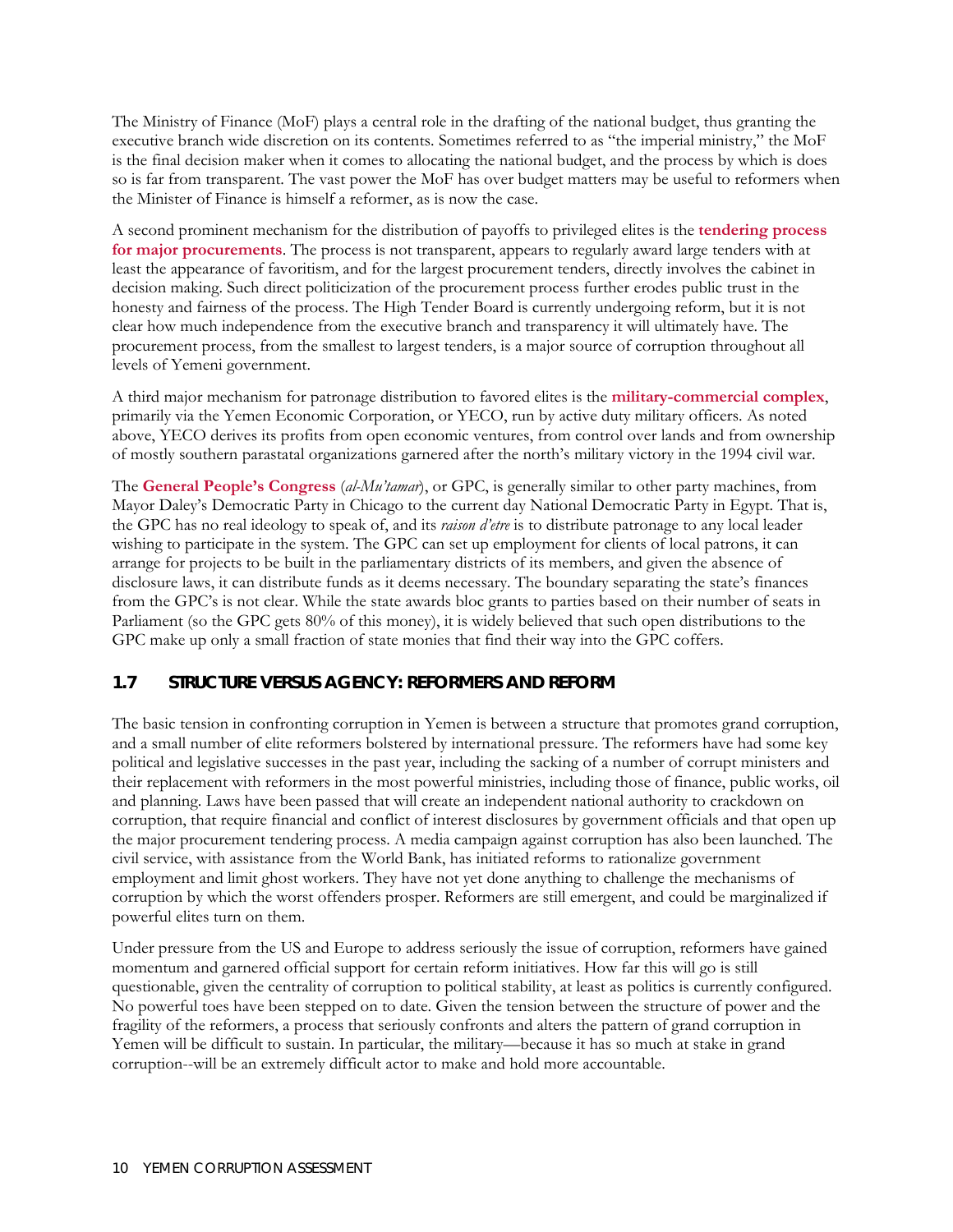<span id="page-27-0"></span>The Ministry of Finance (MoF) plays a central role in the drafting of the national budget, thus granting the executive branch wide discretion on its contents. Sometimes referred to as "the imperial ministry," the MoF is the final decision maker when it comes to allocating the national budget, and the process by which is does so is far from transparent. The vast power the MoF has over budget matters may be useful to reformers when the Minister of Finance is himself a reformer, as is now the case.

A second prominent mechanism for the distribution of payoffs to privileged elites is the **tendering process for major procurements**. The process is not transparent, appears to regularly award large tenders with at least the appearance of favoritism, and for the largest procurement tenders, directly involves the cabinet in decision making. Such direct politicization of the procurement process further erodes public trust in the honesty and fairness of the process. The High Tender Board is currently undergoing reform, but it is not clear how much independence from the executive branch and transparency it will ultimately have. The procurement process, from the smallest to largest tenders, is a major source of corruption throughout all levels of Yemeni government.

A third major mechanism for patronage distribution to favored elites is the **military-commercial complex**, primarily via the Yemen Economic Corporation, or YECO, run by active duty military officers. As noted above, YECO derives its profits from open economic ventures, from control over lands and from ownership of mostly southern parastatal organizations garnered after the north's military victory in the 1994 civil war.

The **General People's Congress** (*al-Mu'tamar*), or GPC, is generally similar to other party machines, from Mayor Daley's Democratic Party in Chicago to the current day National Democratic Party in Egypt. That is, the GPC has no real ideology to speak of, and its *raison d'etre* is to distribute patronage to any local leader wishing to participate in the system. The GPC can set up employment for clients of local patrons, it can arrange for projects to be built in the parliamentary districts of its members, and given the absence of disclosure laws, it can distribute funds as it deems necessary. The boundary separating the state's finances from the GPC's is not clear. While the state awards bloc grants to parties based on their number of seats in Parliament (so the GPC gets 80% of this money), it is widely believed that such open distributions to the GPC make up only a small fraction of state monies that find their way into the GPC coffers.

#### **1.7 STRUCTURE VERSUS AGENCY: REFORMERS AND REFORM**

The basic tension in confronting corruption in Yemen is between a structure that promotes grand corruption, and a small number of elite reformers bolstered by international pressure. The reformers have had some key political and legislative successes in the past year, including the sacking of a number of corrupt ministers and their replacement with reformers in the most powerful ministries, including those of finance, public works, oil and planning. Laws have been passed that will create an independent national authority to crackdown on corruption, that require financial and conflict of interest disclosures by government officials and that open up the major procurement tendering process. A media campaign against corruption has also been launched. The civil service, with assistance from the World Bank, has initiated reforms to rationalize government employment and limit ghost workers. They have not yet done anything to challenge the mechanisms of corruption by which the worst offenders prosper. Reformers are still emergent, and could be marginalized if powerful elites turn on them.

Under pressure from the US and Europe to address seriously the issue of corruption, reformers have gained momentum and garnered official support for certain reform initiatives. How far this will go is still questionable, given the centrality of corruption to political stability, at least as politics is currently configured. No powerful toes have been stepped on to date. Given the tension between the structure of power and the fragility of the reformers, a process that seriously confronts and alters the pattern of grand corruption in Yemen will be difficult to sustain. In particular, the military—because it has so much at stake in grand corruption--will be an extremely difficult actor to make and hold more accountable.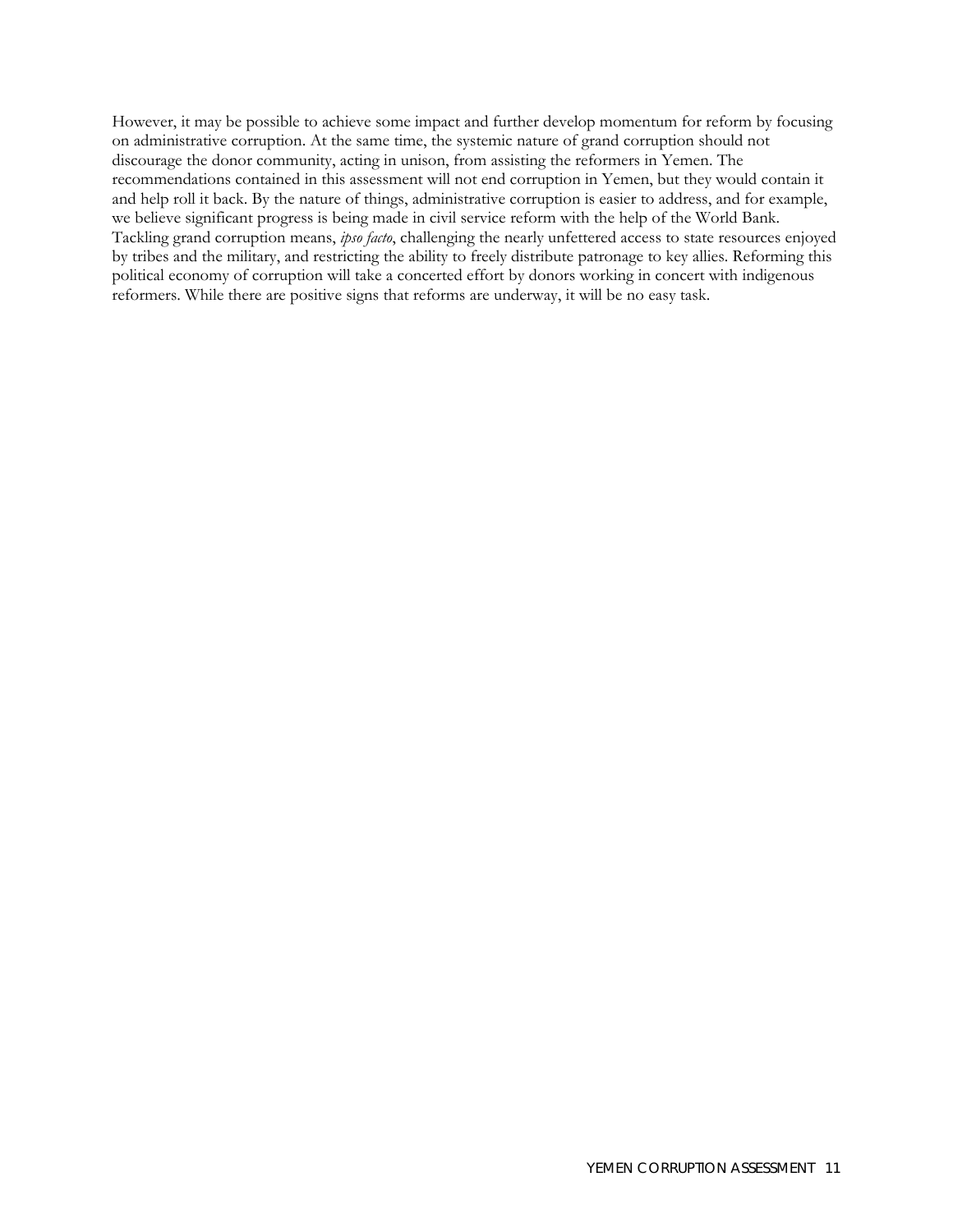However, it may be possible to achieve some impact and further develop momentum for reform by focusing on administrative corruption. At the same time, the systemic nature of grand corruption should not discourage the donor community, acting in unison, from assisting the reformers in Yemen. The recommendations contained in this assessment will not end corruption in Yemen, but they would contain it and help roll it back. By the nature of things, administrative corruption is easier to address, and for example, we believe significant progress is being made in civil service reform with the help of the World Bank. Tackling grand corruption means, *ipso facto*, challenging the nearly unfettered access to state resources enjoyed by tribes and the military, and restricting the ability to freely distribute patronage to key allies. Reforming this political economy of corruption will take a concerted effort by donors working in concert with indigenous reformers. While there are positive signs that reforms are underway, it will be no easy task.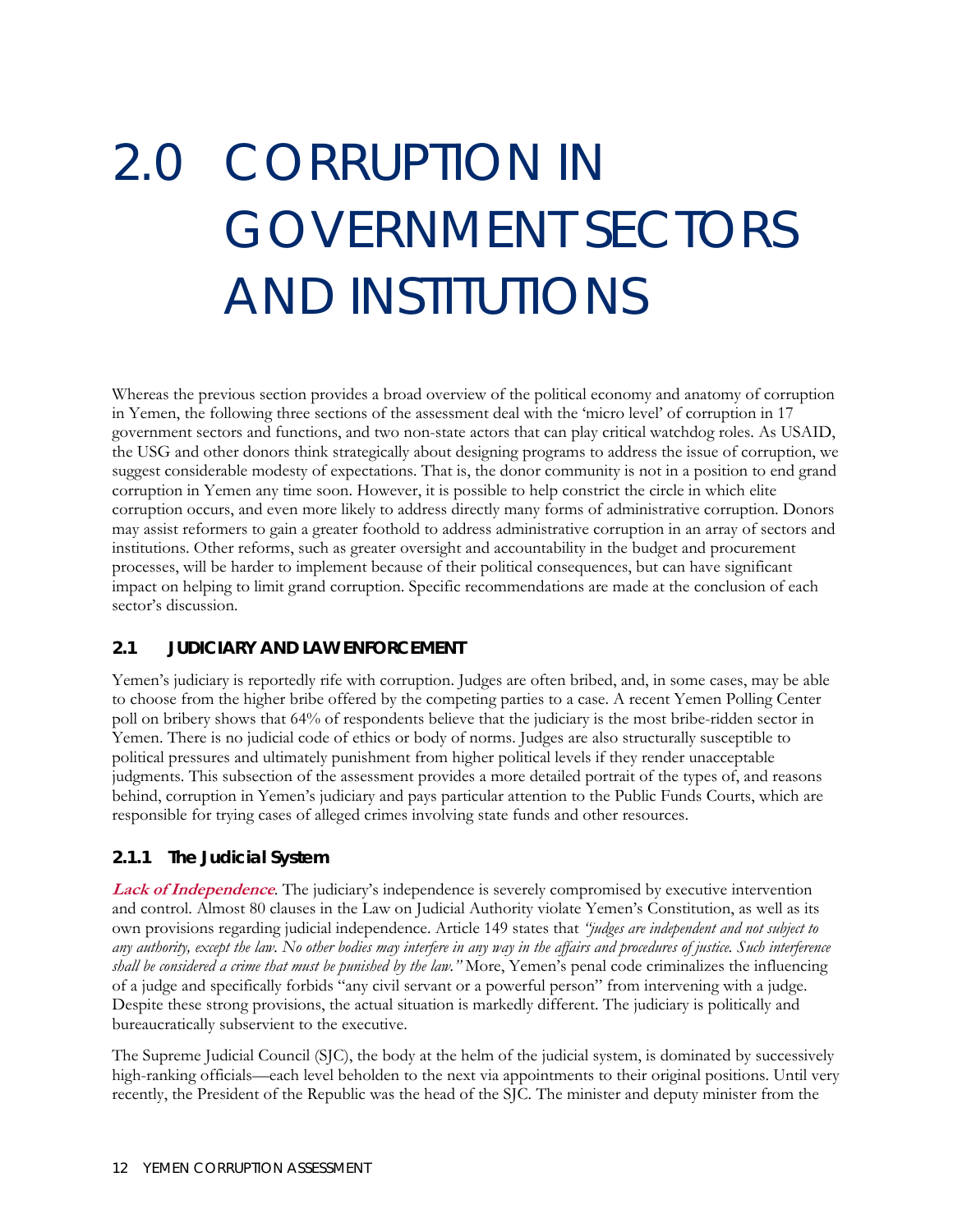# <span id="page-29-0"></span>2.0 CORRUPTION IN GOVERNMENT SECTORS AND INSTITUTIONS

Whereas the previous section provides a broad overview of the political economy and anatomy of corruption in Yemen, the following three sections of the assessment deal with the 'micro level' of corruption in 17 government sectors and functions, and two non-state actors that can play critical watchdog roles. As USAID, the USG and other donors think strategically about designing programs to address the issue of corruption, we suggest considerable modesty of expectations. That is, the donor community is not in a position to end grand corruption in Yemen any time soon. However, it is possible to help constrict the circle in which elite corruption occurs, and even more likely to address directly many forms of administrative corruption. Donors may assist reformers to gain a greater foothold to address administrative corruption in an array of sectors and institutions. Other reforms, such as greater oversight and accountability in the budget and procurement processes, will be harder to implement because of their political consequences, but can have significant impact on helping to limit grand corruption. Specific recommendations are made at the conclusion of each sector's discussion.

#### **2.1 JUDICIARY AND LAW ENFORCEMENT**

Yemen's judiciary is reportedly rife with corruption. Judges are often bribed, and, in some cases, may be able to choose from the higher bribe offered by the competing parties to a case. A recent Yemen Polling Center poll on bribery shows that 64% of respondents believe that the judiciary is the most bribe-ridden sector in Yemen. There is no judicial code of ethics or body of norms. Judges are also structurally susceptible to political pressures and ultimately punishment from higher political levels if they render unacceptable judgments. This subsection of the assessment provides a more detailed portrait of the types of, and reasons behind, corruption in Yemen's judiciary and pays particular attention to the Public Funds Courts, which are responsible for trying cases of alleged crimes involving state funds and other resources.

#### **2.1.1 The Judicial System**

**Lack of Independence**. The judiciary's independence is severely compromised by executive intervention and control. Almost 80 clauses in the Law on Judicial Authority violate Yemen's Constitution, as well as its own provisions regarding judicial independence. Article 149 states that *"judges are independent and not subject to any authority, except the law. No other bodies may interfere in any way in the affairs and procedures of justice. Such interference shall be considered a crime that must be punished by the law."* More, Yemen's penal code criminalizes the influencing of a judge and specifically forbids "any civil servant or a powerful person" from intervening with a judge. Despite these strong provisions, the actual situation is markedly different. The judiciary is politically and bureaucratically subservient to the executive.

The Supreme Judicial Council (SJC), the body at the helm of the judicial system, is dominated by successively high-ranking officials—each level beholden to the next via appointments to their original positions. Until very recently, the President of the Republic was the head of the SJC. The minister and deputy minister from the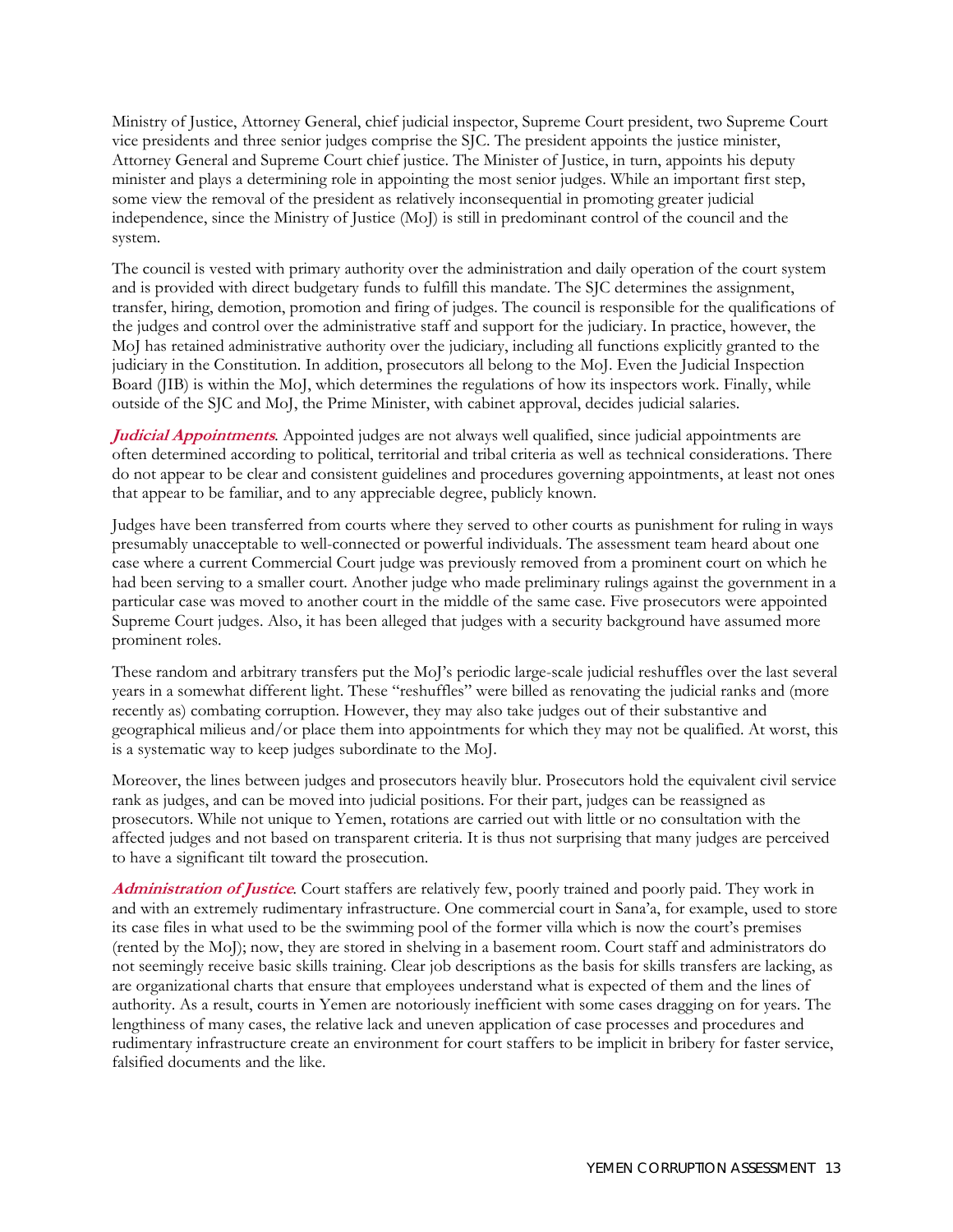Ministry of Justice, Attorney General, chief judicial inspector, Supreme Court president, two Supreme Court vice presidents and three senior judges comprise the SJC. The president appoints the justice minister, Attorney General and Supreme Court chief justice. The Minister of Justice, in turn, appoints his deputy minister and plays a determining role in appointing the most senior judges. While an important first step, some view the removal of the president as relatively inconsequential in promoting greater judicial independence, since the Ministry of Justice (MoJ) is still in predominant control of the council and the system.

The council is vested with primary authority over the administration and daily operation of the court system and is provided with direct budgetary funds to fulfill this mandate. The SJC determines the assignment, transfer, hiring, demotion, promotion and firing of judges. The council is responsible for the qualifications of the judges and control over the administrative staff and support for the judiciary. In practice, however, the MoJ has retained administrative authority over the judiciary, including all functions explicitly granted to the judiciary in the Constitution. In addition, prosecutors all belong to the MoJ. Even the Judicial Inspection Board (JIB) is within the MoJ, which determines the regulations of how its inspectors work. Finally, while outside of the SJC and MoJ, the Prime Minister, with cabinet approval, decides judicial salaries.

**Judicial Appointments***.* Appointed judges are not always well qualified, since judicial appointments are often determined according to political, territorial and tribal criteria as well as technical considerations. There do not appear to be clear and consistent guidelines and procedures governing appointments, at least not ones that appear to be familiar, and to any appreciable degree, publicly known.

Judges have been transferred from courts where they served to other courts as punishment for ruling in ways presumably unacceptable to well-connected or powerful individuals. The assessment team heard about one case where a current Commercial Court judge was previously removed from a prominent court on which he had been serving to a smaller court. Another judge who made preliminary rulings against the government in a particular case was moved to another court in the middle of the same case. Five prosecutors were appointed Supreme Court judges. Also, it has been alleged that judges with a security background have assumed more prominent roles.

These random and arbitrary transfers put the MoJ's periodic large-scale judicial reshuffles over the last several years in a somewhat different light. These "reshuffles" were billed as renovating the judicial ranks and (more recently as) combating corruption. However, they may also take judges out of their substantive and geographical milieus and/or place them into appointments for which they may not be qualified. At worst, this is a systematic way to keep judges subordinate to the MoJ.

Moreover, the lines between judges and prosecutors heavily blur. Prosecutors hold the equivalent civil service rank as judges, and can be moved into judicial positions. For their part, judges can be reassigned as prosecutors. While not unique to Yemen, rotations are carried out with little or no consultation with the affected judges and not based on transparent criteria. It is thus not surprising that many judges are perceived to have a significant tilt toward the prosecution.

**Administration of Justice***.* Court staffers are relatively few, poorly trained and poorly paid. They work in and with an extremely rudimentary infrastructure. One commercial court in Sana'a, for example, used to store its case files in what used to be the swimming pool of the former villa which is now the court's premises (rented by the MoJ); now, they are stored in shelving in a basement room. Court staff and administrators do not seemingly receive basic skills training. Clear job descriptions as the basis for skills transfers are lacking, as are organizational charts that ensure that employees understand what is expected of them and the lines of authority. As a result, courts in Yemen are notoriously inefficient with some cases dragging on for years. The lengthiness of many cases, the relative lack and uneven application of case processes and procedures and rudimentary infrastructure create an environment for court staffers to be implicit in bribery for faster service, falsified documents and the like.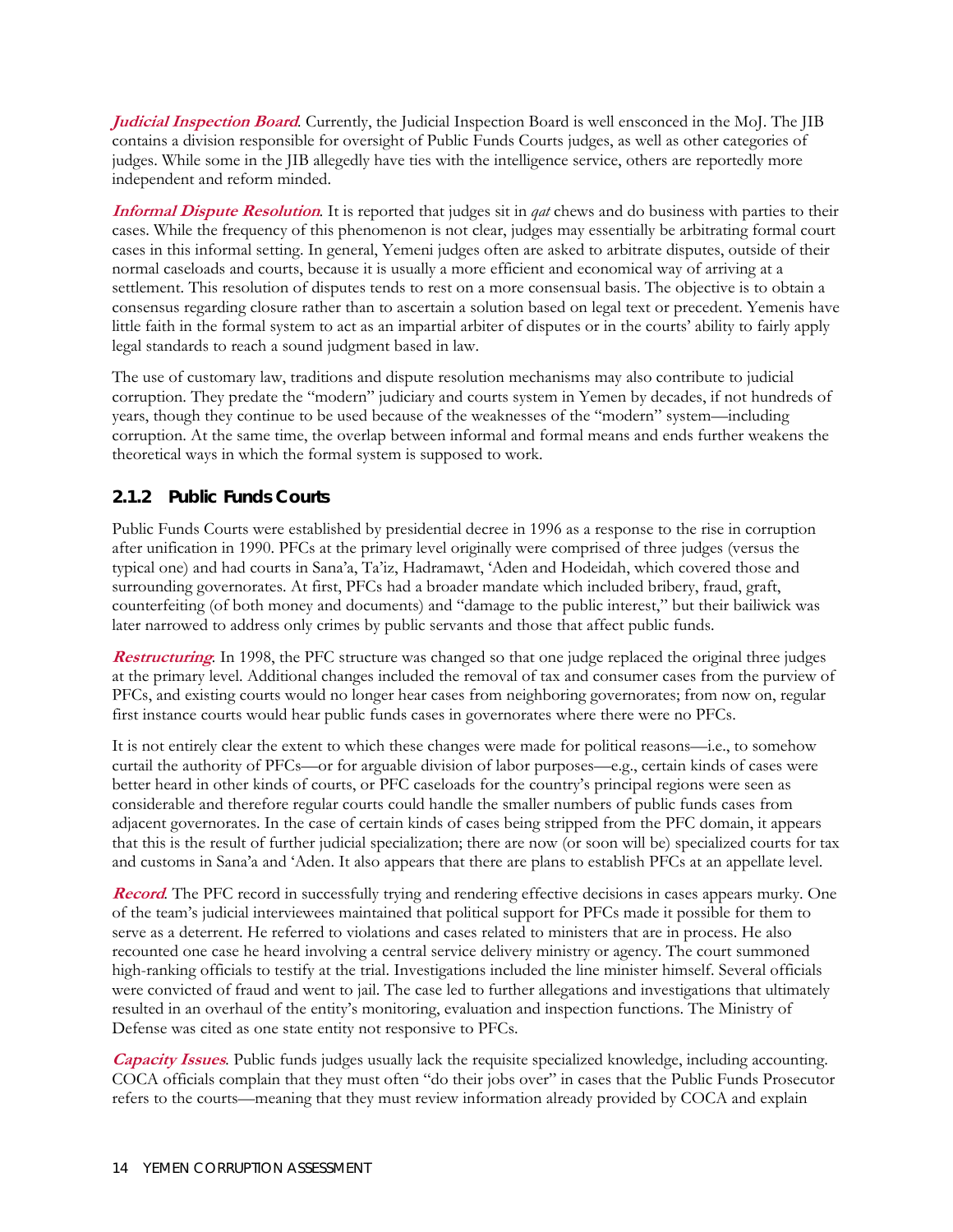**Judicial Inspection Board***.* Currently, the Judicial Inspection Board is well ensconced in the MoJ. The JIB contains a division responsible for oversight of Public Funds Courts judges, as well as other categories of judges. While some in the JIB allegedly have ties with the intelligence service, others are reportedly more independent and reform minded.

**Informal Dispute Resolution***.* It is reported that judges sit in *qat* chews and do business with parties to their cases. While the frequency of this phenomenon is not clear, judges may essentially be arbitrating formal court cases in this informal setting. In general, Yemeni judges often are asked to arbitrate disputes, outside of their normal caseloads and courts, because it is usually a more efficient and economical way of arriving at a settlement. This resolution of disputes tends to rest on a more consensual basis. The objective is to obtain a consensus regarding closure rather than to ascertain a solution based on legal text or precedent. Yemenis have little faith in the formal system to act as an impartial arbiter of disputes or in the courts' ability to fairly apply legal standards to reach a sound judgment based in law.

The use of customary law, traditions and dispute resolution mechanisms may also contribute to judicial corruption. They predate the "modern" judiciary and courts system in Yemen by decades, if not hundreds of years, though they continue to be used because of the weaknesses of the "modern" system—including corruption. At the same time, the overlap between informal and formal means and ends further weakens the theoretical ways in which the formal system is supposed to work.

#### **2.1.2 Public Funds Courts**

Public Funds Courts were established by presidential decree in 1996 as a response to the rise in corruption after unification in 1990. PFCs at the primary level originally were comprised of three judges (versus the typical one) and had courts in Sana'a, Ta'iz, Hadramawt, 'Aden and Hodeidah, which covered those and surrounding governorates. At first, PFCs had a broader mandate which included bribery, fraud, graft, counterfeiting (of both money and documents) and "damage to the public interest," but their bailiwick was later narrowed to address only crimes by public servants and those that affect public funds.

**Restructuring***.* In 1998, the PFC structure was changed so that one judge replaced the original three judges at the primary level. Additional changes included the removal of tax and consumer cases from the purview of PFCs, and existing courts would no longer hear cases from neighboring governorates; from now on, regular first instance courts would hear public funds cases in governorates where there were no PFCs.

It is not entirely clear the extent to which these changes were made for political reasons—i.e., to somehow curtail the authority of PFCs—or for arguable division of labor purposes—e.g., certain kinds of cases were better heard in other kinds of courts, or PFC caseloads for the country's principal regions were seen as considerable and therefore regular courts could handle the smaller numbers of public funds cases from adjacent governorates. In the case of certain kinds of cases being stripped from the PFC domain, it appears that this is the result of further judicial specialization; there are now (or soon will be) specialized courts for tax and customs in Sana'a and 'Aden. It also appears that there are plans to establish PFCs at an appellate level.

**Record**. The PFC record in successfully trying and rendering effective decisions in cases appears murky. One of the team's judicial interviewees maintained that political support for PFCs made it possible for them to serve as a deterrent. He referred to violations and cases related to ministers that are in process. He also recounted one case he heard involving a central service delivery ministry or agency. The court summoned high-ranking officials to testify at the trial. Investigations included the line minister himself. Several officials were convicted of fraud and went to jail. The case led to further allegations and investigations that ultimately resulted in an overhaul of the entity's monitoring, evaluation and inspection functions. The Ministry of Defense was cited as one state entity not responsive to PFCs.

**Capacity Issues***.* Public funds judges usually lack the requisite specialized knowledge, including accounting. COCA officials complain that they must often "do their jobs over" in cases that the Public Funds Prosecutor refers to the courts—meaning that they must review information already provided by COCA and explain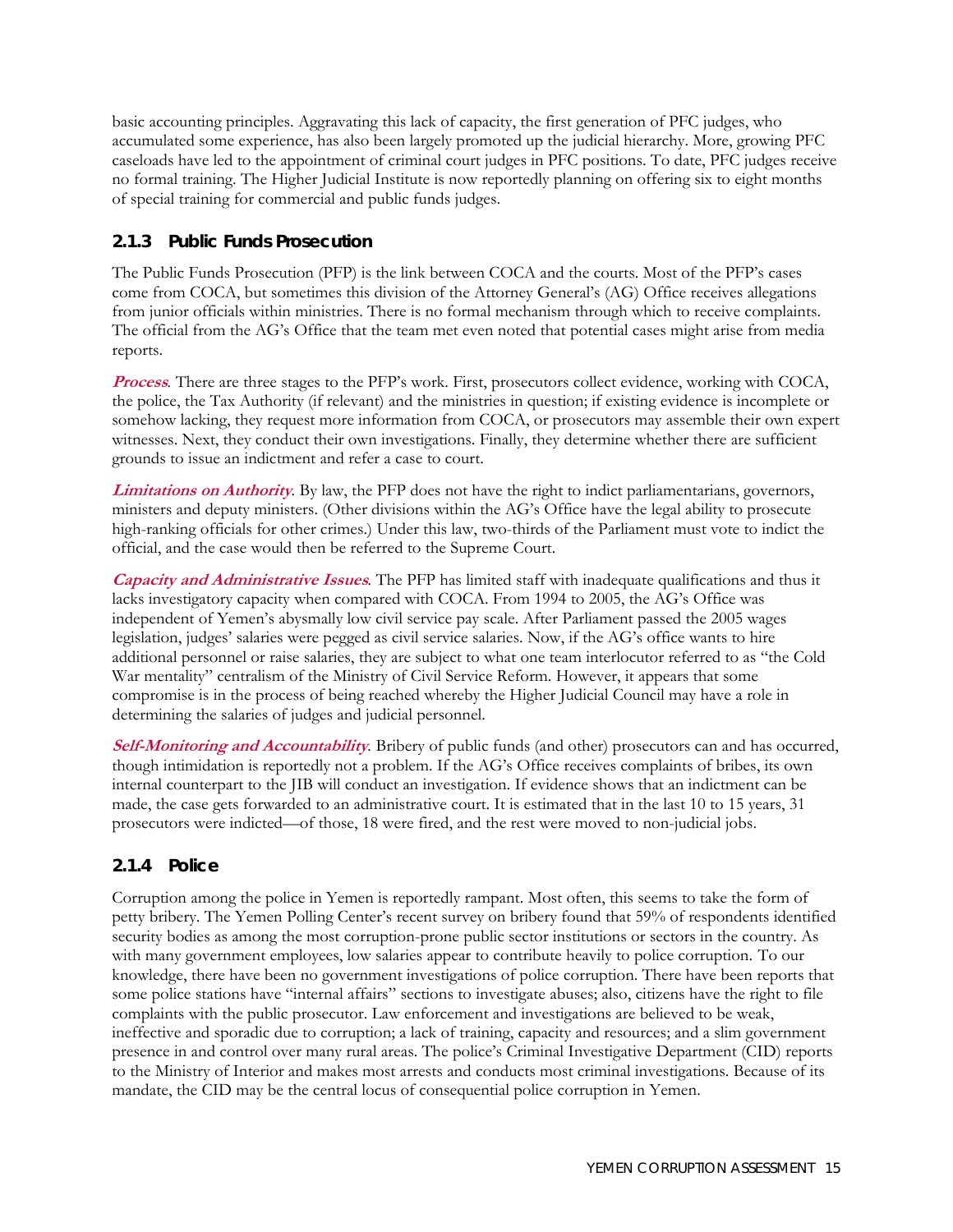basic accounting principles. Aggravating this lack of capacity, the first generation of PFC judges, who accumulated some experience, has also been largely promoted up the judicial hierarchy. More, growing PFC caseloads have led to the appointment of criminal court judges in PFC positions. To date, PFC judges receive no formal training. The Higher Judicial Institute is now reportedly planning on offering six to eight months of special training for commercial and public funds judges.

#### **2.1.3 Public Funds Prosecution**

The Public Funds Prosecution (PFP) is the link between COCA and the courts. Most of the PFP's cases come from COCA, but sometimes this division of the Attorney General's (AG) Office receives allegations from junior officials within ministries. There is no formal mechanism through which to receive complaints. The official from the AG's Office that the team met even noted that potential cases might arise from media reports.

**Process***.* There are three stages to the PFP's work. First, prosecutors collect evidence, working with COCA, the police, the Tax Authority (if relevant) and the ministries in question; if existing evidence is incomplete or somehow lacking, they request more information from COCA, or prosecutors may assemble their own expert witnesses. Next, they conduct their own investigations. Finally, they determine whether there are sufficient grounds to issue an indictment and refer a case to court.

**Limitations on Authority***.* By law, the PFP does not have the right to indict parliamentarians, governors, ministers and deputy ministers. (Other divisions within the AG's Office have the legal ability to prosecute high-ranking officials for other crimes.) Under this law, two-thirds of the Parliament must vote to indict the official, and the case would then be referred to the Supreme Court.

**Capacity and Administrative Issues***.* The PFP has limited staff with inadequate qualifications and thus it lacks investigatory capacity when compared with COCA. From 1994 to 2005, the AG's Office was independent of Yemen's abysmally low civil service pay scale. After Parliament passed the 2005 wages legislation, judges' salaries were pegged as civil service salaries. Now, if the AG's office wants to hire additional personnel or raise salaries, they are subject to what one team interlocutor referred to as "the Cold War mentality" centralism of the Ministry of Civil Service Reform. However, it appears that some compromise is in the process of being reached whereby the Higher Judicial Council may have a role in determining the salaries of judges and judicial personnel.

**Self-Monitoring and Accountability***.* Bribery of public funds (and other) prosecutors can and has occurred, though intimidation is reportedly not a problem. If the AG's Office receives complaints of bribes, its own internal counterpart to the JIB will conduct an investigation. If evidence shows that an indictment can be made, the case gets forwarded to an administrative court. It is estimated that in the last 10 to 15 years, 31 prosecutors were indicted—of those, 18 were fired, and the rest were moved to non-judicial jobs.

#### **2.1.4 Police**

Corruption among the police in Yemen is reportedly rampant. Most often, this seems to take the form of petty bribery. The Yemen Polling Center's recent survey on bribery found that 59% of respondents identified security bodies as among the most corruption-prone public sector institutions or sectors in the country. As with many government employees, low salaries appear to contribute heavily to police corruption. To our knowledge, there have been no government investigations of police corruption. There have been reports that some police stations have "internal affairs" sections to investigate abuses; also, citizens have the right to file complaints with the public prosecutor. Law enforcement and investigations are believed to be weak, ineffective and sporadic due to corruption; a lack of training, capacity and resources; and a slim government presence in and control over many rural areas. The police's Criminal Investigative Department (CID) reports to the Ministry of Interior and makes most arrests and conducts most criminal investigations. Because of its mandate, the CID may be the central locus of consequential police corruption in Yemen.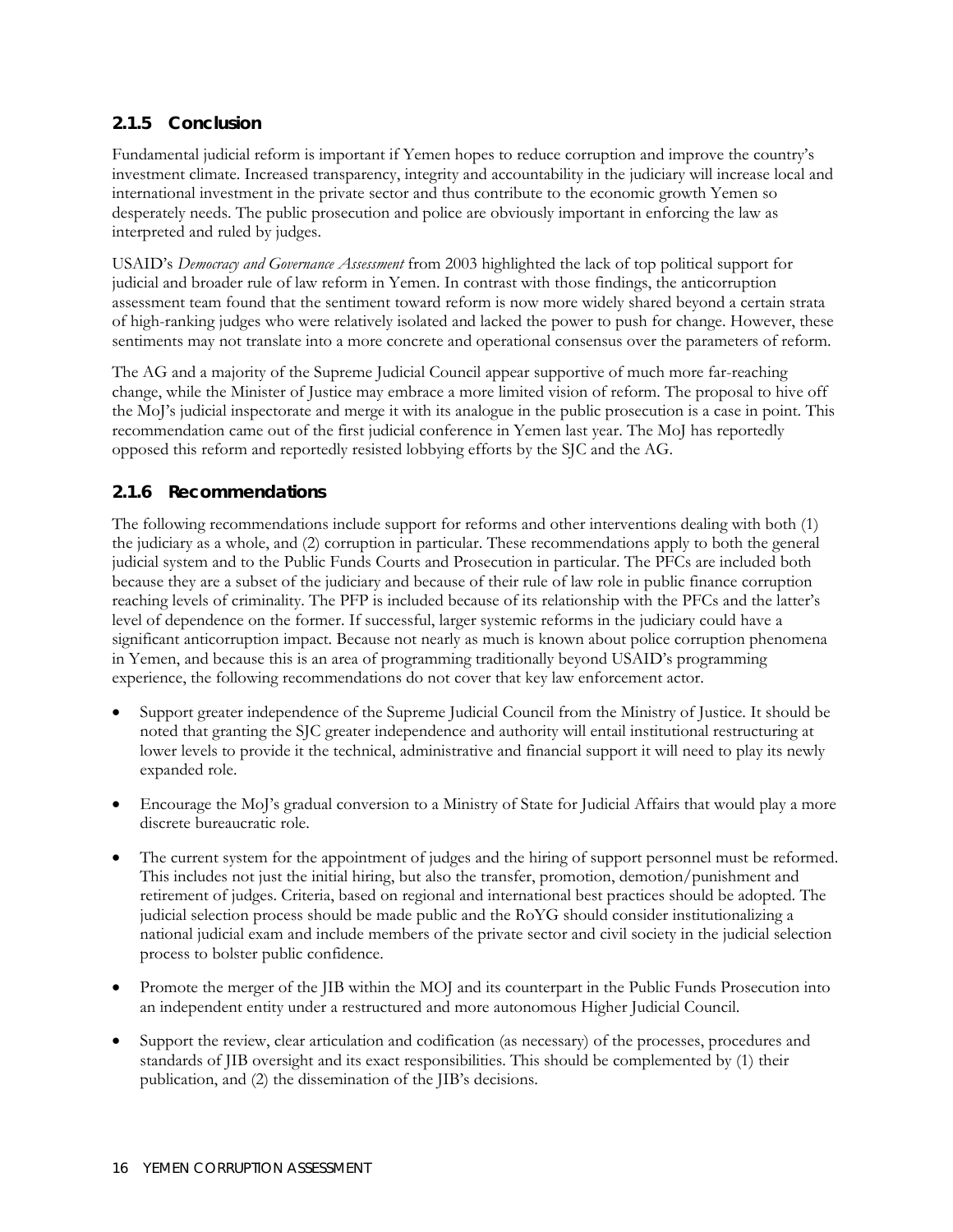#### **2.1.5 Conclusion**

Fundamental judicial reform is important if Yemen hopes to reduce corruption and improve the country's investment climate. Increased transparency, integrity and accountability in the judiciary will increase local and international investment in the private sector and thus contribute to the economic growth Yemen so desperately needs. The public prosecution and police are obviously important in enforcing the law as interpreted and ruled by judges.

USAID's *Democracy and Governance Assessment* from 2003 highlighted the lack of top political support for judicial and broader rule of law reform in Yemen. In contrast with those findings, the anticorruption assessment team found that the sentiment toward reform is now more widely shared beyond a certain strata of high-ranking judges who were relatively isolated and lacked the power to push for change. However, these sentiments may not translate into a more concrete and operational consensus over the parameters of reform.

The AG and a majority of the Supreme Judicial Council appear supportive of much more far-reaching change, while the Minister of Justice may embrace a more limited vision of reform. The proposal to hive off the MoJ's judicial inspectorate and merge it with its analogue in the public prosecution is a case in point. This recommendation came out of the first judicial conference in Yemen last year. The MoJ has reportedly opposed this reform and reportedly resisted lobbying efforts by the SJC and the AG.

#### **2.1.6 Recommendations**

The following recommendations include support for reforms and other interventions dealing with both (1) the judiciary as a whole, and (2) corruption in particular. These recommendations apply to both the general judicial system and to the Public Funds Courts and Prosecution in particular. The PFCs are included both because they are a subset of the judiciary and because of their rule of law role in public finance corruption reaching levels of criminality. The PFP is included because of its relationship with the PFCs and the latter's level of dependence on the former. If successful, larger systemic reforms in the judiciary could have a significant anticorruption impact. Because not nearly as much is known about police corruption phenomena in Yemen, and because this is an area of programming traditionally beyond USAID's programming experience, the following recommendations do not cover that key law enforcement actor.

- Support greater independence of the Supreme Judicial Council from the Ministry of Justice. It should be noted that granting the SJC greater independence and authority will entail institutional restructuring at lower levels to provide it the technical, administrative and financial support it will need to play its newly expanded role.
- Encourage the MoJ's gradual conversion to a Ministry of State for Judicial Affairs that would play a more discrete bureaucratic role.
- The current system for the appointment of judges and the hiring of support personnel must be reformed. This includes not just the initial hiring, but also the transfer, promotion, demotion/punishment and retirement of judges. Criteria, based on regional and international best practices should be adopted. The judicial selection process should be made public and the RoYG should consider institutionalizing a national judicial exam and include members of the private sector and civil society in the judicial selection process to bolster public confidence.
- Promote the merger of the JIB within the MOJ and its counterpart in the Public Funds Prosecution into an independent entity under a restructured and more autonomous Higher Judicial Council.
- Support the review, clear articulation and codification (as necessary) of the processes, procedures and standards of JIB oversight and its exact responsibilities. This should be complemented by (1) their publication, and (2) the dissemination of the JIB's decisions.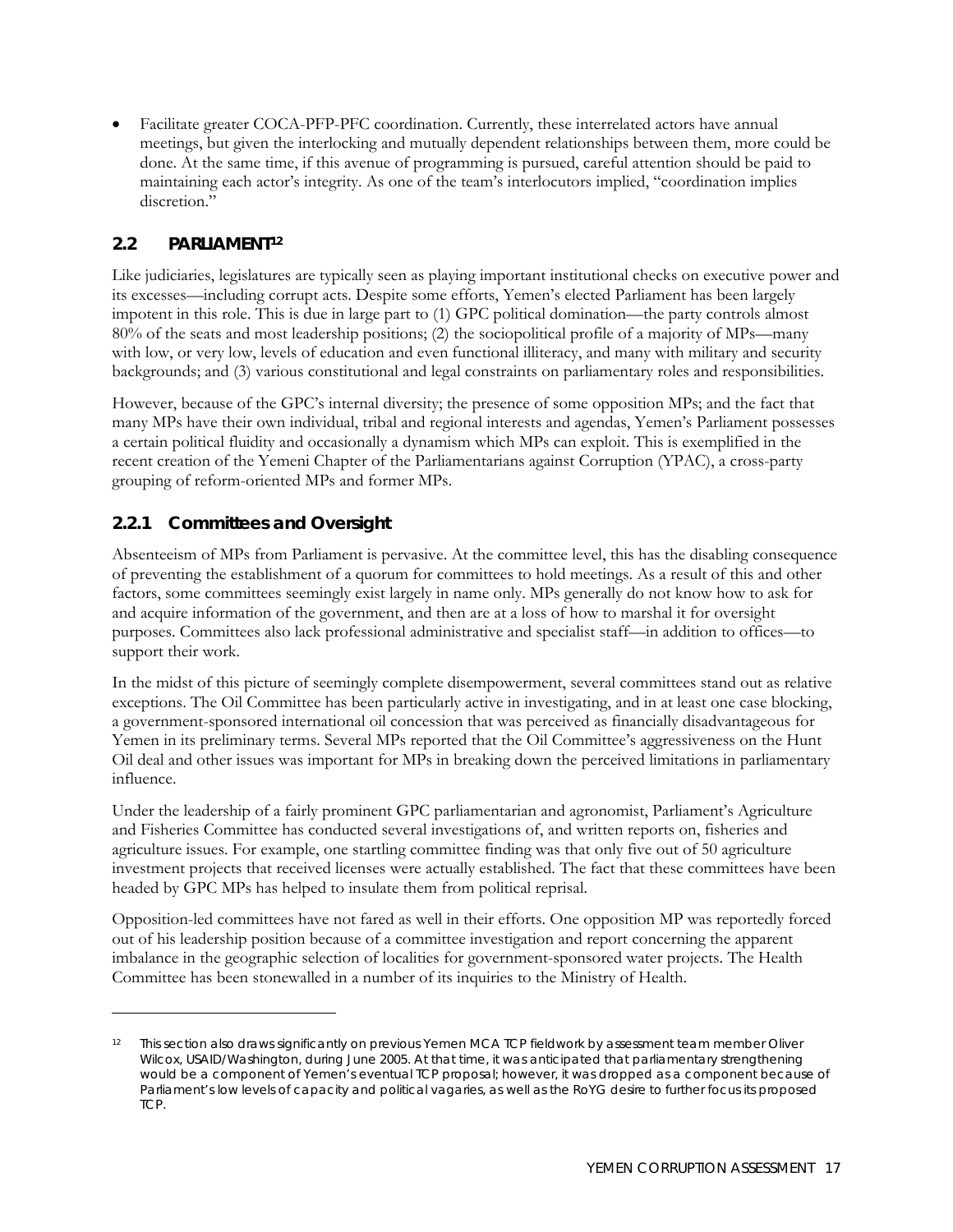<span id="page-34-0"></span>• Facilitate greater COCA-PFP-PFC coordination. Currently, these interrelated actors have annual meetings, but given the interlocking and mutually dependent relationships between them, more could be done. At the same time, if this avenue of programming is pursued, careful attention should be paid to maintaining each actor's integrity. As one of the team's interlocutors implied, "coordination implies discretion."

#### **2.2 PARLIAMENT[12](#page-34-1)**

Like judiciaries, legislatures are typically seen as playing important institutional checks on executive power and its excesses—including corrupt acts. Despite some efforts, Yemen's elected Parliament has been largely impotent in this role. This is due in large part to (1) GPC political domination—the party controls almost 80% of the seats and most leadership positions; (2) the sociopolitical profile of a majority of MPs—many with low, or very low, levels of education and even functional illiteracy, and many with military and security backgrounds; and (3) various constitutional and legal constraints on parliamentary roles and responsibilities.

However, because of the GPC's internal diversity; the presence of some opposition MPs; and the fact that many MPs have their own individual, tribal and regional interests and agendas, Yemen's Parliament possesses a certain political fluidity and occasionally a dynamism which MPs can exploit. This is exemplified in the recent creation of the Yemeni Chapter of the Parliamentarians against Corruption (YPAC), a cross-party grouping of reform-oriented MPs and former MPs.

#### **2.2.1 Committees and Oversight**

-

Absenteeism of MPs from Parliament is pervasive. At the committee level, this has the disabling consequence of preventing the establishment of a quorum for committees to hold meetings. As a result of this and other factors, some committees seemingly exist largely in name only. MPs generally do not know how to ask for and acquire information of the government, and then are at a loss of how to marshal it for oversight purposes. Committees also lack professional administrative and specialist staff—in addition to offices—to support their work.

In the midst of this picture of seemingly complete disempowerment, several committees stand out as relative exceptions. The Oil Committee has been particularly active in investigating, and in at least one case blocking, a government-sponsored international oil concession that was perceived as financially disadvantageous for Yemen in its preliminary terms. Several MPs reported that the Oil Committee's aggressiveness on the Hunt Oil deal and other issues was important for MPs in breaking down the perceived limitations in parliamentary influence.

Under the leadership of a fairly prominent GPC parliamentarian and agronomist, Parliament's Agriculture and Fisheries Committee has conducted several investigations of, and written reports on, fisheries and agriculture issues. For example, one startling committee finding was that only five out of 50 agriculture investment projects that received licenses were actually established. The fact that these committees have been headed by GPC MPs has helped to insulate them from political reprisal.

Opposition-led committees have not fared as well in their efforts. One opposition MP was reportedly forced out of his leadership position because of a committee investigation and report concerning the apparent imbalance in the geographic selection of localities for government-sponsored water projects. The Health Committee has been stonewalled in a number of its inquiries to the Ministry of Health.

<span id="page-34-1"></span><sup>12</sup> This section also draws significantly on previous Yemen MCA TCP fieldwork by assessment team member Oliver Wilcox, USAID/Washington, during June 2005. At that time, it was anticipated that parliamentary strengthening would be a component of Yemen's eventual TCP proposal; however, it was dropped as a component because of Parliament's low levels of capacity and political vagaries, as well as the RoYG desire to further focus its proposed TCP.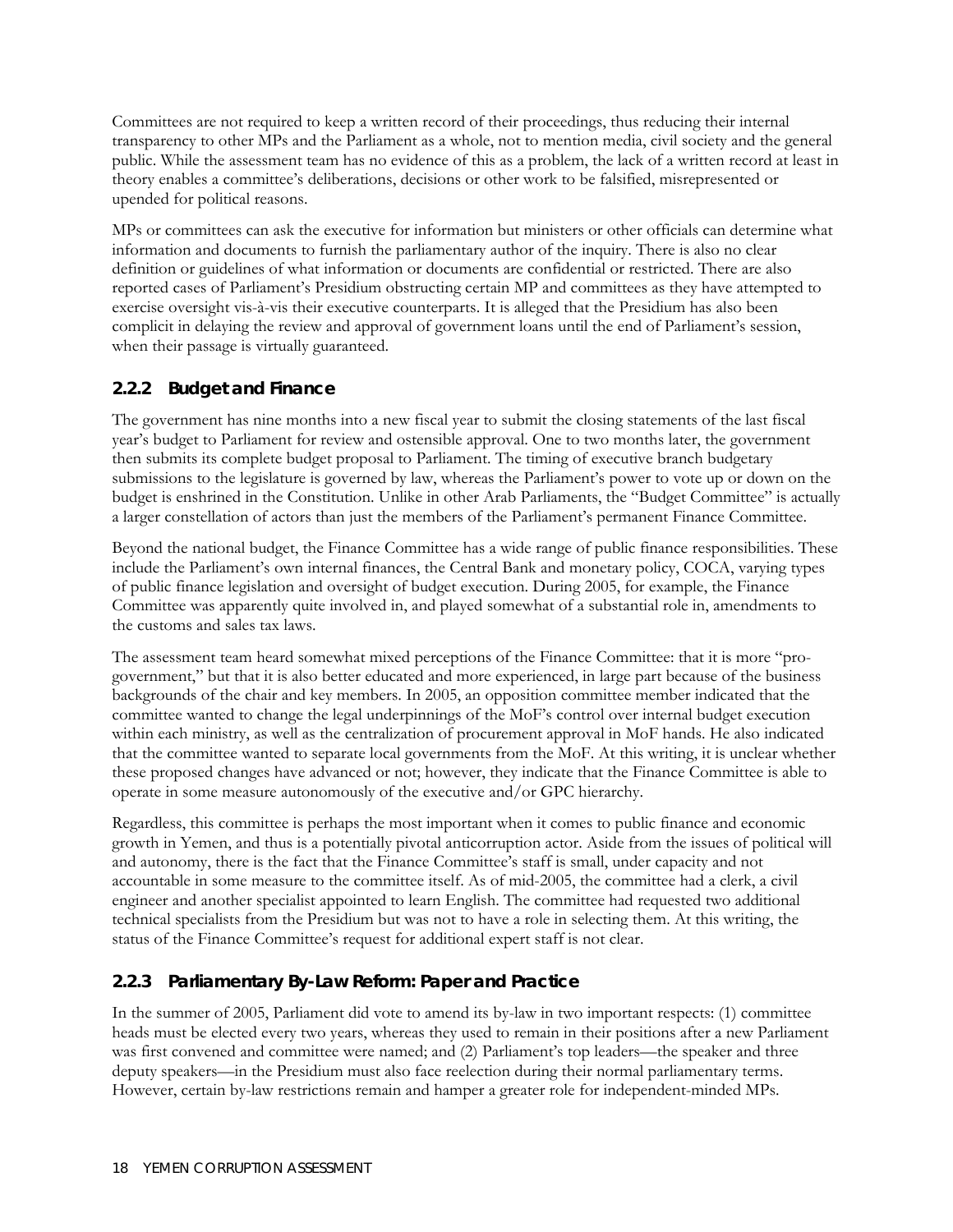Committees are not required to keep a written record of their proceedings, thus reducing their internal transparency to other MPs and the Parliament as a whole, not to mention media, civil society and the general public. While the assessment team has no evidence of this as a problem, the lack of a written record at least in theory enables a committee's deliberations, decisions or other work to be falsified, misrepresented or upended for political reasons.

MPs or committees can ask the executive for information but ministers or other officials can determine what information and documents to furnish the parliamentary author of the inquiry. There is also no clear definition or guidelines of what information or documents are confidential or restricted. There are also reported cases of Parliament's Presidium obstructing certain MP and committees as they have attempted to exercise oversight vis-à-vis their executive counterparts. It is alleged that the Presidium has also been complicit in delaying the review and approval of government loans until the end of Parliament's session, when their passage is virtually guaranteed.

#### **2.2.2 Budget and Finance**

The government has nine months into a new fiscal year to submit the closing statements of the last fiscal year's budget to Parliament for review and ostensible approval. One to two months later, the government then submits its complete budget proposal to Parliament. The timing of executive branch budgetary submissions to the legislature is governed by law, whereas the Parliament's power to vote up or down on the budget is enshrined in the Constitution. Unlike in other Arab Parliaments, the "Budget Committee" is actually a larger constellation of actors than just the members of the Parliament's permanent Finance Committee.

Beyond the national budget, the Finance Committee has a wide range of public finance responsibilities. These include the Parliament's own internal finances, the Central Bank and monetary policy, COCA, varying types of public finance legislation and oversight of budget execution. During 2005, for example, the Finance Committee was apparently quite involved in, and played somewhat of a substantial role in, amendments to the customs and sales tax laws.

The assessment team heard somewhat mixed perceptions of the Finance Committee: that it is more "progovernment," but that it is also better educated and more experienced, in large part because of the business backgrounds of the chair and key members. In 2005, an opposition committee member indicated that the committee wanted to change the legal underpinnings of the MoF's control over internal budget execution within each ministry, as well as the centralization of procurement approval in MoF hands. He also indicated that the committee wanted to separate local governments from the MoF. At this writing, it is unclear whether these proposed changes have advanced or not; however, they indicate that the Finance Committee is able to operate in some measure autonomously of the executive and/or GPC hierarchy.

Regardless, this committee is perhaps the most important when it comes to public finance and economic growth in Yemen, and thus is a potentially pivotal anticorruption actor. Aside from the issues of political will and autonomy, there is the fact that the Finance Committee's staff is small, under capacity and not accountable in some measure to the committee itself. As of mid-2005, the committee had a clerk, a civil engineer and another specialist appointed to learn English. The committee had requested two additional technical specialists from the Presidium but was not to have a role in selecting them. At this writing, the status of the Finance Committee's request for additional expert staff is not clear.

#### **2.2.3 Parliamentary By-Law Reform: Paper and Practice**

In the summer of 2005, Parliament did vote to amend its by-law in two important respects: (1) committee heads must be elected every two years, whereas they used to remain in their positions after a new Parliament was first convened and committee were named; and (2) Parliament's top leaders—the speaker and three deputy speakers—in the Presidium must also face reelection during their normal parliamentary terms. However, certain by-law restrictions remain and hamper a greater role for independent-minded MPs.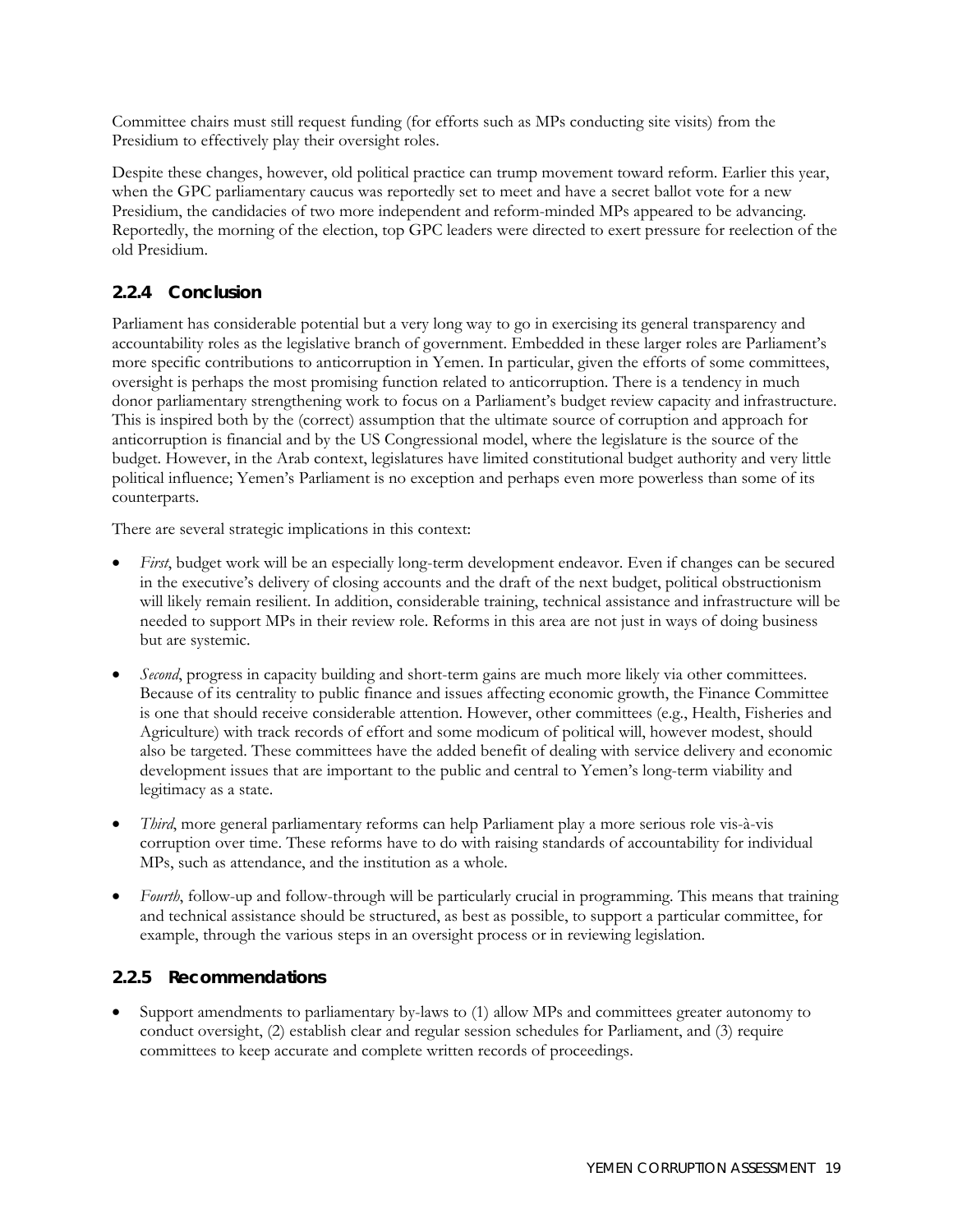Committee chairs must still request funding (for efforts such as MPs conducting site visits) from the Presidium to effectively play their oversight roles.

Despite these changes, however, old political practice can trump movement toward reform. Earlier this year, when the GPC parliamentary caucus was reportedly set to meet and have a secret ballot vote for a new Presidium, the candidacies of two more independent and reform-minded MPs appeared to be advancing. Reportedly, the morning of the election, top GPC leaders were directed to exert pressure for reelection of the old Presidium.

## **2.2.4 Conclusion**

Parliament has considerable potential but a very long way to go in exercising its general transparency and accountability roles as the legislative branch of government. Embedded in these larger roles are Parliament's more specific contributions to anticorruption in Yemen. In particular, given the efforts of some committees, oversight is perhaps the most promising function related to anticorruption. There is a tendency in much donor parliamentary strengthening work to focus on a Parliament's budget review capacity and infrastructure. This is inspired both by the (correct) assumption that the ultimate source of corruption and approach for anticorruption is financial and by the US Congressional model, where the legislature is the source of the budget. However, in the Arab context, legislatures have limited constitutional budget authority and very little political influence; Yemen's Parliament is no exception and perhaps even more powerless than some of its counterparts.

There are several strategic implications in this context:

- *First*, budget work will be an especially long-term development endeavor. Even if changes can be secured in the executive's delivery of closing accounts and the draft of the next budget, political obstructionism will likely remain resilient. In addition, considerable training, technical assistance and infrastructure will be needed to support MPs in their review role. Reforms in this area are not just in ways of doing business but are systemic.
- *Second*, progress in capacity building and short-term gains are much more likely via other committees. Because of its centrality to public finance and issues affecting economic growth, the Finance Committee is one that should receive considerable attention. However, other committees (e.g., Health, Fisheries and Agriculture) with track records of effort and some modicum of political will, however modest, should also be targeted. These committees have the added benefit of dealing with service delivery and economic development issues that are important to the public and central to Yemen's long-term viability and legitimacy as a state.
- *Third*, more general parliamentary reforms can help Parliament play a more serious role vis-à-vis corruption over time. These reforms have to do with raising standards of accountability for individual MPs, such as attendance, and the institution as a whole.
- *Fourth*, follow-up and follow-through will be particularly crucial in programming. This means that training and technical assistance should be structured, as best as possible, to support a particular committee, for example, through the various steps in an oversight process or in reviewing legislation.

#### **2.2.5 Recommendations**

• Support amendments to parliamentary by-laws to (1) allow MPs and committees greater autonomy to conduct oversight, (2) establish clear and regular session schedules for Parliament, and (3) require committees to keep accurate and complete written records of proceedings.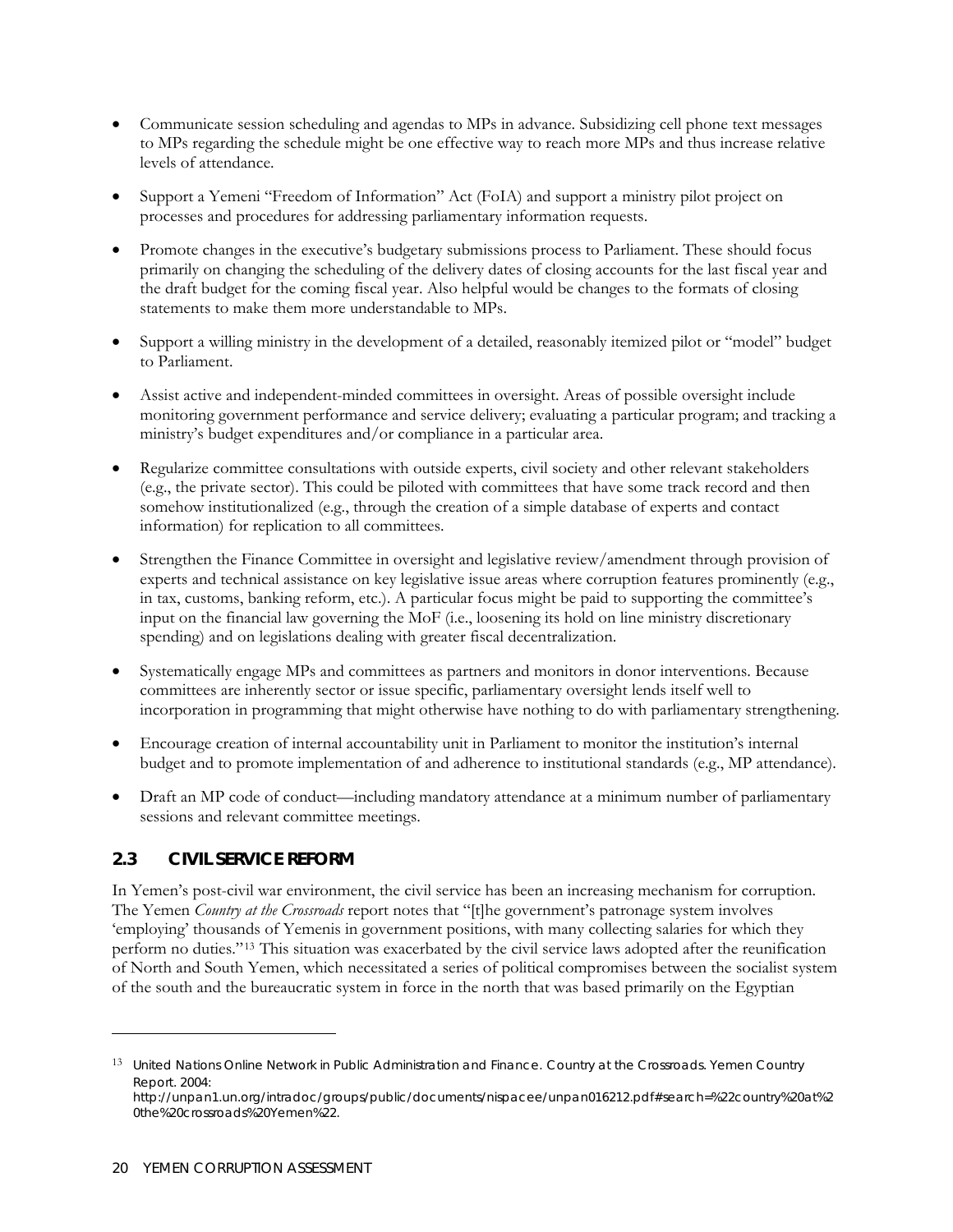- Communicate session scheduling and agendas to MPs in advance. Subsidizing cell phone text messages to MPs regarding the schedule might be one effective way to reach more MPs and thus increase relative levels of attendance.
- Support a Yemeni "Freedom of Information" Act (FoIA) and support a ministry pilot project on processes and procedures for addressing parliamentary information requests.
- Promote changes in the executive's budgetary submissions process to Parliament. These should focus primarily on changing the scheduling of the delivery dates of closing accounts for the last fiscal year and the draft budget for the coming fiscal year. Also helpful would be changes to the formats of closing statements to make them more understandable to MPs.
- Support a willing ministry in the development of a detailed, reasonably itemized pilot or "model" budget to Parliament.
- Assist active and independent-minded committees in oversight. Areas of possible oversight include monitoring government performance and service delivery; evaluating a particular program; and tracking a ministry's budget expenditures and/or compliance in a particular area.
- Regularize committee consultations with outside experts, civil society and other relevant stakeholders (e.g., the private sector). This could be piloted with committees that have some track record and then somehow institutionalized (e.g., through the creation of a simple database of experts and contact information) for replication to all committees.
- Strengthen the Finance Committee in oversight and legislative review/amendment through provision of experts and technical assistance on key legislative issue areas where corruption features prominently (e.g., in tax, customs, banking reform, etc.). A particular focus might be paid to supporting the committee's input on the financial law governing the MoF (i.e., loosening its hold on line ministry discretionary spending) and on legislations dealing with greater fiscal decentralization.
- Systematically engage MPs and committees as partners and monitors in donor interventions. Because committees are inherently sector or issue specific, parliamentary oversight lends itself well to incorporation in programming that might otherwise have nothing to do with parliamentary strengthening.
- Encourage creation of internal accountability unit in Parliament to monitor the institution's internal budget and to promote implementation of and adherence to institutional standards (e.g., MP attendance).
- Draft an MP code of conduct—including mandatory attendance at a minimum number of parliamentary sessions and relevant committee meetings.

#### **2.3 CIVIL SERVICE REFORM**

In Yemen's post-civil war environment, the civil service has been an increasing mechanism for corruption. The Yemen *Country at the Crossroads* report notes that "[t]he government's patronage system involves 'employing' thousands of Yemenis in government positions, with many collecting salaries for which they perform no duties."[13](#page-37-0) This situation was exacerbated by the civil service laws adopted after the reunification of North and South Yemen, which necessitated a series of political compromises between the socialist system of the south and the bureaucratic system in force in the north that was based primarily on the Egyptian

-

<span id="page-37-0"></span><sup>13</sup> United Nations Online Network in Public Administration and Finance. Country at the Crossroads. *Yemen Country Report*. 2004:

[http://unpan1.un.org/intradoc/groups/public/documents/nispacee/unpan016212.pdf#search=%22country%20at%2](http://unpan1.un.org/intradoc/groups/public/documents/nispacee/unpan016212.pdf#search=%22country%20at%20the%20crossroads%20Yemen%22) [0the%20crossroads%20Yemen%22](http://unpan1.un.org/intradoc/groups/public/documents/nispacee/unpan016212.pdf#search=%22country%20at%20the%20crossroads%20Yemen%22).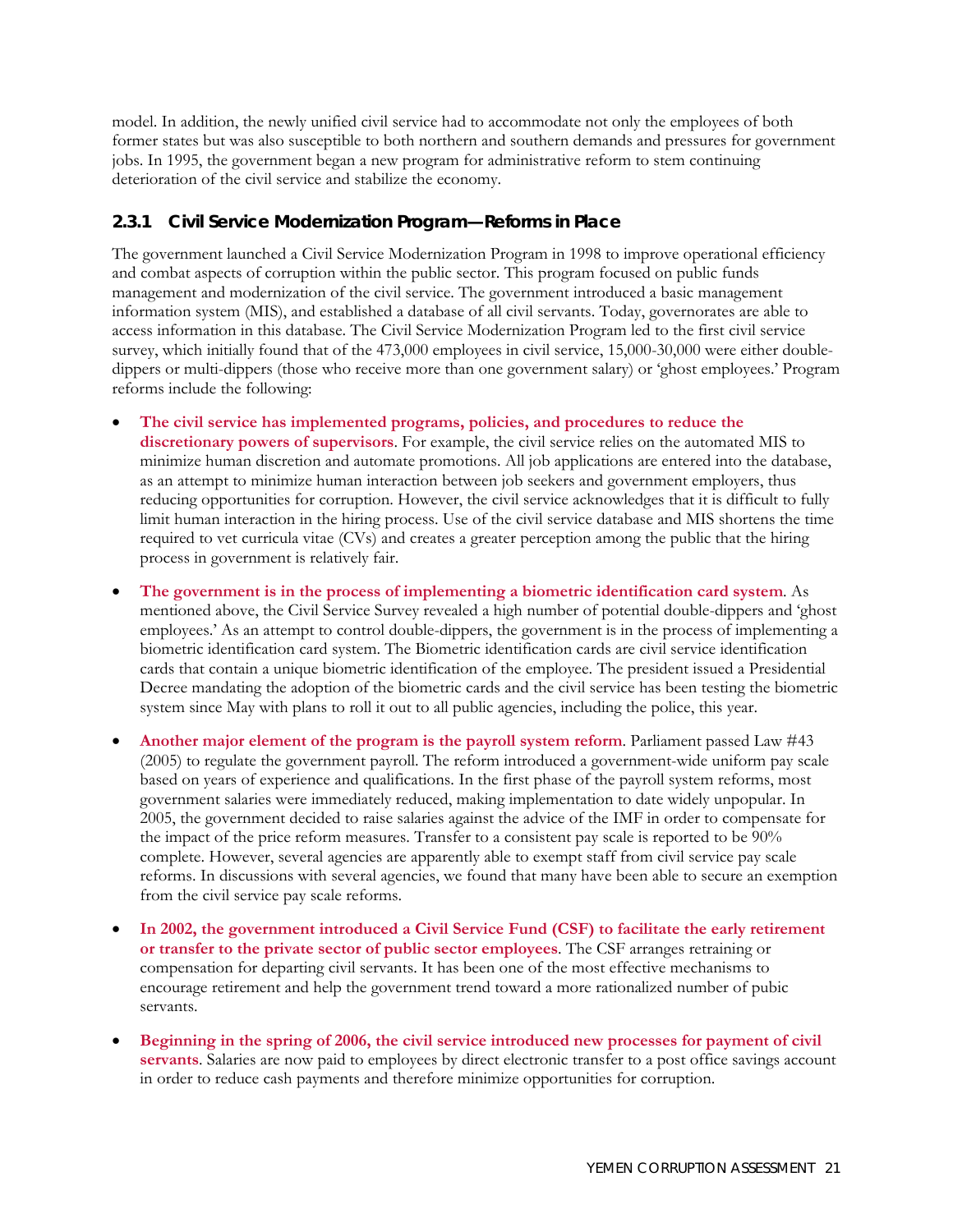model. In addition, the newly unified civil service had to accommodate not only the employees of both former states but was also susceptible to both northern and southern demands and pressures for government jobs. In 1995, the government began a new program for administrative reform to stem continuing deterioration of the civil service and stabilize the economy.

## **2.3.1 Civil Service Modernization Program—Reforms in Place**

The government launched a Civil Service Modernization Program in 1998 to improve operational efficiency and combat aspects of corruption within the public sector. This program focused on public funds management and modernization of the civil service. The government introduced a basic management information system (MIS), and established a database of all civil servants. Today, governorates are able to access information in this database. The Civil Service Modernization Program led to the first civil service survey, which initially found that of the 473,000 employees in civil service, 15,000-30,000 were either doubledippers or multi-dippers (those who receive more than one government salary) or 'ghost employees.' Program reforms include the following:

- **The civil service has implemented programs, policies, and procedures to reduce the discretionary powers of supervisors**. For example, the civil service relies on the automated MIS to minimize human discretion and automate promotions. All job applications are entered into the database, as an attempt to minimize human interaction between job seekers and government employers, thus reducing opportunities for corruption. However, the civil service acknowledges that it is difficult to fully limit human interaction in the hiring process. Use of the civil service database and MIS shortens the time required to vet curricula vitae (CVs) and creates a greater perception among the public that the hiring process in government is relatively fair.
- **The government is in the process of implementing a biometric identification card system**. As mentioned above, the Civil Service Survey revealed a high number of potential double-dippers and 'ghost employees.' As an attempt to control double-dippers, the government is in the process of implementing a biometric identification card system. The Biometric identification cards are civil service identification cards that contain a unique biometric identification of the employee. The president issued a Presidential Decree mandating the adoption of the biometric cards and the civil service has been testing the biometric system since May with plans to roll it out to all public agencies, including the police, this year.
- **Another major element of the program is the payroll system reform**. Parliament passed Law #43 (2005) to regulate the government payroll. The reform introduced a government-wide uniform pay scale based on years of experience and qualifications. In the first phase of the payroll system reforms, most government salaries were immediately reduced, making implementation to date widely unpopular. In 2005, the government decided to raise salaries against the advice of the IMF in order to compensate for the impact of the price reform measures. Transfer to a consistent pay scale is reported to be 90% complete. However, several agencies are apparently able to exempt staff from civil service pay scale reforms. In discussions with several agencies, we found that many have been able to secure an exemption from the civil service pay scale reforms.
- **In 2002, the government introduced a Civil Service Fund (CSF) to facilitate the early retirement or transfer to the private sector of public sector employees**. The CSF arranges retraining or compensation for departing civil servants. It has been one of the most effective mechanisms to encourage retirement and help the government trend toward a more rationalized number of pubic servants.
- **Beginning in the spring of 2006, the civil service introduced new processes for payment of civil servants**. Salaries are now paid to employees by direct electronic transfer to a post office savings account in order to reduce cash payments and therefore minimize opportunities for corruption.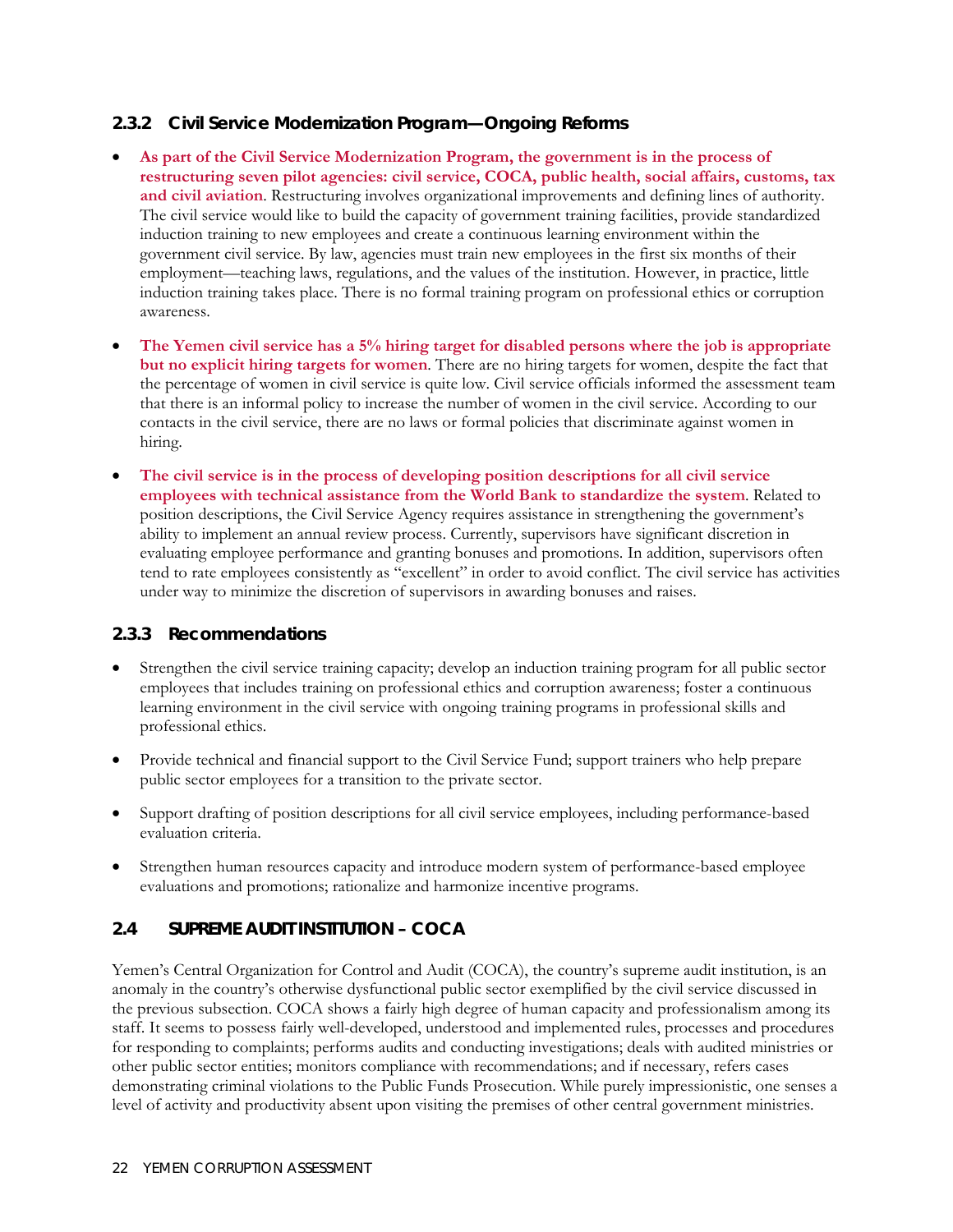#### **2.3.2 Civil Service Modernization Program—Ongoing Reforms**

- **As part of the Civil Service Modernization Program, the government is in the process of restructuring seven pilot agencies: civil service, COCA, public health, social affairs, customs, tax and civil aviation**. Restructuring involves organizational improvements and defining lines of authority. The civil service would like to build the capacity of government training facilities, provide standardized induction training to new employees and create a continuous learning environment within the government civil service. By law, agencies must train new employees in the first six months of their employment—teaching laws, regulations, and the values of the institution. However, in practice, little induction training takes place. There is no formal training program on professional ethics or corruption awareness.
- **The Yemen civil service has a 5% hiring target for disabled persons where the job is appropriate but no explicit hiring targets for women**. There are no hiring targets for women, despite the fact that the percentage of women in civil service is quite low. Civil service officials informed the assessment team that there is an informal policy to increase the number of women in the civil service. According to our contacts in the civil service, there are no laws or formal policies that discriminate against women in hiring.
- **The civil service is in the process of developing position descriptions for all civil service employees with technical assistance from the World Bank to standardize the system**. Related to position descriptions, the Civil Service Agency requires assistance in strengthening the government's ability to implement an annual review process. Currently, supervisors have significant discretion in evaluating employee performance and granting bonuses and promotions. In addition, supervisors often tend to rate employees consistently as "excellent" in order to avoid conflict. The civil service has activities under way to minimize the discretion of supervisors in awarding bonuses and raises.

#### **2.3.3 Recommendations**

- Strengthen the civil service training capacity; develop an induction training program for all public sector employees that includes training on professional ethics and corruption awareness; foster a continuous learning environment in the civil service with ongoing training programs in professional skills and professional ethics.
- Provide technical and financial support to the Civil Service Fund; support trainers who help prepare public sector employees for a transition to the private sector.
- Support drafting of position descriptions for all civil service employees, including performance-based evaluation criteria.
- Strengthen human resources capacity and introduce modern system of performance-based employee evaluations and promotions; rationalize and harmonize incentive programs.

#### **2.4 SUPREME AUDIT INSTITUTION – COCA**

Yemen's Central Organization for Control and Audit (COCA), the country's supreme audit institution, is an anomaly in the country's otherwise dysfunctional public sector exemplified by the civil service discussed in the previous subsection. COCA shows a fairly high degree of human capacity and professionalism among its staff. It seems to possess fairly well-developed, understood and implemented rules, processes and procedures for responding to complaints; performs audits and conducting investigations; deals with audited ministries or other public sector entities; monitors compliance with recommendations; and if necessary, refers cases demonstrating criminal violations to the Public Funds Prosecution. While purely impressionistic, one senses a level of activity and productivity absent upon visiting the premises of other central government ministries.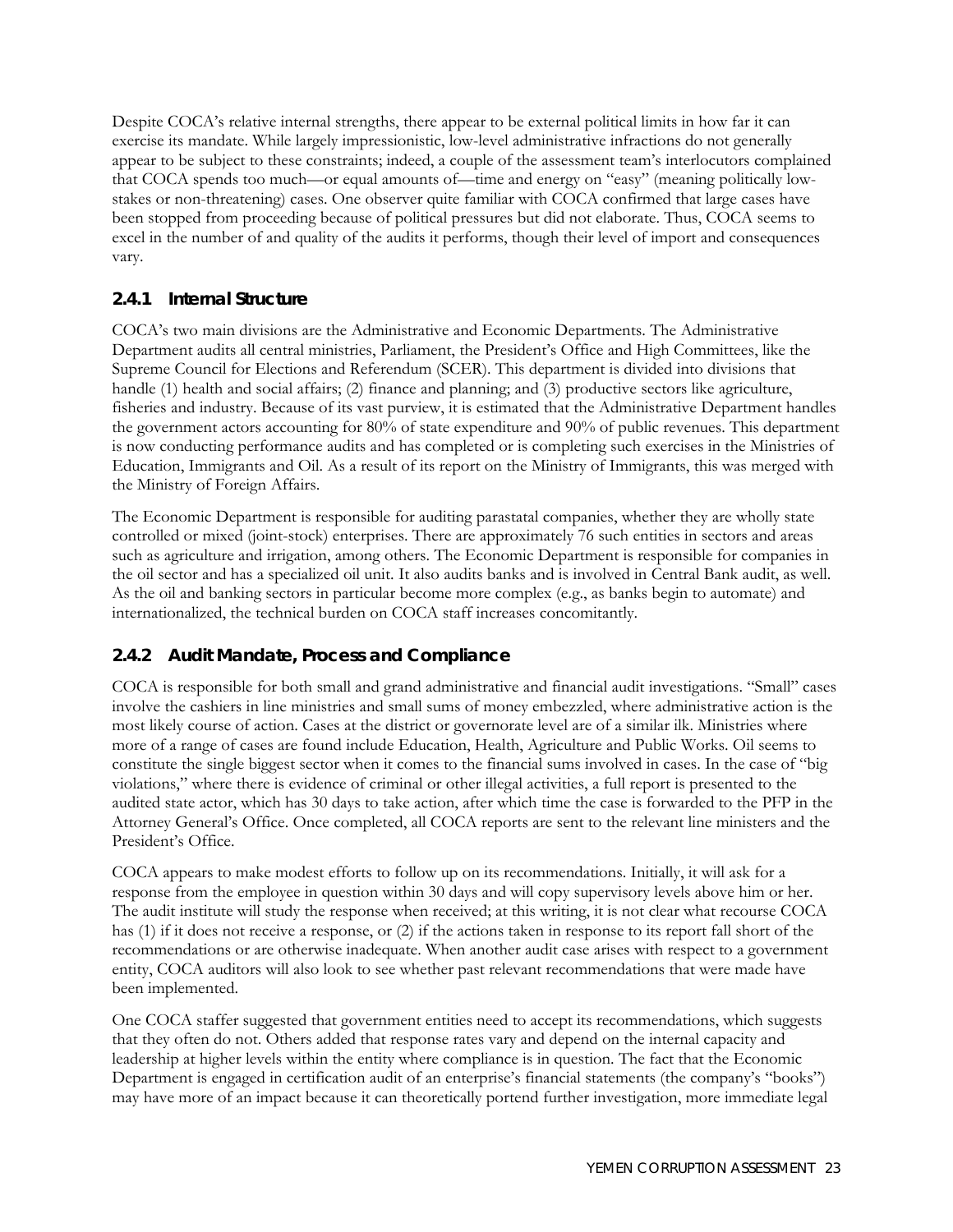Despite COCA's relative internal strengths, there appear to be external political limits in how far it can exercise its mandate. While largely impressionistic, low-level administrative infractions do not generally appear to be subject to these constraints; indeed, a couple of the assessment team's interlocutors complained that COCA spends too much—or equal amounts of—time and energy on "easy" (meaning politically lowstakes or non-threatening) cases. One observer quite familiar with COCA confirmed that large cases have been stopped from proceeding because of political pressures but did not elaborate. Thus, COCA seems to excel in the number of and quality of the audits it performs, though their level of import and consequences vary.

## **2.4.1 Internal Structure**

COCA's two main divisions are the Administrative and Economic Departments. The Administrative Department audits all central ministries, Parliament, the President's Office and High Committees, like the Supreme Council for Elections and Referendum (SCER). This department is divided into divisions that handle (1) health and social affairs; (2) finance and planning; and (3) productive sectors like agriculture, fisheries and industry. Because of its vast purview, it is estimated that the Administrative Department handles the government actors accounting for 80% of state expenditure and 90% of public revenues. This department is now conducting performance audits and has completed or is completing such exercises in the Ministries of Education, Immigrants and Oil. As a result of its report on the Ministry of Immigrants, this was merged with the Ministry of Foreign Affairs.

The Economic Department is responsible for auditing parastatal companies, whether they are wholly state controlled or mixed (joint-stock) enterprises. There are approximately 76 such entities in sectors and areas such as agriculture and irrigation, among others. The Economic Department is responsible for companies in the oil sector and has a specialized oil unit. It also audits banks and is involved in Central Bank audit, as well. As the oil and banking sectors in particular become more complex (e.g., as banks begin to automate) and internationalized, the technical burden on COCA staff increases concomitantly.

## **2.4.2 Audit Mandate, Process and Compliance**

COCA is responsible for both small and grand administrative and financial audit investigations. "Small" cases involve the cashiers in line ministries and small sums of money embezzled, where administrative action is the most likely course of action. Cases at the district or governorate level are of a similar ilk. Ministries where more of a range of cases are found include Education, Health, Agriculture and Public Works. Oil seems to constitute the single biggest sector when it comes to the financial sums involved in cases. In the case of "big violations," where there is evidence of criminal or other illegal activities, a full report is presented to the audited state actor, which has 30 days to take action, after which time the case is forwarded to the PFP in the Attorney General's Office. Once completed, all COCA reports are sent to the relevant line ministers and the President's Office.

COCA appears to make modest efforts to follow up on its recommendations. Initially, it will ask for a response from the employee in question within 30 days and will copy supervisory levels above him or her. The audit institute will study the response when received; at this writing, it is not clear what recourse COCA has (1) if it does not receive a response, or (2) if the actions taken in response to its report fall short of the recommendations or are otherwise inadequate. When another audit case arises with respect to a government entity, COCA auditors will also look to see whether past relevant recommendations that were made have been implemented.

One COCA staffer suggested that government entities need to accept its recommendations, which suggests that they often do not. Others added that response rates vary and depend on the internal capacity and leadership at higher levels within the entity where compliance is in question. The fact that the Economic Department is engaged in certification audit of an enterprise's financial statements (the company's "books") may have more of an impact because it can theoretically portend further investigation, more immediate legal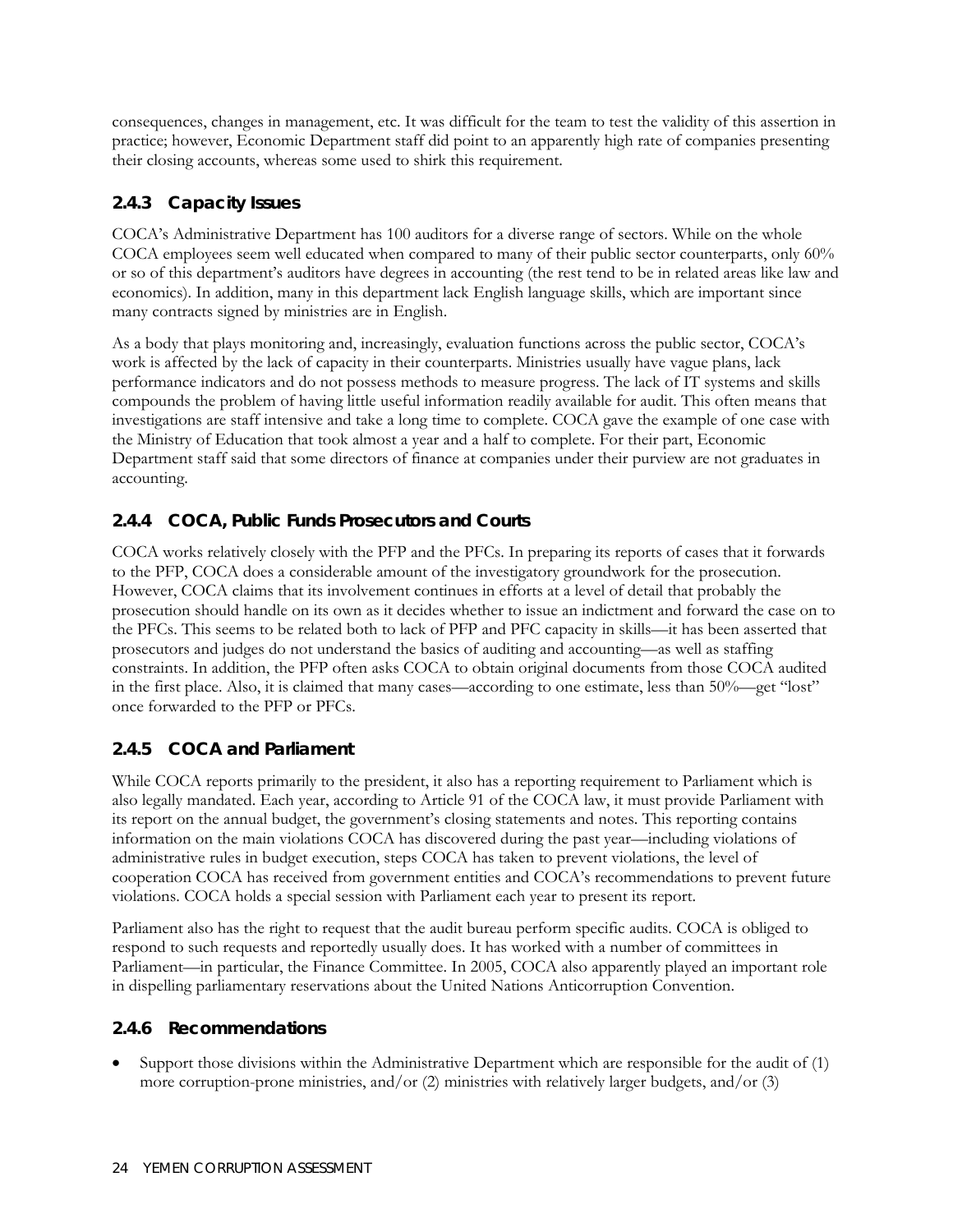consequences, changes in management, etc. It was difficult for the team to test the validity of this assertion in practice; however, Economic Department staff did point to an apparently high rate of companies presenting their closing accounts, whereas some used to shirk this requirement.

## **2.4.3 Capacity Issues**

COCA's Administrative Department has 100 auditors for a diverse range of sectors. While on the whole COCA employees seem well educated when compared to many of their public sector counterparts, only 60% or so of this department's auditors have degrees in accounting (the rest tend to be in related areas like law and economics). In addition, many in this department lack English language skills, which are important since many contracts signed by ministries are in English.

As a body that plays monitoring and, increasingly, evaluation functions across the public sector, COCA's work is affected by the lack of capacity in their counterparts. Ministries usually have vague plans, lack performance indicators and do not possess methods to measure progress. The lack of IT systems and skills compounds the problem of having little useful information readily available for audit. This often means that investigations are staff intensive and take a long time to complete. COCA gave the example of one case with the Ministry of Education that took almost a year and a half to complete. For their part, Economic Department staff said that some directors of finance at companies under their purview are not graduates in accounting.

# **2.4.4 COCA, Public Funds Prosecutors and Courts**

COCA works relatively closely with the PFP and the PFCs. In preparing its reports of cases that it forwards to the PFP, COCA does a considerable amount of the investigatory groundwork for the prosecution. However, COCA claims that its involvement continues in efforts at a level of detail that probably the prosecution should handle on its own as it decides whether to issue an indictment and forward the case on to the PFCs. This seems to be related both to lack of PFP and PFC capacity in skills—it has been asserted that prosecutors and judges do not understand the basics of auditing and accounting—as well as staffing constraints. In addition, the PFP often asks COCA to obtain original documents from those COCA audited in the first place. Also, it is claimed that many cases—according to one estimate, less than 50%—get "lost" once forwarded to the PFP or PFCs.

# **2.4.5 COCA and Parliament**

While COCA reports primarily to the president, it also has a reporting requirement to Parliament which is also legally mandated. Each year, according to Article 91 of the COCA law, it must provide Parliament with its report on the annual budget, the government's closing statements and notes. This reporting contains information on the main violations COCA has discovered during the past year—including violations of administrative rules in budget execution, steps COCA has taken to prevent violations, the level of cooperation COCA has received from government entities and COCA's recommendations to prevent future violations. COCA holds a special session with Parliament each year to present its report.

Parliament also has the right to request that the audit bureau perform specific audits. COCA is obliged to respond to such requests and reportedly usually does. It has worked with a number of committees in Parliament—in particular, the Finance Committee. In 2005, COCA also apparently played an important role in dispelling parliamentary reservations about the United Nations Anticorruption Convention.

## **2.4.6 Recommendations**

• Support those divisions within the Administrative Department which are responsible for the audit of (1) more corruption-prone ministries, and/or  $(2)$  ministries with relatively larger budgets, and/or  $(3)$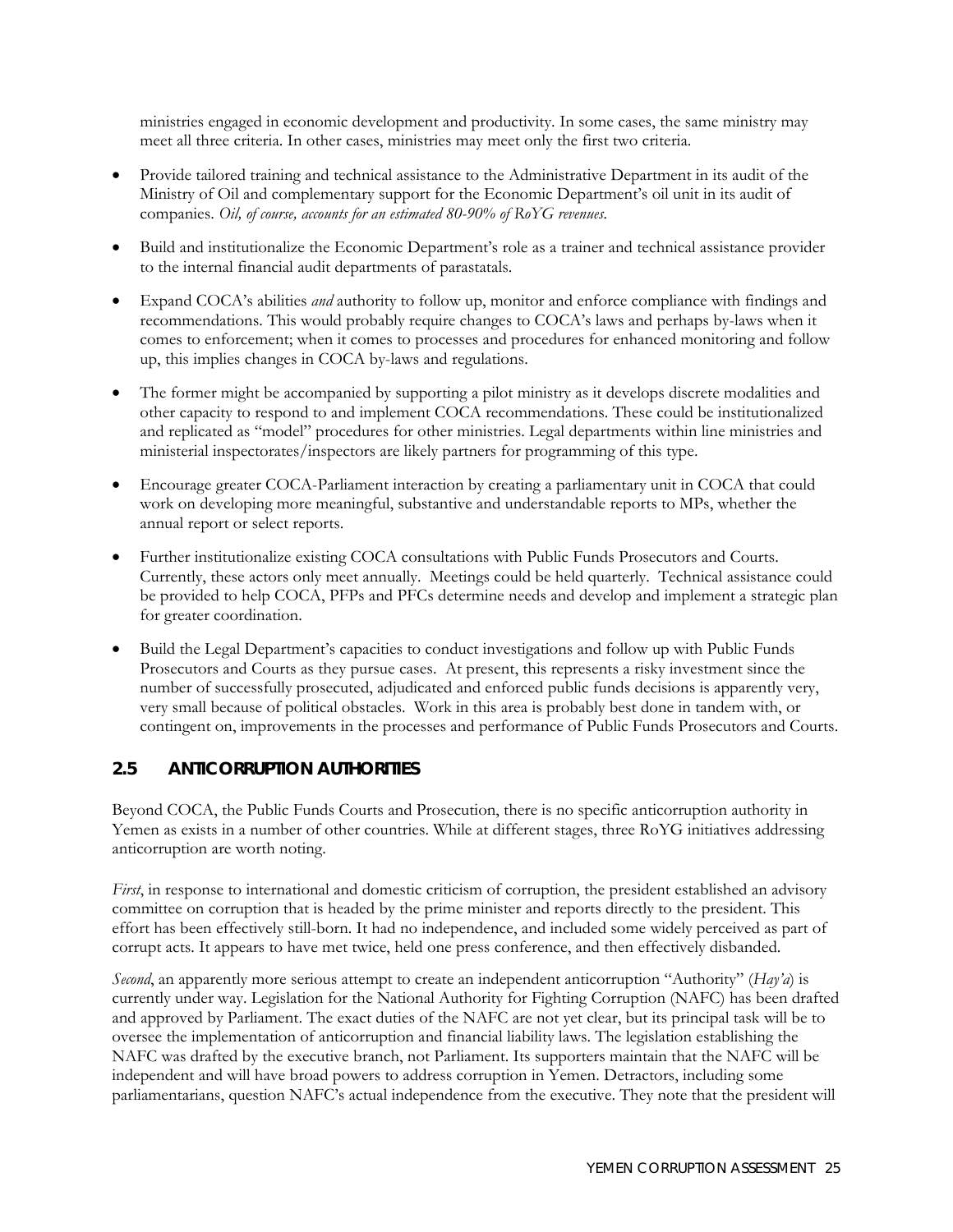ministries engaged in economic development and productivity. In some cases, the same ministry may meet all three criteria. In other cases, ministries may meet only the first two criteria.

- Provide tailored training and technical assistance to the Administrative Department in its audit of the Ministry of Oil and complementary support for the Economic Department's oil unit in its audit of companies. *Oil, of course, accounts for an estimated 80-90% of RoYG revenues.*
- Build and institutionalize the Economic Department's role as a trainer and technical assistance provider to the internal financial audit departments of parastatals.
- Expand COCA's abilities *and* authority to follow up, monitor and enforce compliance with findings and recommendations. This would probably require changes to COCA's laws and perhaps by-laws when it comes to enforcement; when it comes to processes and procedures for enhanced monitoring and follow up, this implies changes in COCA by-laws and regulations.
- The former might be accompanied by supporting a pilot ministry as it develops discrete modalities and other capacity to respond to and implement COCA recommendations. These could be institutionalized and replicated as "model" procedures for other ministries. Legal departments within line ministries and ministerial inspectorates/inspectors are likely partners for programming of this type.
- Encourage greater COCA-Parliament interaction by creating a parliamentary unit in COCA that could work on developing more meaningful, substantive and understandable reports to MPs, whether the annual report or select reports.
- Further institutionalize existing COCA consultations with Public Funds Prosecutors and Courts. Currently, these actors only meet annually. Meetings could be held quarterly. Technical assistance could be provided to help COCA, PFPs and PFCs determine needs and develop and implement a strategic plan for greater coordination.
- Build the Legal Department's capacities to conduct investigations and follow up with Public Funds Prosecutors and Courts as they pursue cases. At present, this represents a risky investment since the number of successfully prosecuted, adjudicated and enforced public funds decisions is apparently very, very small because of political obstacles. Work in this area is probably best done in tandem with, or contingent on, improvements in the processes and performance of Public Funds Prosecutors and Courts.

#### **2.5 ANTICORRUPTION AUTHORITIES**

Beyond COCA, the Public Funds Courts and Prosecution, there is no specific anticorruption authority in Yemen as exists in a number of other countries. While at different stages, three RoYG initiatives addressing anticorruption are worth noting.

*First*, in response to international and domestic criticism of corruption, the president established an advisory committee on corruption that is headed by the prime minister and reports directly to the president. This effort has been effectively still-born. It had no independence, and included some widely perceived as part of corrupt acts. It appears to have met twice, held one press conference, and then effectively disbanded.

*Second*, an apparently more serious attempt to create an independent anticorruption "Authority" (*Hay'a*) is currently under way. Legislation for the National Authority for Fighting Corruption (NAFC) has been drafted and approved by Parliament. The exact duties of the NAFC are not yet clear, but its principal task will be to oversee the implementation of anticorruption and financial liability laws. The legislation establishing the NAFC was drafted by the executive branch, not Parliament. Its supporters maintain that the NAFC will be independent and will have broad powers to address corruption in Yemen. Detractors, including some parliamentarians, question NAFC's actual independence from the executive. They note that the president will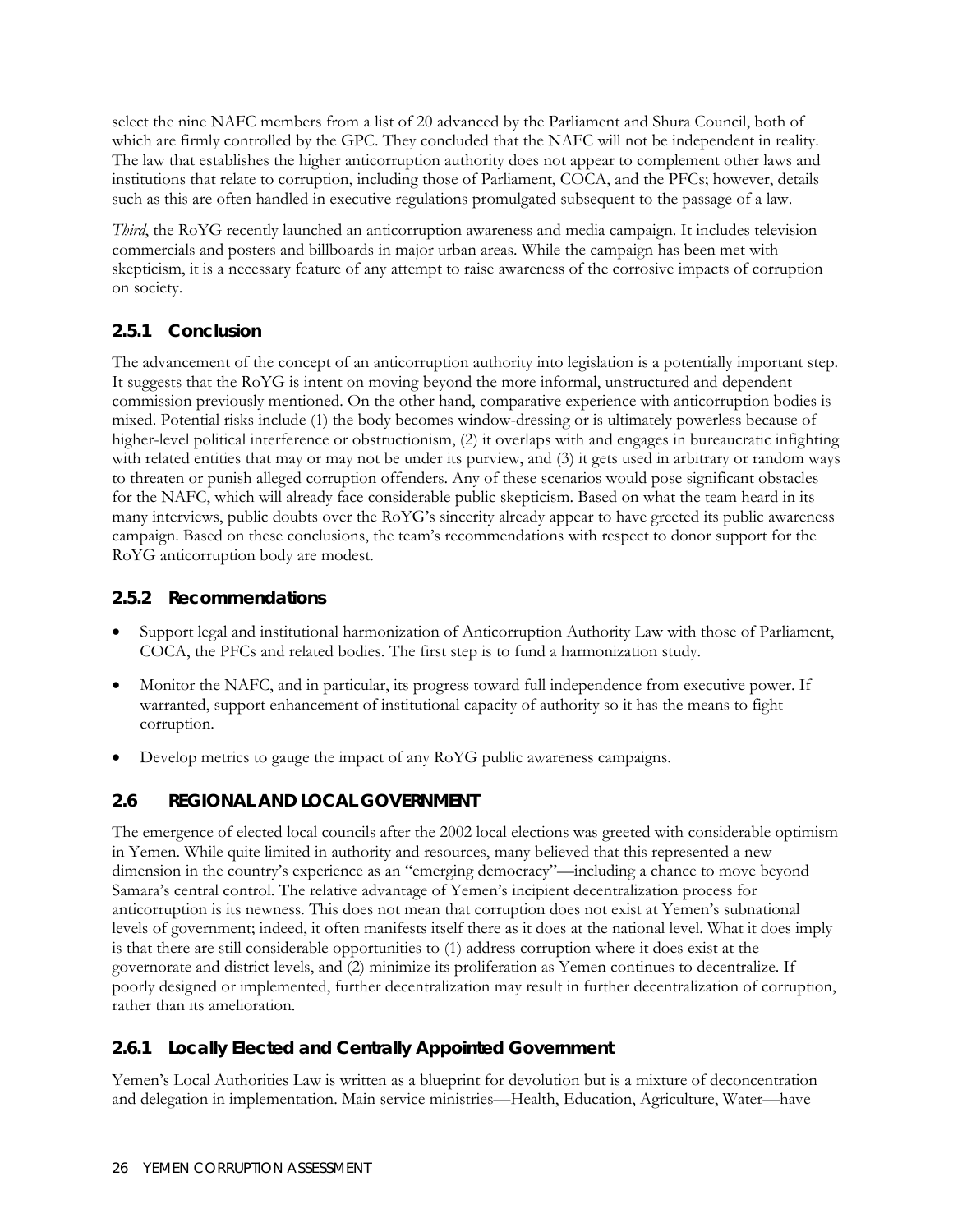select the nine NAFC members from a list of 20 advanced by the Parliament and Shura Council, both of which are firmly controlled by the GPC. They concluded that the NAFC will not be independent in reality. The law that establishes the higher anticorruption authority does not appear to complement other laws and institutions that relate to corruption, including those of Parliament, COCA, and the PFCs; however, details such as this are often handled in executive regulations promulgated subsequent to the passage of a law.

*Third*, the RoYG recently launched an anticorruption awareness and media campaign. It includes television commercials and posters and billboards in major urban areas. While the campaign has been met with skepticism, it is a necessary feature of any attempt to raise awareness of the corrosive impacts of corruption on society.

# **2.5.1 Conclusion**

The advancement of the concept of an anticorruption authority into legislation is a potentially important step. It suggests that the RoYG is intent on moving beyond the more informal, unstructured and dependent commission previously mentioned. On the other hand, comparative experience with anticorruption bodies is mixed. Potential risks include (1) the body becomes window-dressing or is ultimately powerless because of higher-level political interference or obstructionism, (2) it overlaps with and engages in bureaucratic infighting with related entities that may or may not be under its purview, and (3) it gets used in arbitrary or random ways to threaten or punish alleged corruption offenders. Any of these scenarios would pose significant obstacles for the NAFC, which will already face considerable public skepticism. Based on what the team heard in its many interviews, public doubts over the RoYG's sincerity already appear to have greeted its public awareness campaign. Based on these conclusions, the team's recommendations with respect to donor support for the RoYG anticorruption body are modest.

## **2.5.2 Recommendations**

- Support legal and institutional harmonization of Anticorruption Authority Law with those of Parliament, COCA, the PFCs and related bodies. The first step is to fund a harmonization study.
- Monitor the NAFC, and in particular, its progress toward full independence from executive power. If warranted, support enhancement of institutional capacity of authority so it has the means to fight corruption.
- Develop metrics to gauge the impact of any RoYG public awareness campaigns.

## **2.6 REGIONAL AND LOCAL GOVERNMENT**

The emergence of elected local councils after the 2002 local elections was greeted with considerable optimism in Yemen. While quite limited in authority and resources, many believed that this represented a new dimension in the country's experience as an "emerging democracy"—including a chance to move beyond Samara's central control. The relative advantage of Yemen's incipient decentralization process for anticorruption is its newness. This does not mean that corruption does not exist at Yemen's subnational levels of government; indeed, it often manifests itself there as it does at the national level. What it does imply is that there are still considerable opportunities to (1) address corruption where it does exist at the governorate and district levels, and (2) minimize its proliferation as Yemen continues to decentralize. If poorly designed or implemented, further decentralization may result in further decentralization of corruption, rather than its amelioration.

# **2.6.1 Locally Elected and Centrally Appointed Government**

Yemen's Local Authorities Law is written as a blueprint for devolution but is a mixture of deconcentration and delegation in implementation. Main service ministries—Health, Education, Agriculture, Water—have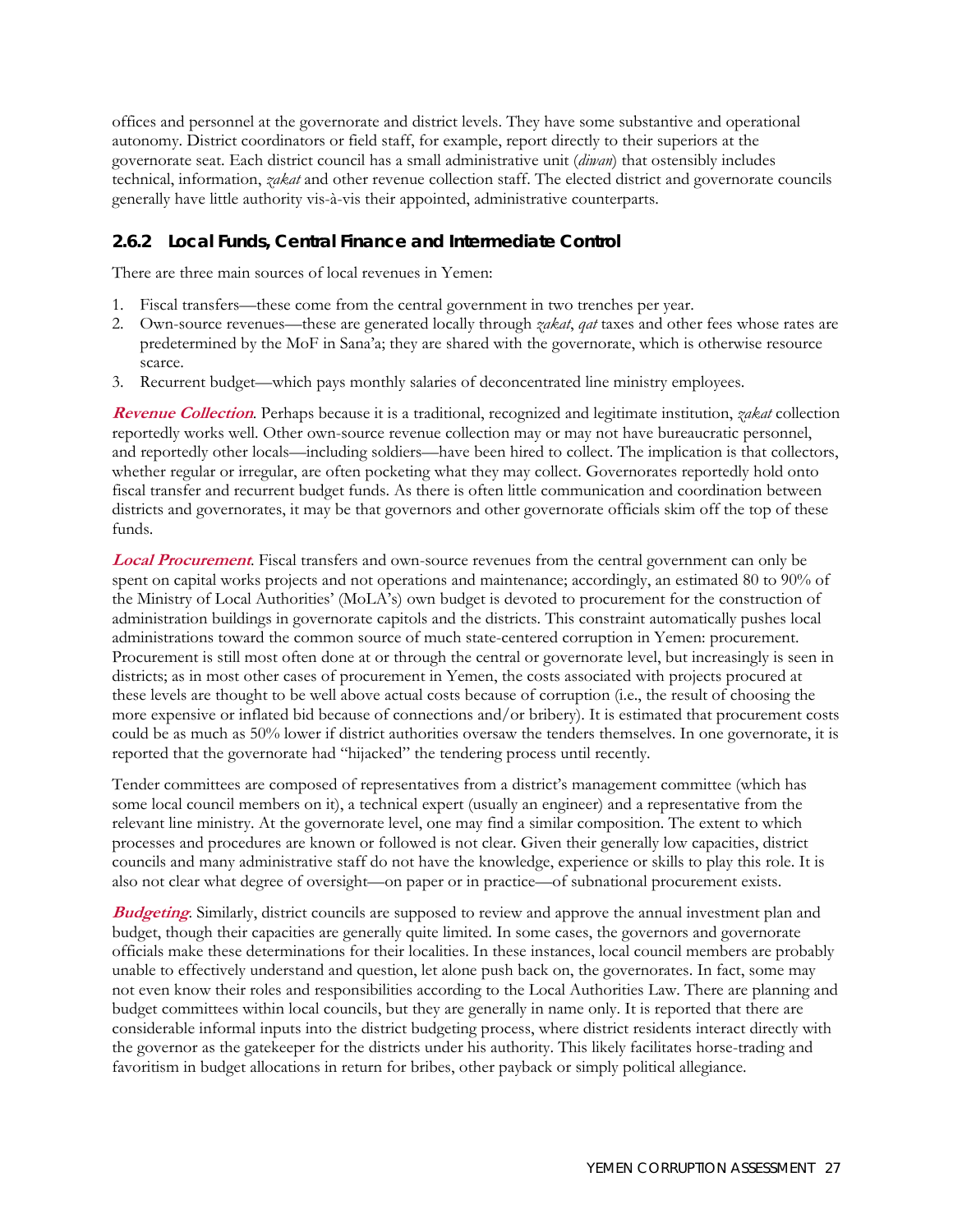offices and personnel at the governorate and district levels. They have some substantive and operational autonomy. District coordinators or field staff, for example, report directly to their superiors at the governorate seat. Each district council has a small administrative unit (*diwan*) that ostensibly includes technical, information, *zakat* and other revenue collection staff. The elected district and governorate councils generally have little authority vis-à-vis their appointed, administrative counterparts.

#### **2.6.2 Local Funds, Central Finance and Intermediate Control**

There are three main sources of local revenues in Yemen:

- 1. Fiscal transfers—these come from the central government in two trenches per year.
- 2. Own-source revenues—these are generated locally through *zakat*, *qat* taxes and other fees whose rates are predetermined by the MoF in Sana'a; they are shared with the governorate, which is otherwise resource scarce.
- 3. Recurrent budget—which pays monthly salaries of deconcentrated line ministry employees.

**Revenue Collection**. Perhaps because it is a traditional, recognized and legitimate institution, *zakat* collection reportedly works well. Other own-source revenue collection may or may not have bureaucratic personnel, and reportedly other locals—including soldiers—have been hired to collect. The implication is that collectors, whether regular or irregular, are often pocketing what they may collect. Governorates reportedly hold onto fiscal transfer and recurrent budget funds. As there is often little communication and coordination between districts and governorates, it may be that governors and other governorate officials skim off the top of these funds.

**Local Procurement**. Fiscal transfers and own-source revenues from the central government can only be spent on capital works projects and not operations and maintenance; accordingly, an estimated 80 to 90% of the Ministry of Local Authorities' (MoLA's) own budget is devoted to procurement for the construction of administration buildings in governorate capitols and the districts. This constraint automatically pushes local administrations toward the common source of much state-centered corruption in Yemen: procurement. Procurement is still most often done at or through the central or governorate level, but increasingly is seen in districts; as in most other cases of procurement in Yemen, the costs associated with projects procured at these levels are thought to be well above actual costs because of corruption (i.e., the result of choosing the more expensive or inflated bid because of connections and/or bribery). It is estimated that procurement costs could be as much as 50% lower if district authorities oversaw the tenders themselves. In one governorate, it is reported that the governorate had "hijacked" the tendering process until recently.

Tender committees are composed of representatives from a district's management committee (which has some local council members on it), a technical expert (usually an engineer) and a representative from the relevant line ministry. At the governorate level, one may find a similar composition. The extent to which processes and procedures are known or followed is not clear. Given their generally low capacities, district councils and many administrative staff do not have the knowledge, experience or skills to play this role. It is also not clear what degree of oversight—on paper or in practice—of subnational procurement exists.

**Budgeting**. Similarly, district councils are supposed to review and approve the annual investment plan and budget, though their capacities are generally quite limited. In some cases, the governors and governorate officials make these determinations for their localities. In these instances, local council members are probably unable to effectively understand and question, let alone push back on, the governorates. In fact, some may not even know their roles and responsibilities according to the Local Authorities Law. There are planning and budget committees within local councils, but they are generally in name only. It is reported that there are considerable informal inputs into the district budgeting process, where district residents interact directly with the governor as the gatekeeper for the districts under his authority. This likely facilitates horse-trading and favoritism in budget allocations in return for bribes, other payback or simply political allegiance.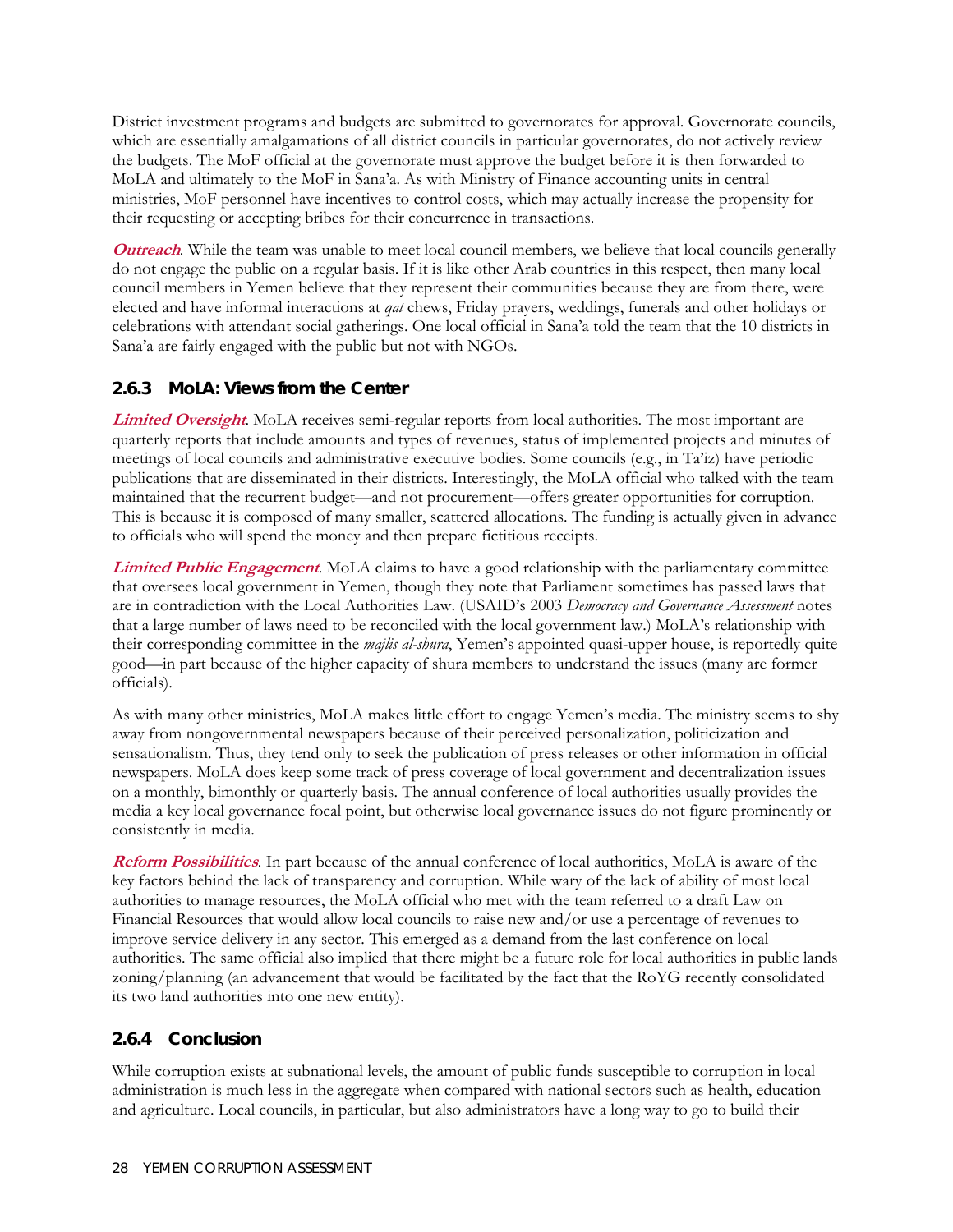District investment programs and budgets are submitted to governorates for approval. Governorate councils, which are essentially amalgamations of all district councils in particular governorates, do not actively review the budgets. The MoF official at the governorate must approve the budget before it is then forwarded to MoLA and ultimately to the MoF in Sana'a. As with Ministry of Finance accounting units in central ministries, MoF personnel have incentives to control costs, which may actually increase the propensity for their requesting or accepting bribes for their concurrence in transactions.

**Outreach**. While the team was unable to meet local council members, we believe that local councils generally do not engage the public on a regular basis. If it is like other Arab countries in this respect, then many local council members in Yemen believe that they represent their communities because they are from there, were elected and have informal interactions at *qat* chews, Friday prayers, weddings, funerals and other holidays or celebrations with attendant social gatherings. One local official in Sana'a told the team that the 10 districts in Sana'a are fairly engaged with the public but not with NGOs.

## **2.6.3 MoLA: Views from the Center**

**Limited Oversight**. MoLA receives semi-regular reports from local authorities. The most important are quarterly reports that include amounts and types of revenues, status of implemented projects and minutes of meetings of local councils and administrative executive bodies. Some councils (e.g., in Ta'iz) have periodic publications that are disseminated in their districts. Interestingly, the MoLA official who talked with the team maintained that the recurrent budget—and not procurement—offers greater opportunities for corruption. This is because it is composed of many smaller, scattered allocations. The funding is actually given in advance to officials who will spend the money and then prepare fictitious receipts.

**Limited Public Engagement**. MoLA claims to have a good relationship with the parliamentary committee that oversees local government in Yemen, though they note that Parliament sometimes has passed laws that are in contradiction with the Local Authorities Law. (USAID's 2003 *Democracy and Governance Assessment* notes that a large number of laws need to be reconciled with the local government law.) MoLA's relationship with their corresponding committee in the *majlis al-shura*, Yemen's appointed quasi-upper house, is reportedly quite good—in part because of the higher capacity of shura members to understand the issues (many are former officials).

As with many other ministries, MoLA makes little effort to engage Yemen's media. The ministry seems to shy away from nongovernmental newspapers because of their perceived personalization, politicization and sensationalism. Thus, they tend only to seek the publication of press releases or other information in official newspapers. MoLA does keep some track of press coverage of local government and decentralization issues on a monthly, bimonthly or quarterly basis. The annual conference of local authorities usually provides the media a key local governance focal point, but otherwise local governance issues do not figure prominently or consistently in media.

**Reform Possibilities**. In part because of the annual conference of local authorities, MoLA is aware of the key factors behind the lack of transparency and corruption. While wary of the lack of ability of most local authorities to manage resources, the MoLA official who met with the team referred to a draft Law on Financial Resources that would allow local councils to raise new and/or use a percentage of revenues to improve service delivery in any sector. This emerged as a demand from the last conference on local authorities. The same official also implied that there might be a future role for local authorities in public lands zoning/planning (an advancement that would be facilitated by the fact that the RoYG recently consolidated its two land authorities into one new entity).

## **2.6.4 Conclusion**

While corruption exists at subnational levels, the amount of public funds susceptible to corruption in local administration is much less in the aggregate when compared with national sectors such as health, education and agriculture. Local councils, in particular, but also administrators have a long way to go to build their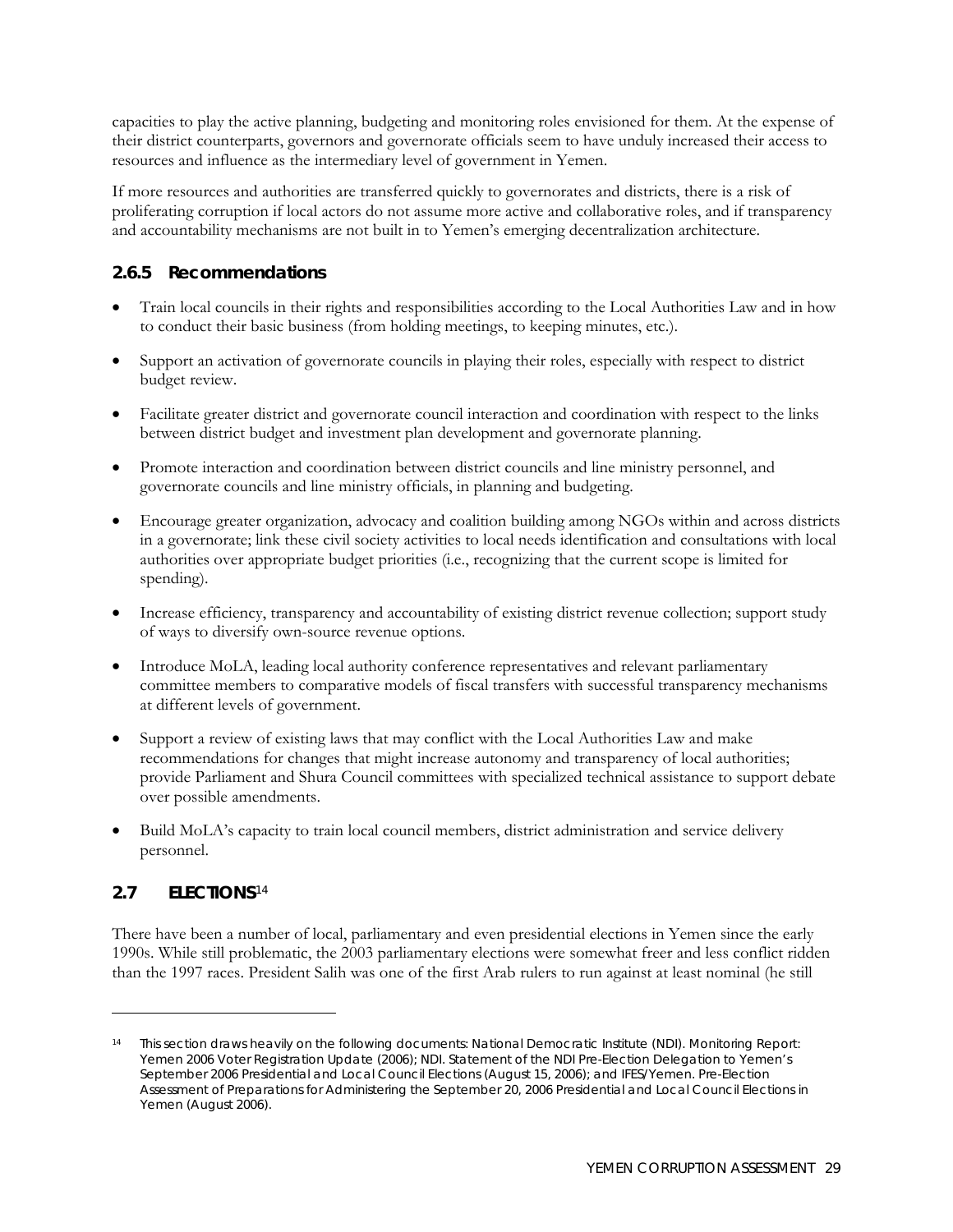capacities to play the active planning, budgeting and monitoring roles envisioned for them. At the expense of their district counterparts, governors and governorate officials seem to have unduly increased their access to resources and influence as the intermediary level of government in Yemen.

If more resources and authorities are transferred quickly to governorates and districts, there is a risk of proliferating corruption if local actors do not assume more active and collaborative roles, and if transparency and accountability mechanisms are not built in to Yemen's emerging decentralization architecture.

## **2.6.5 Recommendations**

- Train local councils in their rights and responsibilities according to the Local Authorities Law and in how to conduct their basic business (from holding meetings, to keeping minutes, etc.).
- Support an activation of governorate councils in playing their roles, especially with respect to district budget review.
- Facilitate greater district and governorate council interaction and coordination with respect to the links between district budget and investment plan development and governorate planning.
- Promote interaction and coordination between district councils and line ministry personnel, and governorate councils and line ministry officials, in planning and budgeting.
- Encourage greater organization, advocacy and coalition building among NGOs within and across districts in a governorate; link these civil society activities to local needs identification and consultations with local authorities over appropriate budget priorities (i.e., recognizing that the current scope is limited for spending).
- Increase efficiency, transparency and accountability of existing district revenue collection; support study of ways to diversify own-source revenue options.
- Introduce MoLA, leading local authority conference representatives and relevant parliamentary committee members to comparative models of fiscal transfers with successful transparency mechanisms at different levels of government.
- Support a review of existing laws that may conflict with the Local Authorities Law and make recommendations for changes that might increase autonomy and transparency of local authorities; provide Parliament and Shura Council committees with specialized technical assistance to support debate over possible amendments.
- Build MoLA's capacity to train local council members, district administration and service delivery personnel.

#### **2.7 ELECTIONS**[14](#page-46-0)

 $\ddot{\phantom{a}}$ 

There have been a number of local, parliamentary and even presidential elections in Yemen since the early 1990s. While still problematic, the 2003 parliamentary elections were somewhat freer and less conflict ridden than the 1997 races. President Salih was one of the first Arab rulers to run against at least nominal (he still

<span id="page-46-0"></span><sup>14</sup> This section draws heavily on the following documents: National Democratic Institute (NDI). *Monitoring Report: Yemen 2006 Voter Registration Update* (2006); NDI. *Statement of the NDI Pre-Election Delegation to Yemen's September 2006 Presidential and Local Council Elections* (August 15, 2006); and IFES/Yemen. *Pre-Election Assessment of Preparations for Administering the September 20, 2006 Presidential and Local Council Elections in Yemen* (August 2006).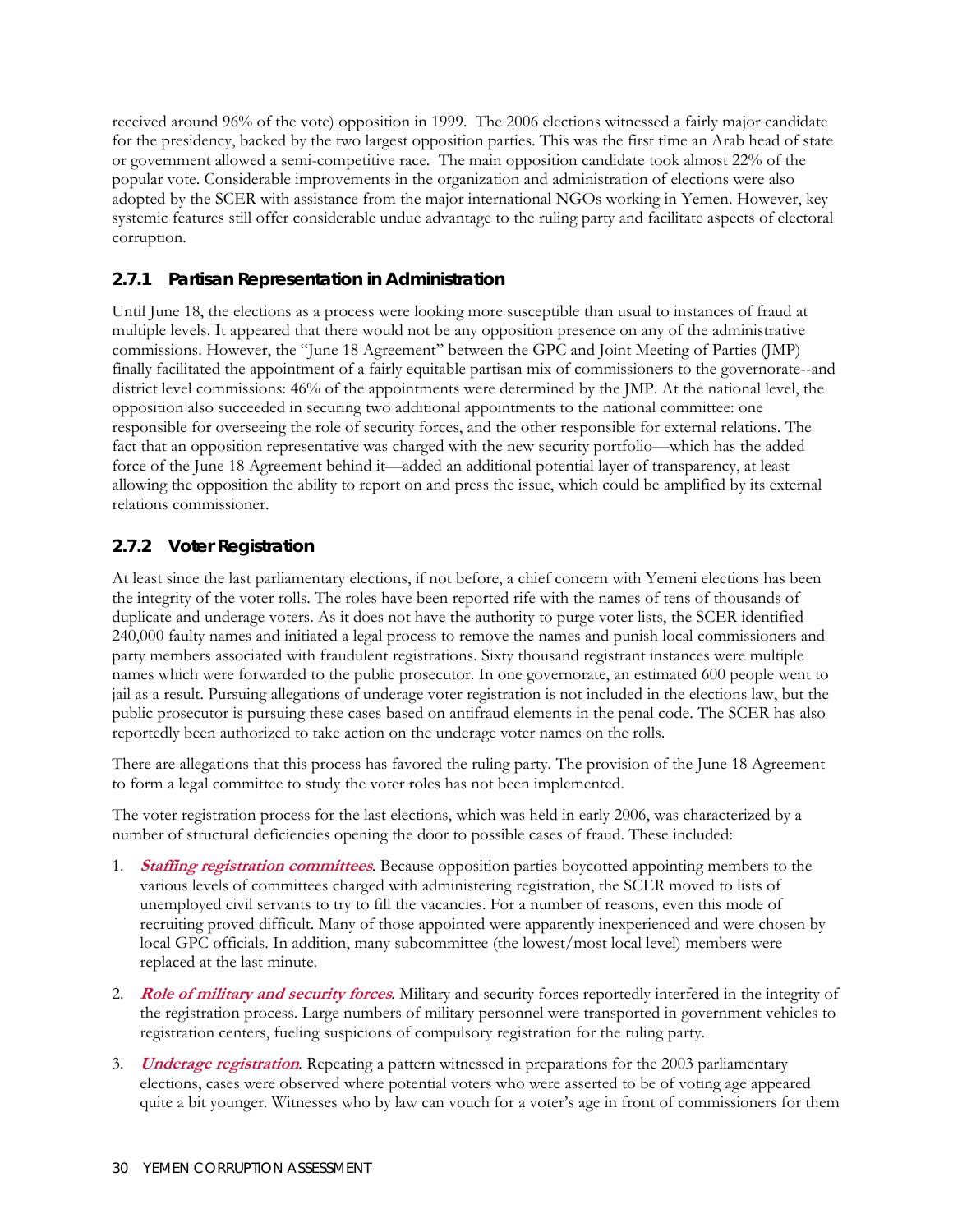received around 96% of the vote) opposition in 1999. The 2006 elections witnessed a fairly major candidate for the presidency, backed by the two largest opposition parties. This was the first time an Arab head of state or government allowed a semi-competitive race. The main opposition candidate took almost 22% of the popular vote. Considerable improvements in the organization and administration of elections were also adopted by the SCER with assistance from the major international NGOs working in Yemen. However, key systemic features still offer considerable undue advantage to the ruling party and facilitate aspects of electoral corruption.

#### **2.7.1 Partisan Representation in Administration**

Until June 18, the elections as a process were looking more susceptible than usual to instances of fraud at multiple levels. It appeared that there would not be any opposition presence on any of the administrative commissions. However, the "June 18 Agreement" between the GPC and Joint Meeting of Parties (JMP) finally facilitated the appointment of a fairly equitable partisan mix of commissioners to the governorate--and district level commissions: 46% of the appointments were determined by the JMP. At the national level, the opposition also succeeded in securing two additional appointments to the national committee: one responsible for overseeing the role of security forces, and the other responsible for external relations. The fact that an opposition representative was charged with the new security portfolio—which has the added force of the June 18 Agreement behind it—added an additional potential layer of transparency, at least allowing the opposition the ability to report on and press the issue, which could be amplified by its external relations commissioner.

## **2.7.2 Voter Registration**

At least since the last parliamentary elections, if not before, a chief concern with Yemeni elections has been the integrity of the voter rolls. The roles have been reported rife with the names of tens of thousands of duplicate and underage voters. As it does not have the authority to purge voter lists, the SCER identified 240,000 faulty names and initiated a legal process to remove the names and punish local commissioners and party members associated with fraudulent registrations. Sixty thousand registrant instances were multiple names which were forwarded to the public prosecutor. In one governorate, an estimated 600 people went to jail as a result. Pursuing allegations of underage voter registration is not included in the elections law, but the public prosecutor is pursuing these cases based on antifraud elements in the penal code. The SCER has also reportedly been authorized to take action on the underage voter names on the rolls.

There are allegations that this process has favored the ruling party. The provision of the June 18 Agreement to form a legal committee to study the voter roles has not been implemented.

The voter registration process for the last elections, which was held in early 2006, was characterized by a number of structural deficiencies opening the door to possible cases of fraud. These included:

- 1. **Staffing registration committees***.* Because opposition parties boycotted appointing members to the various levels of committees charged with administering registration, the SCER moved to lists of unemployed civil servants to try to fill the vacancies. For a number of reasons, even this mode of recruiting proved difficult. Many of those appointed were apparently inexperienced and were chosen by local GPC officials. In addition, many subcommittee (the lowest/most local level) members were replaced at the last minute.
- 2. **Role of military and security forces***.* Military and security forces reportedly interfered in the integrity of the registration process. Large numbers of military personnel were transported in government vehicles to registration centers, fueling suspicions of compulsory registration for the ruling party.
- 3. **Underage registration***.* Repeating a pattern witnessed in preparations for the 2003 parliamentary elections, cases were observed where potential voters who were asserted to be of voting age appeared quite a bit younger. Witnesses who by law can vouch for a voter's age in front of commissioners for them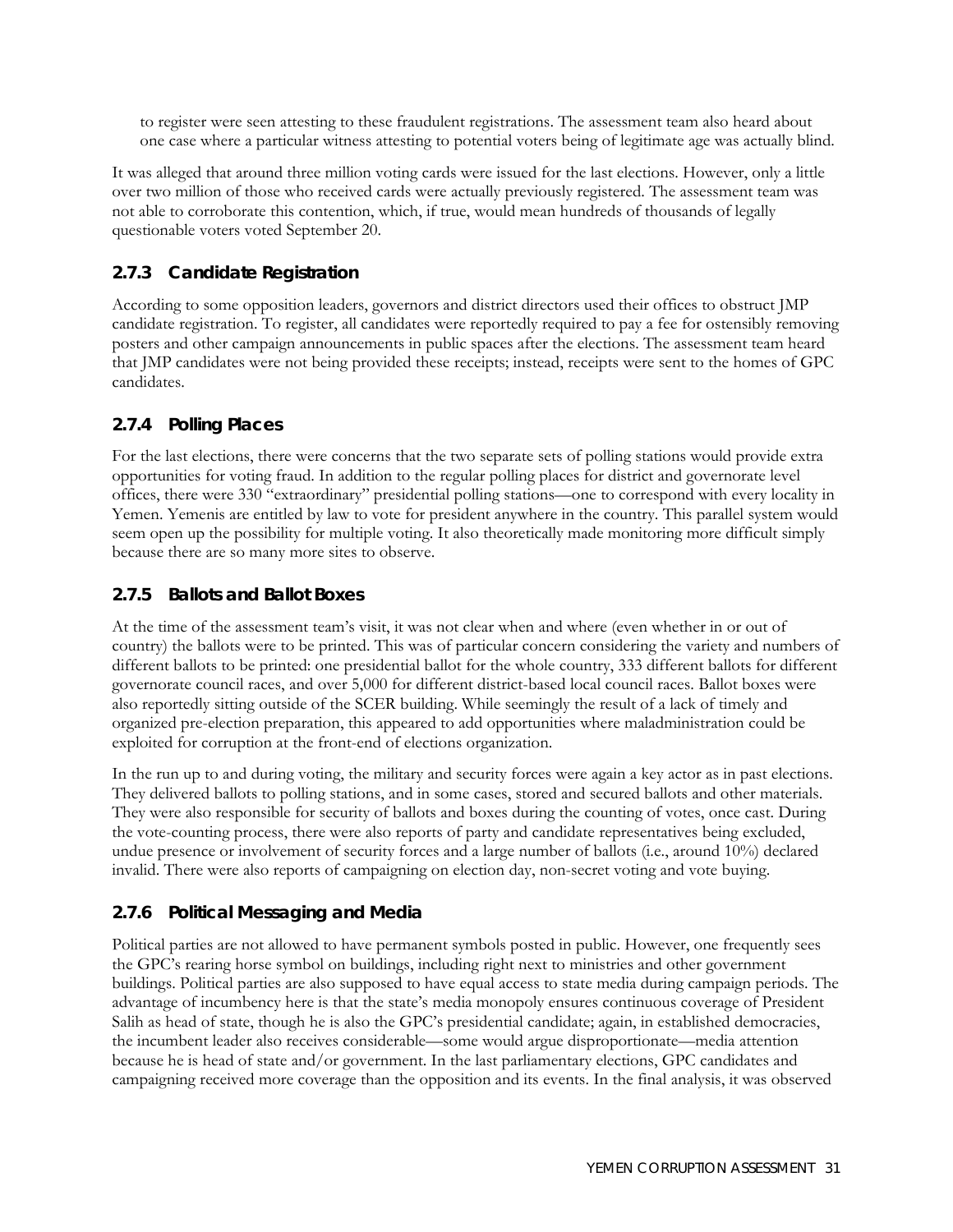to register were seen attesting to these fraudulent registrations. The assessment team also heard about one case where a particular witness attesting to potential voters being of legitimate age was actually blind.

It was alleged that around three million voting cards were issued for the last elections. However, only a little over two million of those who received cards were actually previously registered. The assessment team was not able to corroborate this contention, which, if true, would mean hundreds of thousands of legally questionable voters voted September 20.

## **2.7.3 Candidate Registration**

According to some opposition leaders, governors and district directors used their offices to obstruct JMP candidate registration. To register, all candidates were reportedly required to pay a fee for ostensibly removing posters and other campaign announcements in public spaces after the elections. The assessment team heard that JMP candidates were not being provided these receipts; instead, receipts were sent to the homes of GPC candidates.

#### **2.7.4 Polling Places**

For the last elections, there were concerns that the two separate sets of polling stations would provide extra opportunities for voting fraud. In addition to the regular polling places for district and governorate level offices, there were 330 "extraordinary" presidential polling stations—one to correspond with every locality in Yemen. Yemenis are entitled by law to vote for president anywhere in the country. This parallel system would seem open up the possibility for multiple voting. It also theoretically made monitoring more difficult simply because there are so many more sites to observe.

#### **2.7.5 Ballots and Ballot Boxes**

At the time of the assessment team's visit, it was not clear when and where (even whether in or out of country) the ballots were to be printed. This was of particular concern considering the variety and numbers of different ballots to be printed: one presidential ballot for the whole country, 333 different ballots for different governorate council races, and over 5,000 for different district-based local council races. Ballot boxes were also reportedly sitting outside of the SCER building. While seemingly the result of a lack of timely and organized pre-election preparation, this appeared to add opportunities where maladministration could be exploited for corruption at the front-end of elections organization.

In the run up to and during voting, the military and security forces were again a key actor as in past elections. They delivered ballots to polling stations, and in some cases, stored and secured ballots and other materials. They were also responsible for security of ballots and boxes during the counting of votes, once cast. During the vote-counting process, there were also reports of party and candidate representatives being excluded, undue presence or involvement of security forces and a large number of ballots (i.e., around 10%) declared invalid. There were also reports of campaigning on election day, non-secret voting and vote buying.

## **2.7.6 Political Messaging and Media**

Political parties are not allowed to have permanent symbols posted in public. However, one frequently sees the GPC's rearing horse symbol on buildings, including right next to ministries and other government buildings. Political parties are also supposed to have equal access to state media during campaign periods. The advantage of incumbency here is that the state's media monopoly ensures continuous coverage of President Salih as head of state, though he is also the GPC's presidential candidate; again, in established democracies, the incumbent leader also receives considerable—some would argue disproportionate—media attention because he is head of state and/or government. In the last parliamentary elections, GPC candidates and campaigning received more coverage than the opposition and its events. In the final analysis, it was observed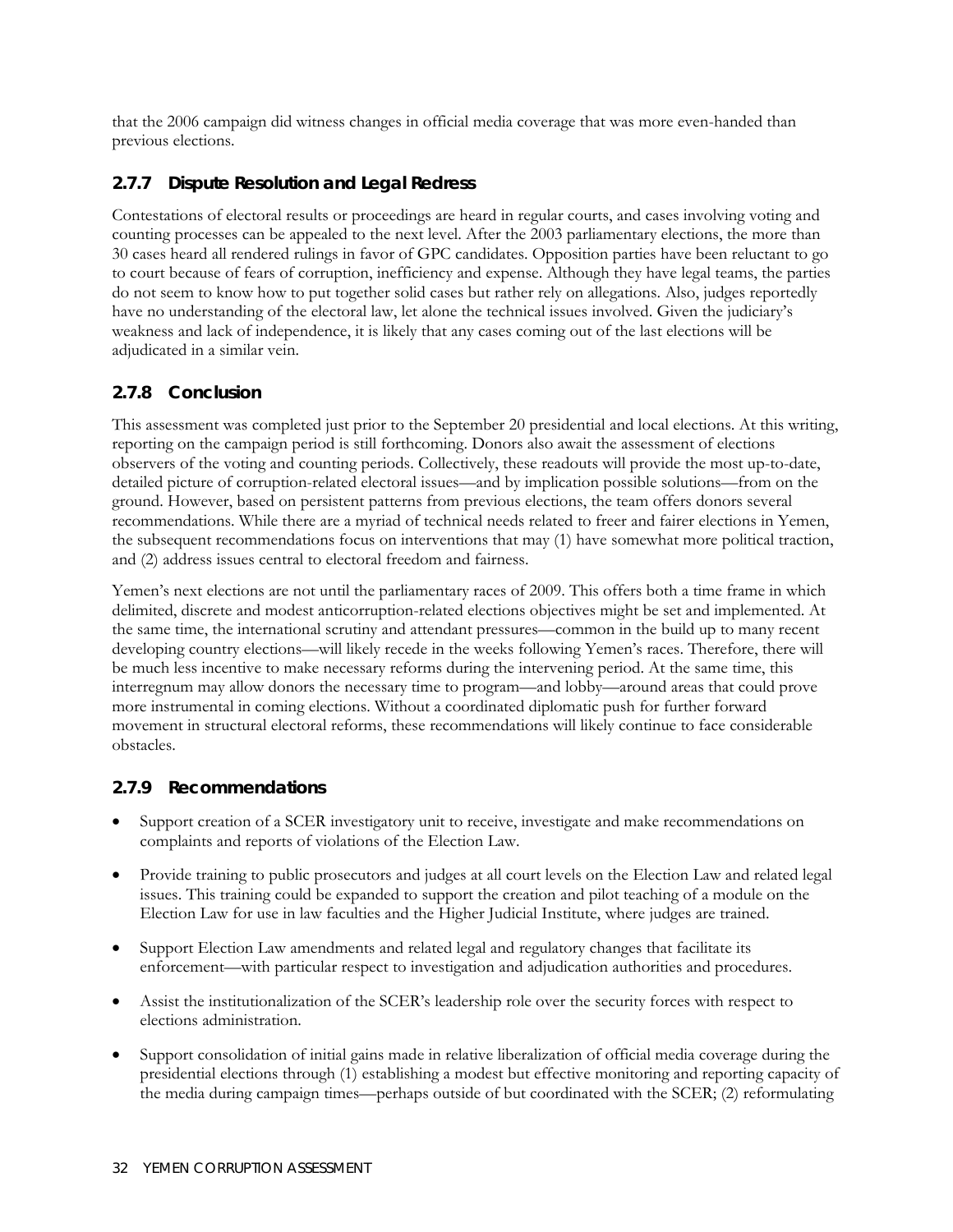that the 2006 campaign did witness changes in official media coverage that was more even-handed than previous elections.

## **2.7.7 Dispute Resolution and Legal Redress**

Contestations of electoral results or proceedings are heard in regular courts, and cases involving voting and counting processes can be appealed to the next level. After the 2003 parliamentary elections, the more than 30 cases heard all rendered rulings in favor of GPC candidates. Opposition parties have been reluctant to go to court because of fears of corruption, inefficiency and expense. Although they have legal teams, the parties do not seem to know how to put together solid cases but rather rely on allegations. Also, judges reportedly have no understanding of the electoral law, let alone the technical issues involved. Given the judiciary's weakness and lack of independence, it is likely that any cases coming out of the last elections will be adjudicated in a similar vein.

## **2.7.8 Conclusion**

This assessment was completed just prior to the September 20 presidential and local elections. At this writing, reporting on the campaign period is still forthcoming. Donors also await the assessment of elections observers of the voting and counting periods. Collectively, these readouts will provide the most up-to-date, detailed picture of corruption-related electoral issues—and by implication possible solutions—from on the ground. However, based on persistent patterns from previous elections, the team offers donors several recommendations. While there are a myriad of technical needs related to freer and fairer elections in Yemen, the subsequent recommendations focus on interventions that may (1) have somewhat more political traction, and (2) address issues central to electoral freedom and fairness.

Yemen's next elections are not until the parliamentary races of 2009. This offers both a time frame in which delimited, discrete and modest anticorruption-related elections objectives might be set and implemented. At the same time, the international scrutiny and attendant pressures—common in the build up to many recent developing country elections—will likely recede in the weeks following Yemen's races. Therefore, there will be much less incentive to make necessary reforms during the intervening period. At the same time, this interregnum may allow donors the necessary time to program—and lobby—around areas that could prove more instrumental in coming elections. Without a coordinated diplomatic push for further forward movement in structural electoral reforms, these recommendations will likely continue to face considerable obstacles.

#### **2.7.9 Recommendations**

- Support creation of a SCER investigatory unit to receive, investigate and make recommendations on complaints and reports of violations of the Election Law.
- Provide training to public prosecutors and judges at all court levels on the Election Law and related legal issues. This training could be expanded to support the creation and pilot teaching of a module on the Election Law for use in law faculties and the Higher Judicial Institute, where judges are trained.
- Support Election Law amendments and related legal and regulatory changes that facilitate its enforcement—with particular respect to investigation and adjudication authorities and procedures.
- Assist the institutionalization of the SCER's leadership role over the security forces with respect to elections administration.
- Support consolidation of initial gains made in relative liberalization of official media coverage during the presidential elections through (1) establishing a modest but effective monitoring and reporting capacity of the media during campaign times—perhaps outside of but coordinated with the SCER; (2) reformulating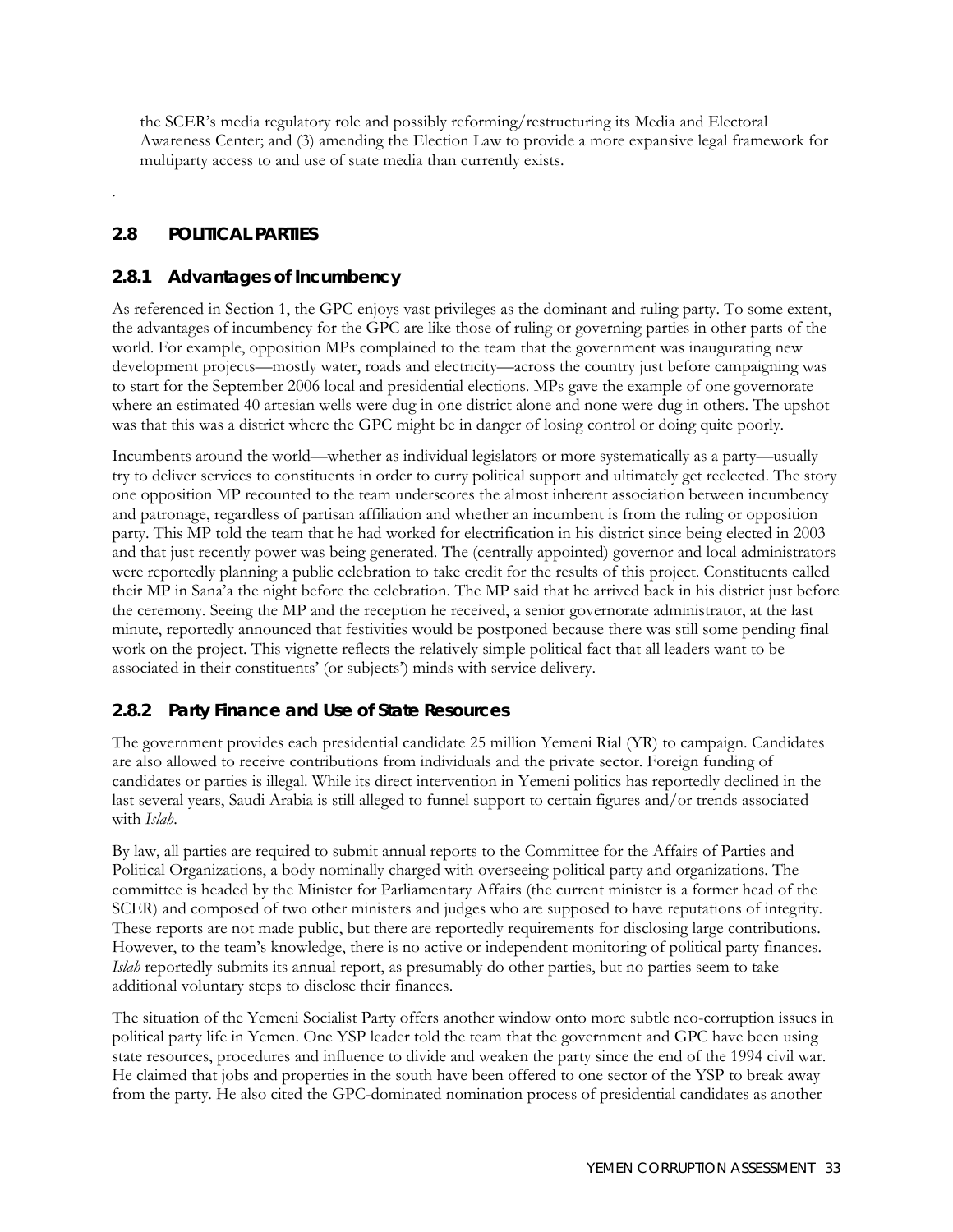the SCER's media regulatory role and possibly reforming/restructuring its Media and Electoral Awareness Center; and (3) amending the Election Law to provide a more expansive legal framework for multiparty access to and use of state media than currently exists.

## **2.8 POLITICAL PARTIES**

.

## **2.8.1 Advantages of Incumbency**

As referenced in Section 1, the GPC enjoys vast privileges as the dominant and ruling party. To some extent, the advantages of incumbency for the GPC are like those of ruling or governing parties in other parts of the world. For example, opposition MPs complained to the team that the government was inaugurating new development projects—mostly water, roads and electricity—across the country just before campaigning was to start for the September 2006 local and presidential elections. MPs gave the example of one governorate where an estimated 40 artesian wells were dug in one district alone and none were dug in others. The upshot was that this was a district where the GPC might be in danger of losing control or doing quite poorly.

Incumbents around the world—whether as individual legislators or more systematically as a party—usually try to deliver services to constituents in order to curry political support and ultimately get reelected. The story one opposition MP recounted to the team underscores the almost inherent association between incumbency and patronage, regardless of partisan affiliation and whether an incumbent is from the ruling or opposition party. This MP told the team that he had worked for electrification in his district since being elected in 2003 and that just recently power was being generated. The (centrally appointed) governor and local administrators were reportedly planning a public celebration to take credit for the results of this project. Constituents called their MP in Sana'a the night before the celebration. The MP said that he arrived back in his district just before the ceremony. Seeing the MP and the reception he received, a senior governorate administrator, at the last minute, reportedly announced that festivities would be postponed because there was still some pending final work on the project. This vignette reflects the relatively simple political fact that all leaders want to be associated in their constituents' (or subjects') minds with service delivery.

## **2.8.2 Party Finance and Use of State Resources**

The government provides each presidential candidate 25 million Yemeni Rial (YR) to campaign. Candidates are also allowed to receive contributions from individuals and the private sector. Foreign funding of candidates or parties is illegal. While its direct intervention in Yemeni politics has reportedly declined in the last several years, Saudi Arabia is still alleged to funnel support to certain figures and/or trends associated with *Islah*.

By law, all parties are required to submit annual reports to the Committee for the Affairs of Parties and Political Organizations, a body nominally charged with overseeing political party and organizations. The committee is headed by the Minister for Parliamentary Affairs (the current minister is a former head of the SCER) and composed of two other ministers and judges who are supposed to have reputations of integrity. These reports are not made public, but there are reportedly requirements for disclosing large contributions. However, to the team's knowledge, there is no active or independent monitoring of political party finances. *Islah* reportedly submits its annual report, as presumably do other parties, but no parties seem to take additional voluntary steps to disclose their finances.

The situation of the Yemeni Socialist Party offers another window onto more subtle neo-corruption issues in political party life in Yemen. One YSP leader told the team that the government and GPC have been using state resources, procedures and influence to divide and weaken the party since the end of the 1994 civil war. He claimed that jobs and properties in the south have been offered to one sector of the YSP to break away from the party. He also cited the GPC-dominated nomination process of presidential candidates as another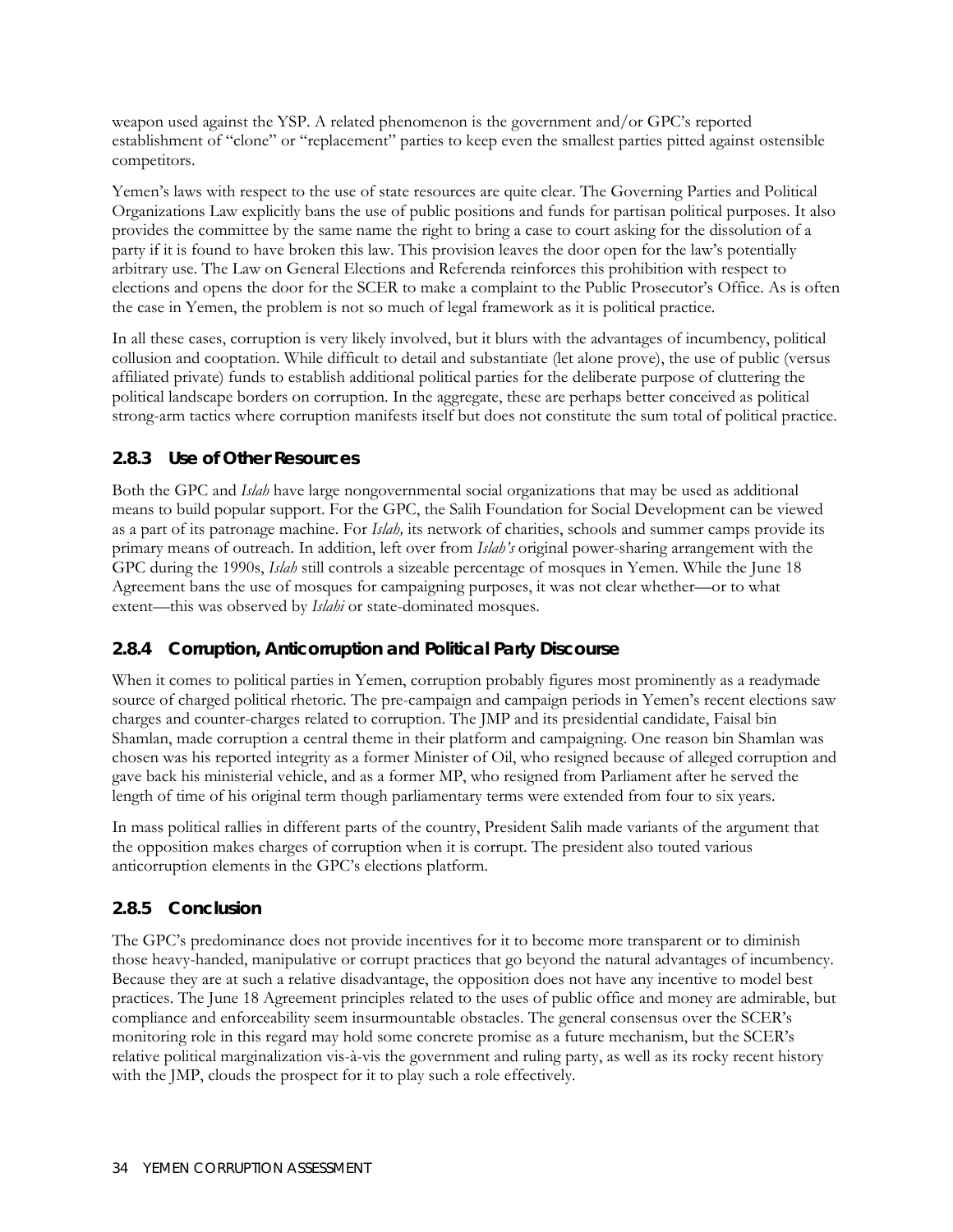weapon used against the YSP. A related phenomenon is the government and/or GPC's reported establishment of "clone" or "replacement" parties to keep even the smallest parties pitted against ostensible competitors.

Yemen's laws with respect to the use of state resources are quite clear. The Governing Parties and Political Organizations Law explicitly bans the use of public positions and funds for partisan political purposes. It also provides the committee by the same name the right to bring a case to court asking for the dissolution of a party if it is found to have broken this law. This provision leaves the door open for the law's potentially arbitrary use. The Law on General Elections and Referenda reinforces this prohibition with respect to elections and opens the door for the SCER to make a complaint to the Public Prosecutor's Office. As is often the case in Yemen, the problem is not so much of legal framework as it is political practice.

In all these cases, corruption is very likely involved, but it blurs with the advantages of incumbency, political collusion and cooptation. While difficult to detail and substantiate (let alone prove), the use of public (versus affiliated private) funds to establish additional political parties for the deliberate purpose of cluttering the political landscape borders on corruption. In the aggregate, these are perhaps better conceived as political strong-arm tactics where corruption manifests itself but does not constitute the sum total of political practice.

## **2.8.3 Use of Other Resources**

Both the GPC and *Islah* have large nongovernmental social organizations that may be used as additional means to build popular support. For the GPC, the Salih Foundation for Social Development can be viewed as a part of its patronage machine. For *Islah,* its network of charities, schools and summer camps provide its primary means of outreach. In addition, left over from *Islah's* original power-sharing arrangement with the GPC during the 1990s, *Islah* still controls a sizeable percentage of mosques in Yemen. While the June 18 Agreement bans the use of mosques for campaigning purposes, it was not clear whether—or to what extent—this was observed by *Islahi* or state-dominated mosques.

#### **2.8.4 Corruption, Anticorruption and Political Party Discourse**

When it comes to political parties in Yemen, corruption probably figures most prominently as a readymade source of charged political rhetoric. The pre-campaign and campaign periods in Yemen's recent elections saw charges and counter-charges related to corruption. The JMP and its presidential candidate, Faisal bin Shamlan, made corruption a central theme in their platform and campaigning. One reason bin Shamlan was chosen was his reported integrity as a former Minister of Oil, who resigned because of alleged corruption and gave back his ministerial vehicle, and as a former MP, who resigned from Parliament after he served the length of time of his original term though parliamentary terms were extended from four to six years.

In mass political rallies in different parts of the country, President Salih made variants of the argument that the opposition makes charges of corruption when it is corrupt. The president also touted various anticorruption elements in the GPC's elections platform.

## **2.8.5 Conclusion**

The GPC's predominance does not provide incentives for it to become more transparent or to diminish those heavy-handed, manipulative or corrupt practices that go beyond the natural advantages of incumbency. Because they are at such a relative disadvantage, the opposition does not have any incentive to model best practices. The June 18 Agreement principles related to the uses of public office and money are admirable, but compliance and enforceability seem insurmountable obstacles. The general consensus over the SCER's monitoring role in this regard may hold some concrete promise as a future mechanism, but the SCER's relative political marginalization vis-à-vis the government and ruling party, as well as its rocky recent history with the JMP, clouds the prospect for it to play such a role effectively.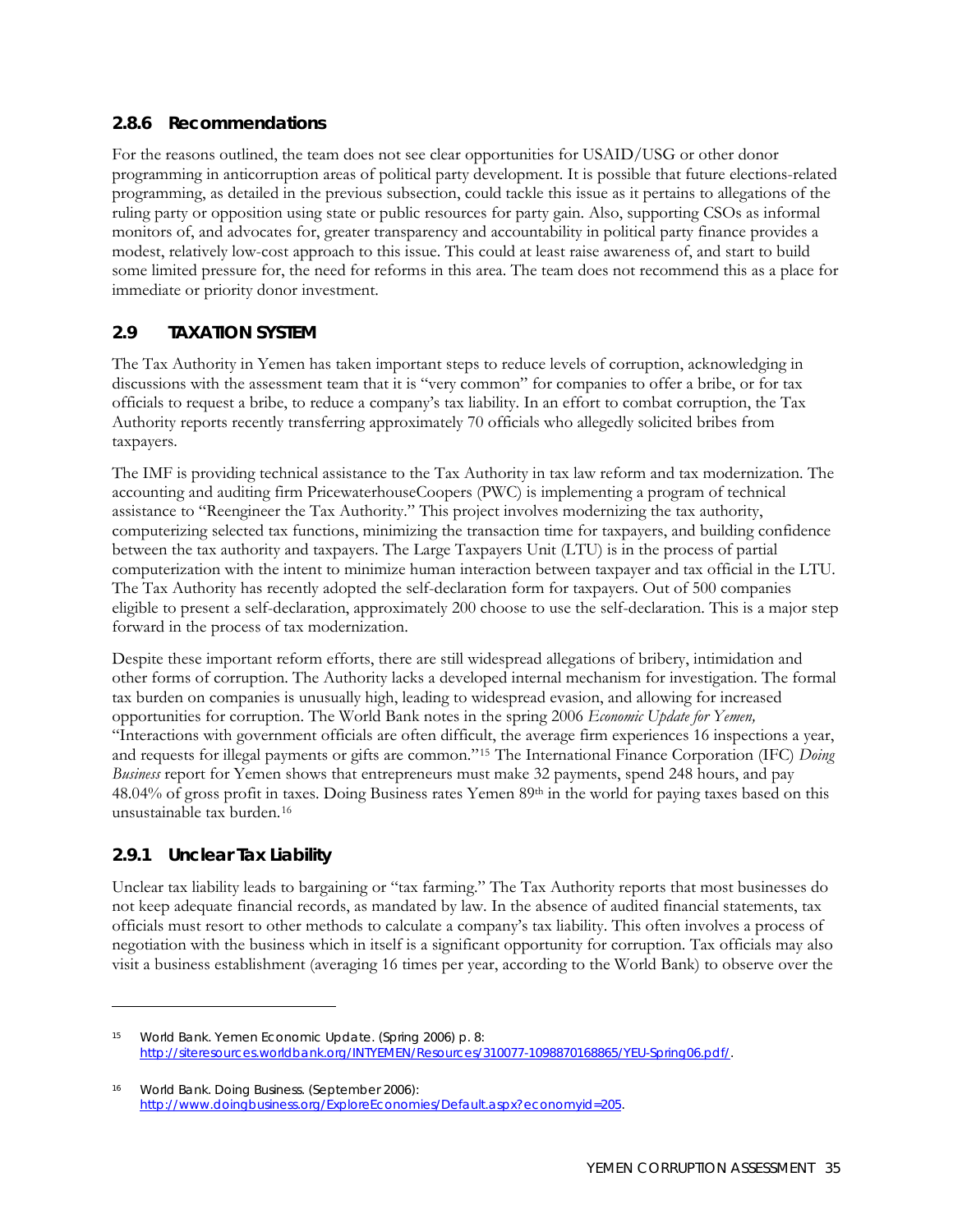#### **2.8.6 Recommendations**

For the reasons outlined, the team does not see clear opportunities for USAID/USG or other donor programming in anticorruption areas of political party development. It is possible that future elections-related programming, as detailed in the previous subsection, could tackle this issue as it pertains to allegations of the ruling party or opposition using state or public resources for party gain. Also, supporting CSOs as informal monitors of, and advocates for, greater transparency and accountability in political party finance provides a modest, relatively low-cost approach to this issue. This could at least raise awareness of, and start to build some limited pressure for, the need for reforms in this area. The team does not recommend this as a place for immediate or priority donor investment.

## **2.9 TAXATION SYSTEM**

The Tax Authority in Yemen has taken important steps to reduce levels of corruption, acknowledging in discussions with the assessment team that it is "very common" for companies to offer a bribe, or for tax officials to request a bribe, to reduce a company's tax liability. In an effort to combat corruption, the Tax Authority reports recently transferring approximately 70 officials who allegedly solicited bribes from taxpayers.

The IMF is providing technical assistance to the Tax Authority in tax law reform and tax modernization. The accounting and auditing firm PricewaterhouseCoopers (PWC) is implementing a program of technical assistance to "Reengineer the Tax Authority." This project involves modernizing the tax authority, computerizing selected tax functions, minimizing the transaction time for taxpayers, and building confidence between the tax authority and taxpayers. The Large Taxpayers Unit (LTU) is in the process of partial computerization with the intent to minimize human interaction between taxpayer and tax official in the LTU. The Tax Authority has recently adopted the self-declaration form for taxpayers. Out of 500 companies eligible to present a self-declaration, approximately 200 choose to use the self-declaration. This is a major step forward in the process of tax modernization.

Despite these important reform efforts, there are still widespread allegations of bribery, intimidation and other forms of corruption. The Authority lacks a developed internal mechanism for investigation. The formal tax burden on companies is unusually high, leading to widespread evasion, and allowing for increased opportunities for corruption. The World Bank notes in the spring 2006 *Economic Update for Yemen,* "Interactions with government officials are often difficult, the average firm experiences 16 inspections a year, and requests for illegal payments or gifts are common."[15](#page-52-0) The International Finance Corporation (IFC) *Doing Business* report for Yemen shows that entrepreneurs must make 32 payments, spend 248 hours, and pay 48.04% of gross profit in taxes. Doing Business rates Yemen 89th in the world for paying taxes based on this unsustainable tax burden.[16](#page-52-1)

## **2.9.1 Unclear Tax Liability**

 $\overline{a}$ 

Unclear tax liability leads to bargaining or "tax farming." The Tax Authority reports that most businesses do not keep adequate financial records, as mandated by law. In the absence of audited financial statements, tax officials must resort to other methods to calculate a company's tax liability. This often involves a process of negotiation with the business which in itself is a significant opportunity for corruption. Tax officials may also visit a business establishment (averaging 16 times per year, according to the World Bank) to observe over the

<span id="page-52-0"></span><sup>15</sup> World Bank. Yemen Economic Update. (Spring 2006) p. 8: <http://siteresources.worldbank.org/INTYEMEN/Resources/310077-1098870168865/YEU-Spring06.pdf/>.

<span id="page-52-1"></span><sup>16</sup> World Bank. *Doing Business*. (September 2006): <http://www.doingbusiness.org/ExploreEconomies/Default.aspx?economyid=205>.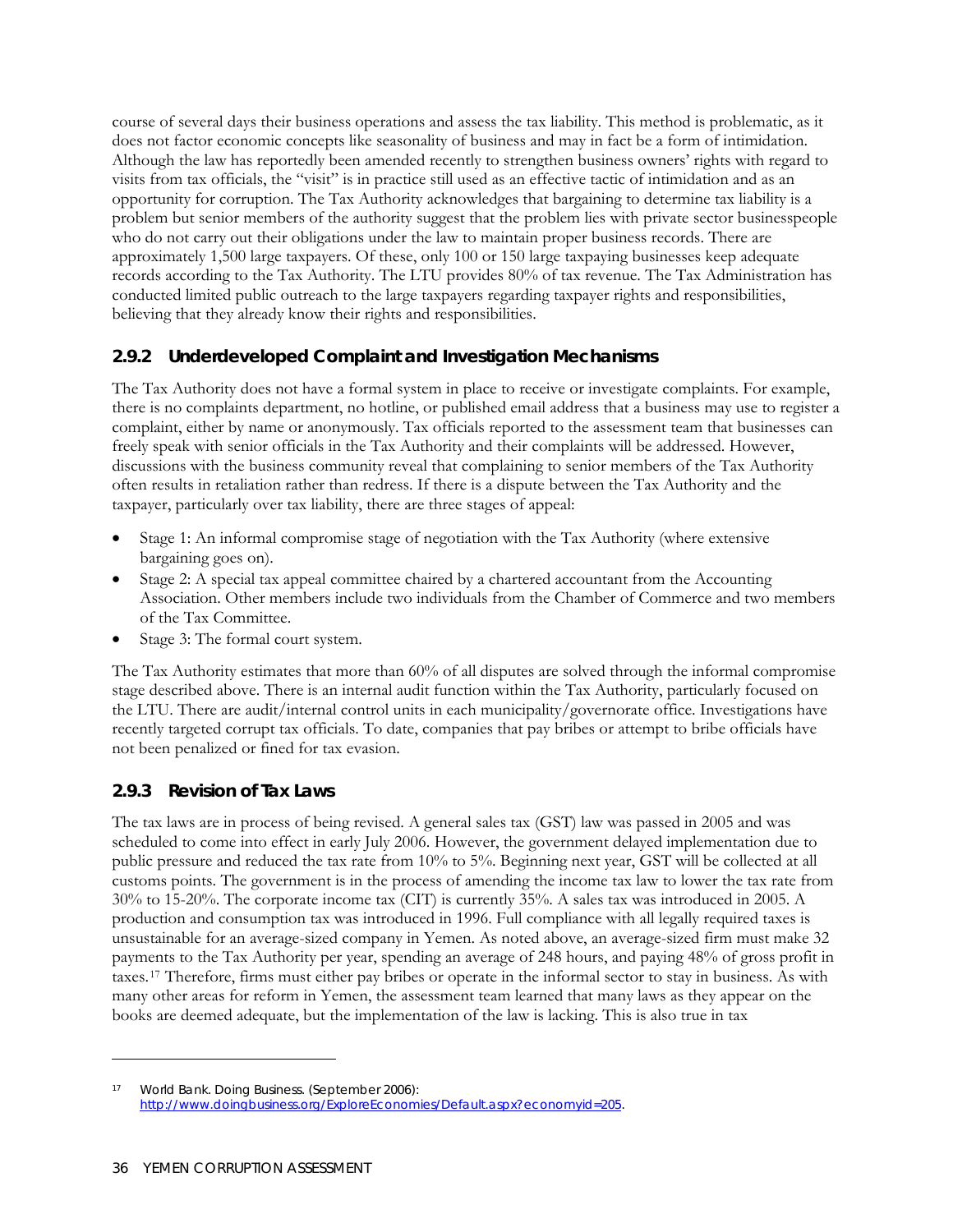course of several days their business operations and assess the tax liability. This method is problematic, as it does not factor economic concepts like seasonality of business and may in fact be a form of intimidation. Although the law has reportedly been amended recently to strengthen business owners' rights with regard to visits from tax officials, the "visit" is in practice still used as an effective tactic of intimidation and as an opportunity for corruption. The Tax Authority acknowledges that bargaining to determine tax liability is a problem but senior members of the authority suggest that the problem lies with private sector businesspeople who do not carry out their obligations under the law to maintain proper business records. There are approximately 1,500 large taxpayers. Of these, only 100 or 150 large taxpaying businesses keep adequate records according to the Tax Authority. The LTU provides 80% of tax revenue. The Tax Administration has conducted limited public outreach to the large taxpayers regarding taxpayer rights and responsibilities, believing that they already know their rights and responsibilities.

#### **2.9.2 Underdeveloped Complaint and Investigation Mechanisms**

The Tax Authority does not have a formal system in place to receive or investigate complaints. For example, there is no complaints department, no hotline, or published email address that a business may use to register a complaint, either by name or anonymously. Tax officials reported to the assessment team that businesses can freely speak with senior officials in the Tax Authority and their complaints will be addressed. However, discussions with the business community reveal that complaining to senior members of the Tax Authority often results in retaliation rather than redress. If there is a dispute between the Tax Authority and the taxpayer, particularly over tax liability, there are three stages of appeal:

- Stage 1: An informal compromise stage of negotiation with the Tax Authority (where extensive bargaining goes on).
- Stage 2: A special tax appeal committee chaired by a chartered accountant from the Accounting Association. Other members include two individuals from the Chamber of Commerce and two members of the Tax Committee.
- Stage 3: The formal court system.

The Tax Authority estimates that more than 60% of all disputes are solved through the informal compromise stage described above. There is an internal audit function within the Tax Authority, particularly focused on the LTU. There are audit/internal control units in each municipality/governorate office. Investigations have recently targeted corrupt tax officials. To date, companies that pay bribes or attempt to bribe officials have not been penalized or fined for tax evasion.

#### **2.9.3 Revision of Tax Laws**

The tax laws are in process of being revised. A general sales tax (GST) law was passed in 2005 and was scheduled to come into effect in early July 2006. However, the government delayed implementation due to public pressure and reduced the tax rate from 10% to 5%. Beginning next year, GST will be collected at all customs points. The government is in the process of amending the income tax law to lower the tax rate from 30% to 15-20%. The corporate income tax (CIT) is currently 35%. A sales tax was introduced in 2005. A production and consumption tax was introduced in 1996. Full compliance with all legally required taxes is unsustainable for an average-sized company in Yemen. As noted above, an average-sized firm must make 32 payments to the Tax Authority per year, spending an average of 248 hours, and paying 48% of gross profit in taxes.[17](#page-53-0) Therefore, firms must either pay bribes or operate in the informal sector to stay in business. As with many other areas for reform in Yemen, the assessment team learned that many laws as they appear on the books are deemed adequate, but the implementation of the law is lacking. This is also true in tax

<u>.</u>

<span id="page-53-0"></span><sup>17</sup> World Bank. *Doing Business*. (September 2006): <http://www.doingbusiness.org/ExploreEconomies/Default.aspx?economyid=205>.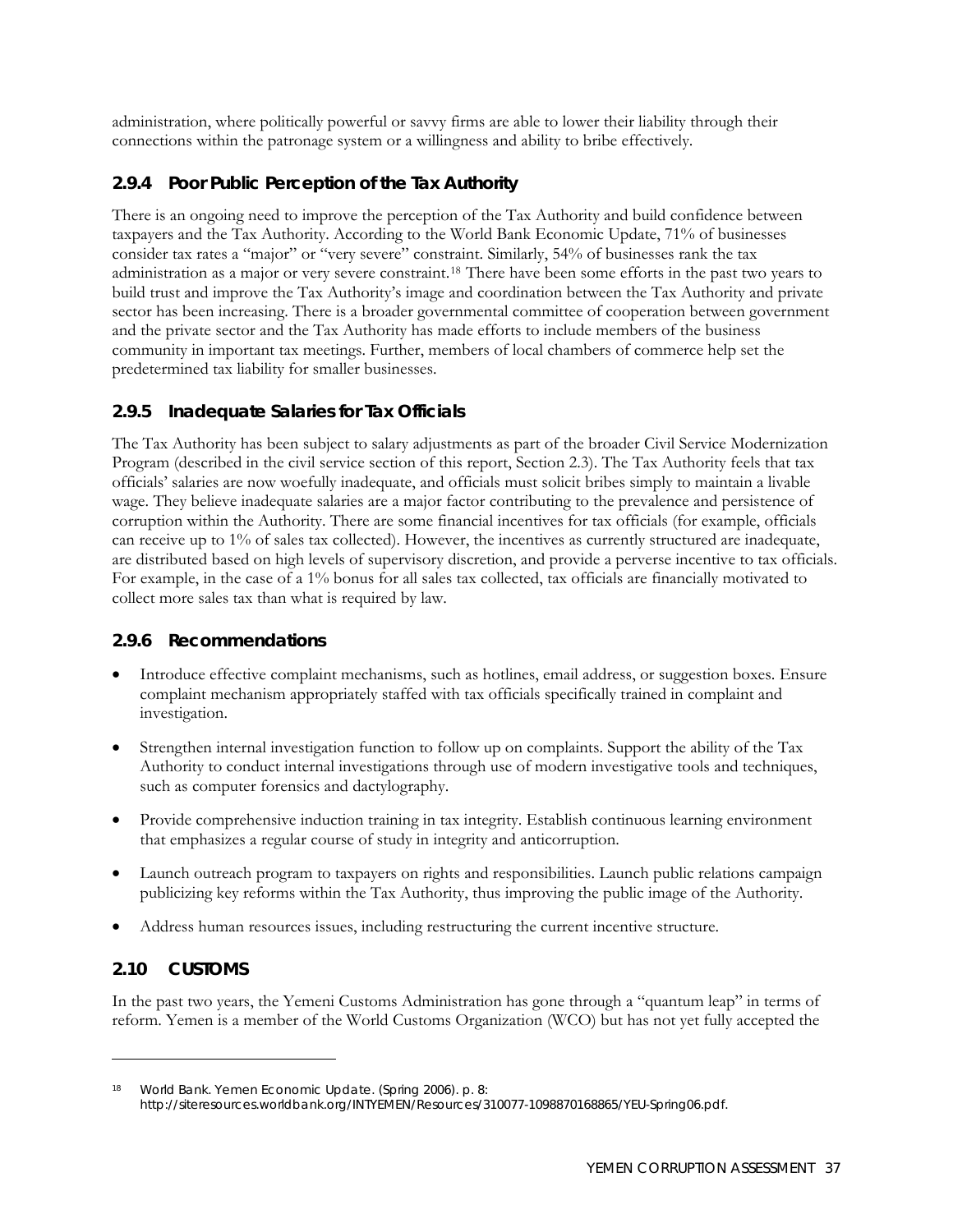administration, where politically powerful or savvy firms are able to lower their liability through their connections within the patronage system or a willingness and ability to bribe effectively.

## **2.9.4 Poor Public Perception of the Tax Authority**

There is an ongoing need to improve the perception of the Tax Authority and build confidence between taxpayers and the Tax Authority. According to the World Bank Economic Update, 71% of businesses consider tax rates a "major" or "very severe" constraint. Similarly, 54% of businesses rank the tax administration as a major or very severe constraint.[18](#page-54-0) There have been some efforts in the past two years to build trust and improve the Tax Authority's image and coordination between the Tax Authority and private sector has been increasing. There is a broader governmental committee of cooperation between government and the private sector and the Tax Authority has made efforts to include members of the business community in important tax meetings. Further, members of local chambers of commerce help set the predetermined tax liability for smaller businesses.

#### **2.9.5 Inadequate Salaries for Tax Officials**

The Tax Authority has been subject to salary adjustments as part of the broader Civil Service Modernization Program (described in the civil service section of this report, Section 2.3). The Tax Authority feels that tax officials' salaries are now woefully inadequate, and officials must solicit bribes simply to maintain a livable wage. They believe inadequate salaries are a major factor contributing to the prevalence and persistence of corruption within the Authority. There are some financial incentives for tax officials (for example, officials can receive up to 1% of sales tax collected). However, the incentives as currently structured are inadequate, are distributed based on high levels of supervisory discretion, and provide a perverse incentive to tax officials. For example, in the case of a 1% bonus for all sales tax collected, tax officials are financially motivated to collect more sales tax than what is required by law.

#### **2.9.6 Recommendations**

- Introduce effective complaint mechanisms, such as hotlines, email address, or suggestion boxes. Ensure complaint mechanism appropriately staffed with tax officials specifically trained in complaint and investigation.
- Strengthen internal investigation function to follow up on complaints. Support the ability of the Tax Authority to conduct internal investigations through use of modern investigative tools and techniques, such as computer forensics and dactylography.
- Provide comprehensive induction training in tax integrity. Establish continuous learning environment that emphasizes a regular course of study in integrity and anticorruption.
- Launch outreach program to taxpayers on rights and responsibilities. Launch public relations campaign publicizing key reforms within the Tax Authority, thus improving the public image of the Authority.
- Address human resources issues, including restructuring the current incentive structure.

## **2.10 CUSTOMS**

<u>.</u>

In the past two years, the Yemeni Customs Administration has gone through a "quantum leap" in terms of reform. Yemen is a member of the World Customs Organization (WCO) but has not yet fully accepted the

<span id="page-54-0"></span>World Bank. Yemen Economic Update. (Spring 2006). p. 8: [http://siteresources.worldbank.org/INTYEMEN/Resources/310077-1098870168865/YEU-Spring06.pdf.](http://siteresources.worldbank.org/INTYEMEN/Resources/310077-1098870168865/YEU-Spring06.pdf)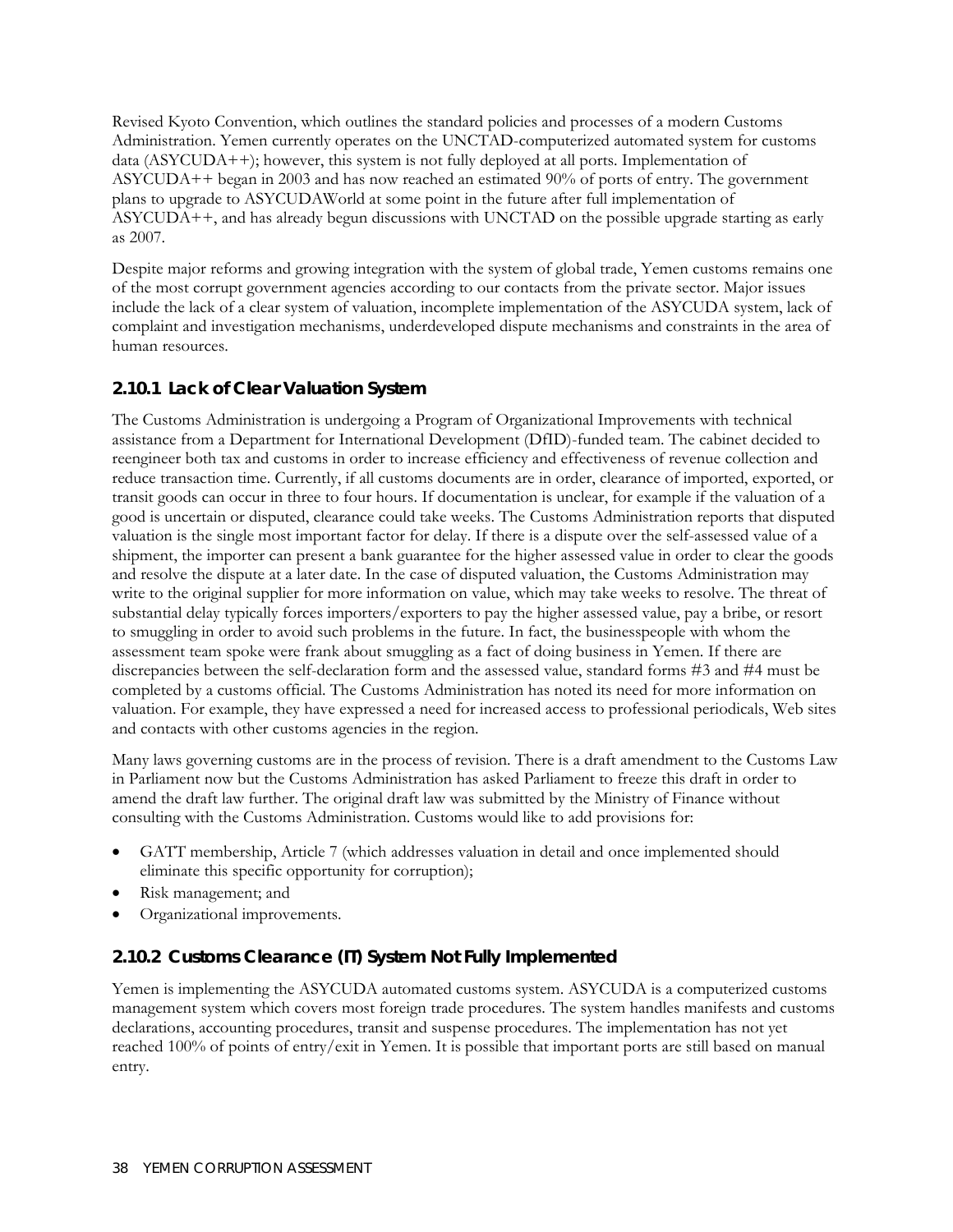Revised Kyoto Convention, which outlines the standard policies and processes of a modern Customs Administration. Yemen currently operates on the UNCTAD-computerized automated system for customs data (ASYCUDA++); however, this system is not fully deployed at all ports. Implementation of ASYCUDA++ began in 2003 and has now reached an estimated 90% of ports of entry. The government plans to upgrade to ASYCUDAWorld at some point in the future after full implementation of ASYCUDA++, and has already begun discussions with UNCTAD on the possible upgrade starting as early as 2007.

Despite major reforms and growing integration with the system of global trade, Yemen customs remains one of the most corrupt government agencies according to our contacts from the private sector. Major issues include the lack of a clear system of valuation, incomplete implementation of the ASYCUDA system, lack of complaint and investigation mechanisms, underdeveloped dispute mechanisms and constraints in the area of human resources.

# **2.10.1 Lack of Clear Valuation System**

The Customs Administration is undergoing a Program of Organizational Improvements with technical assistance from a Department for International Development (DfID)-funded team. The cabinet decided to reengineer both tax and customs in order to increase efficiency and effectiveness of revenue collection and reduce transaction time. Currently, if all customs documents are in order, clearance of imported, exported, or transit goods can occur in three to four hours. If documentation is unclear, for example if the valuation of a good is uncertain or disputed, clearance could take weeks. The Customs Administration reports that disputed valuation is the single most important factor for delay. If there is a dispute over the self-assessed value of a shipment, the importer can present a bank guarantee for the higher assessed value in order to clear the goods and resolve the dispute at a later date. In the case of disputed valuation, the Customs Administration may write to the original supplier for more information on value, which may take weeks to resolve. The threat of substantial delay typically forces importers/exporters to pay the higher assessed value, pay a bribe, or resort to smuggling in order to avoid such problems in the future. In fact, the businesspeople with whom the assessment team spoke were frank about smuggling as a fact of doing business in Yemen. If there are discrepancies between the self-declaration form and the assessed value, standard forms #3 and #4 must be completed by a customs official. The Customs Administration has noted its need for more information on valuation. For example, they have expressed a need for increased access to professional periodicals, Web sites and contacts with other customs agencies in the region.

Many laws governing customs are in the process of revision. There is a draft amendment to the Customs Law in Parliament now but the Customs Administration has asked Parliament to freeze this draft in order to amend the draft law further. The original draft law was submitted by the Ministry of Finance without consulting with the Customs Administration. Customs would like to add provisions for:

- GATT membership, Article 7 (which addresses valuation in detail and once implemented should eliminate this specific opportunity for corruption);
- Risk management; and
- Organizational improvements.

# **2.10.2 Customs Clearance (IT) System Not Fully Implemented**

Yemen is implementing the ASYCUDA automated customs system. ASYCUDA is a computerized customs management system which covers most foreign trade procedures. The system handles manifests and customs declarations, accounting procedures, transit and suspense procedures. The implementation has not yet reached 100% of points of entry/exit in Yemen. It is possible that important ports are still based on manual entry.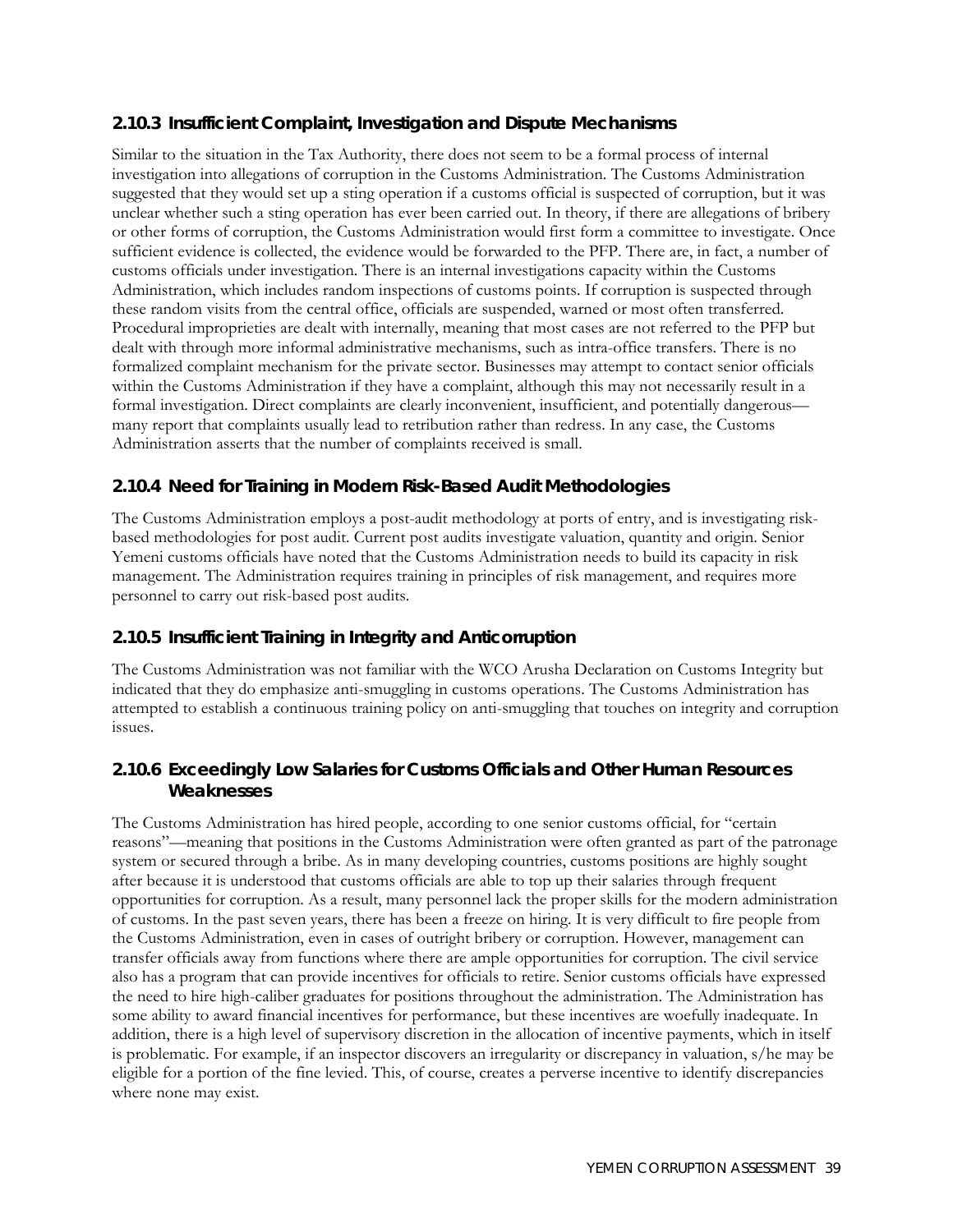## **2.10.3 Insufficient Complaint, Investigation and Dispute Mechanisms**

Similar to the situation in the Tax Authority, there does not seem to be a formal process of internal investigation into allegations of corruption in the Customs Administration. The Customs Administration suggested that they would set up a sting operation if a customs official is suspected of corruption, but it was unclear whether such a sting operation has ever been carried out. In theory, if there are allegations of bribery or other forms of corruption, the Customs Administration would first form a committee to investigate. Once sufficient evidence is collected, the evidence would be forwarded to the PFP. There are, in fact, a number of customs officials under investigation. There is an internal investigations capacity within the Customs Administration, which includes random inspections of customs points. If corruption is suspected through these random visits from the central office, officials are suspended, warned or most often transferred. Procedural improprieties are dealt with internally, meaning that most cases are not referred to the PFP but dealt with through more informal administrative mechanisms, such as intra-office transfers. There is no formalized complaint mechanism for the private sector. Businesses may attempt to contact senior officials within the Customs Administration if they have a complaint, although this may not necessarily result in a formal investigation. Direct complaints are clearly inconvenient, insufficient, and potentially dangerous many report that complaints usually lead to retribution rather than redress. In any case, the Customs Administration asserts that the number of complaints received is small.

## **2.10.4 Need for Training in Modern Risk-Based Audit Methodologies**

The Customs Administration employs a post-audit methodology at ports of entry, and is investigating riskbased methodologies for post audit. Current post audits investigate valuation, quantity and origin. Senior Yemeni customs officials have noted that the Customs Administration needs to build its capacity in risk management. The Administration requires training in principles of risk management, and requires more personnel to carry out risk-based post audits.

#### **2.10.5 Insufficient Training in Integrity and Anticorruption**

The Customs Administration was not familiar with the WCO Arusha Declaration on Customs Integrity but indicated that they do emphasize anti-smuggling in customs operations. The Customs Administration has attempted to establish a continuous training policy on anti-smuggling that touches on integrity and corruption issues.

#### **2.10.6 Exceedingly Low Salaries for Customs Officials and Other Human Resources Weaknesses**

The Customs Administration has hired people, according to one senior customs official, for "certain reasons"—meaning that positions in the Customs Administration were often granted as part of the patronage system or secured through a bribe. As in many developing countries, customs positions are highly sought after because it is understood that customs officials are able to top up their salaries through frequent opportunities for corruption. As a result, many personnel lack the proper skills for the modern administration of customs. In the past seven years, there has been a freeze on hiring. It is very difficult to fire people from the Customs Administration, even in cases of outright bribery or corruption. However, management can transfer officials away from functions where there are ample opportunities for corruption. The civil service also has a program that can provide incentives for officials to retire. Senior customs officials have expressed the need to hire high-caliber graduates for positions throughout the administration. The Administration has some ability to award financial incentives for performance, but these incentives are woefully inadequate. In addition, there is a high level of supervisory discretion in the allocation of incentive payments, which in itself is problematic. For example, if an inspector discovers an irregularity or discrepancy in valuation, s/he may be eligible for a portion of the fine levied. This, of course, creates a perverse incentive to identify discrepancies where none may exist.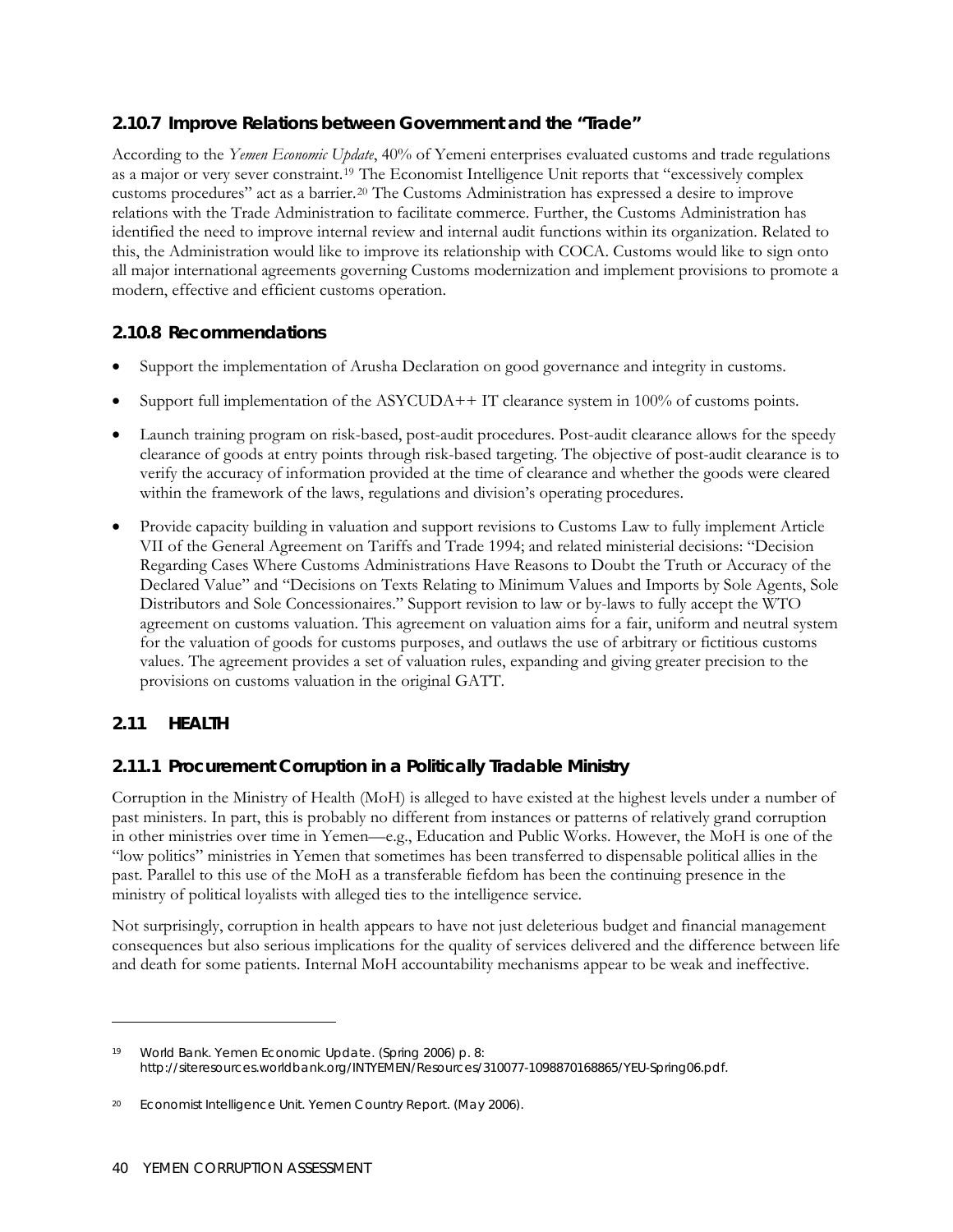## **2.10.7 Improve Relations between Government and the "Trade"**

According to the *Yemen Economic Update*, 40% of Yemeni enterprises evaluated customs and trade regulations as a major or very sever constraint.[19](#page-57-0) The Economist Intelligence Unit reports that "excessively complex customs procedures" act as a barrier.[20](#page-57-1) The Customs Administration has expressed a desire to improve relations with the Trade Administration to facilitate commerce. Further, the Customs Administration has identified the need to improve internal review and internal audit functions within its organization. Related to this, the Administration would like to improve its relationship with COCA. Customs would like to sign onto all major international agreements governing Customs modernization and implement provisions to promote a modern, effective and efficient customs operation.

## **2.10.8 Recommendations**

- Support the implementation of Arusha Declaration on good governance and integrity in customs.
- Support full implementation of the ASYCUDA++ IT clearance system in  $100\%$  of customs points.
- Launch training program on risk-based, post-audit procedures. Post-audit clearance allows for the speedy clearance of goods at entry points through risk-based targeting. The objective of post-audit clearance is to verify the accuracy of information provided at the time of clearance and whether the goods were cleared within the framework of the laws, regulations and division's operating procedures.
- Provide capacity building in valuation and support revisions to Customs Law to fully implement Article VII of the General Agreement on Tariffs and Trade 1994; and related ministerial decisions: "Decision Regarding Cases Where Customs Administrations Have Reasons to Doubt the Truth or Accuracy of the Declared Value" and "Decisions on Texts Relating to Minimum Values and Imports by Sole Agents, Sole Distributors and Sole Concessionaires." Support revision to law or by-laws to fully accept the WTO agreement on customs valuation. This agreement on valuation aims for a fair, uniform and neutral system for the valuation of goods for customs purposes, and outlaws the use of arbitrary or fictitious customs values. The agreement provides a set of valuation rules, expanding and giving greater precision to the provisions on customs valuation in the original GATT.

# **2.11 HEALTH**

<u>.</u>

## **2.11.1 Procurement Corruption in a Politically Tradable Ministry**

Corruption in the Ministry of Health (MoH) is alleged to have existed at the highest levels under a number of past ministers. In part, this is probably no different from instances or patterns of relatively grand corruption in other ministries over time in Yemen—e.g., Education and Public Works. However, the MoH is one of the "low politics" ministries in Yemen that sometimes has been transferred to dispensable political allies in the past. Parallel to this use of the MoH as a transferable fiefdom has been the continuing presence in the ministry of political loyalists with alleged ties to the intelligence service.

Not surprisingly, corruption in health appears to have not just deleterious budget and financial management consequences but also serious implications for the quality of services delivered and the difference between life and death for some patients. Internal MoH accountability mechanisms appear to be weak and ineffective.

<span id="page-57-0"></span><sup>19</sup> World Bank. Yemen Economic Update. (Spring 2006) p. 8: [http://siteresources.worldbank.org/INTYEMEN/Resources/310077-1098870168865/YEU-Spring06.pdf.](http://siteresources.worldbank.org/INTYEMEN/Resources/310077-1098870168865/YEU-Spring06.pdf)

<span id="page-57-1"></span><sup>20</sup> Economist Intelligence Unit. *Yemen Country Report*. (May 2006).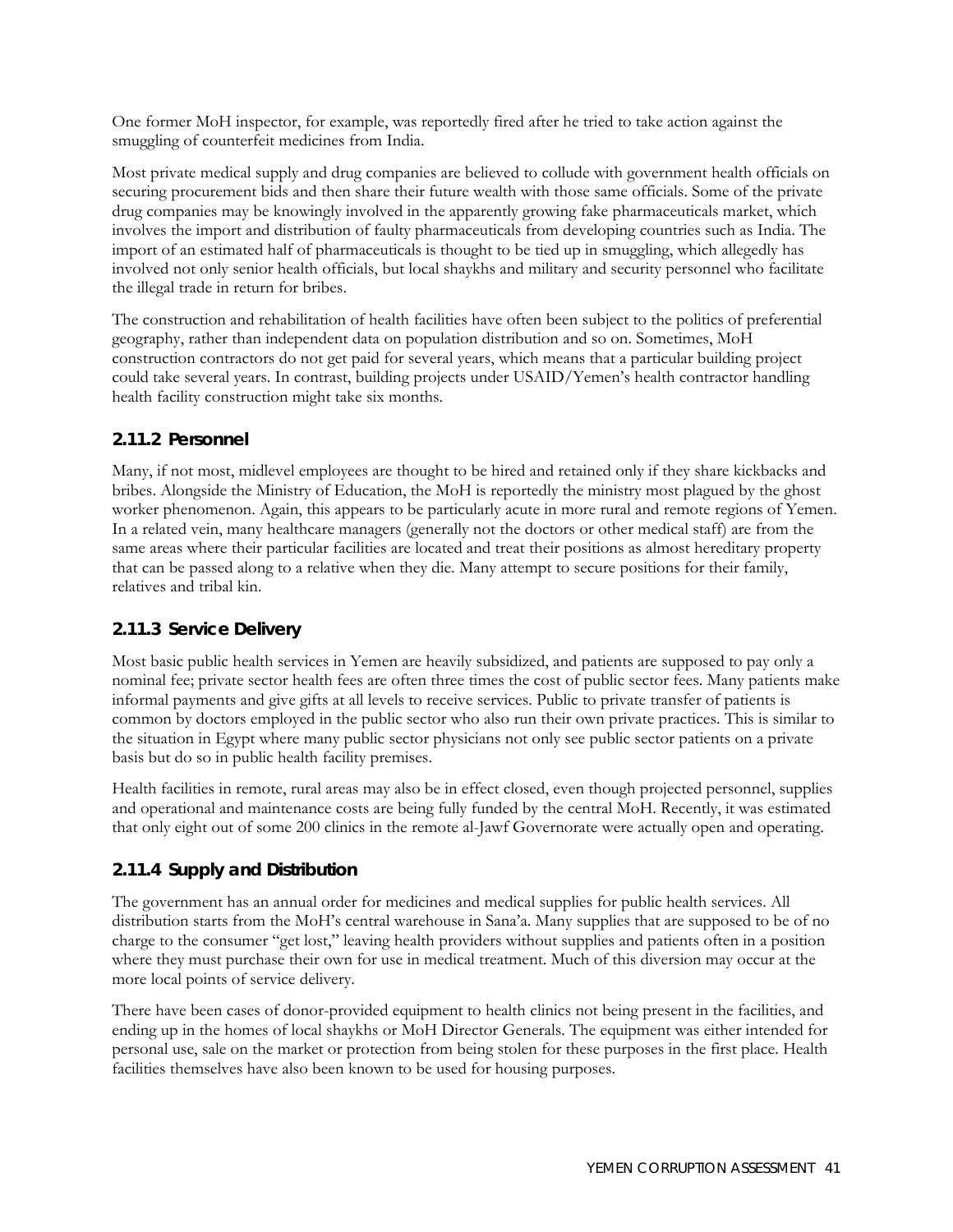One former MoH inspector, for example, was reportedly fired after he tried to take action against the smuggling of counterfeit medicines from India.

Most private medical supply and drug companies are believed to collude with government health officials on securing procurement bids and then share their future wealth with those same officials. Some of the private drug companies may be knowingly involved in the apparently growing fake pharmaceuticals market, which involves the import and distribution of faulty pharmaceuticals from developing countries such as India. The import of an estimated half of pharmaceuticals is thought to be tied up in smuggling, which allegedly has involved not only senior health officials, but local shaykhs and military and security personnel who facilitate the illegal trade in return for bribes.

The construction and rehabilitation of health facilities have often been subject to the politics of preferential geography, rather than independent data on population distribution and so on. Sometimes, MoH construction contractors do not get paid for several years, which means that a particular building project could take several years. In contrast, building projects under USAID/Yemen's health contractor handling health facility construction might take six months.

#### **2.11.2 Personnel**

Many, if not most, midlevel employees are thought to be hired and retained only if they share kickbacks and bribes. Alongside the Ministry of Education, the MoH is reportedly the ministry most plagued by the ghost worker phenomenon. Again, this appears to be particularly acute in more rural and remote regions of Yemen. In a related vein, many healthcare managers (generally not the doctors or other medical staff) are from the same areas where their particular facilities are located and treat their positions as almost hereditary property that can be passed along to a relative when they die. Many attempt to secure positions for their family, relatives and tribal kin.

#### **2.11.3 Service Delivery**

Most basic public health services in Yemen are heavily subsidized, and patients are supposed to pay only a nominal fee; private sector health fees are often three times the cost of public sector fees. Many patients make informal payments and give gifts at all levels to receive services. Public to private transfer of patients is common by doctors employed in the public sector who also run their own private practices. This is similar to the situation in Egypt where many public sector physicians not only see public sector patients on a private basis but do so in public health facility premises.

Health facilities in remote, rural areas may also be in effect closed, even though projected personnel, supplies and operational and maintenance costs are being fully funded by the central MoH. Recently, it was estimated that only eight out of some 200 clinics in the remote al-Jawf Governorate were actually open and operating.

#### **2.11.4 Supply and Distribution**

The government has an annual order for medicines and medical supplies for public health services. All distribution starts from the MoH's central warehouse in Sana'a. Many supplies that are supposed to be of no charge to the consumer "get lost," leaving health providers without supplies and patients often in a position where they must purchase their own for use in medical treatment. Much of this diversion may occur at the more local points of service delivery.

There have been cases of donor-provided equipment to health clinics not being present in the facilities, and ending up in the homes of local shaykhs or MoH Director Generals. The equipment was either intended for personal use, sale on the market or protection from being stolen for these purposes in the first place. Health facilities themselves have also been known to be used for housing purposes.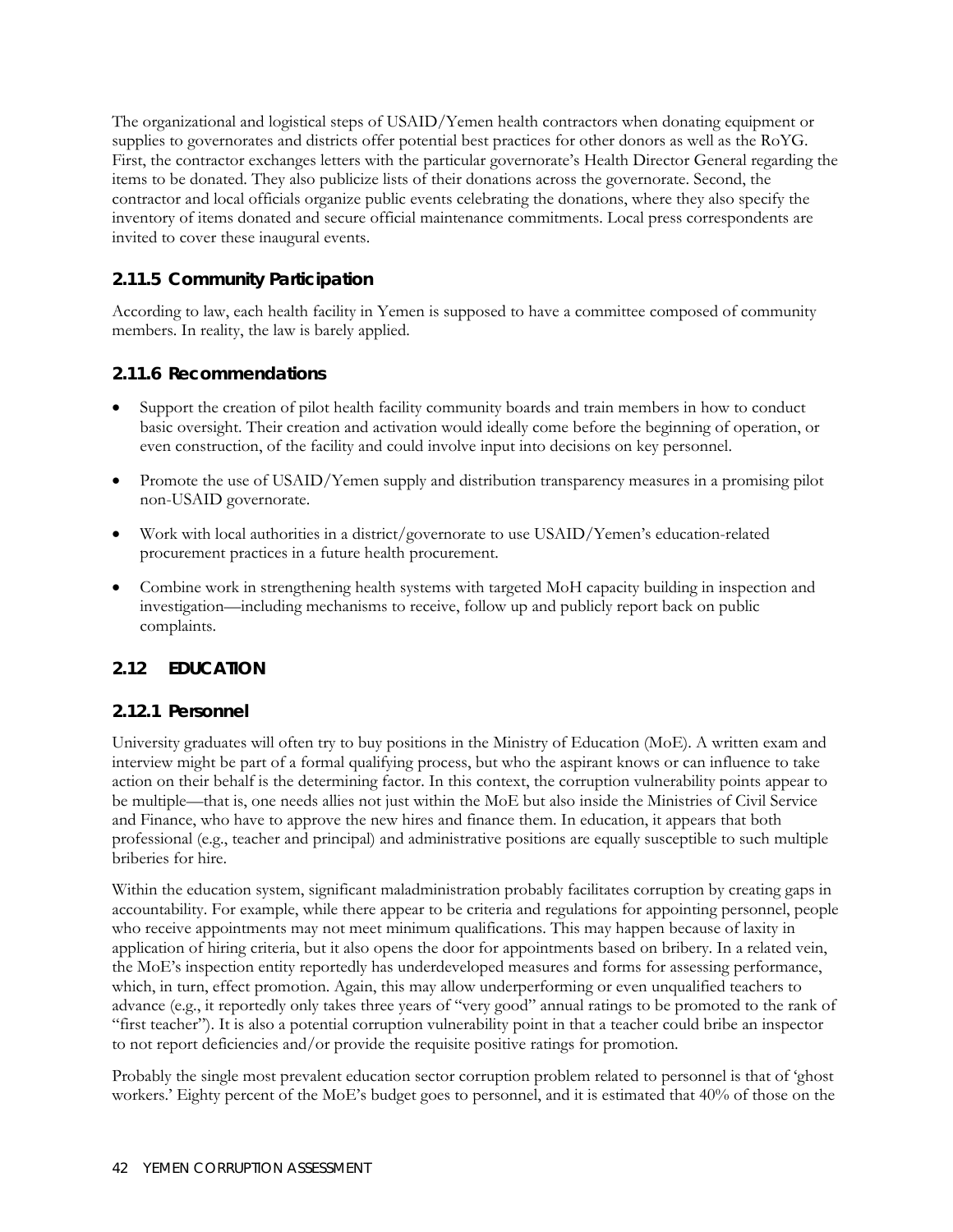The organizational and logistical steps of USAID/Yemen health contractors when donating equipment or supplies to governorates and districts offer potential best practices for other donors as well as the RoYG. First, the contractor exchanges letters with the particular governorate's Health Director General regarding the items to be donated. They also publicize lists of their donations across the governorate. Second, the contractor and local officials organize public events celebrating the donations, where they also specify the inventory of items donated and secure official maintenance commitments. Local press correspondents are invited to cover these inaugural events.

#### **2.11.5 Community Participation**

According to law, each health facility in Yemen is supposed to have a committee composed of community members. In reality, the law is barely applied.

#### **2.11.6 Recommendations**

- Support the creation of pilot health facility community boards and train members in how to conduct basic oversight. Their creation and activation would ideally come before the beginning of operation, or even construction, of the facility and could involve input into decisions on key personnel.
- Promote the use of USAID/Yemen supply and distribution transparency measures in a promising pilot non-USAID governorate.
- Work with local authorities in a district/governorate to use USAID/Yemen's education-related procurement practices in a future health procurement.
- Combine work in strengthening health systems with targeted MoH capacity building in inspection and investigation—including mechanisms to receive, follow up and publicly report back on public complaints.

## **2.12 EDUCATION**

#### **2.12.1 Personnel**

University graduates will often try to buy positions in the Ministry of Education (MoE). A written exam and interview might be part of a formal qualifying process, but who the aspirant knows or can influence to take action on their behalf is the determining factor. In this context, the corruption vulnerability points appear to be multiple—that is, one needs allies not just within the MoE but also inside the Ministries of Civil Service and Finance, who have to approve the new hires and finance them. In education, it appears that both professional (e.g., teacher and principal) and administrative positions are equally susceptible to such multiple briberies for hire.

Within the education system, significant maladministration probably facilitates corruption by creating gaps in accountability. For example, while there appear to be criteria and regulations for appointing personnel, people who receive appointments may not meet minimum qualifications. This may happen because of laxity in application of hiring criteria, but it also opens the door for appointments based on bribery. In a related vein, the MoE's inspection entity reportedly has underdeveloped measures and forms for assessing performance, which, in turn, effect promotion. Again, this may allow underperforming or even unqualified teachers to advance (e.g., it reportedly only takes three years of "very good" annual ratings to be promoted to the rank of "first teacher"). It is also a potential corruption vulnerability point in that a teacher could bribe an inspector to not report deficiencies and/or provide the requisite positive ratings for promotion.

Probably the single most prevalent education sector corruption problem related to personnel is that of 'ghost workers.' Eighty percent of the MoE's budget goes to personnel, and it is estimated that 40% of those on the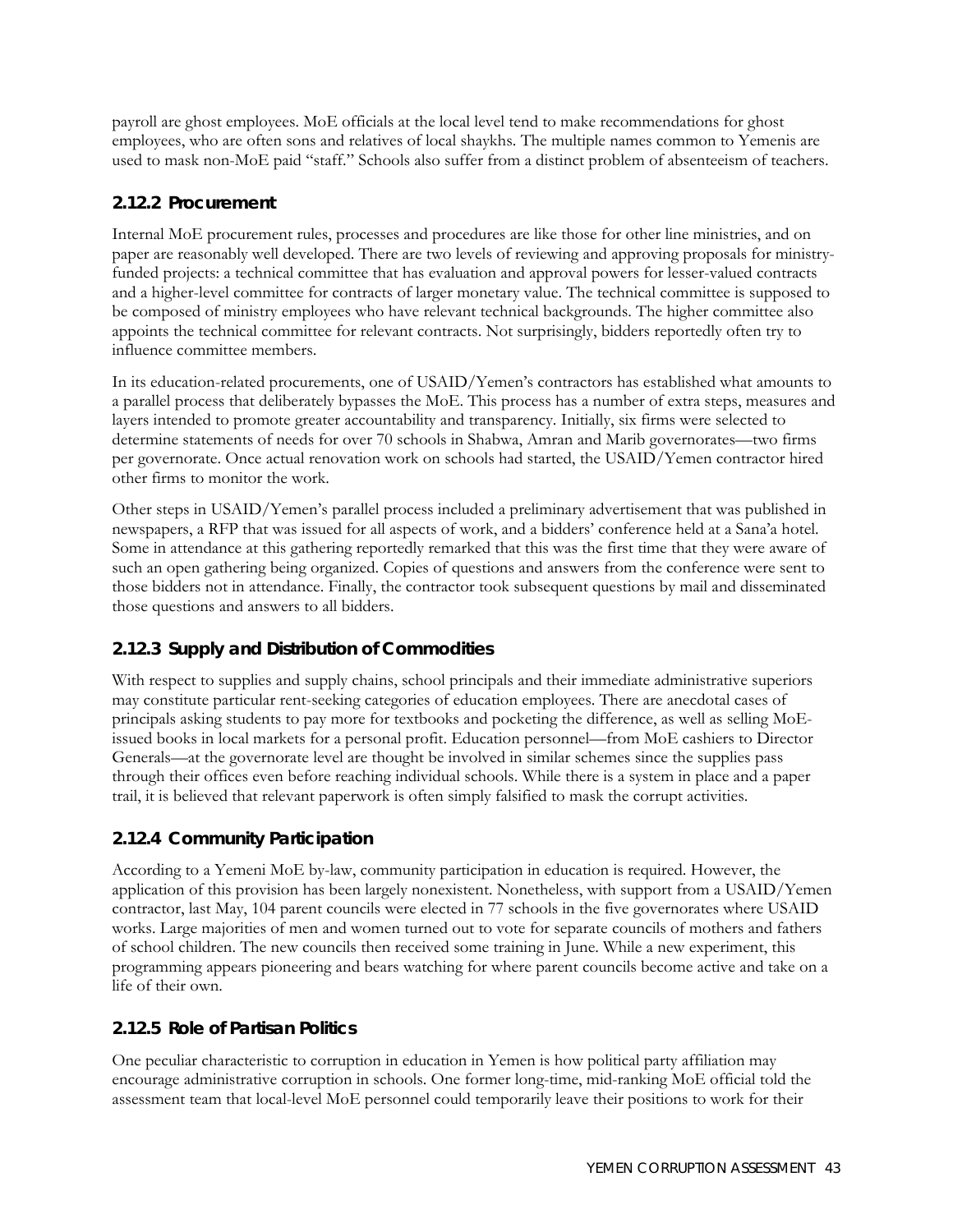payroll are ghost employees. MoE officials at the local level tend to make recommendations for ghost employees, who are often sons and relatives of local shaykhs. The multiple names common to Yemenis are used to mask non-MoE paid "staff." Schools also suffer from a distinct problem of absenteeism of teachers.

## **2.12.2 Procurement**

Internal MoE procurement rules, processes and procedures are like those for other line ministries, and on paper are reasonably well developed. There are two levels of reviewing and approving proposals for ministryfunded projects: a technical committee that has evaluation and approval powers for lesser-valued contracts and a higher-level committee for contracts of larger monetary value. The technical committee is supposed to be composed of ministry employees who have relevant technical backgrounds. The higher committee also appoints the technical committee for relevant contracts. Not surprisingly, bidders reportedly often try to influence committee members.

In its education-related procurements, one of USAID/Yemen's contractors has established what amounts to a parallel process that deliberately bypasses the MoE. This process has a number of extra steps, measures and layers intended to promote greater accountability and transparency. Initially, six firms were selected to determine statements of needs for over 70 schools in Shabwa, Amran and Marib governorates—two firms per governorate. Once actual renovation work on schools had started, the USAID/Yemen contractor hired other firms to monitor the work.

Other steps in USAID/Yemen's parallel process included a preliminary advertisement that was published in newspapers, a RFP that was issued for all aspects of work, and a bidders' conference held at a Sana'a hotel. Some in attendance at this gathering reportedly remarked that this was the first time that they were aware of such an open gathering being organized. Copies of questions and answers from the conference were sent to those bidders not in attendance. Finally, the contractor took subsequent questions by mail and disseminated those questions and answers to all bidders.

## **2.12.3 Supply and Distribution of Commodities**

With respect to supplies and supply chains, school principals and their immediate administrative superiors may constitute particular rent-seeking categories of education employees. There are anecdotal cases of principals asking students to pay more for textbooks and pocketing the difference, as well as selling MoEissued books in local markets for a personal profit. Education personnel—from MoE cashiers to Director Generals—at the governorate level are thought be involved in similar schemes since the supplies pass through their offices even before reaching individual schools. While there is a system in place and a paper trail, it is believed that relevant paperwork is often simply falsified to mask the corrupt activities.

## **2.12.4 Community Participation**

According to a Yemeni MoE by-law, community participation in education is required. However, the application of this provision has been largely nonexistent. Nonetheless, with support from a USAID/Yemen contractor, last May, 104 parent councils were elected in 77 schools in the five governorates where USAID works. Large majorities of men and women turned out to vote for separate councils of mothers and fathers of school children. The new councils then received some training in June. While a new experiment, this programming appears pioneering and bears watching for where parent councils become active and take on a life of their own.

## **2.12.5 Role of Partisan Politics**

One peculiar characteristic to corruption in education in Yemen is how political party affiliation may encourage administrative corruption in schools. One former long-time, mid-ranking MoE official told the assessment team that local-level MoE personnel could temporarily leave their positions to work for their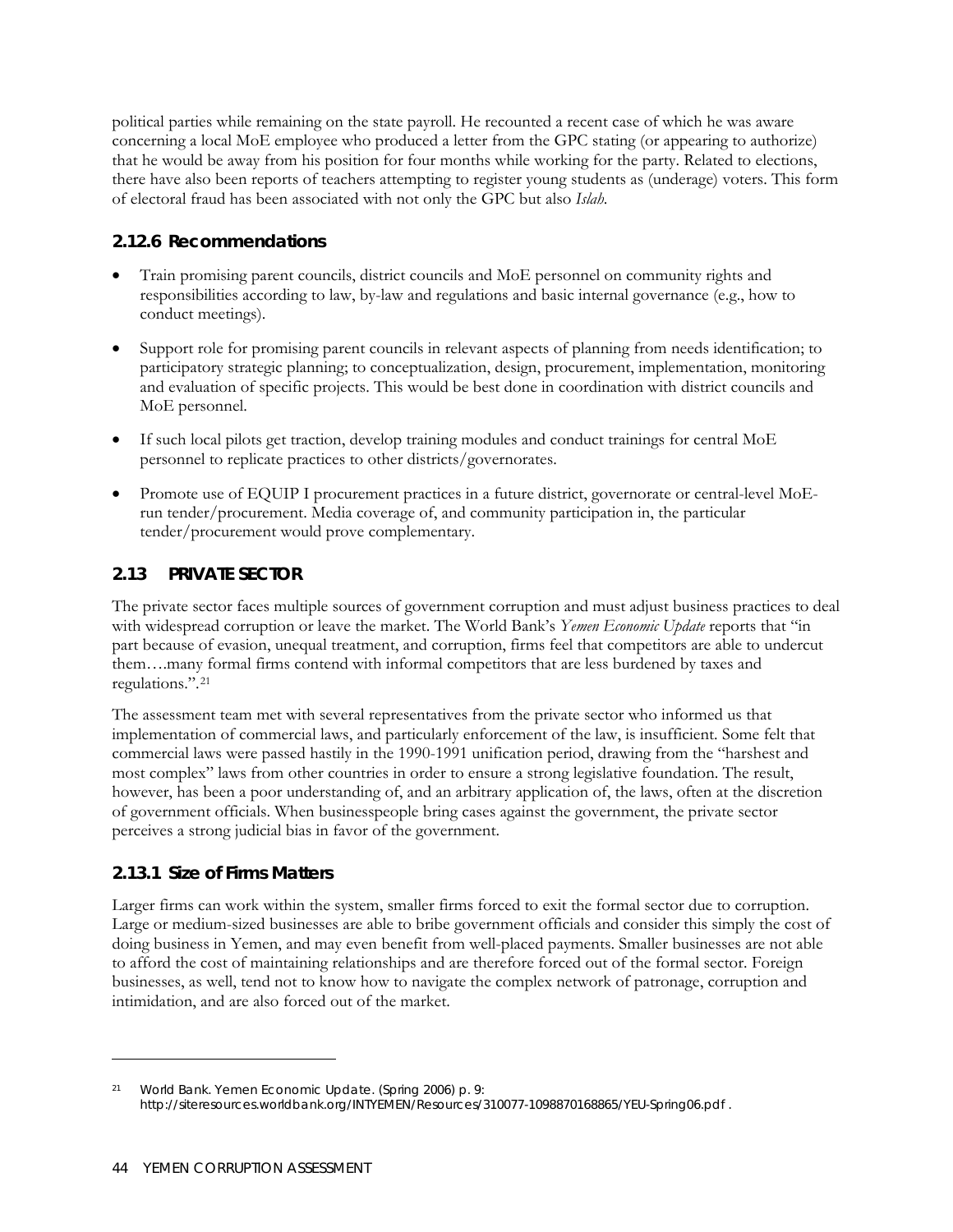political parties while remaining on the state payroll. He recounted a recent case of which he was aware concerning a local MoE employee who produced a letter from the GPC stating (or appearing to authorize) that he would be away from his position for four months while working for the party. Related to elections, there have also been reports of teachers attempting to register young students as (underage) voters. This form of electoral fraud has been associated with not only the GPC but also *Islah*.

## **2.12.6 Recommendations**

- Train promising parent councils, district councils and MoE personnel on community rights and responsibilities according to law, by-law and regulations and basic internal governance (e.g., how to conduct meetings).
- Support role for promising parent councils in relevant aspects of planning from needs identification; to participatory strategic planning; to conceptualization, design, procurement, implementation, monitoring and evaluation of specific projects. This would be best done in coordination with district councils and MoE personnel.
- If such local pilots get traction, develop training modules and conduct trainings for central MoE personnel to replicate practices to other districts/governorates.
- Promote use of EQUIP I procurement practices in a future district, governorate or central-level MoErun tender/procurement. Media coverage of, and community participation in, the particular tender/procurement would prove complementary.

## **2.13 PRIVATE SECTOR**

The private sector faces multiple sources of government corruption and must adjust business practices to deal with widespread corruption or leave the market. The World Bank's *Yemen Economic Update* reports that "in part because of evasion, unequal treatment, and corruption, firms feel that competitors are able to undercut them….many formal firms contend with informal competitors that are less burdened by taxes and regulations.".[21](#page-61-0)

The assessment team met with several representatives from the private sector who informed us that implementation of commercial laws, and particularly enforcement of the law, is insufficient. Some felt that commercial laws were passed hastily in the 1990-1991 unification period, drawing from the "harshest and most complex" laws from other countries in order to ensure a strong legislative foundation. The result, however, has been a poor understanding of, and an arbitrary application of, the laws, often at the discretion of government officials. When businesspeople bring cases against the government, the private sector perceives a strong judicial bias in favor of the government.

## **2.13.1 Size of Firms Matters**

<u>.</u>

Larger firms can work within the system, smaller firms forced to exit the formal sector due to corruption. Large or medium-sized businesses are able to bribe government officials and consider this simply the cost of doing business in Yemen, and may even benefit from well-placed payments. Smaller businesses are not able to afford the cost of maintaining relationships and are therefore forced out of the formal sector. Foreign businesses, as well, tend not to know how to navigate the complex network of patronage, corruption and intimidation, and are also forced out of the market.

<span id="page-61-0"></span><sup>21</sup> World Bank. Yemen Economic Update. (Spring 2006) p. 9: <http://siteresources.worldbank.org/INTYEMEN/Resources/310077-1098870168865/YEU-Spring06.pdf>.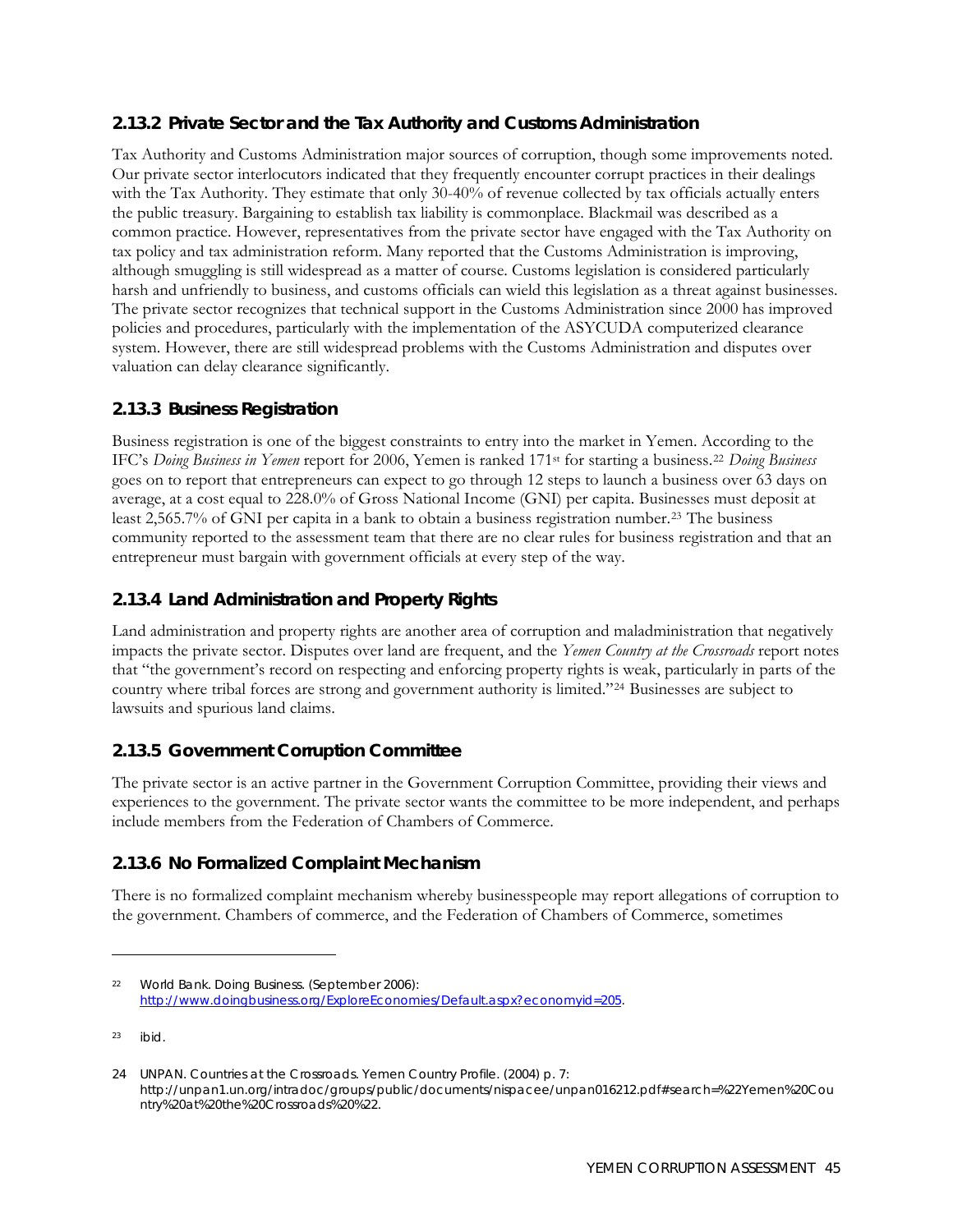## **2.13.2 Private Sector and the Tax Authority and Customs Administration**

Tax Authority and Customs Administration major sources of corruption, though some improvements noted. Our private sector interlocutors indicated that they frequently encounter corrupt practices in their dealings with the Tax Authority. They estimate that only 30-40% of revenue collected by tax officials actually enters the public treasury. Bargaining to establish tax liability is commonplace. Blackmail was described as a common practice. However, representatives from the private sector have engaged with the Tax Authority on tax policy and tax administration reform. Many reported that the Customs Administration is improving, although smuggling is still widespread as a matter of course. Customs legislation is considered particularly harsh and unfriendly to business, and customs officials can wield this legislation as a threat against businesses. The private sector recognizes that technical support in the Customs Administration since 2000 has improved policies and procedures, particularly with the implementation of the ASYCUDA computerized clearance system. However, there are still widespread problems with the Customs Administration and disputes over valuation can delay clearance significantly.

## **2.13.3 Business Registration**

Business registration is one of the biggest constraints to entry into the market in Yemen. According to the IFC's *Doing Business in Yemen* report for 2006, Yemen is ranked 171st for starting a business.[22](#page-62-0) *Doing Business* goes on to report that entrepreneurs can expect to go through 12 steps to launch a business over 63 days on average, at a cost equal to 228.0% of Gross National Income (GNI) per capita. Businesses must deposit at least 2,565.7% of GNI per capita in a bank to obtain a business registration number.[23](#page-62-1) The business community reported to the assessment team that there are no clear rules for business registration and that an entrepreneur must bargain with government officials at every step of the way.

## **2.13.4 Land Administration and Property Rights**

Land administration and property rights are another area of corruption and maladministration that negatively impacts the private sector. Disputes over land are frequent, and the *Yemen Country at the Crossroads* report notes that "the government's record on respecting and enforcing property rights is weak, particularly in parts of the country where tribal forces are strong and government authority is limited."[24](#page-62-2) Businesses are subject to lawsuits and spurious land claims.

#### **2.13.5 Government Corruption Committee**

The private sector is an active partner in the Government Corruption Committee, providing their views and experiences to the government. The private sector wants the committee to be more independent, and perhaps include members from the Federation of Chambers of Commerce.

## **2.13.6 No Formalized Complaint Mechanism**

There is no formalized complaint mechanism whereby businesspeople may report allegations of corruption to the government. Chambers of commerce, and the Federation of Chambers of Commerce, sometimes

 $\overline{a}$ 

<span id="page-62-0"></span><sup>22</sup> World Bank. *Doing Business*. (September 2006): <http://www.doingbusiness.org/ExploreEconomies/Default.aspx?economyid=205>.

<span id="page-62-1"></span><sup>23</sup> ibid.

<span id="page-62-2"></span><sup>24</sup> UNPAN. Countries at the Crossroads. Yemen Country Profile. (2004) p. 7: [http://unpan1.un.org/intradoc/groups/public/documents/nispacee/unpan016212.pdf#search=%22Yemen%20Cou](http://unpan1.un.org/intradoc/groups/public/documents/nispacee/unpan016212.pdf#search=%22Yemen%20Country%20at%20the%20Crossroads%20%22) [ntry%20at%20the%20Crossroads%20%22.](http://unpan1.un.org/intradoc/groups/public/documents/nispacee/unpan016212.pdf#search=%22Yemen%20Country%20at%20the%20Crossroads%20%22)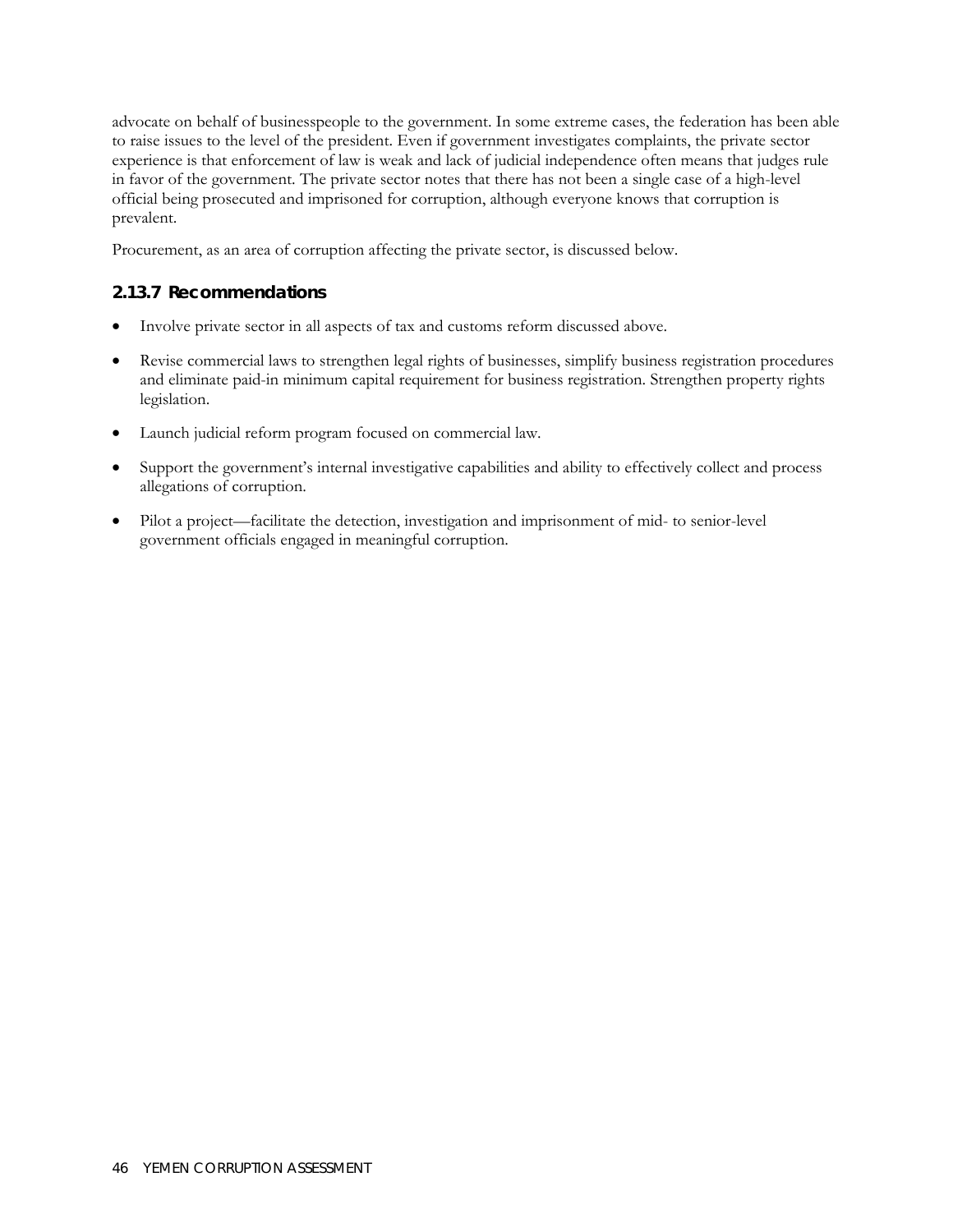advocate on behalf of businesspeople to the government. In some extreme cases, the federation has been able to raise issues to the level of the president. Even if government investigates complaints, the private sector experience is that enforcement of law is weak and lack of judicial independence often means that judges rule in favor of the government. The private sector notes that there has not been a single case of a high-level official being prosecuted and imprisoned for corruption, although everyone knows that corruption is prevalent.

Procurement, as an area of corruption affecting the private sector, is discussed below.

#### **2.13.7 Recommendations**

- Involve private sector in all aspects of tax and customs reform discussed above.
- Revise commercial laws to strengthen legal rights of businesses, simplify business registration procedures and eliminate paid-in minimum capital requirement for business registration. Strengthen property rights legislation.
- Launch judicial reform program focused on commercial law.
- Support the government's internal investigative capabilities and ability to effectively collect and process allegations of corruption.
- Pilot a project—facilitate the detection, investigation and imprisonment of mid- to senior-level government officials engaged in meaningful corruption.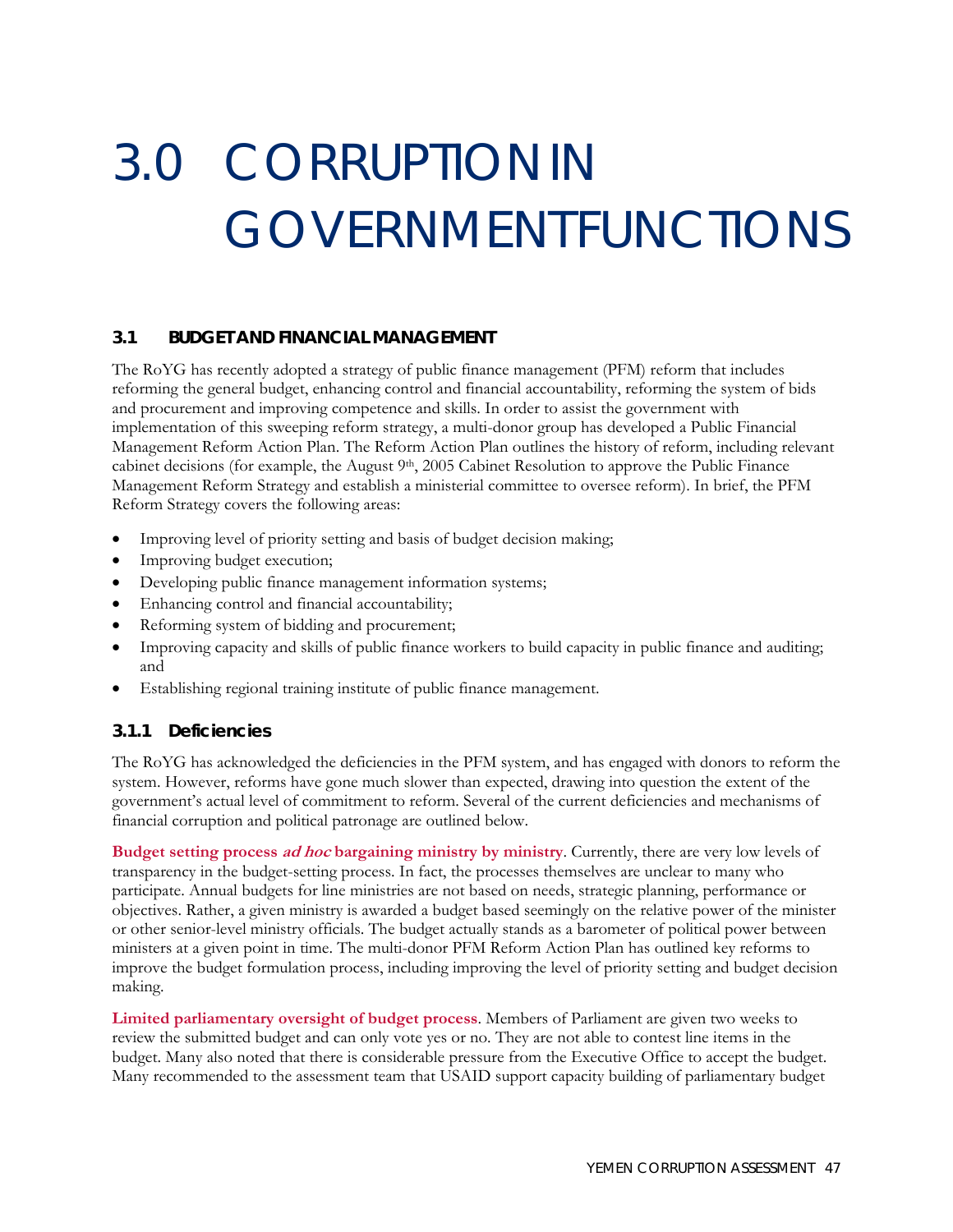# 3.0 CORRUPTIONIN GOVERNMENTFUNCTIONS

#### **3.1 BUDGET AND FINANCIAL MANAGEMENT**

The RoYG has recently adopted a strategy of public finance management (PFM) reform that includes reforming the general budget, enhancing control and financial accountability, reforming the system of bids and procurement and improving competence and skills. In order to assist the government with implementation of this sweeping reform strategy, a multi-donor group has developed a Public Financial Management Reform Action Plan. The Reform Action Plan outlines the history of reform, including relevant cabinet decisions (for example, the August 9th, 2005 Cabinet Resolution to approve the Public Finance Management Reform Strategy and establish a ministerial committee to oversee reform). In brief, the PFM Reform Strategy covers the following areas:

- Improving level of priority setting and basis of budget decision making;
- Improving budget execution;
- Developing public finance management information systems;
- Enhancing control and financial accountability;
- Reforming system of bidding and procurement;
- Improving capacity and skills of public finance workers to build capacity in public finance and auditing; and
- Establishing regional training institute of public finance management.

#### **3.1.1 Deficiencies**

The RoYG has acknowledged the deficiencies in the PFM system, and has engaged with donors to reform the system. However, reforms have gone much slower than expected, drawing into question the extent of the government's actual level of commitment to reform. Several of the current deficiencies and mechanisms of financial corruption and political patronage are outlined below.

**Budget setting process ad hoc bargaining ministry by ministry**. Currently, there are very low levels of transparency in the budget-setting process. In fact, the processes themselves are unclear to many who participate. Annual budgets for line ministries are not based on needs, strategic planning, performance or objectives. Rather, a given ministry is awarded a budget based seemingly on the relative power of the minister or other senior-level ministry officials. The budget actually stands as a barometer of political power between ministers at a given point in time. The multi-donor PFM Reform Action Plan has outlined key reforms to improve the budget formulation process, including improving the level of priority setting and budget decision making.

**Limited parliamentary oversight of budget process**. Members of Parliament are given two weeks to review the submitted budget and can only vote yes or no. They are not able to contest line items in the budget. Many also noted that there is considerable pressure from the Executive Office to accept the budget. Many recommended to the assessment team that USAID support capacity building of parliamentary budget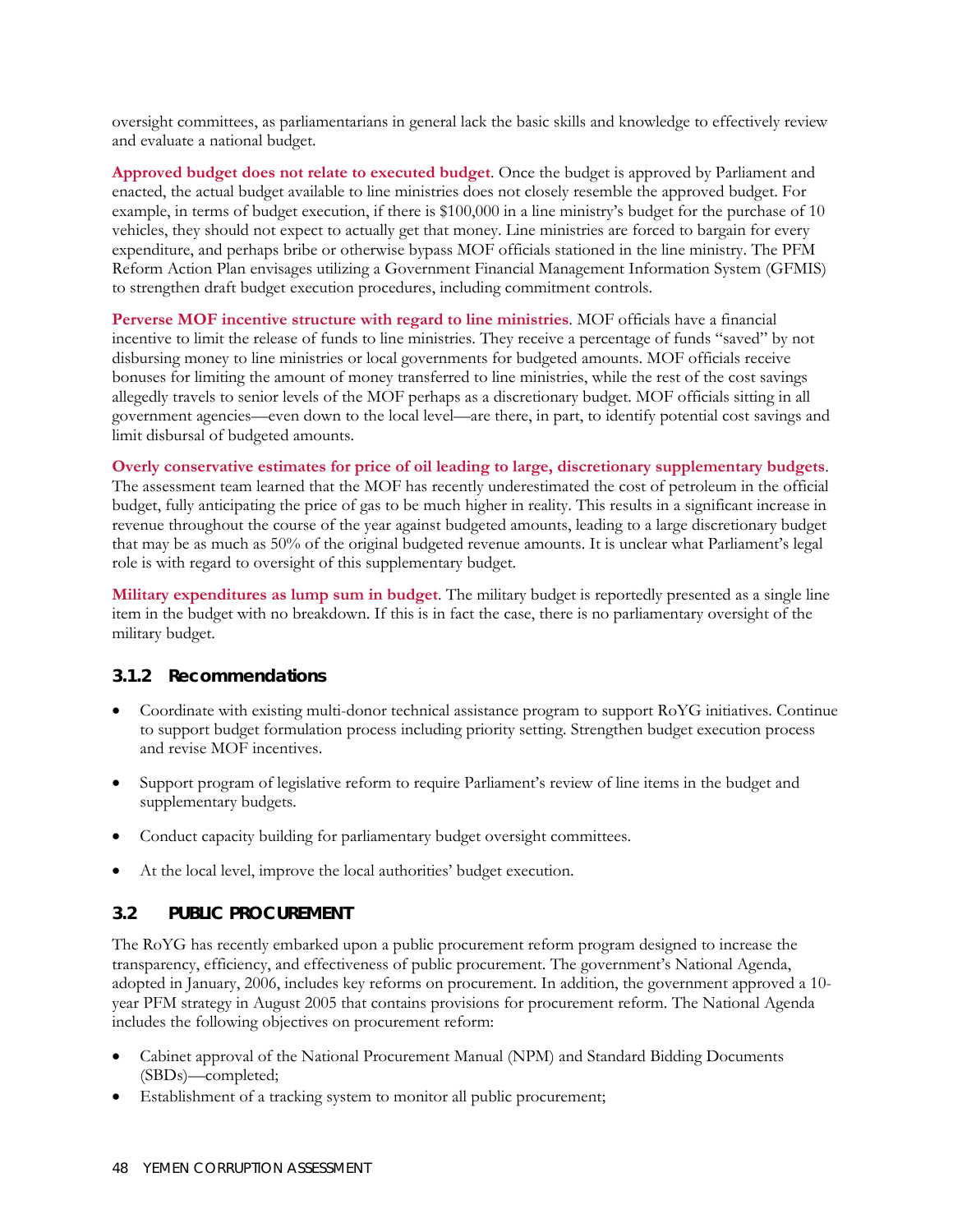oversight committees, as parliamentarians in general lack the basic skills and knowledge to effectively review and evaluate a national budget.

**Approved budget does not relate to executed budget**. Once the budget is approved by Parliament and enacted, the actual budget available to line ministries does not closely resemble the approved budget. For example, in terms of budget execution, if there is \$100,000 in a line ministry's budget for the purchase of 10 vehicles, they should not expect to actually get that money. Line ministries are forced to bargain for every expenditure, and perhaps bribe or otherwise bypass MOF officials stationed in the line ministry. The PFM Reform Action Plan envisages utilizing a Government Financial Management Information System (GFMIS) to strengthen draft budget execution procedures, including commitment controls.

**Perverse MOF incentive structure with regard to line ministries**. MOF officials have a financial incentive to limit the release of funds to line ministries. They receive a percentage of funds "saved" by not disbursing money to line ministries or local governments for budgeted amounts. MOF officials receive bonuses for limiting the amount of money transferred to line ministries, while the rest of the cost savings allegedly travels to senior levels of the MOF perhaps as a discretionary budget. MOF officials sitting in all government agencies—even down to the local level—are there, in part, to identify potential cost savings and limit disbursal of budgeted amounts.

**Overly conservative estimates for price of oil leading to large, discretionary supplementary budgets**. The assessment team learned that the MOF has recently underestimated the cost of petroleum in the official budget, fully anticipating the price of gas to be much higher in reality. This results in a significant increase in revenue throughout the course of the year against budgeted amounts, leading to a large discretionary budget that may be as much as 50% of the original budgeted revenue amounts. It is unclear what Parliament's legal role is with regard to oversight of this supplementary budget.

**Military expenditures as lump sum in budget**. The military budget is reportedly presented as a single line item in the budget with no breakdown. If this is in fact the case, there is no parliamentary oversight of the military budget.

#### **3.1.2 Recommendations**

- Coordinate with existing multi-donor technical assistance program to support RoYG initiatives. Continue to support budget formulation process including priority setting. Strengthen budget execution process and revise MOF incentives.
- Support program of legislative reform to require Parliament's review of line items in the budget and supplementary budgets.
- Conduct capacity building for parliamentary budget oversight committees.
- At the local level, improve the local authorities' budget execution.

#### **3.2 PUBLIC PROCUREMENT**

The RoYG has recently embarked upon a public procurement reform program designed to increase the transparency, efficiency, and effectiveness of public procurement. The government's National Agenda, adopted in January, 2006, includes key reforms on procurement. In addition, the government approved a 10 year PFM strategy in August 2005 that contains provisions for procurement reform. The National Agenda includes the following objectives on procurement reform:

- Cabinet approval of the National Procurement Manual (NPM) and Standard Bidding Documents (SBDs)—completed;
- Establishment of a tracking system to monitor all public procurement;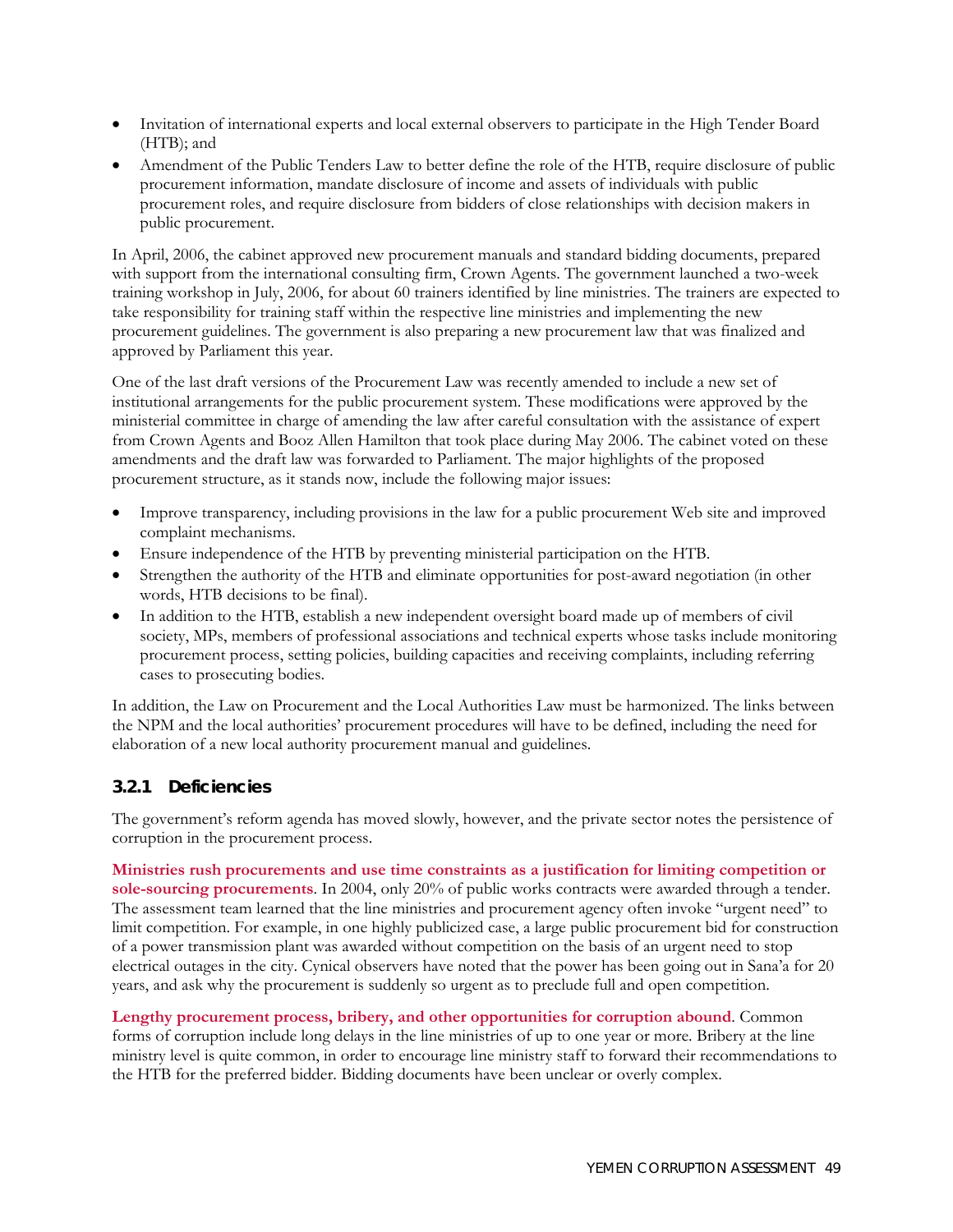- Invitation of international experts and local external observers to participate in the High Tender Board (HTB); and
- Amendment of the Public Tenders Law to better define the role of the HTB, require disclosure of public procurement information, mandate disclosure of income and assets of individuals with public procurement roles, and require disclosure from bidders of close relationships with decision makers in public procurement.

In April, 2006, the cabinet approved new procurement manuals and standard bidding documents, prepared with support from the international consulting firm, Crown Agents. The government launched a two-week training workshop in July, 2006, for about 60 trainers identified by line ministries. The trainers are expected to take responsibility for training staff within the respective line ministries and implementing the new procurement guidelines. The government is also preparing a new procurement law that was finalized and approved by Parliament this year.

One of the last draft versions of the Procurement Law was recently amended to include a new set of institutional arrangements for the public procurement system. These modifications were approved by the ministerial committee in charge of amending the law after careful consultation with the assistance of expert from Crown Agents and Booz Allen Hamilton that took place during May 2006. The cabinet voted on these amendments and the draft law was forwarded to Parliament. The major highlights of the proposed procurement structure, as it stands now, include the following major issues:

- Improve transparency, including provisions in the law for a public procurement Web site and improved complaint mechanisms.
- Ensure independence of the HTB by preventing ministerial participation on the HTB.
- Strengthen the authority of the HTB and eliminate opportunities for post-award negotiation (in other words, HTB decisions to be final).
- In addition to the HTB, establish a new independent oversight board made up of members of civil society, MPs, members of professional associations and technical experts whose tasks include monitoring procurement process, setting policies, building capacities and receiving complaints, including referring cases to prosecuting bodies.

In addition, the Law on Procurement and the Local Authorities Law must be harmonized. The links between the NPM and the local authorities' procurement procedures will have to be defined, including the need for elaboration of a new local authority procurement manual and guidelines.

#### **3.2.1 Deficiencies**

The government's reform agenda has moved slowly, however, and the private sector notes the persistence of corruption in the procurement process.

**Ministries rush procurements and use time constraints as a justification for limiting competition or sole-sourcing procurements**. In 2004, only 20% of public works contracts were awarded through a tender. The assessment team learned that the line ministries and procurement agency often invoke "urgent need" to limit competition. For example, in one highly publicized case, a large public procurement bid for construction of a power transmission plant was awarded without competition on the basis of an urgent need to stop electrical outages in the city. Cynical observers have noted that the power has been going out in Sana'a for 20 years, and ask why the procurement is suddenly so urgent as to preclude full and open competition.

**Lengthy procurement process, bribery, and other opportunities for corruption abound**. Common forms of corruption include long delays in the line ministries of up to one year or more. Bribery at the line ministry level is quite common, in order to encourage line ministry staff to forward their recommendations to the HTB for the preferred bidder. Bidding documents have been unclear or overly complex.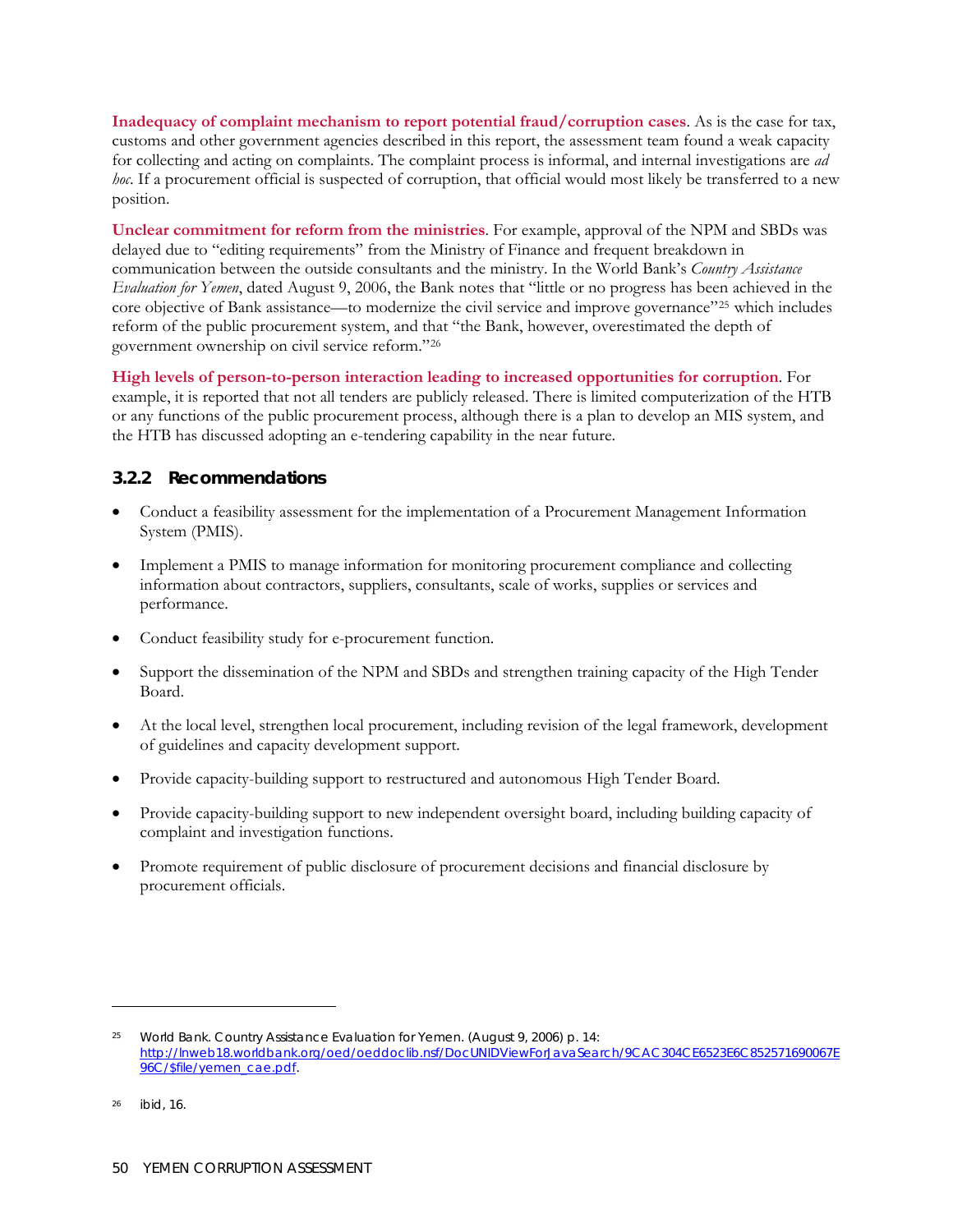**Inadequacy of complaint mechanism to report potential fraud/corruption cases**. As is the case for tax, customs and other government agencies described in this report, the assessment team found a weak capacity for collecting and acting on complaints. The complaint process is informal, and internal investigations are *ad hoc*. If a procurement official is suspected of corruption, that official would most likely be transferred to a new position.

**Unclear commitment for reform from the ministries**. For example, approval of the NPM and SBDs was delayed due to "editing requirements" from the Ministry of Finance and frequent breakdown in communication between the outside consultants and the ministry. In the World Bank's *Country Assistance Evaluation for Yemen*, dated August 9, 2006, the Bank notes that "little or no progress has been achieved in the core objective of Bank assistance—to modernize the civil service and improve governance"<sup>[25](#page-67-0)</sup> which includes reform of the public procurement system, and that "the Bank, however, overestimated the depth of government ownership on civil service reform."[26](#page-67-1)

**High levels of person-to-person interaction leading to increased opportunities for corruption**. For example, it is reported that not all tenders are publicly released. There is limited computerization of the HTB or any functions of the public procurement process, although there is a plan to develop an MIS system, and the HTB has discussed adopting an e-tendering capability in the near future.

## **3.2.2 Recommendations**

- Conduct a feasibility assessment for the implementation of a Procurement Management Information System (PMIS).
- Implement a PMIS to manage information for monitoring procurement compliance and collecting information about contractors, suppliers, consultants, scale of works, supplies or services and performance.
- Conduct feasibility study for e-procurement function.
- Support the dissemination of the NPM and SBDs and strengthen training capacity of the High Tender Board.
- At the local level, strengthen local procurement, including revision of the legal framework, development of guidelines and capacity development support.
- Provide capacity-building support to restructured and autonomous High Tender Board.
- Provide capacity-building support to new independent oversight board, including building capacity of complaint and investigation functions.
- Promote requirement of public disclosure of procurement decisions and financial disclosure by procurement officials.

 $\overline{a}$ 

<span id="page-67-0"></span><sup>25</sup> World Bank. *Country Assistance Evaluation for Yemen*. (August 9, 2006) p. 14: [http://lnweb18.worldbank.org/oed/oeddoclib.nsf/DocUNIDViewForJavaSearch/9CAC304CE6523E6C852571690067E](http://lnweb18.worldbank.org/oed/oeddoclib.nsf/DocUNIDViewForJavaSearch/9CAC304CE6523E6C852571690067E96C/$file/yemen_cae.pdf) [96C/\\$file/yemen\\_cae.pdf](http://lnweb18.worldbank.org/oed/oeddoclib.nsf/DocUNIDViewForJavaSearch/9CAC304CE6523E6C852571690067E96C/$file/yemen_cae.pdf).

<span id="page-67-1"></span><sup>26</sup> ibid, 16.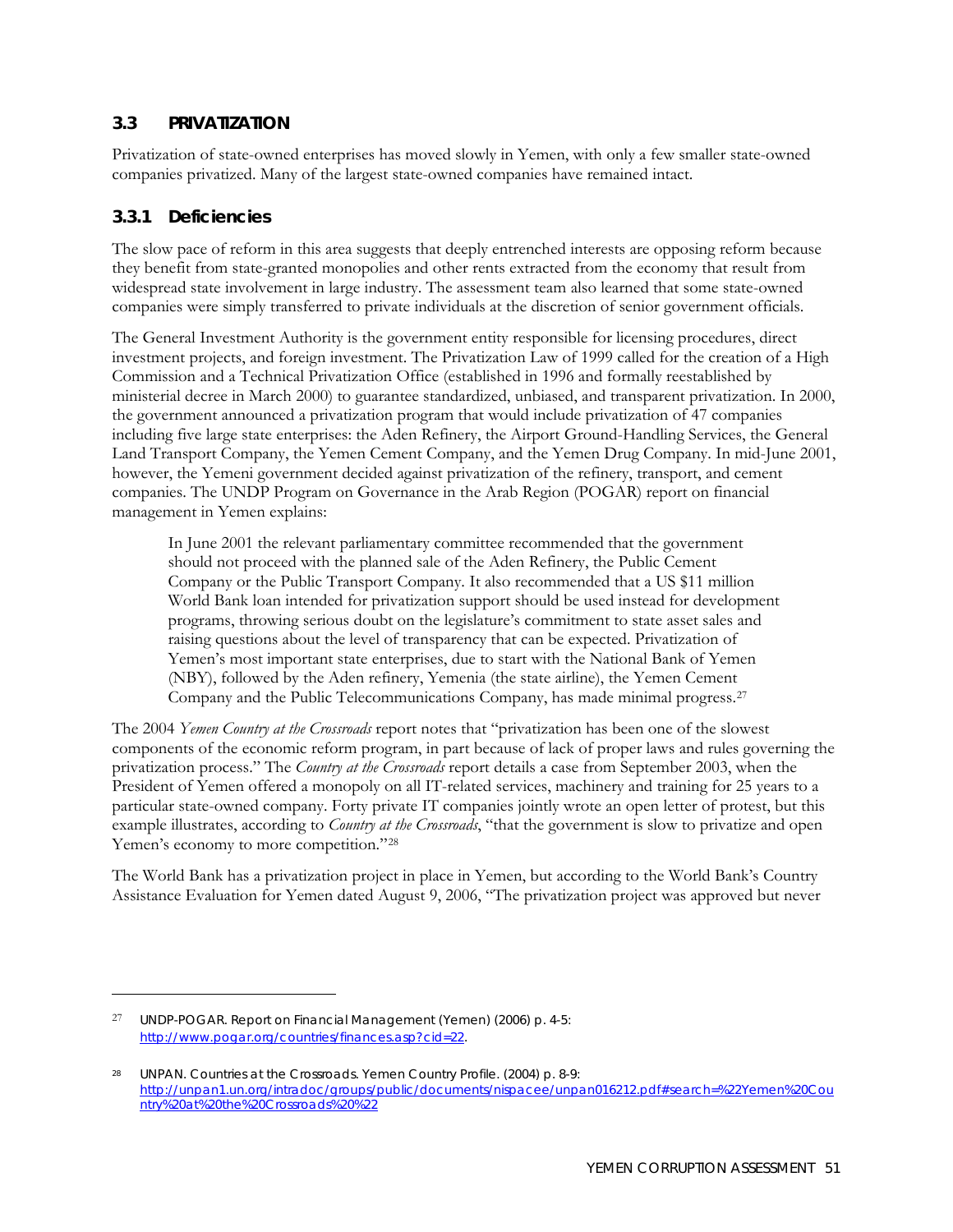#### **3.3 PRIVATIZATION**

Privatization of state-owned enterprises has moved slowly in Yemen, with only a few smaller state-owned companies privatized. Many of the largest state-owned companies have remained intact.

#### **3.3.1 Deficiencies**

<u>.</u>

The slow pace of reform in this area suggests that deeply entrenched interests are opposing reform because they benefit from state-granted monopolies and other rents extracted from the economy that result from widespread state involvement in large industry. The assessment team also learned that some state-owned companies were simply transferred to private individuals at the discretion of senior government officials.

The General Investment Authority is the government entity responsible for licensing procedures, direct investment projects, and foreign investment. The Privatization Law of 1999 called for the creation of a High Commission and a Technical Privatization Office (established in 1996 and formally reestablished by ministerial decree in March 2000) to guarantee standardized, unbiased, and transparent privatization. In 2000, the government announced a privatization program that would include privatization of 47 companies including five large state enterprises: the Aden Refinery, the Airport Ground-Handling Services, the General Land Transport Company, the Yemen Cement Company, and the Yemen Drug Company. In mid-June 2001, however, the Yemeni government decided against privatization of the refinery, transport, and cement companies. The UNDP Program on Governance in the Arab Region (POGAR) report on financial management in Yemen explains:

In June 2001 the relevant parliamentary committee recommended that the government should not proceed with the planned sale of the Aden Refinery, the Public Cement Company or the Public Transport Company. It also recommended that a US \$11 million World Bank loan intended for privatization support should be used instead for development programs, throwing serious doubt on the legislature's commitment to state asset sales and raising questions about the level of transparency that can be expected. Privatization of Yemen's most important state enterprises, due to start with the National Bank of Yemen (NBY), followed by the Aden refinery, Yemenia (the state airline), the Yemen Cement Company and the Public Telecommunications Company, has made minimal progress.[27](#page-68-0)

The 2004 *Yemen Country at the Crossroads* report notes that "privatization has been one of the slowest components of the economic reform program, in part because of lack of proper laws and rules governing the privatization process." The *Country at the Crossroads* report details a case from September 2003, when the President of Yemen offered a monopoly on all IT-related services, machinery and training for 25 years to a particular state-owned company. Forty private IT companies jointly wrote an open letter of protest, but this example illustrates, according to *Country at the Crossroads*, "that the government is slow to privatize and open Yemen's economy to more competition."<sup>[28](#page-68-1)</sup>

The World Bank has a privatization project in place in Yemen, but according to the World Bank's Country Assistance Evaluation for Yemen dated August 9, 2006, "The privatization project was approved but never

<span id="page-68-0"></span><sup>27</sup> UNDP-POGAR. *Report on Financial Management (Yemen)* (2006) p. 4-5: <http://www.pogar.org/countries/finances.asp?cid=22>.

<span id="page-68-1"></span><sup>28</sup> UNPAN. Countries at the Crossroads. Yemen Country Profile. (2004) p. 8-9: [http://unpan1.un.org/intradoc/groups/public/documents/nispacee/unpan016212.pdf#search=%22Yemen%20Cou](http://unpan1.un.org/intradoc/groups/public/documents/nispacee/unpan016212.pdf#search=%22Yemen%20Country%20at%20the%20Crossroads%20%22) [ntry%20at%20the%20Crossroads%20%22](http://unpan1.un.org/intradoc/groups/public/documents/nispacee/unpan016212.pdf#search=%22Yemen%20Country%20at%20the%20Crossroads%20%22)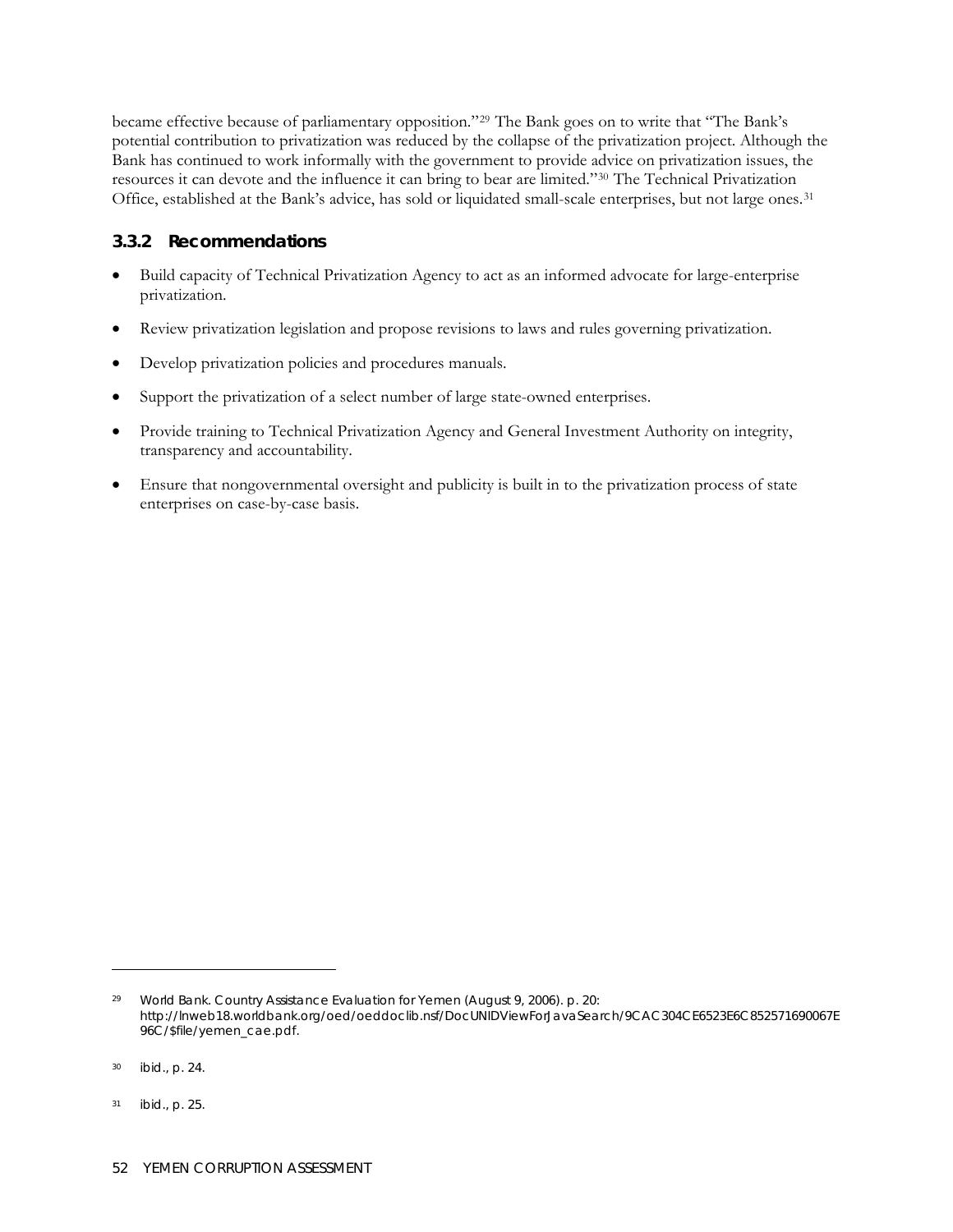became effective because of parliamentary opposition."[29](#page-69-0) The Bank goes on to write that "The Bank's potential contribution to privatization was reduced by the collapse of the privatization project. Although the Bank has continued to work informally with the government to provide advice on privatization issues, the resources it can devote and the influence it can bring to bear are limited.["30](#page-69-1) The Technical Privatization Office, established at the Bank's advice, has sold or liquidated small-scale enterprises, but not large ones.[31](#page-69-2)

#### **3.3.2 Recommendations**

- Build capacity of Technical Privatization Agency to act as an informed advocate for large-enterprise privatization.
- Review privatization legislation and propose revisions to laws and rules governing privatization.
- Develop privatization policies and procedures manuals.
- Support the privatization of a select number of large state-owned enterprises.
- Provide training to Technical Privatization Agency and General Investment Authority on integrity, transparency and accountability.
- Ensure that nongovernmental oversight and publicity is built in to the privatization process of state enterprises on case-by-case basis.

 $\overline{a}$ 

<span id="page-69-0"></span><sup>29</sup> World Bank. *Country Assistance Evaluation for Yemen* (August 9, 2006). p. 20: [http://lnweb18.worldbank.org/oed/oeddoclib.nsf/DocUNIDViewForJavaSearch/9CAC304CE6523E6C852571690067E](http://lnweb18.worldbank.org/oed/oeddoclib.nsf/DocUNIDViewForJavaSearch/9CAC304CE6523E6C852571690067E96C/$file/yemen_cae.pdf) [96C/\\$file/yemen\\_cae.pdf](http://lnweb18.worldbank.org/oed/oeddoclib.nsf/DocUNIDViewForJavaSearch/9CAC304CE6523E6C852571690067E96C/$file/yemen_cae.pdf).

<span id="page-69-1"></span><sup>30</sup> ibid., p. 24.

<span id="page-69-2"></span><sup>31</sup> ibid., p. 25.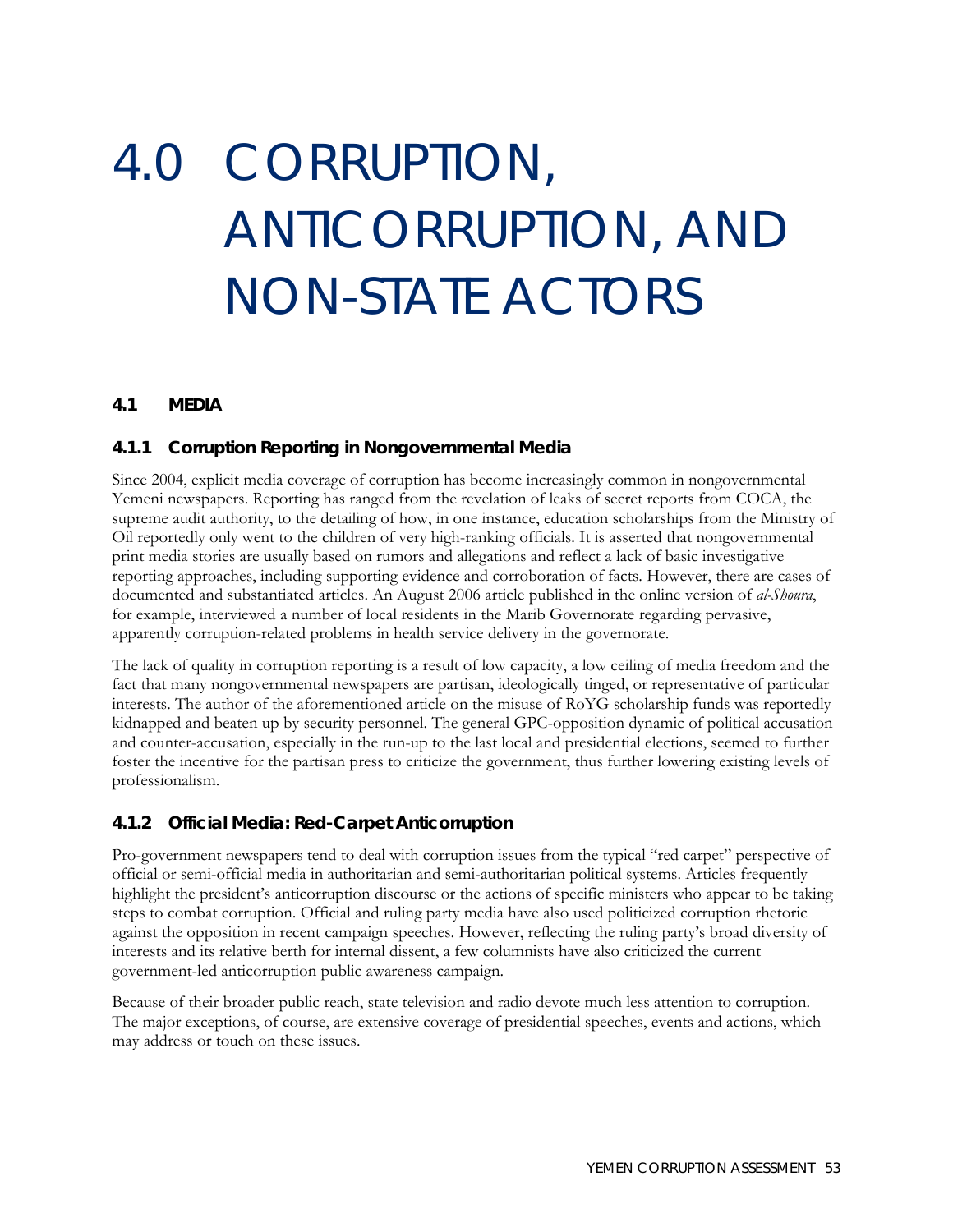# 4.0 CORRUPTION, ANTICORRUPTION, AND NON-STATE ACTORS

#### **4.1 MEDIA**

#### **4.1.1 Corruption Reporting in Nongovernmental Media**

Since 2004, explicit media coverage of corruption has become increasingly common in nongovernmental Yemeni newspapers. Reporting has ranged from the revelation of leaks of secret reports from COCA, the supreme audit authority, to the detailing of how, in one instance, education scholarships from the Ministry of Oil reportedly only went to the children of very high-ranking officials. It is asserted that nongovernmental print media stories are usually based on rumors and allegations and reflect a lack of basic investigative reporting approaches, including supporting evidence and corroboration of facts. However, there are cases of documented and substantiated articles. An August 2006 article published in the online version of *al-Shoura*, for example, interviewed a number of local residents in the Marib Governorate regarding pervasive, apparently corruption-related problems in health service delivery in the governorate.

The lack of quality in corruption reporting is a result of low capacity, a low ceiling of media freedom and the fact that many nongovernmental newspapers are partisan, ideologically tinged, or representative of particular interests. The author of the aforementioned article on the misuse of RoYG scholarship funds was reportedly kidnapped and beaten up by security personnel. The general GPC-opposition dynamic of political accusation and counter-accusation, especially in the run-up to the last local and presidential elections, seemed to further foster the incentive for the partisan press to criticize the government, thus further lowering existing levels of professionalism.

#### **4.1.2 Official Media: Red-Carpet Anticorruption**

Pro-government newspapers tend to deal with corruption issues from the typical "red carpet" perspective of official or semi-official media in authoritarian and semi-authoritarian political systems. Articles frequently highlight the president's anticorruption discourse or the actions of specific ministers who appear to be taking steps to combat corruption. Official and ruling party media have also used politicized corruption rhetoric against the opposition in recent campaign speeches. However, reflecting the ruling party's broad diversity of interests and its relative berth for internal dissent, a few columnists have also criticized the current government-led anticorruption public awareness campaign.

Because of their broader public reach, state television and radio devote much less attention to corruption. The major exceptions, of course, are extensive coverage of presidential speeches, events and actions, which may address or touch on these issues.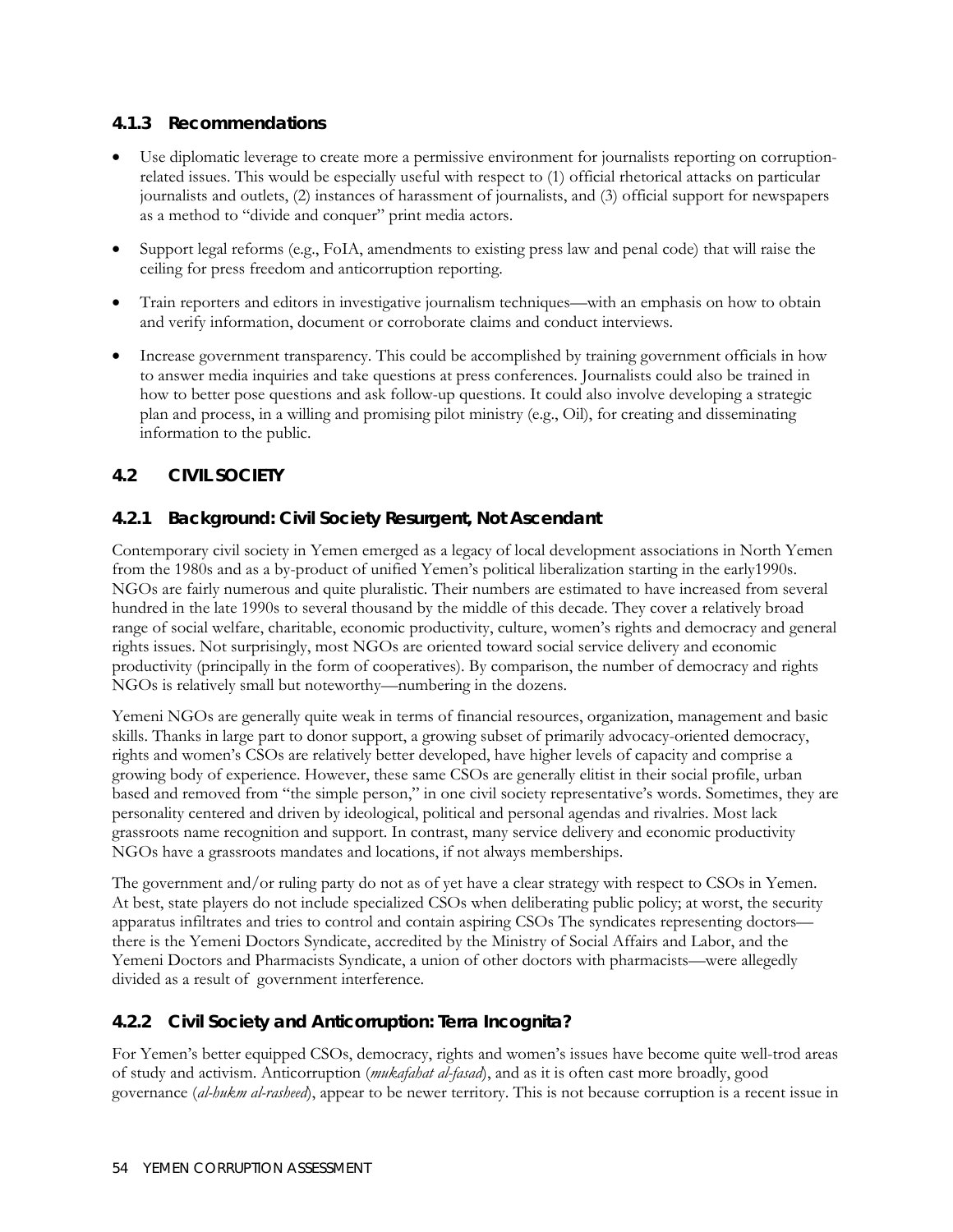## **4.1.3 Recommendations**

- Use diplomatic leverage to create more a permissive environment for journalists reporting on corruptionrelated issues. This would be especially useful with respect to (1) official rhetorical attacks on particular journalists and outlets, (2) instances of harassment of journalists, and (3) official support for newspapers as a method to "divide and conquer" print media actors.
- Support legal reforms (e.g., FoIA, amendments to existing press law and penal code) that will raise the ceiling for press freedom and anticorruption reporting.
- Train reporters and editors in investigative journalism techniques—with an emphasis on how to obtain and verify information, document or corroborate claims and conduct interviews.
- Increase government transparency. This could be accomplished by training government officials in how to answer media inquiries and take questions at press conferences. Journalists could also be trained in how to better pose questions and ask follow-up questions. It could also involve developing a strategic plan and process, in a willing and promising pilot ministry (e.g., Oil), for creating and disseminating information to the public.

## **4.2 CIVIL SOCIETY**

## **4.2.1 Background: Civil Society Resurgent, Not Ascendant**

Contemporary civil society in Yemen emerged as a legacy of local development associations in North Yemen from the 1980s and as a by-product of unified Yemen's political liberalization starting in the early1990s. NGOs are fairly numerous and quite pluralistic. Their numbers are estimated to have increased from several hundred in the late 1990s to several thousand by the middle of this decade. They cover a relatively broad range of social welfare, charitable, economic productivity, culture, women's rights and democracy and general rights issues. Not surprisingly, most NGOs are oriented toward social service delivery and economic productivity (principally in the form of cooperatives). By comparison, the number of democracy and rights NGOs is relatively small but noteworthy—numbering in the dozens.

Yemeni NGOs are generally quite weak in terms of financial resources, organization, management and basic skills. Thanks in large part to donor support, a growing subset of primarily advocacy-oriented democracy, rights and women's CSOs are relatively better developed, have higher levels of capacity and comprise a growing body of experience. However, these same CSOs are generally elitist in their social profile, urban based and removed from "the simple person," in one civil society representative's words. Sometimes, they are personality centered and driven by ideological, political and personal agendas and rivalries. Most lack grassroots name recognition and support. In contrast, many service delivery and economic productivity NGOs have a grassroots mandates and locations, if not always memberships.

The government and/or ruling party do not as of yet have a clear strategy with respect to CSOs in Yemen. At best, state players do not include specialized CSOs when deliberating public policy; at worst, the security apparatus infiltrates and tries to control and contain aspiring CSOs The syndicates representing doctors there is the Yemeni Doctors Syndicate, accredited by the Ministry of Social Affairs and Labor, and the Yemeni Doctors and Pharmacists Syndicate, a union of other doctors with pharmacists—were allegedly divided as a result of government interference.

#### **4.2.2 Civil Society and Anticorruption:** *Terra Incognita***?**

For Yemen's better equipped CSOs, democracy, rights and women's issues have become quite well-trod areas of study and activism. Anticorruption (*mukafahat al-fasad*), and as it is often cast more broadly, good governance (*al-hukm al-rasheed*), appear to be newer territory. This is not because corruption is a recent issue in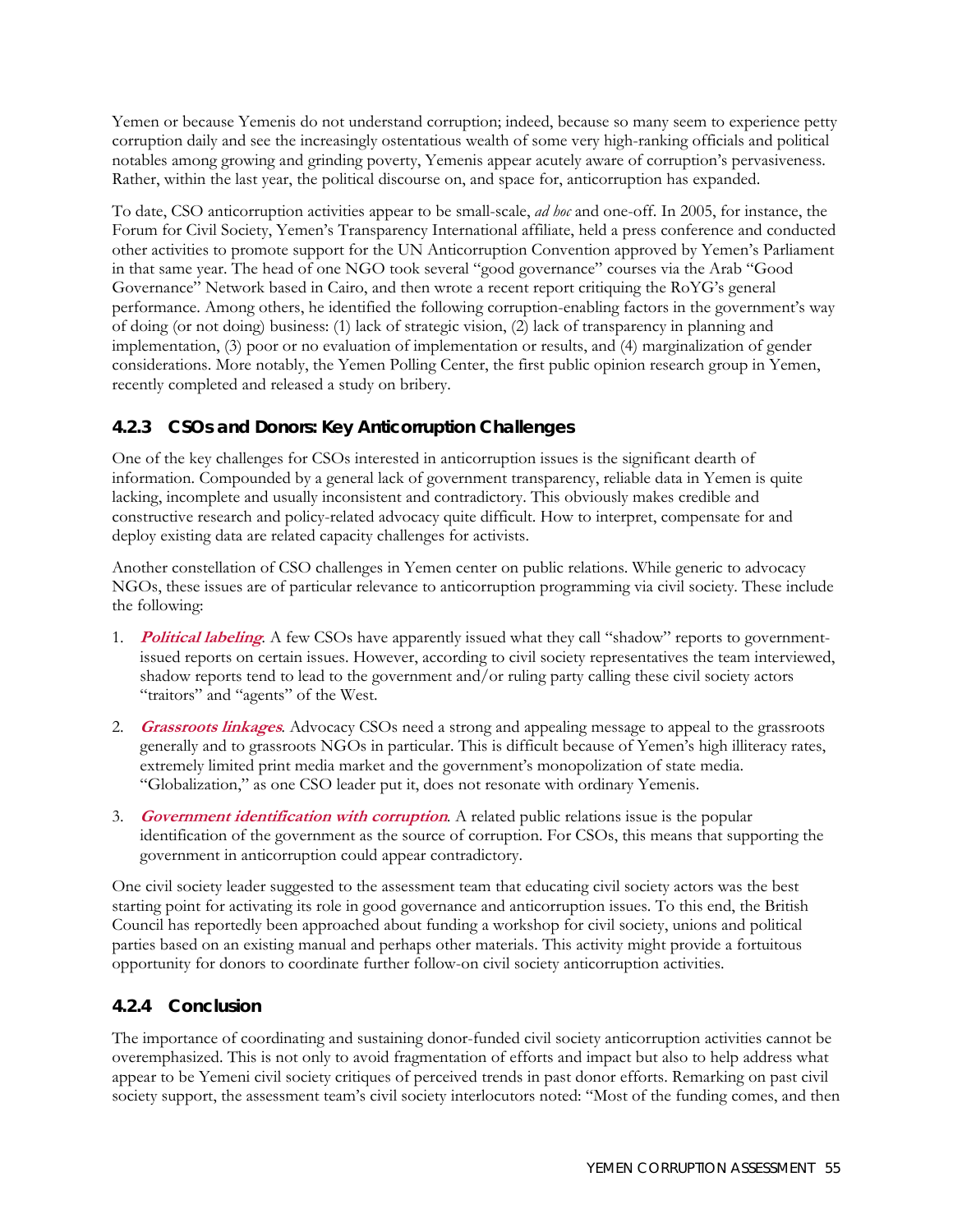Yemen or because Yemenis do not understand corruption; indeed, because so many seem to experience petty corruption daily and see the increasingly ostentatious wealth of some very high-ranking officials and political notables among growing and grinding poverty, Yemenis appear acutely aware of corruption's pervasiveness. Rather, within the last year, the political discourse on, and space for, anticorruption has expanded.

To date, CSO anticorruption activities appear to be small-scale, *ad hoc* and one-off. In 2005, for instance, the Forum for Civil Society, Yemen's Transparency International affiliate, held a press conference and conducted other activities to promote support for the UN Anticorruption Convention approved by Yemen's Parliament in that same year. The head of one NGO took several "good governance" courses via the Arab "Good Governance" Network based in Cairo, and then wrote a recent report critiquing the RoYG's general performance. Among others, he identified the following corruption-enabling factors in the government's way of doing (or not doing) business: (1) lack of strategic vision, (2) lack of transparency in planning and implementation, (3) poor or no evaluation of implementation or results, and (4) marginalization of gender considerations. More notably, the Yemen Polling Center, the first public opinion research group in Yemen, recently completed and released a study on bribery.

## **4.2.3 CSOs and Donors: Key Anticorruption Challenges**

One of the key challenges for CSOs interested in anticorruption issues is the significant dearth of information. Compounded by a general lack of government transparency, reliable data in Yemen is quite lacking, incomplete and usually inconsistent and contradictory. This obviously makes credible and constructive research and policy-related advocacy quite difficult. How to interpret, compensate for and deploy existing data are related capacity challenges for activists.

Another constellation of CSO challenges in Yemen center on public relations. While generic to advocacy NGOs, these issues are of particular relevance to anticorruption programming via civil society. These include the following:

- 1. **Political labeling***.* A few CSOs have apparently issued what they call "shadow" reports to governmentissued reports on certain issues. However, according to civil society representatives the team interviewed, shadow reports tend to lead to the government and/or ruling party calling these civil society actors "traitors" and "agents" of the West.
- 2. **Grassroots linkages***.* Advocacy CSOs need a strong and appealing message to appeal to the grassroots generally and to grassroots NGOs in particular. This is difficult because of Yemen's high illiteracy rates, extremely limited print media market and the government's monopolization of state media. "Globalization," as one CSO leader put it, does not resonate with ordinary Yemenis.
- 3. **Government identification with corruption***.* A related public relations issue is the popular identification of the government as the source of corruption. For CSOs, this means that supporting the government in anticorruption could appear contradictory.

One civil society leader suggested to the assessment team that educating civil society actors was the best starting point for activating its role in good governance and anticorruption issues. To this end, the British Council has reportedly been approached about funding a workshop for civil society, unions and political parties based on an existing manual and perhaps other materials. This activity might provide a fortuitous opportunity for donors to coordinate further follow-on civil society anticorruption activities.

## **4.2.4 Conclusion**

The importance of coordinating and sustaining donor-funded civil society anticorruption activities cannot be overemphasized. This is not only to avoid fragmentation of efforts and impact but also to help address what appear to be Yemeni civil society critiques of perceived trends in past donor efforts. Remarking on past civil society support, the assessment team's civil society interlocutors noted: "Most of the funding comes, and then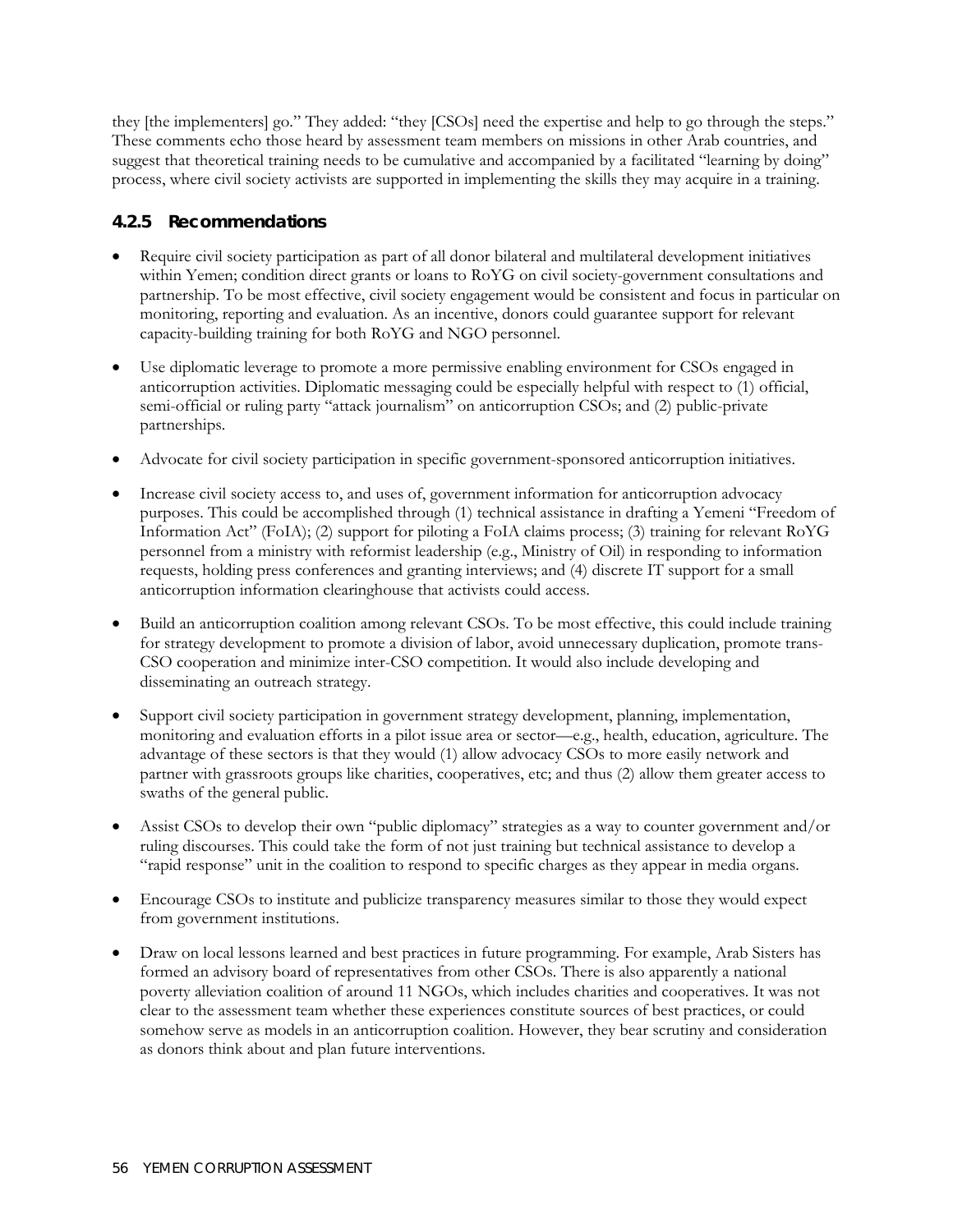they [the implementers] go." They added: "they [CSOs] need the expertise and help to go through the steps." These comments echo those heard by assessment team members on missions in other Arab countries, and suggest that theoretical training needs to be cumulative and accompanied by a facilitated "learning by doing" process, where civil society activists are supported in implementing the skills they may acquire in a training.

## **4.2.5 Recommendations**

- Require civil society participation as part of all donor bilateral and multilateral development initiatives within Yemen; condition direct grants or loans to RoYG on civil society-government consultations and partnership. To be most effective, civil society engagement would be consistent and focus in particular on monitoring, reporting and evaluation. As an incentive, donors could guarantee support for relevant capacity-building training for both RoYG and NGO personnel.
- Use diplomatic leverage to promote a more permissive enabling environment for CSOs engaged in anticorruption activities. Diplomatic messaging could be especially helpful with respect to (1) official, semi-official or ruling party "attack journalism" on anticorruption CSOs; and (2) public-private partnerships.
- Advocate for civil society participation in specific government-sponsored anticorruption initiatives.
- Increase civil society access to, and uses of, government information for anticorruption advocacy purposes. This could be accomplished through (1) technical assistance in drafting a Yemeni "Freedom of Information Act" (FoIA); (2) support for piloting a FoIA claims process; (3) training for relevant RoYG personnel from a ministry with reformist leadership (e.g., Ministry of Oil) in responding to information requests, holding press conferences and granting interviews; and (4) discrete IT support for a small anticorruption information clearinghouse that activists could access.
- Build an anticorruption coalition among relevant CSOs. To be most effective, this could include training for strategy development to promote a division of labor, avoid unnecessary duplication, promote trans-CSO cooperation and minimize inter-CSO competition. It would also include developing and disseminating an outreach strategy.
- Support civil society participation in government strategy development, planning, implementation, monitoring and evaluation efforts in a pilot issue area or sector—e.g., health, education, agriculture. The advantage of these sectors is that they would (1) allow advocacy CSOs to more easily network and partner with grassroots groups like charities, cooperatives, etc; and thus (2) allow them greater access to swaths of the general public.
- Assist CSOs to develop their own "public diplomacy" strategies as a way to counter government and/or ruling discourses. This could take the form of not just training but technical assistance to develop a "rapid response" unit in the coalition to respond to specific charges as they appear in media organs.
- Encourage CSOs to institute and publicize transparency measures similar to those they would expect from government institutions.
- Draw on local lessons learned and best practices in future programming. For example, Arab Sisters has formed an advisory board of representatives from other CSOs. There is also apparently a national poverty alleviation coalition of around 11 NGOs, which includes charities and cooperatives. It was not clear to the assessment team whether these experiences constitute sources of best practices, or could somehow serve as models in an anticorruption coalition. However, they bear scrutiny and consideration as donors think about and plan future interventions.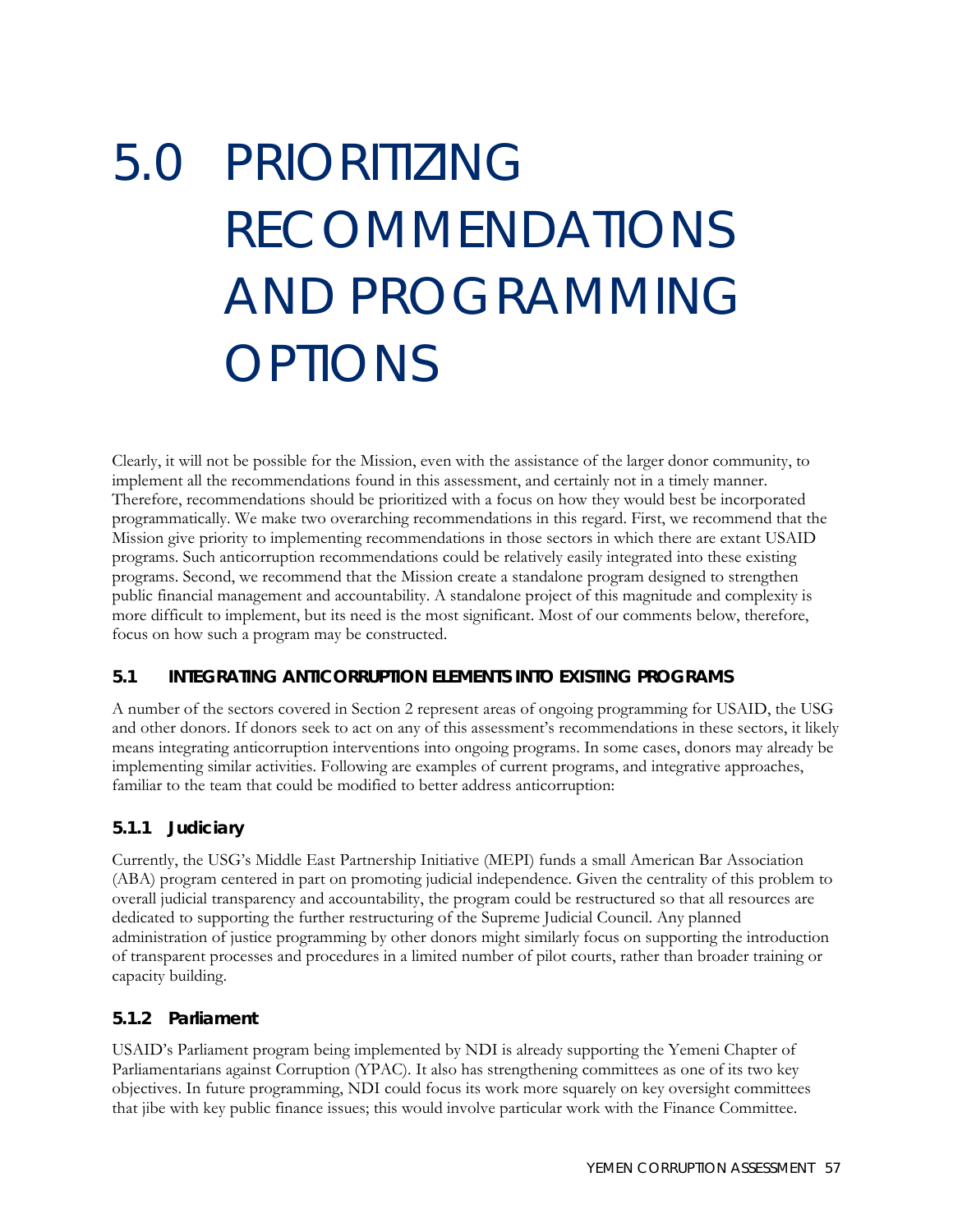# 5.0 PRIORITIZING RECOMMENDATIONS AND PROGRAMMING OPTIONS

Clearly, it will not be possible for the Mission, even with the assistance of the larger donor community, to implement all the recommendations found in this assessment, and certainly not in a timely manner. Therefore, recommendations should be prioritized with a focus on how they would best be incorporated programmatically. We make two overarching recommendations in this regard. First, we recommend that the Mission give priority to implementing recommendations in those sectors in which there are extant USAID programs. Such anticorruption recommendations could be relatively easily integrated into these existing programs. Second, we recommend that the Mission create a standalone program designed to strengthen public financial management and accountability. A standalone project of this magnitude and complexity is more difficult to implement, but its need is the most significant. Most of our comments below, therefore, focus on how such a program may be constructed.

## **5.1 INTEGRATING ANTICORRUPTION ELEMENTS INTO EXISTING PROGRAMS**

A number of the sectors covered in Section 2 represent areas of ongoing programming for USAID, the USG and other donors. If donors seek to act on any of this assessment's recommendations in these sectors, it likely means integrating anticorruption interventions into ongoing programs. In some cases, donors may already be implementing similar activities. Following are examples of current programs, and integrative approaches, familiar to the team that could be modified to better address anticorruption:

## **5.1.1 Judiciary**

Currently, the USG's Middle East Partnership Initiative (MEPI) funds a small American Bar Association (ABA) program centered in part on promoting judicial independence. Given the centrality of this problem to overall judicial transparency and accountability, the program could be restructured so that all resources are dedicated to supporting the further restructuring of the Supreme Judicial Council. Any planned administration of justice programming by other donors might similarly focus on supporting the introduction of transparent processes and procedures in a limited number of pilot courts, rather than broader training or capacity building.

## **5.1.2 Parliament**

USAID's Parliament program being implemented by NDI is already supporting the Yemeni Chapter of Parliamentarians against Corruption (YPAC). It also has strengthening committees as one of its two key objectives. In future programming, NDI could focus its work more squarely on key oversight committees that jibe with key public finance issues; this would involve particular work with the Finance Committee.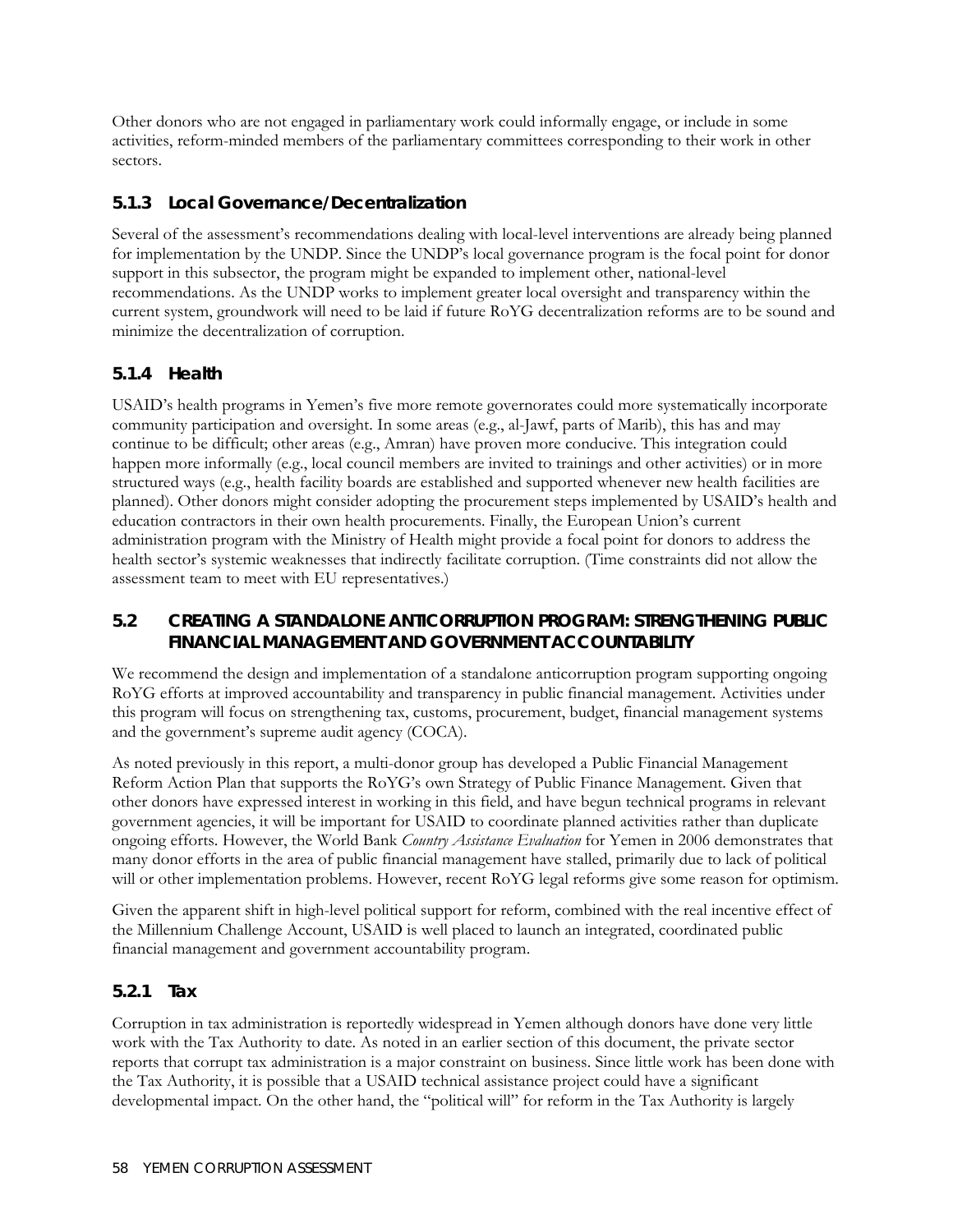Other donors who are not engaged in parliamentary work could informally engage, or include in some activities, reform-minded members of the parliamentary committees corresponding to their work in other sectors.

## **5.1.3 Local Governance/Decentralization**

Several of the assessment's recommendations dealing with local-level interventions are already being planned for implementation by the UNDP. Since the UNDP's local governance program is the focal point for donor support in this subsector, the program might be expanded to implement other, national-level recommendations. As the UNDP works to implement greater local oversight and transparency within the current system, groundwork will need to be laid if future RoYG decentralization reforms are to be sound and minimize the decentralization of corruption.

## **5.1.4 Health**

USAID's health programs in Yemen's five more remote governorates could more systematically incorporate community participation and oversight. In some areas (e.g., al-Jawf, parts of Marib), this has and may continue to be difficult; other areas (e.g., Amran) have proven more conducive. This integration could happen more informally (e.g., local council members are invited to trainings and other activities) or in more structured ways (e.g., health facility boards are established and supported whenever new health facilities are planned). Other donors might consider adopting the procurement steps implemented by USAID's health and education contractors in their own health procurements. Finally, the European Union's current administration program with the Ministry of Health might provide a focal point for donors to address the health sector's systemic weaknesses that indirectly facilitate corruption. (Time constraints did not allow the assessment team to meet with EU representatives.)

## **5.2 CREATING A STANDALONE ANTICORRUPTION PROGRAM: STRENGTHENING PUBLIC FINANCIAL MANAGEMENT AND GOVERNMENT ACCOUNTABILITY**

We recommend the design and implementation of a standalone anticorruption program supporting ongoing RoYG efforts at improved accountability and transparency in public financial management. Activities under this program will focus on strengthening tax, customs, procurement, budget, financial management systems and the government's supreme audit agency (COCA).

As noted previously in this report, a multi-donor group has developed a Public Financial Management Reform Action Plan that supports the RoYG's own Strategy of Public Finance Management. Given that other donors have expressed interest in working in this field, and have begun technical programs in relevant government agencies, it will be important for USAID to coordinate planned activities rather than duplicate ongoing efforts. However, the World Bank *Country Assistance Evaluation* for Yemen in 2006 demonstrates that many donor efforts in the area of public financial management have stalled, primarily due to lack of political will or other implementation problems. However, recent RoYG legal reforms give some reason for optimism.

Given the apparent shift in high-level political support for reform, combined with the real incentive effect of the Millennium Challenge Account, USAID is well placed to launch an integrated, coordinated public financial management and government accountability program.

## **5.2.1 Tax**

Corruption in tax administration is reportedly widespread in Yemen although donors have done very little work with the Tax Authority to date. As noted in an earlier section of this document, the private sector reports that corrupt tax administration is a major constraint on business. Since little work has been done with the Tax Authority, it is possible that a USAID technical assistance project could have a significant developmental impact. On the other hand, the "political will" for reform in the Tax Authority is largely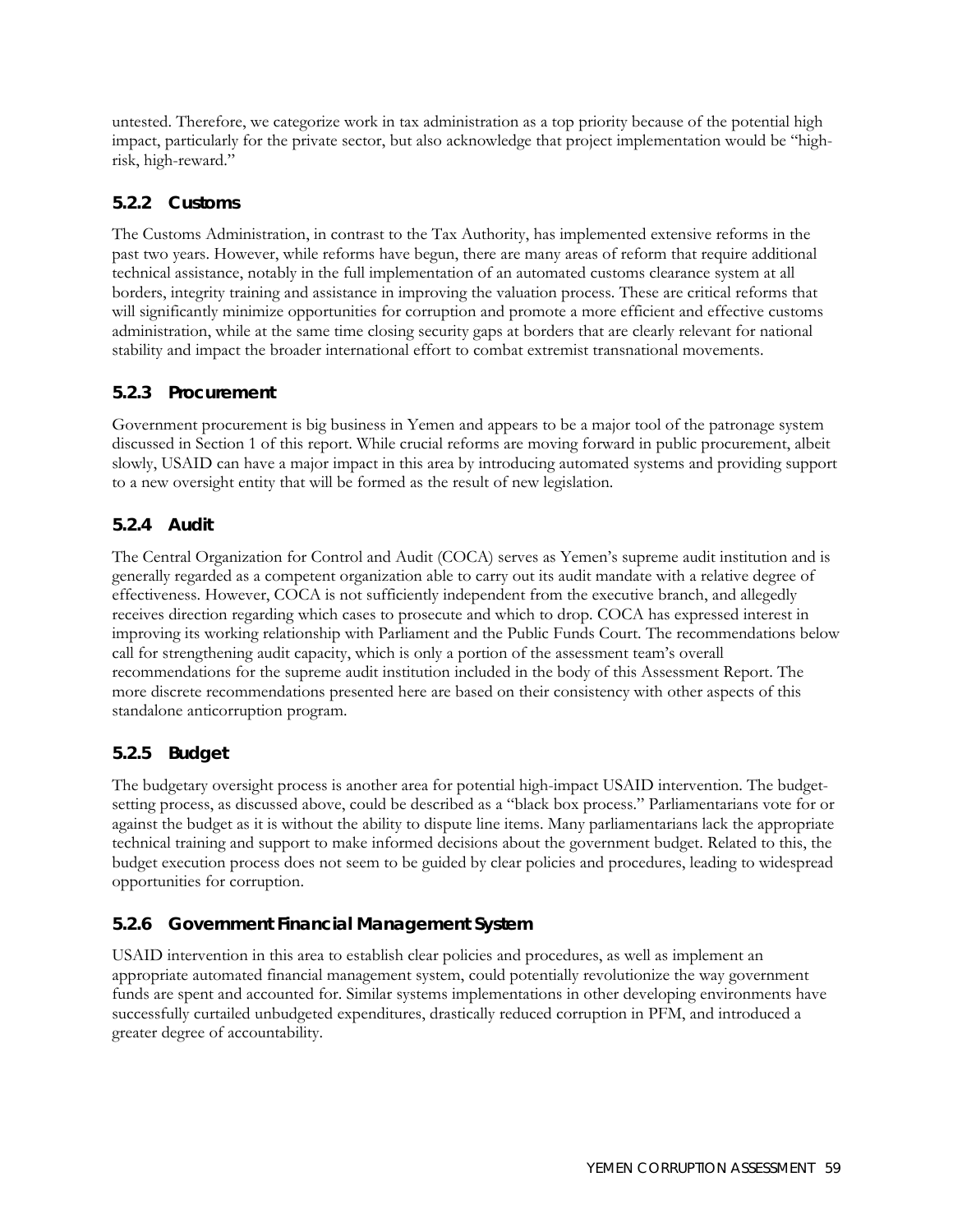untested. Therefore, we categorize work in tax administration as a top priority because of the potential high impact, particularly for the private sector, but also acknowledge that project implementation would be "highrisk, high-reward."

## **5.2.2 Customs**

The Customs Administration, in contrast to the Tax Authority, has implemented extensive reforms in the past two years. However, while reforms have begun, there are many areas of reform that require additional technical assistance, notably in the full implementation of an automated customs clearance system at all borders, integrity training and assistance in improving the valuation process. These are critical reforms that will significantly minimize opportunities for corruption and promote a more efficient and effective customs administration, while at the same time closing security gaps at borders that are clearly relevant for national stability and impact the broader international effort to combat extremist transnational movements.

## **5.2.3 Procurement**

Government procurement is big business in Yemen and appears to be a major tool of the patronage system discussed in Section 1 of this report. While crucial reforms are moving forward in public procurement, albeit slowly, USAID can have a major impact in this area by introducing automated systems and providing support to a new oversight entity that will be formed as the result of new legislation.

## **5.2.4 Audit**

The Central Organization for Control and Audit (COCA) serves as Yemen's supreme audit institution and is generally regarded as a competent organization able to carry out its audit mandate with a relative degree of effectiveness. However, COCA is not sufficiently independent from the executive branch, and allegedly receives direction regarding which cases to prosecute and which to drop. COCA has expressed interest in improving its working relationship with Parliament and the Public Funds Court. The recommendations below call for strengthening audit capacity, which is only a portion of the assessment team's overall recommendations for the supreme audit institution included in the body of this Assessment Report. The more discrete recommendations presented here are based on their consistency with other aspects of this standalone anticorruption program.

## **5.2.5 Budget**

The budgetary oversight process is another area for potential high-impact USAID intervention. The budgetsetting process, as discussed above, could be described as a "black box process." Parliamentarians vote for or against the budget as it is without the ability to dispute line items. Many parliamentarians lack the appropriate technical training and support to make informed decisions about the government budget. Related to this, the budget execution process does not seem to be guided by clear policies and procedures, leading to widespread opportunities for corruption.

## **5.2.6 Government Financial Management System**

USAID intervention in this area to establish clear policies and procedures, as well as implement an appropriate automated financial management system, could potentially revolutionize the way government funds are spent and accounted for. Similar systems implementations in other developing environments have successfully curtailed unbudgeted expenditures, drastically reduced corruption in PFM, and introduced a greater degree of accountability.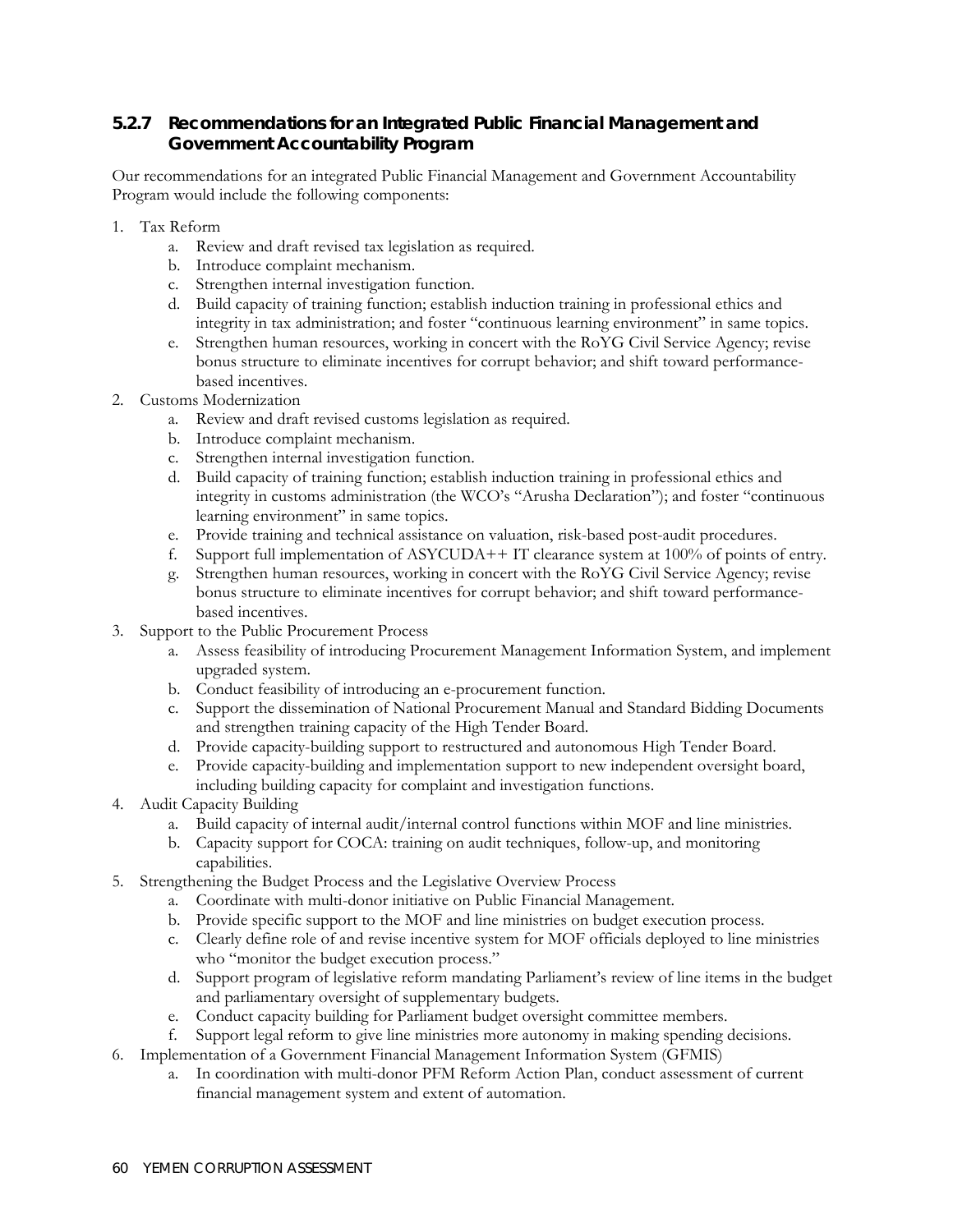## **5.2.7 Recommendations for an Integrated Public Financial Management and Government Accountability Program**

Our recommendations for an integrated Public Financial Management and Government Accountability Program would include the following components:

- 1. Tax Reform
	- a. Review and draft revised tax legislation as required.
	- b. Introduce complaint mechanism.
	- c. Strengthen internal investigation function.
	- d. Build capacity of training function; establish induction training in professional ethics and integrity in tax administration; and foster "continuous learning environment" in same topics.
	- e. Strengthen human resources, working in concert with the RoYG Civil Service Agency; revise bonus structure to eliminate incentives for corrupt behavior; and shift toward performancebased incentives.
- 2. Customs Modernization
	- a. Review and draft revised customs legislation as required.
	- b. Introduce complaint mechanism.
	- c. Strengthen internal investigation function.
	- d. Build capacity of training function; establish induction training in professional ethics and integrity in customs administration (the WCO's "Arusha Declaration"); and foster "continuous learning environment" in same topics.
	- e. Provide training and technical assistance on valuation, risk-based post-audit procedures.
	- f. Support full implementation of ASYCUDA++ IT clearance system at 100% of points of entry.
	- g. Strengthen human resources, working in concert with the RoYG Civil Service Agency; revise bonus structure to eliminate incentives for corrupt behavior; and shift toward performancebased incentives.
- 3. Support to the Public Procurement Process
	- a. Assess feasibility of introducing Procurement Management Information System, and implement upgraded system.
	- b. Conduct feasibility of introducing an e-procurement function.
	- c. Support the dissemination of National Procurement Manual and Standard Bidding Documents and strengthen training capacity of the High Tender Board.
	- d. Provide capacity-building support to restructured and autonomous High Tender Board.
	- e. Provide capacity-building and implementation support to new independent oversight board, including building capacity for complaint and investigation functions.
- 4. Audit Capacity Building
	- a. Build capacity of internal audit/internal control functions within MOF and line ministries.
	- b. Capacity support for COCA: training on audit techniques, follow-up, and monitoring capabilities.
- 5. Strengthening the Budget Process and the Legislative Overview Process
	- a. Coordinate with multi-donor initiative on Public Financial Management.
	- b. Provide specific support to the MOF and line ministries on budget execution process.
	- c. Clearly define role of and revise incentive system for MOF officials deployed to line ministries who "monitor the budget execution process."
	- d. Support program of legislative reform mandating Parliament's review of line items in the budget and parliamentary oversight of supplementary budgets.
	- e. Conduct capacity building for Parliament budget oversight committee members.
	- f. Support legal reform to give line ministries more autonomy in making spending decisions.
- 6. Implementation of a Government Financial Management Information System (GFMIS)
	- a. In coordination with multi-donor PFM Reform Action Plan, conduct assessment of current financial management system and extent of automation.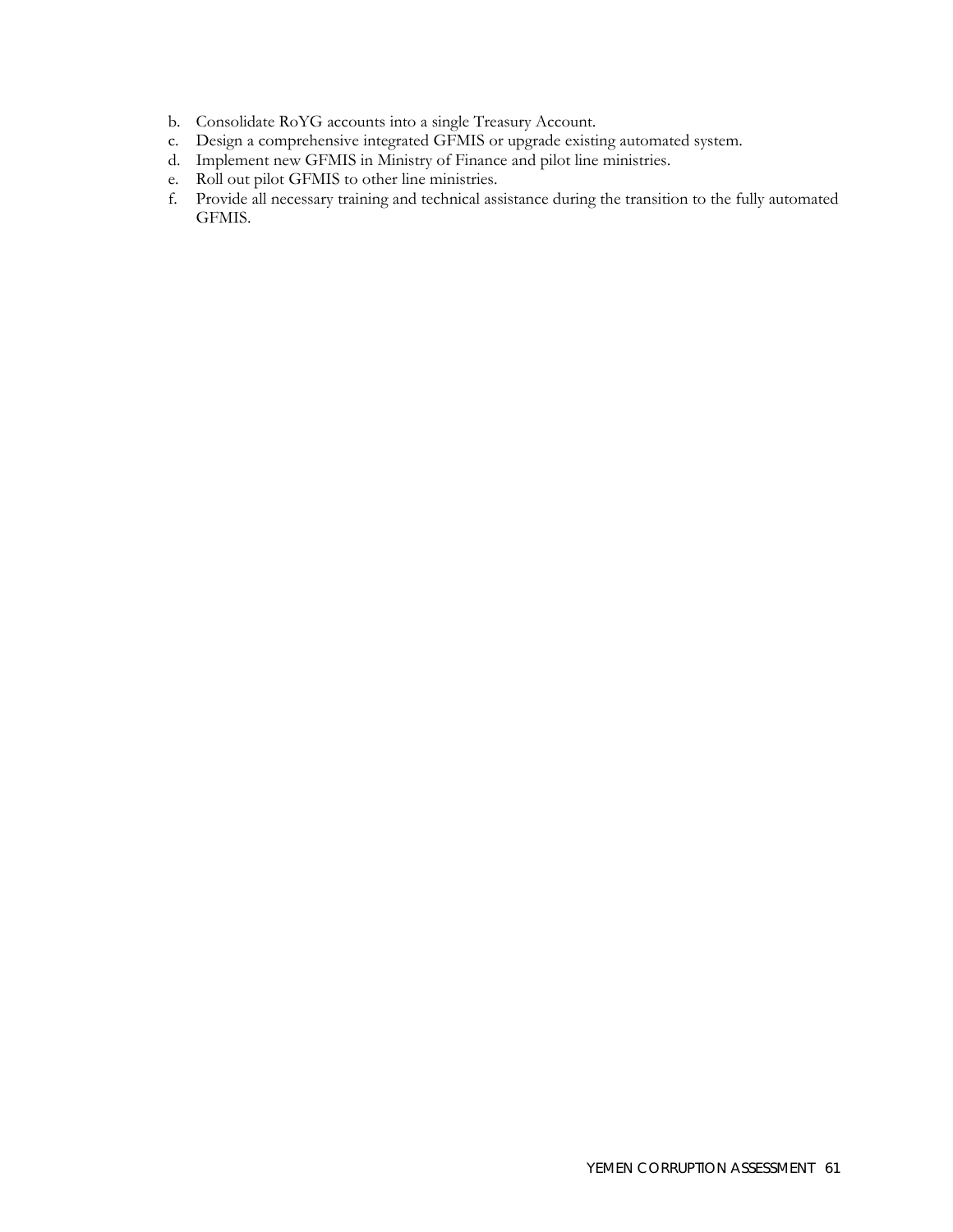- b. Consolidate RoYG accounts into a single Treasury Account.
- c. Design a comprehensive integrated GFMIS or upgrade existing automated system.
- d. Implement new GFMIS in Ministry of Finance and pilot line ministries.
- e. Roll out pilot GFMIS to other line ministries.
- f. Provide all necessary training and technical assistance during the transition to the fully automated GFMIS.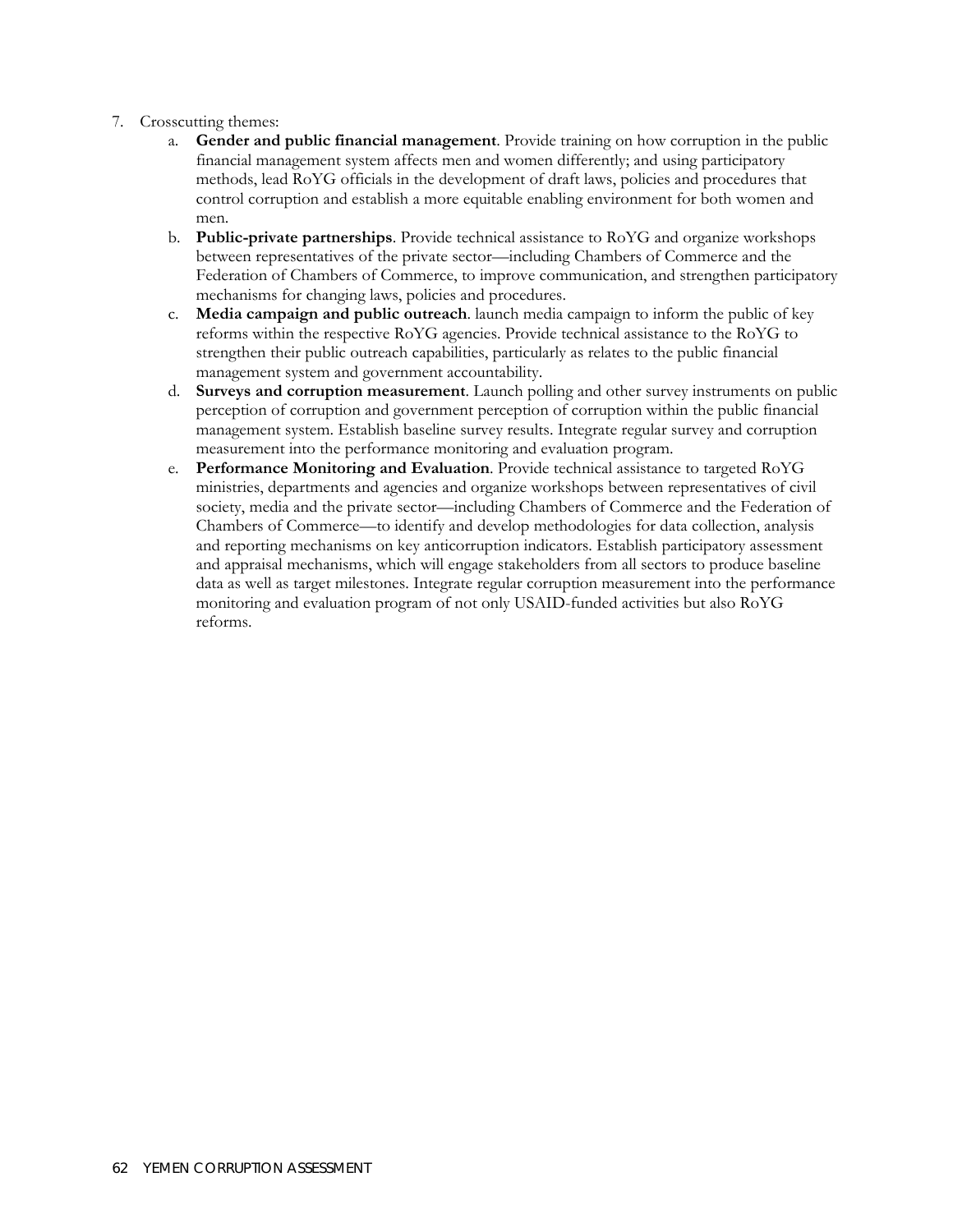- 7. Crosscutting themes:
	- a. **Gender and public financial management**. Provide training on how corruption in the public financial management system affects men and women differently; and using participatory methods, lead RoYG officials in the development of draft laws, policies and procedures that control corruption and establish a more equitable enabling environment for both women and men.
	- b. **Public-private partnerships**. Provide technical assistance to RoYG and organize workshops between representatives of the private sector—including Chambers of Commerce and the Federation of Chambers of Commerce, to improve communication, and strengthen participatory mechanisms for changing laws, policies and procedures.
	- c. **Media campaign and public outreach**. launch media campaign to inform the public of key reforms within the respective RoYG agencies. Provide technical assistance to the RoYG to strengthen their public outreach capabilities, particularly as relates to the public financial management system and government accountability.
	- d. **Surveys and corruption measurement**. Launch polling and other survey instruments on public perception of corruption and government perception of corruption within the public financial management system. Establish baseline survey results. Integrate regular survey and corruption measurement into the performance monitoring and evaluation program.
	- e. **Performance Monitoring and Evaluation**. Provide technical assistance to targeted RoYG ministries, departments and agencies and organize workshops between representatives of civil society, media and the private sector—including Chambers of Commerce and the Federation of Chambers of Commerce—to identify and develop methodologies for data collection, analysis and reporting mechanisms on key anticorruption indicators. Establish participatory assessment and appraisal mechanisms, which will engage stakeholders from all sectors to produce baseline data as well as target milestones. Integrate regular corruption measurement into the performance monitoring and evaluation program of not only USAID-funded activities but also RoYG reforms.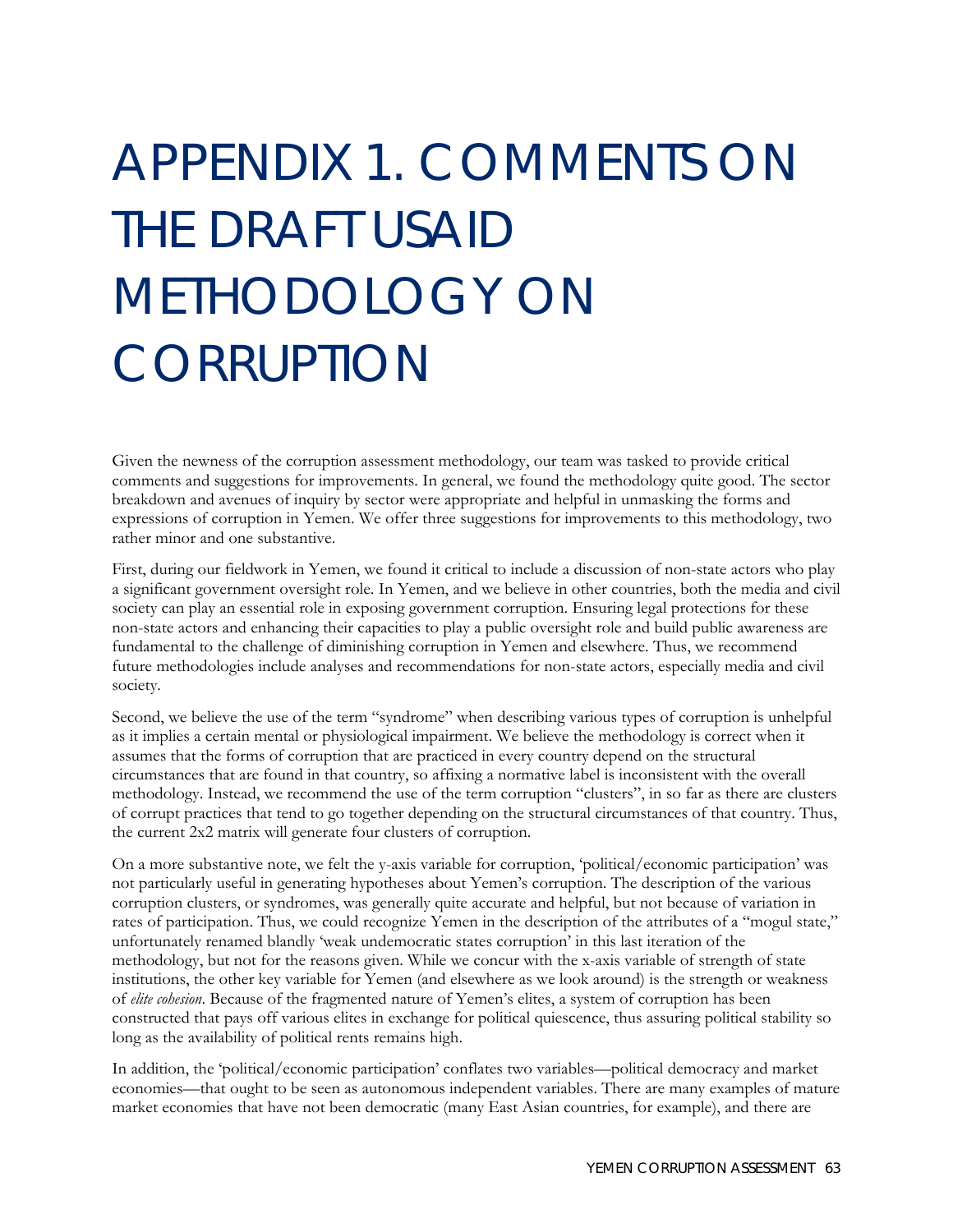## APPENDIX 1. COMMENTS ON THE DRAFT USAID METHODOLOGY ON **CORRUPTION**

Given the newness of the corruption assessment methodology, our team was tasked to provide critical comments and suggestions for improvements. In general, we found the methodology quite good. The sector breakdown and avenues of inquiry by sector were appropriate and helpful in unmasking the forms and expressions of corruption in Yemen. We offer three suggestions for improvements to this methodology, two rather minor and one substantive.

First, during our fieldwork in Yemen, we found it critical to include a discussion of non-state actors who play a significant government oversight role. In Yemen, and we believe in other countries, both the media and civil society can play an essential role in exposing government corruption. Ensuring legal protections for these non-state actors and enhancing their capacities to play a public oversight role and build public awareness are fundamental to the challenge of diminishing corruption in Yemen and elsewhere. Thus, we recommend future methodologies include analyses and recommendations for non-state actors, especially media and civil society.

Second, we believe the use of the term "syndrome" when describing various types of corruption is unhelpful as it implies a certain mental or physiological impairment. We believe the methodology is correct when it assumes that the forms of corruption that are practiced in every country depend on the structural circumstances that are found in that country, so affixing a normative label is inconsistent with the overall methodology. Instead, we recommend the use of the term corruption "clusters", in so far as there are clusters of corrupt practices that tend to go together depending on the structural circumstances of that country. Thus, the current 2x2 matrix will generate four clusters of corruption.

On a more substantive note, we felt the y-axis variable for corruption, 'political/economic participation' was not particularly useful in generating hypotheses about Yemen's corruption. The description of the various corruption clusters, or syndromes, was generally quite accurate and helpful, but not because of variation in rates of participation. Thus, we could recognize Yemen in the description of the attributes of a "mogul state," unfortunately renamed blandly 'weak undemocratic states corruption' in this last iteration of the methodology, but not for the reasons given. While we concur with the x-axis variable of strength of state institutions, the other key variable for Yemen (and elsewhere as we look around) is the strength or weakness of *elite cohesion*. Because of the fragmented nature of Yemen's elites, a system of corruption has been constructed that pays off various elites in exchange for political quiescence, thus assuring political stability so long as the availability of political rents remains high.

In addition, the 'political/economic participation' conflates two variables—political democracy and market economies—that ought to be seen as autonomous independent variables. There are many examples of mature market economies that have not been democratic (many East Asian countries, for example), and there are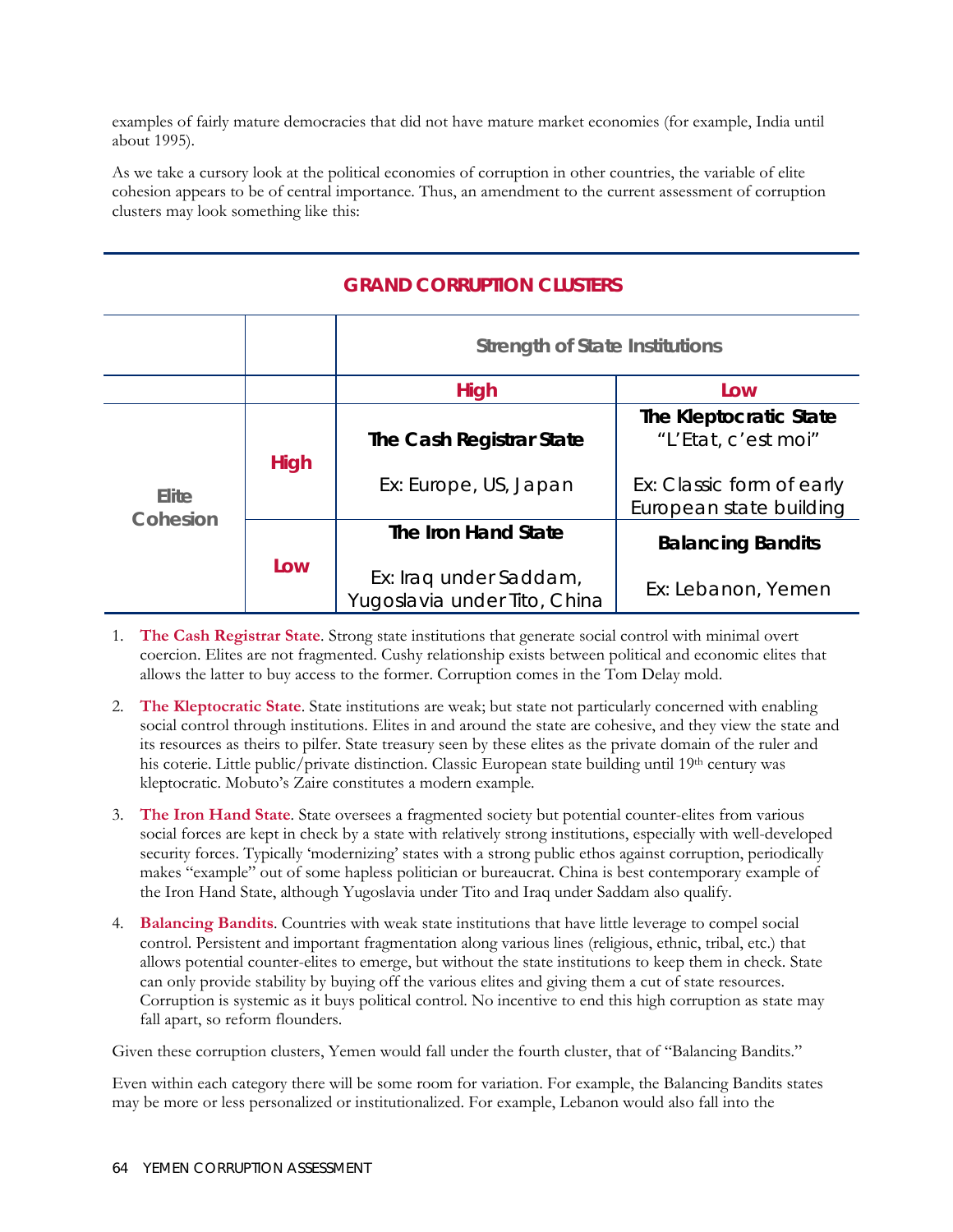examples of fairly mature democracies that did not have mature market economies (for example, India until about 1995).

As we take a cursory look at the political economies of corruption in other countries, the variable of elite cohesion appears to be of central importance. Thus, an amendment to the current assessment of corruption clusters may look something like this:

## **Strength of State Institutions High Low High The Cash Registrar State**  Ex: Europe, US, Japan **The Kleptocratic State**  "L'Etat, c'est moi" Ex: Classic form of early Elite **European State building Exercise Exercise Exercise Exercise European** state building **Cohesion Low The Iron Hand State**  Ex: Iraq under Saddam, Yugoslavia under Tito, China **Balancing Bandits**  Ex: Lebanon, Yemen

## **GRAND CORRUPTION CLUSTERS**

- 1. **The Cash Registrar State**. Strong state institutions that generate social control with minimal overt coercion. Elites are not fragmented. Cushy relationship exists between political and economic elites that allows the latter to buy access to the former. Corruption comes in the Tom Delay mold.
- 2. **The Kleptocratic State**. State institutions are weak; but state not particularly concerned with enabling social control through institutions. Elites in and around the state are cohesive, and they view the state and its resources as theirs to pilfer. State treasury seen by these elites as the private domain of the ruler and his coterie. Little public/private distinction. Classic European state building until 19<sup>th</sup> century was kleptocratic. Mobuto's Zaire constitutes a modern example.
- 3. **The Iron Hand State**. State oversees a fragmented society but potential counter-elites from various social forces are kept in check by a state with relatively strong institutions, especially with well-developed security forces. Typically 'modernizing' states with a strong public ethos against corruption, periodically makes "example" out of some hapless politician or bureaucrat. China is best contemporary example of the Iron Hand State, although Yugoslavia under Tito and Iraq under Saddam also qualify.
- 4. **Balancing Bandits**. Countries with weak state institutions that have little leverage to compel social control. Persistent and important fragmentation along various lines (religious, ethnic, tribal, etc.) that allows potential counter-elites to emerge, but without the state institutions to keep them in check. State can only provide stability by buying off the various elites and giving them a cut of state resources. Corruption is systemic as it buys political control. No incentive to end this high corruption as state may fall apart, so reform flounders.

Given these corruption clusters, Yemen would fall under the fourth cluster, that of "Balancing Bandits."

Even within each category there will be some room for variation. For example, the Balancing Bandits states may be more or less personalized or institutionalized. For example, Lebanon would also fall into the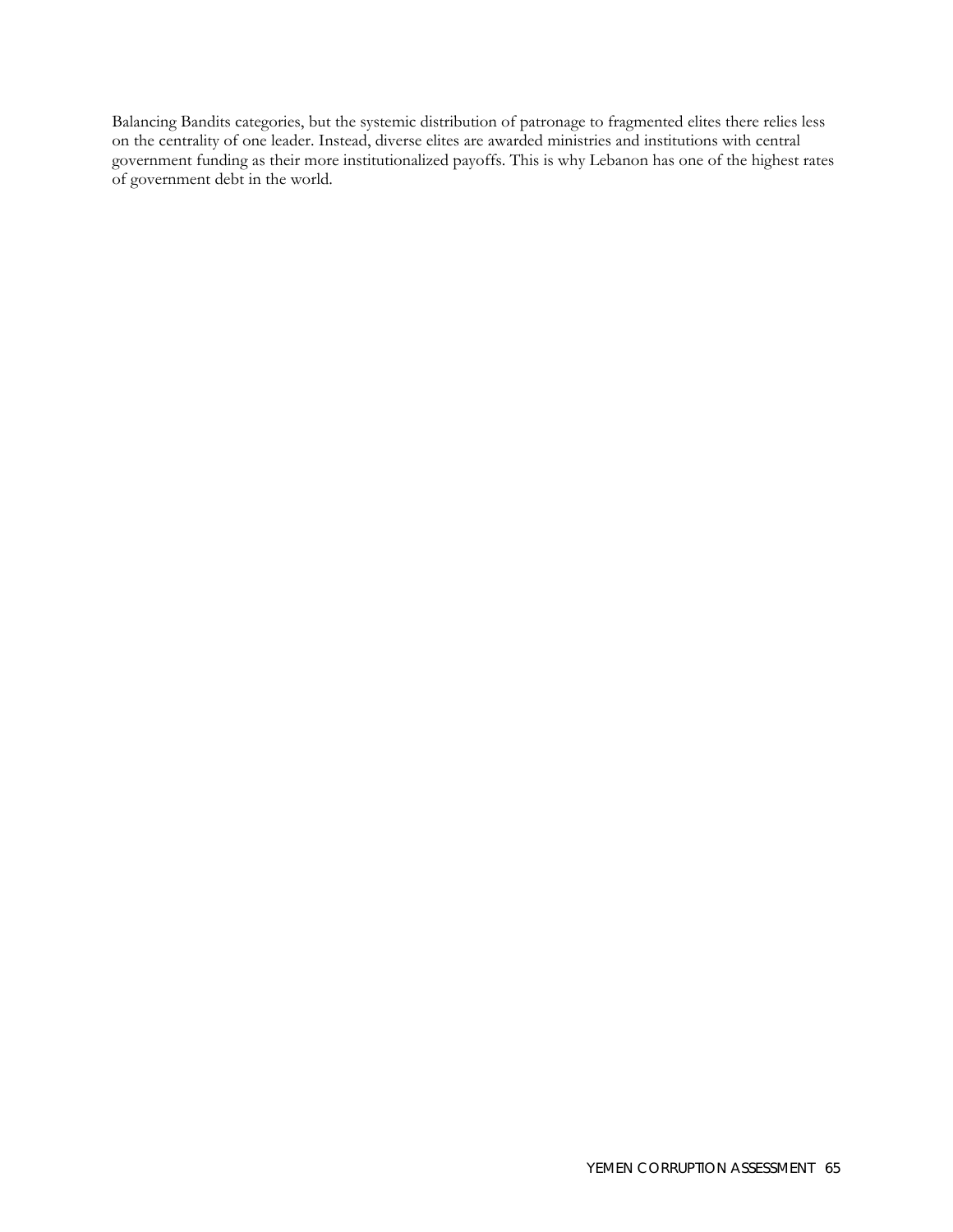Balancing Bandits categories, but the systemic distribution of patronage to fragmented elites there relies less on the centrality of one leader. Instead, diverse elites are awarded ministries and institutions with central government funding as their more institutionalized payoffs. This is why Lebanon has one of the highest rates of government debt in the world.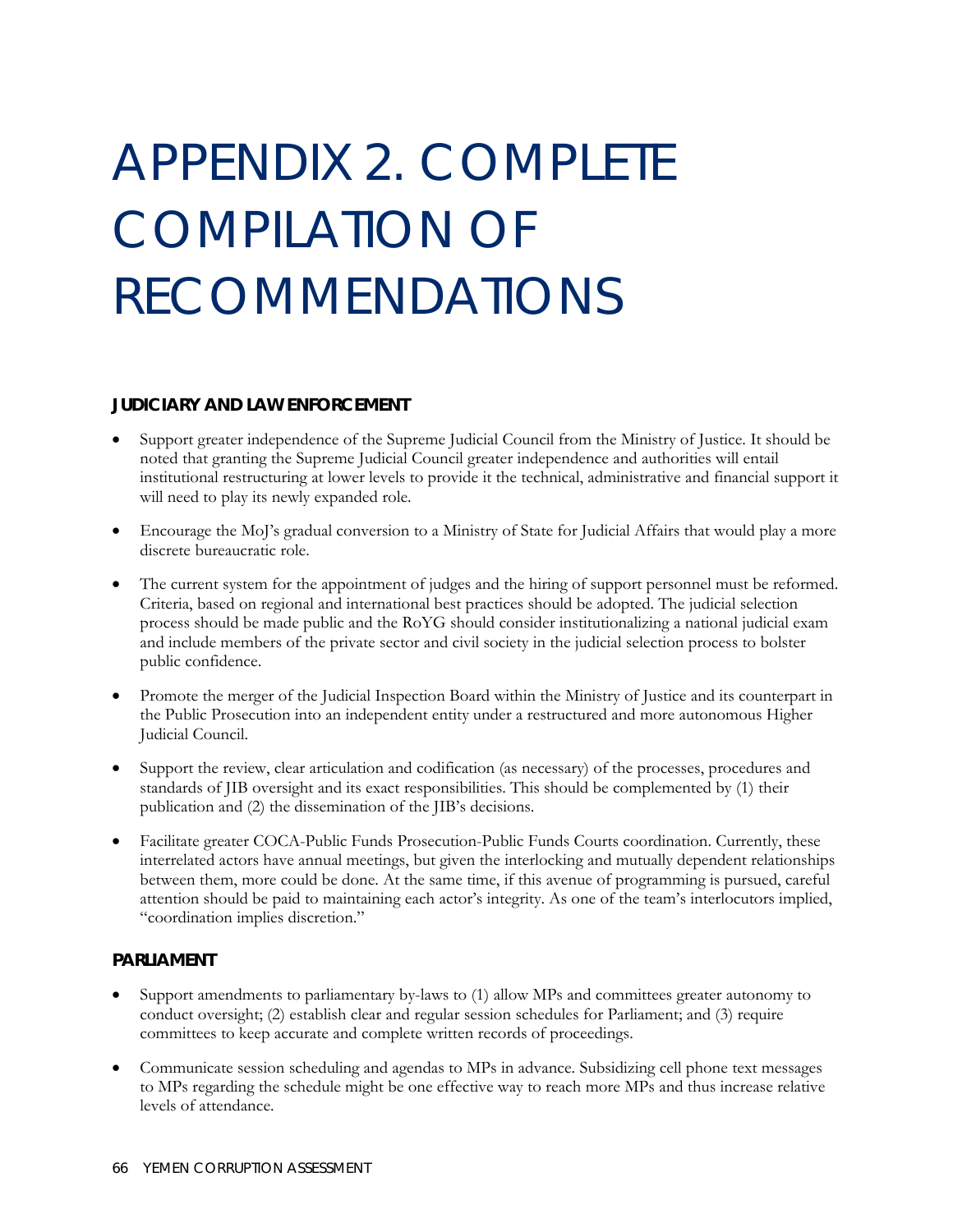## APPENDIX 2. COMPLETE COMPILATION OF RECOMMENDATIONS

#### **JUDICIARY AND LAW ENFORCEMENT**

- Support greater independence of the Supreme Judicial Council from the Ministry of Justice. It should be noted that granting the Supreme Judicial Council greater independence and authorities will entail institutional restructuring at lower levels to provide it the technical, administrative and financial support it will need to play its newly expanded role.
- Encourage the MoJ's gradual conversion to a Ministry of State for Judicial Affairs that would play a more discrete bureaucratic role.
- The current system for the appointment of judges and the hiring of support personnel must be reformed. Criteria, based on regional and international best practices should be adopted. The judicial selection process should be made public and the RoYG should consider institutionalizing a national judicial exam and include members of the private sector and civil society in the judicial selection process to bolster public confidence.
- Promote the merger of the Judicial Inspection Board within the Ministry of Justice and its counterpart in the Public Prosecution into an independent entity under a restructured and more autonomous Higher Judicial Council.
- Support the review, clear articulation and codification (as necessary) of the processes, procedures and standards of JIB oversight and its exact responsibilities. This should be complemented by (1) their publication and (2) the dissemination of the JIB's decisions.
- Facilitate greater COCA-Public Funds Prosecution-Public Funds Courts coordination. Currently, these interrelated actors have annual meetings, but given the interlocking and mutually dependent relationships between them, more could be done. At the same time, if this avenue of programming is pursued, careful attention should be paid to maintaining each actor's integrity. As one of the team's interlocutors implied, "coordination implies discretion."

#### **PARLIAMENT**

- Support amendments to parliamentary by-laws to (1) allow MPs and committees greater autonomy to conduct oversight; (2) establish clear and regular session schedules for Parliament; and (3) require committees to keep accurate and complete written records of proceedings.
- Communicate session scheduling and agendas to MPs in advance. Subsidizing cell phone text messages to MPs regarding the schedule might be one effective way to reach more MPs and thus increase relative levels of attendance.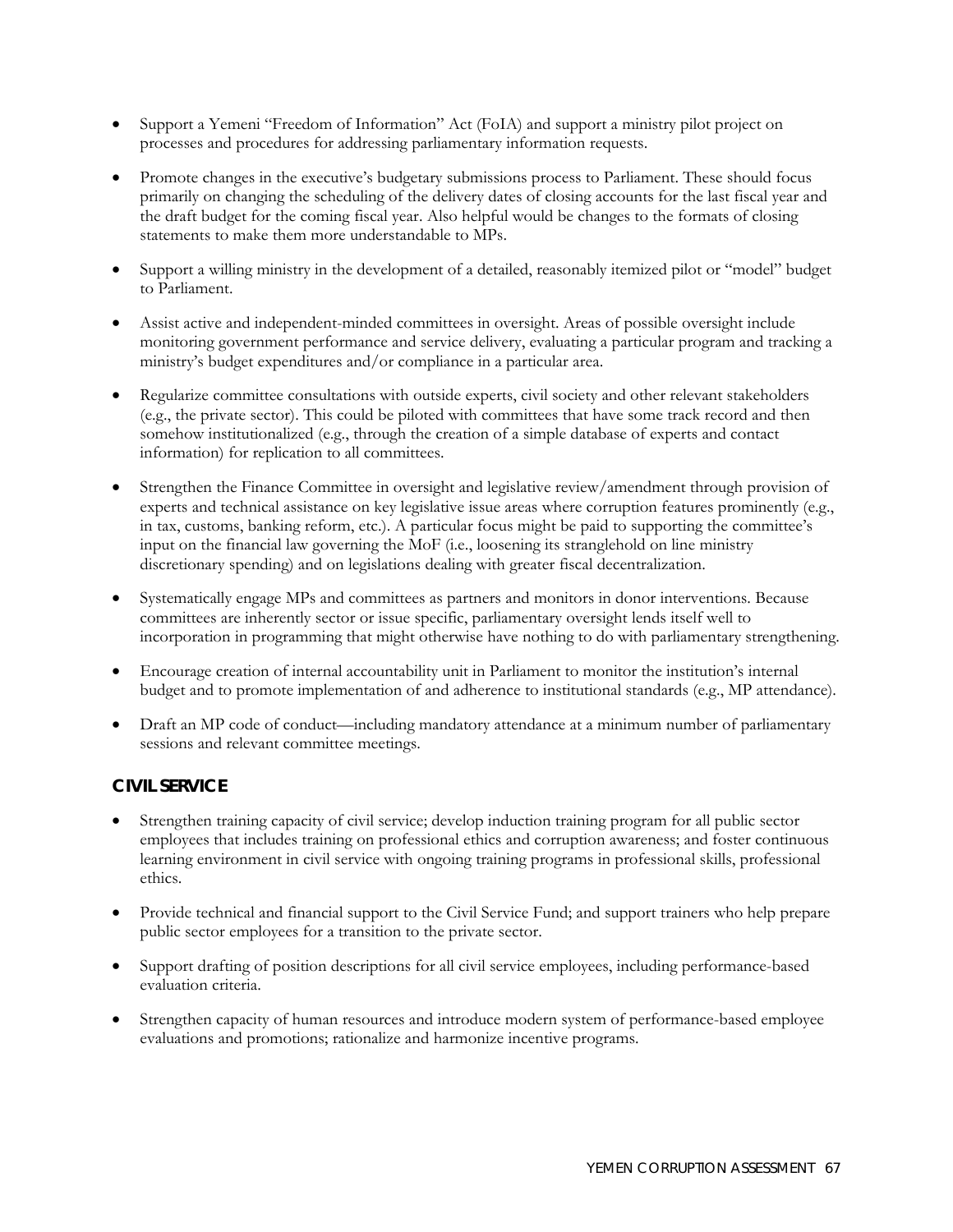- Support a Yemeni "Freedom of Information" Act (FoIA) and support a ministry pilot project on processes and procedures for addressing parliamentary information requests.
- Promote changes in the executive's budgetary submissions process to Parliament. These should focus primarily on changing the scheduling of the delivery dates of closing accounts for the last fiscal year and the draft budget for the coming fiscal year. Also helpful would be changes to the formats of closing statements to make them more understandable to MPs.
- Support a willing ministry in the development of a detailed, reasonably itemized pilot or "model" budget to Parliament.
- Assist active and independent-minded committees in oversight. Areas of possible oversight include monitoring government performance and service delivery, evaluating a particular program and tracking a ministry's budget expenditures and/or compliance in a particular area.
- Regularize committee consultations with outside experts, civil society and other relevant stakeholders (e.g., the private sector). This could be piloted with committees that have some track record and then somehow institutionalized (e.g., through the creation of a simple database of experts and contact information) for replication to all committees.
- Strengthen the Finance Committee in oversight and legislative review/amendment through provision of experts and technical assistance on key legislative issue areas where corruption features prominently (e.g., in tax, customs, banking reform, etc.). A particular focus might be paid to supporting the committee's input on the financial law governing the MoF (i.e., loosening its stranglehold on line ministry discretionary spending) and on legislations dealing with greater fiscal decentralization.
- Systematically engage MPs and committees as partners and monitors in donor interventions. Because committees are inherently sector or issue specific, parliamentary oversight lends itself well to incorporation in programming that might otherwise have nothing to do with parliamentary strengthening.
- Encourage creation of internal accountability unit in Parliament to monitor the institution's internal budget and to promote implementation of and adherence to institutional standards (e.g., MP attendance).
- Draft an MP code of conduct—including mandatory attendance at a minimum number of parliamentary sessions and relevant committee meetings.

## **CIVIL SERVICE**

- Strengthen training capacity of civil service; develop induction training program for all public sector employees that includes training on professional ethics and corruption awareness; and foster continuous learning environment in civil service with ongoing training programs in professional skills, professional ethics.
- Provide technical and financial support to the Civil Service Fund; and support trainers who help prepare public sector employees for a transition to the private sector.
- Support drafting of position descriptions for all civil service employees, including performance-based evaluation criteria.
- Strengthen capacity of human resources and introduce modern system of performance-based employee evaluations and promotions; rationalize and harmonize incentive programs.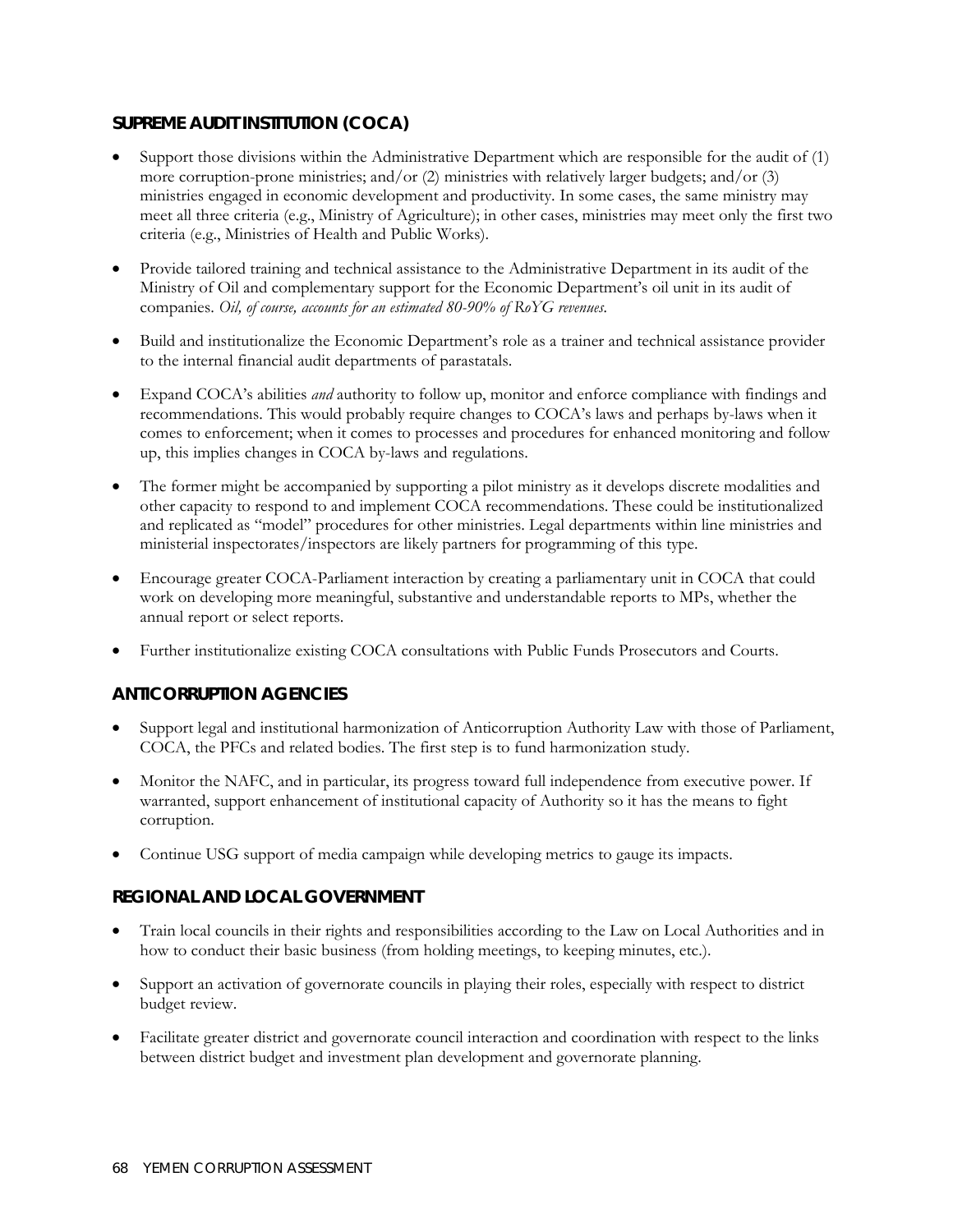## **SUPREME AUDIT INSTITUTION (COCA)**

- Support those divisions within the Administrative Department which are responsible for the audit of (1) more corruption-prone ministries; and/or (2) ministries with relatively larger budgets; and/or (3) ministries engaged in economic development and productivity. In some cases, the same ministry may meet all three criteria (e.g., Ministry of Agriculture); in other cases, ministries may meet only the first two criteria (e.g., Ministries of Health and Public Works).
- Provide tailored training and technical assistance to the Administrative Department in its audit of the Ministry of Oil and complementary support for the Economic Department's oil unit in its audit of companies. *Oil, of course, accounts for an estimated 80-90% of RoYG revenues.*
- Build and institutionalize the Economic Department's role as a trainer and technical assistance provider to the internal financial audit departments of parastatals.
- Expand COCA's abilities *and* authority to follow up, monitor and enforce compliance with findings and recommendations. This would probably require changes to COCA's laws and perhaps by-laws when it comes to enforcement; when it comes to processes and procedures for enhanced monitoring and follow up, this implies changes in COCA by-laws and regulations.
- The former might be accompanied by supporting a pilot ministry as it develops discrete modalities and other capacity to respond to and implement COCA recommendations. These could be institutionalized and replicated as "model" procedures for other ministries. Legal departments within line ministries and ministerial inspectorates/inspectors are likely partners for programming of this type.
- Encourage greater COCA-Parliament interaction by creating a parliamentary unit in COCA that could work on developing more meaningful, substantive and understandable reports to MPs, whether the annual report or select reports.
- Further institutionalize existing COCA consultations with Public Funds Prosecutors and Courts.

## **ANTICORRUPTION AGENCIES**

- Support legal and institutional harmonization of Anticorruption Authority Law with those of Parliament, COCA, the PFCs and related bodies. The first step is to fund harmonization study.
- Monitor the NAFC, and in particular, its progress toward full independence from executive power. If warranted, support enhancement of institutional capacity of Authority so it has the means to fight corruption.
- Continue USG support of media campaign while developing metrics to gauge its impacts.

## **REGIONAL AND LOCAL GOVERNMENT**

- Train local councils in their rights and responsibilities according to the Law on Local Authorities and in how to conduct their basic business (from holding meetings, to keeping minutes, etc.).
- Support an activation of governorate councils in playing their roles, especially with respect to district budget review.
- Facilitate greater district and governorate council interaction and coordination with respect to the links between district budget and investment plan development and governorate planning.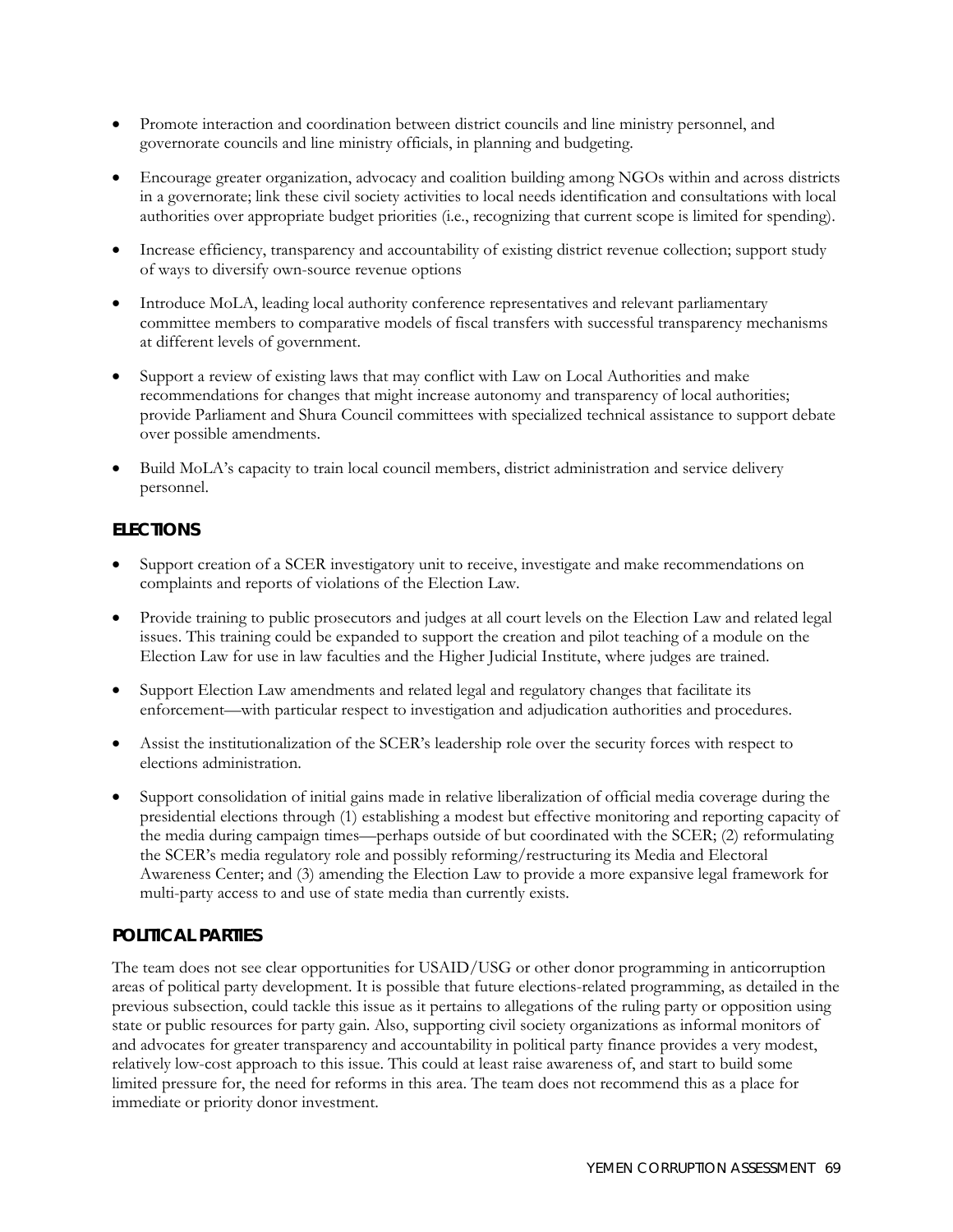- Promote interaction and coordination between district councils and line ministry personnel, and governorate councils and line ministry officials, in planning and budgeting.
- Encourage greater organization, advocacy and coalition building among NGOs within and across districts in a governorate; link these civil society activities to local needs identification and consultations with local authorities over appropriate budget priorities (i.e., recognizing that current scope is limited for spending).
- Increase efficiency, transparency and accountability of existing district revenue collection; support study of ways to diversify own-source revenue options
- Introduce MoLA, leading local authority conference representatives and relevant parliamentary committee members to comparative models of fiscal transfers with successful transparency mechanisms at different levels of government.
- Support a review of existing laws that may conflict with Law on Local Authorities and make recommendations for changes that might increase autonomy and transparency of local authorities; provide Parliament and Shura Council committees with specialized technical assistance to support debate over possible amendments.
- Build MoLA's capacity to train local council members, district administration and service delivery personnel.

## **ELECTIONS**

- Support creation of a SCER investigatory unit to receive, investigate and make recommendations on complaints and reports of violations of the Election Law.
- Provide training to public prosecutors and judges at all court levels on the Election Law and related legal issues. This training could be expanded to support the creation and pilot teaching of a module on the Election Law for use in law faculties and the Higher Judicial Institute, where judges are trained.
- Support Election Law amendments and related legal and regulatory changes that facilitate its enforcement—with particular respect to investigation and adjudication authorities and procedures.
- Assist the institutionalization of the SCER's leadership role over the security forces with respect to elections administration.
- Support consolidation of initial gains made in relative liberalization of official media coverage during the presidential elections through (1) establishing a modest but effective monitoring and reporting capacity of the media during campaign times—perhaps outside of but coordinated with the SCER; (2) reformulating the SCER's media regulatory role and possibly reforming/restructuring its Media and Electoral Awareness Center; and (3) amending the Election Law to provide a more expansive legal framework for multi-party access to and use of state media than currently exists.

## **POLITICAL PARTIES**

The team does not see clear opportunities for USAID/USG or other donor programming in anticorruption areas of political party development. It is possible that future elections-related programming, as detailed in the previous subsection, could tackle this issue as it pertains to allegations of the ruling party or opposition using state or public resources for party gain. Also, supporting civil society organizations as informal monitors of and advocates for greater transparency and accountability in political party finance provides a very modest, relatively low-cost approach to this issue. This could at least raise awareness of, and start to build some limited pressure for, the need for reforms in this area. The team does not recommend this as a place for immediate or priority donor investment.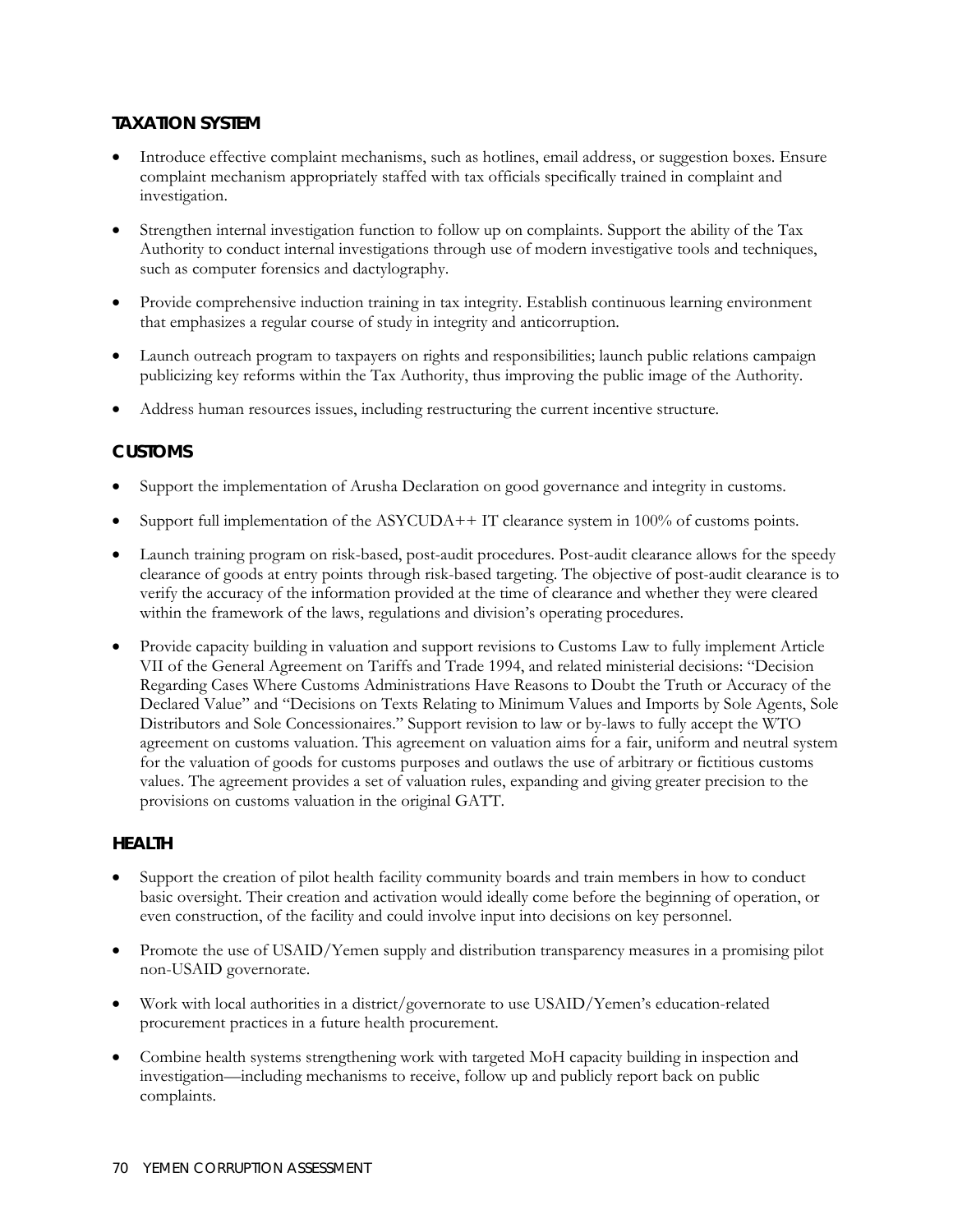## **TAXATION SYSTEM**

- Introduce effective complaint mechanisms, such as hotlines, email address, or suggestion boxes. Ensure complaint mechanism appropriately staffed with tax officials specifically trained in complaint and investigation.
- Strengthen internal investigation function to follow up on complaints. Support the ability of the Tax Authority to conduct internal investigations through use of modern investigative tools and techniques, such as computer forensics and dactylography.
- Provide comprehensive induction training in tax integrity. Establish continuous learning environment that emphasizes a regular course of study in integrity and anticorruption.
- Launch outreach program to taxpayers on rights and responsibilities; launch public relations campaign publicizing key reforms within the Tax Authority, thus improving the public image of the Authority.
- Address human resources issues, including restructuring the current incentive structure.

## **CUSTOMS**

- Support the implementation of Arusha Declaration on good governance and integrity in customs.
- Support full implementation of the ASYCUDA++ IT clearance system in 100% of customs points.
- Launch training program on risk-based, post-audit procedures. Post-audit clearance allows for the speedy clearance of goods at entry points through risk-based targeting. The objective of post-audit clearance is to verify the accuracy of the information provided at the time of clearance and whether they were cleared within the framework of the laws, regulations and division's operating procedures.
- Provide capacity building in valuation and support revisions to Customs Law to fully implement Article VII of the General Agreement on Tariffs and Trade 1994, and related ministerial decisions: "Decision Regarding Cases Where Customs Administrations Have Reasons to Doubt the Truth or Accuracy of the Declared Value" and "Decisions on Texts Relating to Minimum Values and Imports by Sole Agents, Sole Distributors and Sole Concessionaires." Support revision to law or by-laws to fully accept the WTO agreement on customs valuation. This agreement on valuation aims for a fair, uniform and neutral system for the valuation of goods for customs purposes and outlaws the use of arbitrary or fictitious customs values. The agreement provides a set of valuation rules, expanding and giving greater precision to the provisions on customs valuation in the original GATT.

## **HEALTH**

- Support the creation of pilot health facility community boards and train members in how to conduct basic oversight. Their creation and activation would ideally come before the beginning of operation, or even construction, of the facility and could involve input into decisions on key personnel.
- Promote the use of USAID/Yemen supply and distribution transparency measures in a promising pilot non-USAID governorate.
- Work with local authorities in a district/governorate to use USAID/Yemen's education-related procurement practices in a future health procurement.
- Combine health systems strengthening work with targeted MoH capacity building in inspection and investigation—including mechanisms to receive, follow up and publicly report back on public complaints.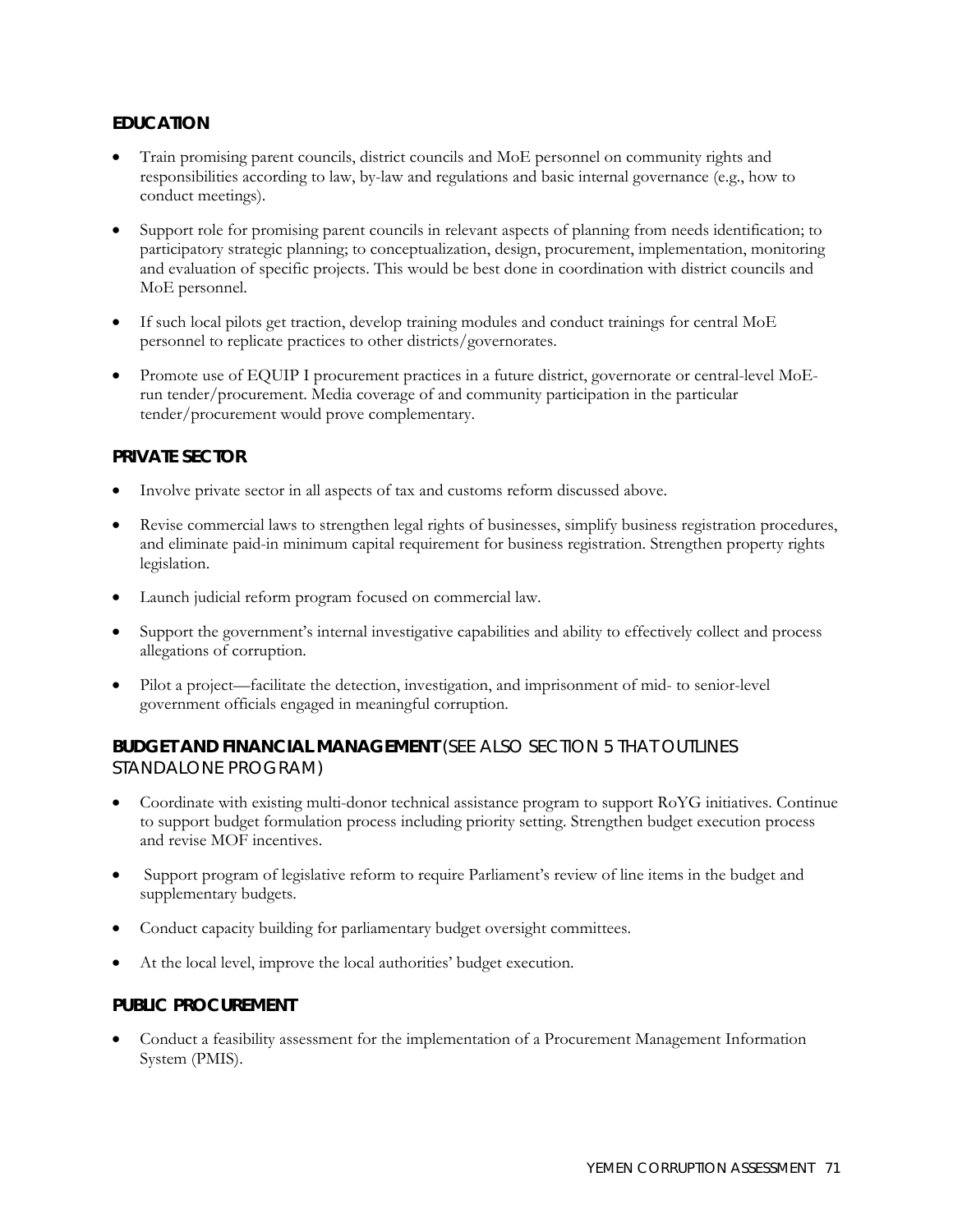## **EDUCATION**

- Train promising parent councils, district councils and MoE personnel on community rights and responsibilities according to law, by-law and regulations and basic internal governance (e.g., how to conduct meetings).
- Support role for promising parent councils in relevant aspects of planning from needs identification; to participatory strategic planning; to conceptualization, design, procurement, implementation, monitoring and evaluation of specific projects. This would be best done in coordination with district councils and MoE personnel.
- If such local pilots get traction, develop training modules and conduct trainings for central MoE personnel to replicate practices to other districts/governorates.
- Promote use of EQUIP I procurement practices in a future district, governorate or central-level MoErun tender/procurement. Media coverage of and community participation in the particular tender/procurement would prove complementary.

#### **PRIVATE SECTOR**

- Involve private sector in all aspects of tax and customs reform discussed above.
- Revise commercial laws to strengthen legal rights of businesses, simplify business registration procedures, and eliminate paid-in minimum capital requirement for business registration. Strengthen property rights legislation.
- Launch judicial reform program focused on commercial law.
- Support the government's internal investigative capabilities and ability to effectively collect and process allegations of corruption.
- Pilot a project—facilitate the detection, investigation, and imprisonment of mid- to senior-level government officials engaged in meaningful corruption.

## **BUDGET AND FINANCIAL MANAGEMENT** (SEE ALSO SECTION 5 THAT OUTLINES STANDALONE PROGRAM)

- Coordinate with existing multi-donor technical assistance program to support RoYG initiatives. Continue to support budget formulation process including priority setting. Strengthen budget execution process and revise MOF incentives.
- Support program of legislative reform to require Parliament's review of line items in the budget and supplementary budgets.
- Conduct capacity building for parliamentary budget oversight committees.
- At the local level, improve the local authorities' budget execution.

#### **PUBLIC PROCUREMENT**

• Conduct a feasibility assessment for the implementation of a Procurement Management Information System (PMIS).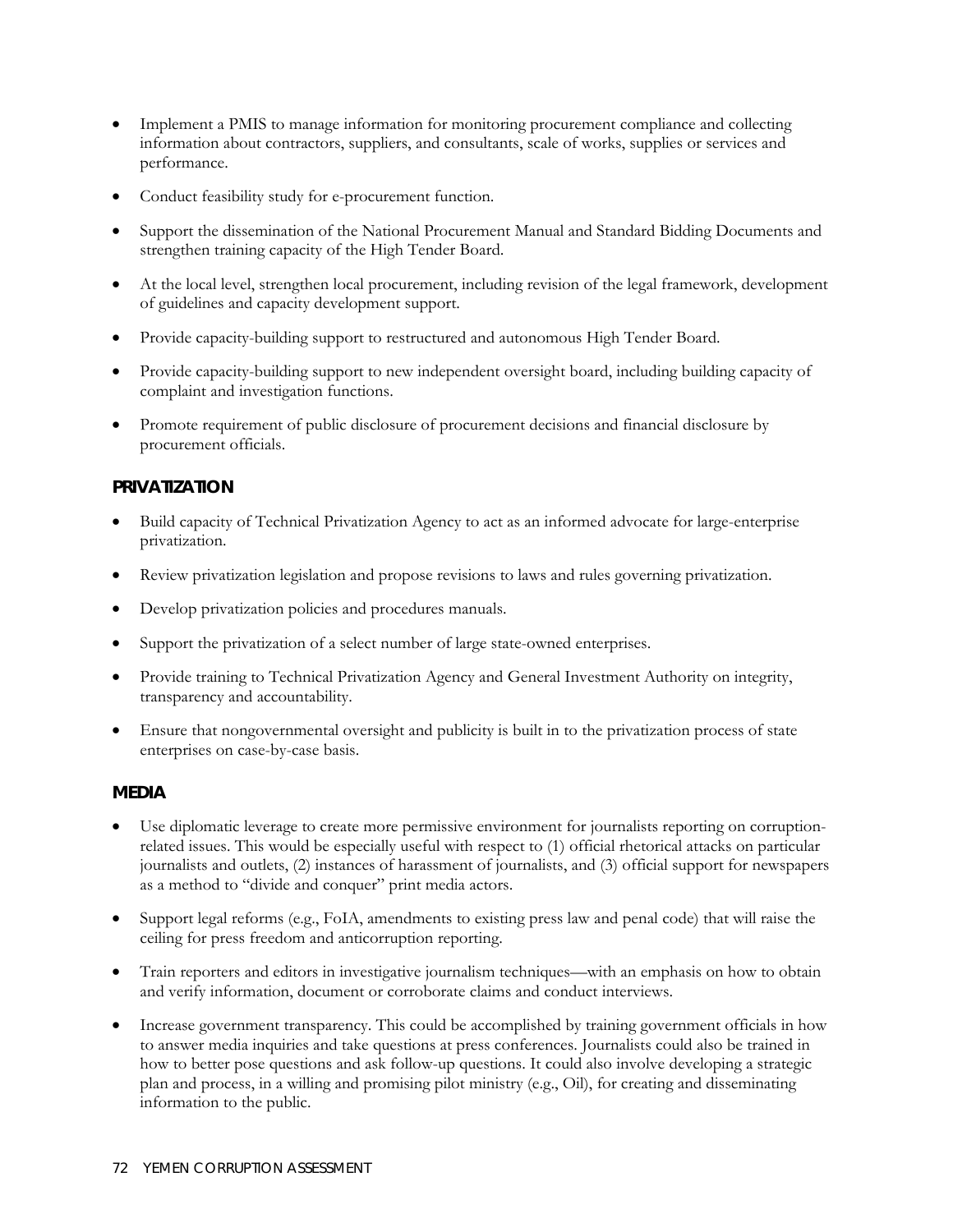- Implement a PMIS to manage information for monitoring procurement compliance and collecting information about contractors, suppliers, and consultants, scale of works, supplies or services and performance.
- Conduct feasibility study for e-procurement function.
- Support the dissemination of the National Procurement Manual and Standard Bidding Documents and strengthen training capacity of the High Tender Board.
- At the local level, strengthen local procurement, including revision of the legal framework, development of guidelines and capacity development support.
- Provide capacity-building support to restructured and autonomous High Tender Board.
- Provide capacity-building support to new independent oversight board, including building capacity of complaint and investigation functions.
- Promote requirement of public disclosure of procurement decisions and financial disclosure by procurement officials.

## **PRIVATIZATION**

- Build capacity of Technical Privatization Agency to act as an informed advocate for large-enterprise privatization.
- Review privatization legislation and propose revisions to laws and rules governing privatization.
- Develop privatization policies and procedures manuals.
- Support the privatization of a select number of large state-owned enterprises.
- Provide training to Technical Privatization Agency and General Investment Authority on integrity, transparency and accountability.
- Ensure that nongovernmental oversight and publicity is built in to the privatization process of state enterprises on case-by-case basis.

## **MEDIA**

- Use diplomatic leverage to create more permissive environment for journalists reporting on corruptionrelated issues. This would be especially useful with respect to (1) official rhetorical attacks on particular journalists and outlets, (2) instances of harassment of journalists, and (3) official support for newspapers as a method to "divide and conquer" print media actors.
- Support legal reforms (e.g., FoIA, amendments to existing press law and penal code) that will raise the ceiling for press freedom and anticorruption reporting.
- Train reporters and editors in investigative journalism techniques—with an emphasis on how to obtain and verify information, document or corroborate claims and conduct interviews.
- Increase government transparency. This could be accomplished by training government officials in how to answer media inquiries and take questions at press conferences. Journalists could also be trained in how to better pose questions and ask follow-up questions. It could also involve developing a strategic plan and process, in a willing and promising pilot ministry (e.g., Oil), for creating and disseminating information to the public.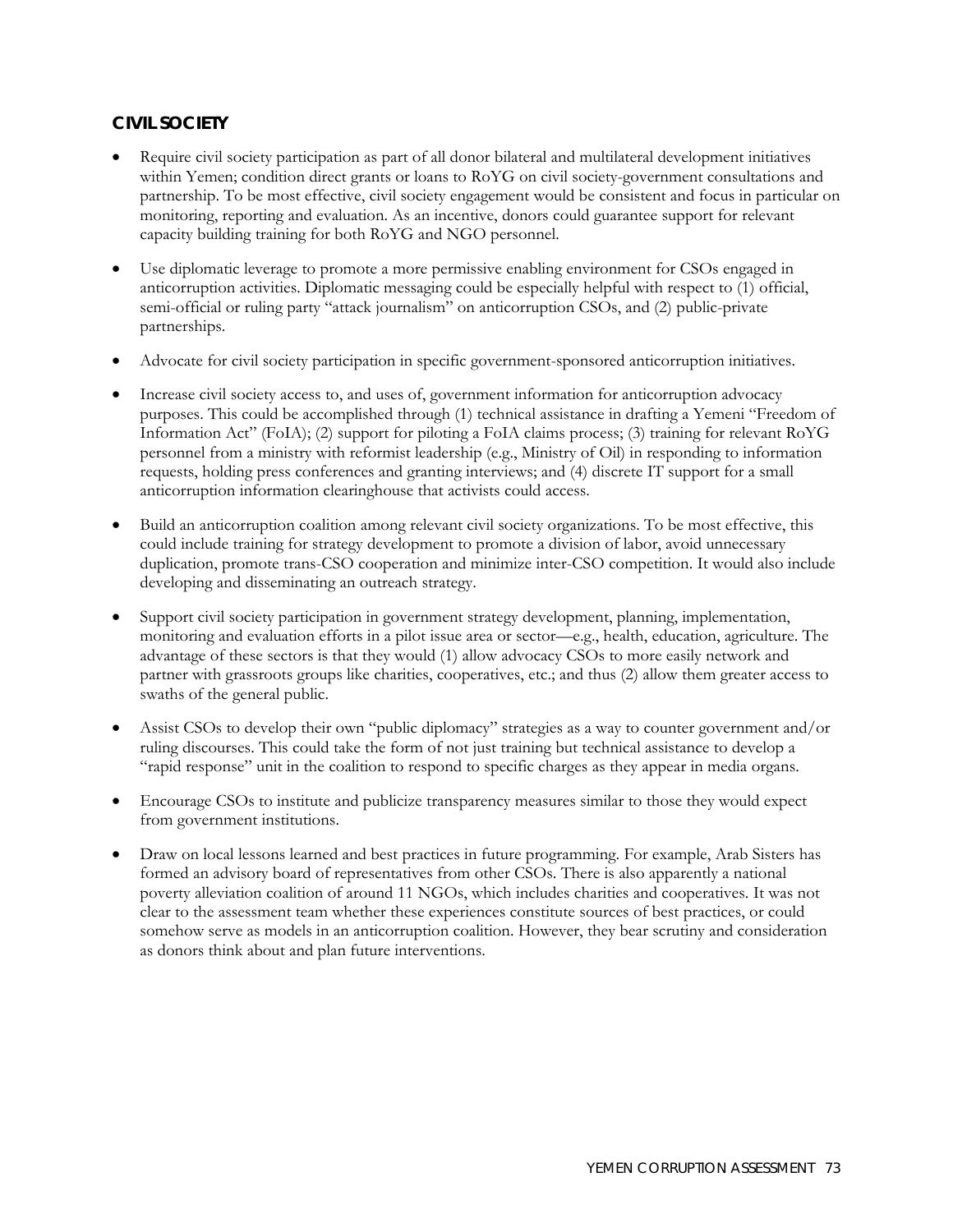## **CIVIL SOCIETY**

- Require civil society participation as part of all donor bilateral and multilateral development initiatives within Yemen; condition direct grants or loans to RoYG on civil society-government consultations and partnership. To be most effective, civil society engagement would be consistent and focus in particular on monitoring, reporting and evaluation. As an incentive, donors could guarantee support for relevant capacity building training for both RoYG and NGO personnel.
- Use diplomatic leverage to promote a more permissive enabling environment for CSOs engaged in anticorruption activities. Diplomatic messaging could be especially helpful with respect to (1) official, semi-official or ruling party "attack journalism" on anticorruption CSOs, and (2) public-private partnerships.
- Advocate for civil society participation in specific government-sponsored anticorruption initiatives.
- Increase civil society access to, and uses of, government information for anticorruption advocacy purposes. This could be accomplished through (1) technical assistance in drafting a Yemeni "Freedom of Information Act" (FoIA); (2) support for piloting a FoIA claims process; (3) training for relevant RoYG personnel from a ministry with reformist leadership (e.g., Ministry of Oil) in responding to information requests, holding press conferences and granting interviews; and (4) discrete IT support for a small anticorruption information clearinghouse that activists could access.
- Build an anticorruption coalition among relevant civil society organizations. To be most effective, this could include training for strategy development to promote a division of labor, avoid unnecessary duplication, promote trans-CSO cooperation and minimize inter-CSO competition. It would also include developing and disseminating an outreach strategy.
- Support civil society participation in government strategy development, planning, implementation, monitoring and evaluation efforts in a pilot issue area or sector—e.g., health, education, agriculture. The advantage of these sectors is that they would (1) allow advocacy CSOs to more easily network and partner with grassroots groups like charities, cooperatives, etc.; and thus (2) allow them greater access to swaths of the general public.
- Assist CSOs to develop their own "public diplomacy" strategies as a way to counter government and/or ruling discourses. This could take the form of not just training but technical assistance to develop a "rapid response" unit in the coalition to respond to specific charges as they appear in media organs.
- Encourage CSOs to institute and publicize transparency measures similar to those they would expect from government institutions.
- Draw on local lessons learned and best practices in future programming. For example, Arab Sisters has formed an advisory board of representatives from other CSOs. There is also apparently a national poverty alleviation coalition of around 11 NGOs, which includes charities and cooperatives. It was not clear to the assessment team whether these experiences constitute sources of best practices, or could somehow serve as models in an anticorruption coalition. However, they bear scrutiny and consideration as donors think about and plan future interventions.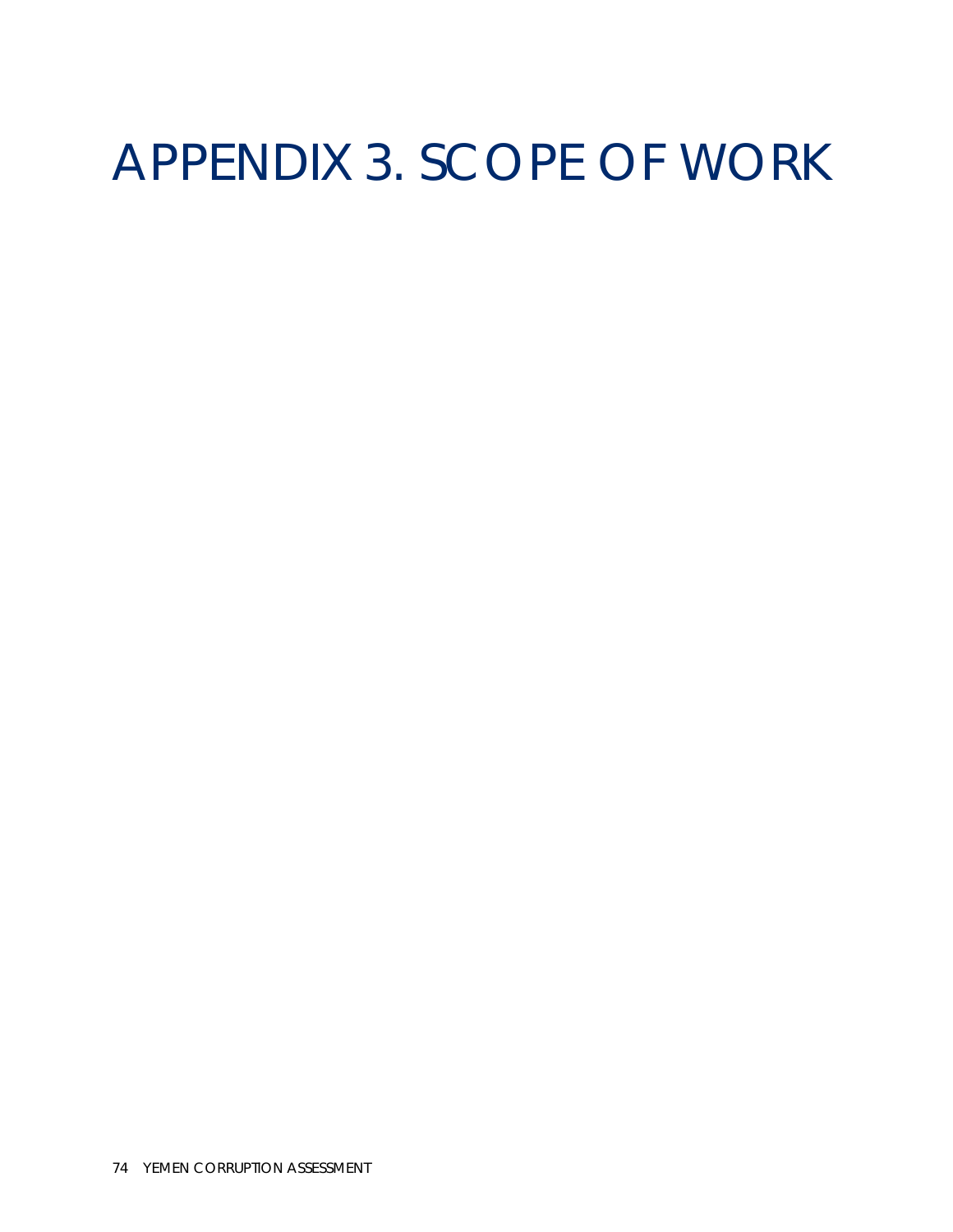## APPENDIX 3. SCOPE OF WORK

74 YEMEN CORRUPTION ASSESSMENT